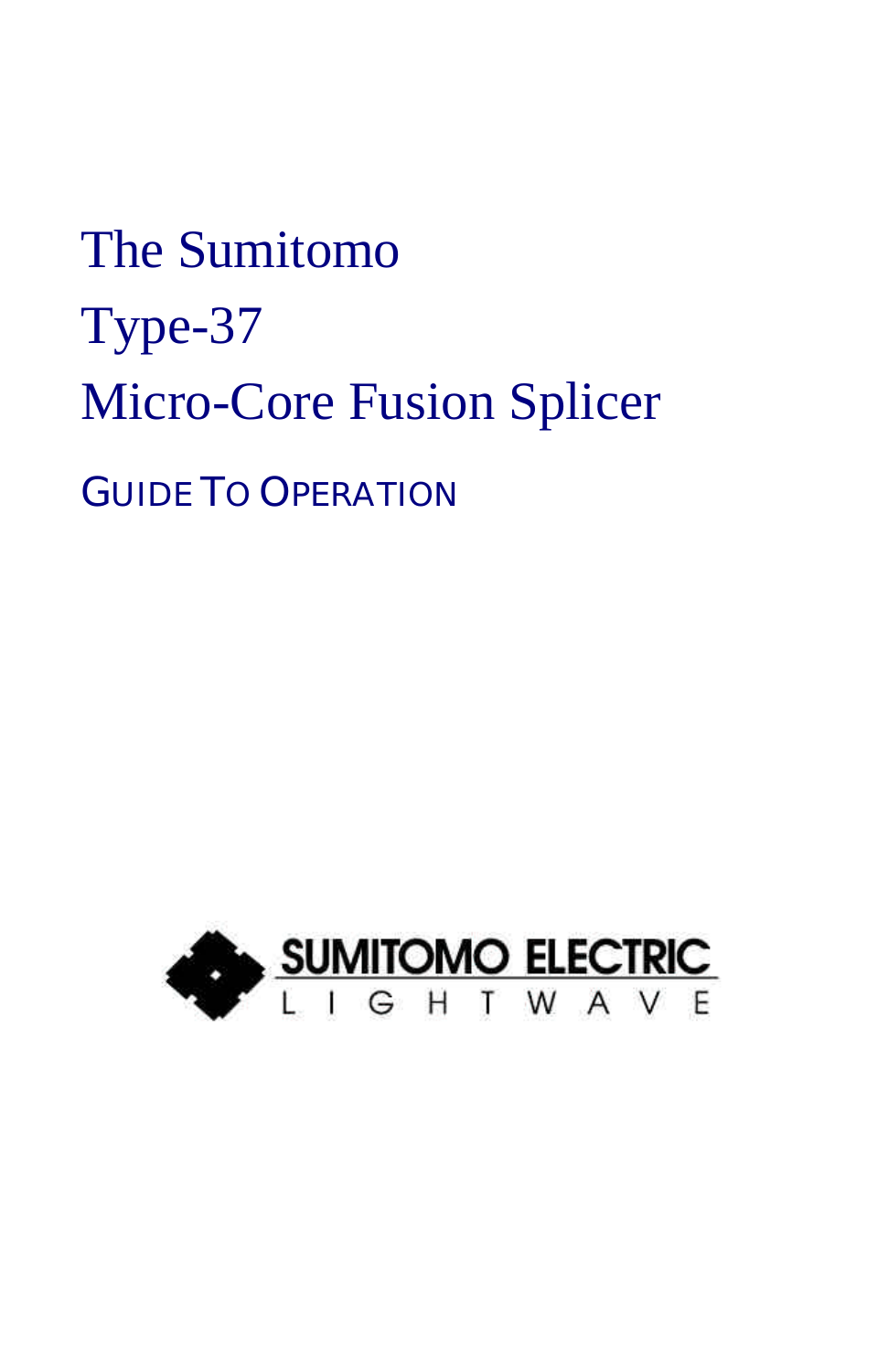# The Sumitomo Type-37 Micro-Core Fusion Splicer GUIDE TO OPERATION

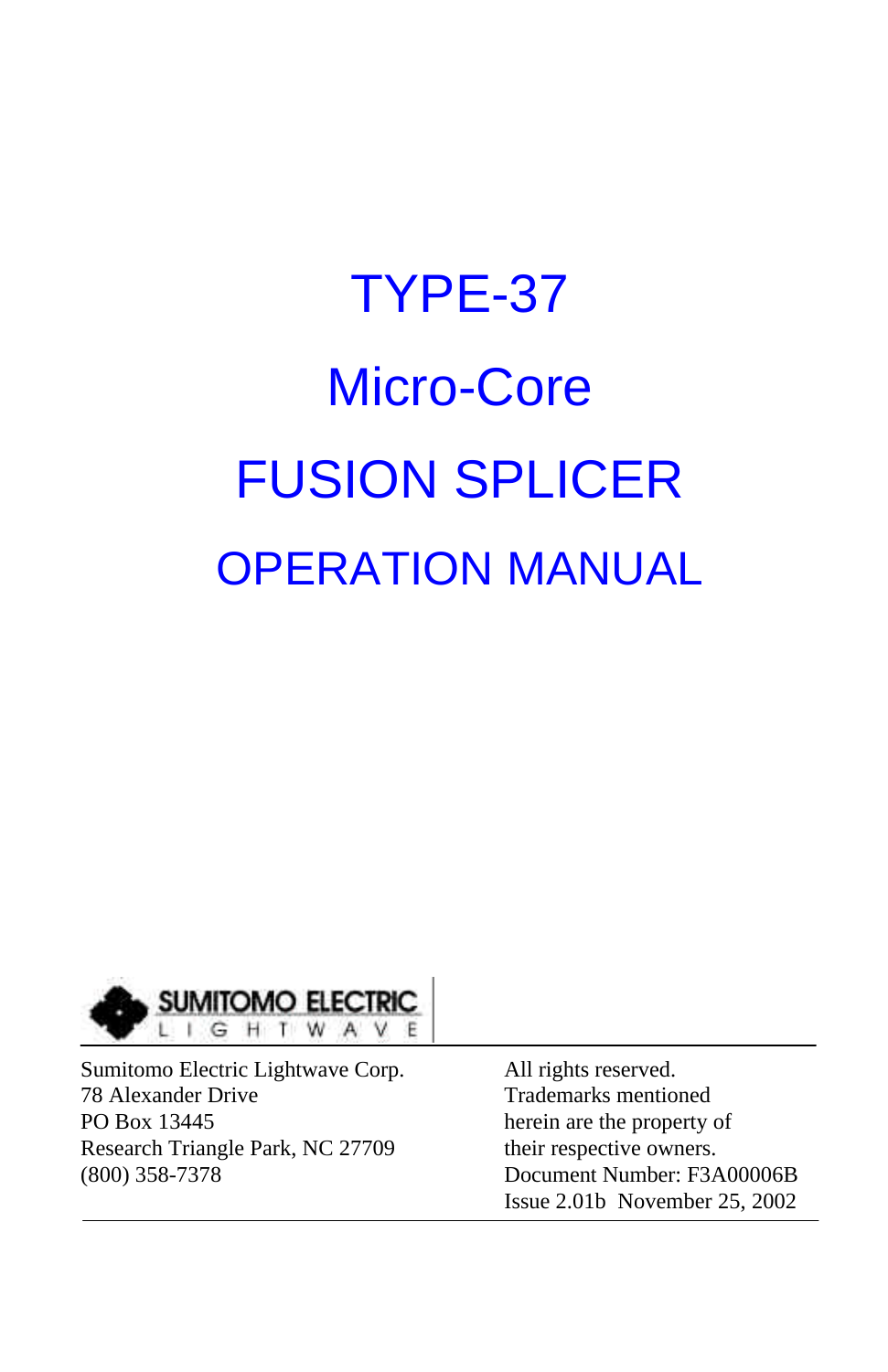# TYPE-37 Micro-Core FUSION SPLICER OPERATION MANUAL



Sumitomo Electric Lightwave Corp. All rights reserved. 78 Alexander Drive Trademarks mentioned PO Box 13445 herein are the property of Research Triangle Park, NC 27709 their respective owners. (800) 358-7378 Document Number: F3A00006B

Issue 2.01b November 25, 2002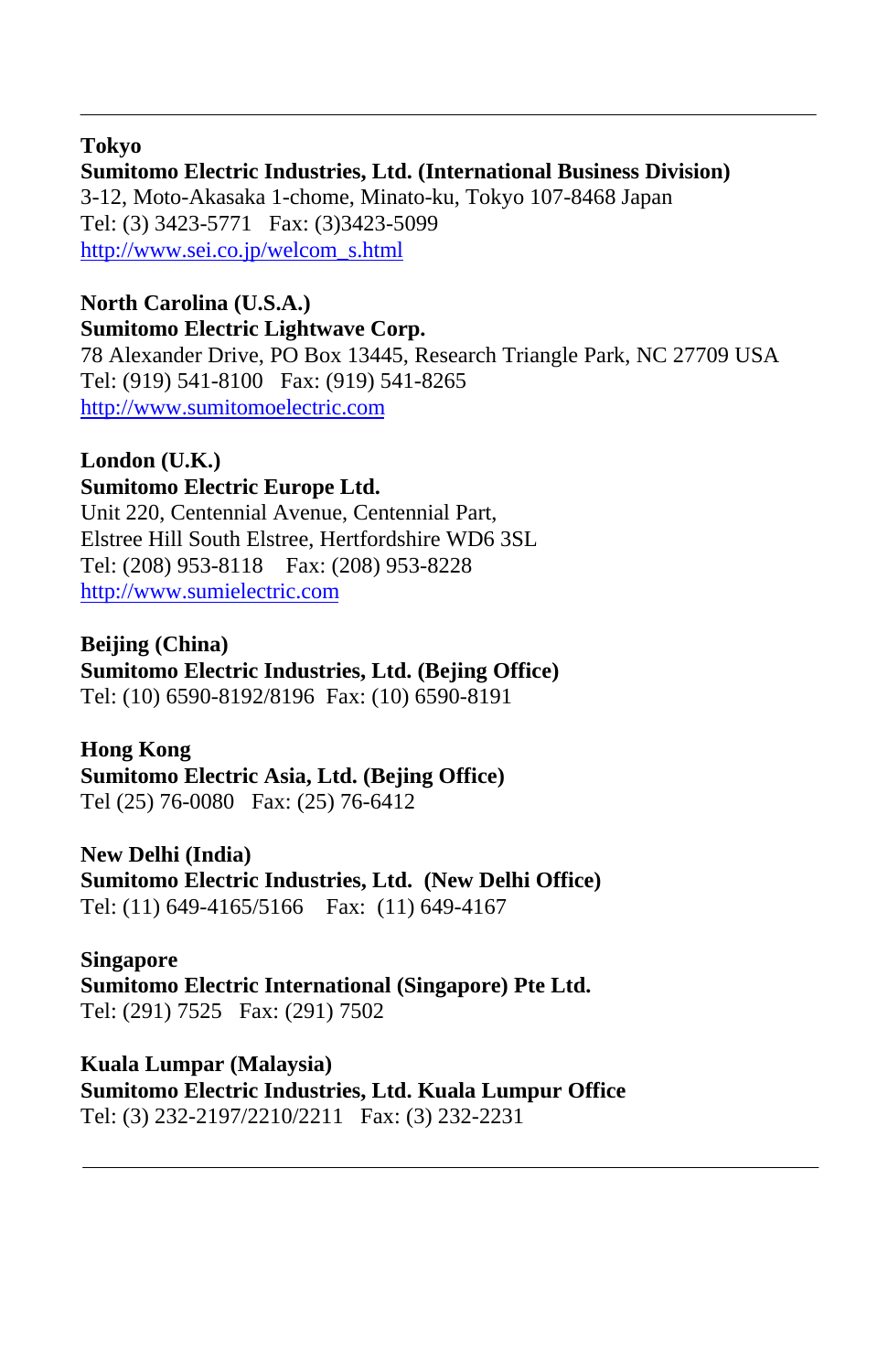#### **Tokyo**

#### **Sumitomo Electric Industries, Ltd. (International Business Division)** 3-12, Moto-Akasaka 1-chome, Minato-ku, Tokyo 107-8468 Japan Tel: (3) 3423-5771 Fax: (3)3423-5099 http://www.sei.co.jp/welcom\_s.html

#### **North Carolina (U.S.A.) Sumitomo Electric Lightwave Corp.**

78 Alexander Drive, PO Box 13445, Research Triangle Park, NC 27709 USA Tel: (919) 541-8100 Fax: (919) 541-8265 http://www.sumitomoelectric.com

#### **London (U.K.)**

#### **Sumitomo Electric Europe Ltd.** Unit 220, Centennial Avenue, Centennial Part, Elstree Hill South Elstree, Hertfordshire WD6 3SL

Tel: (208) 953-8118 Fax: (208) 953-8228 http://www.sumielectric.com

#### **Beijing (China)**

#### **Sumitomo Electric Industries, Ltd. (Bejing Office)**

Tel: (10) 6590-8192/8196 Fax: (10) 6590-8191

#### **Hong Kong**

#### **Sumitomo Electric Asia, Ltd. (Bejing Office)** Tel (25) 76-0080 Fax: (25) 76-6412

**New Delhi (India) Sumitomo Electric Industries, Ltd. (New Delhi Office)** Tel: (11) 649-4165/5166 Fax: (11) 649-4167

#### **Singapore**

**Sumitomo Electric International (Singapore) Pte Ltd.** Tel: (291) 7525 Fax: (291) 7502

#### **Kuala Lumpar (Malaysia)**

**Sumitomo Electric Industries, Ltd. Kuala Lumpur Office** Tel: (3) 232-2197/2210/2211 Fax: (3) 232-2231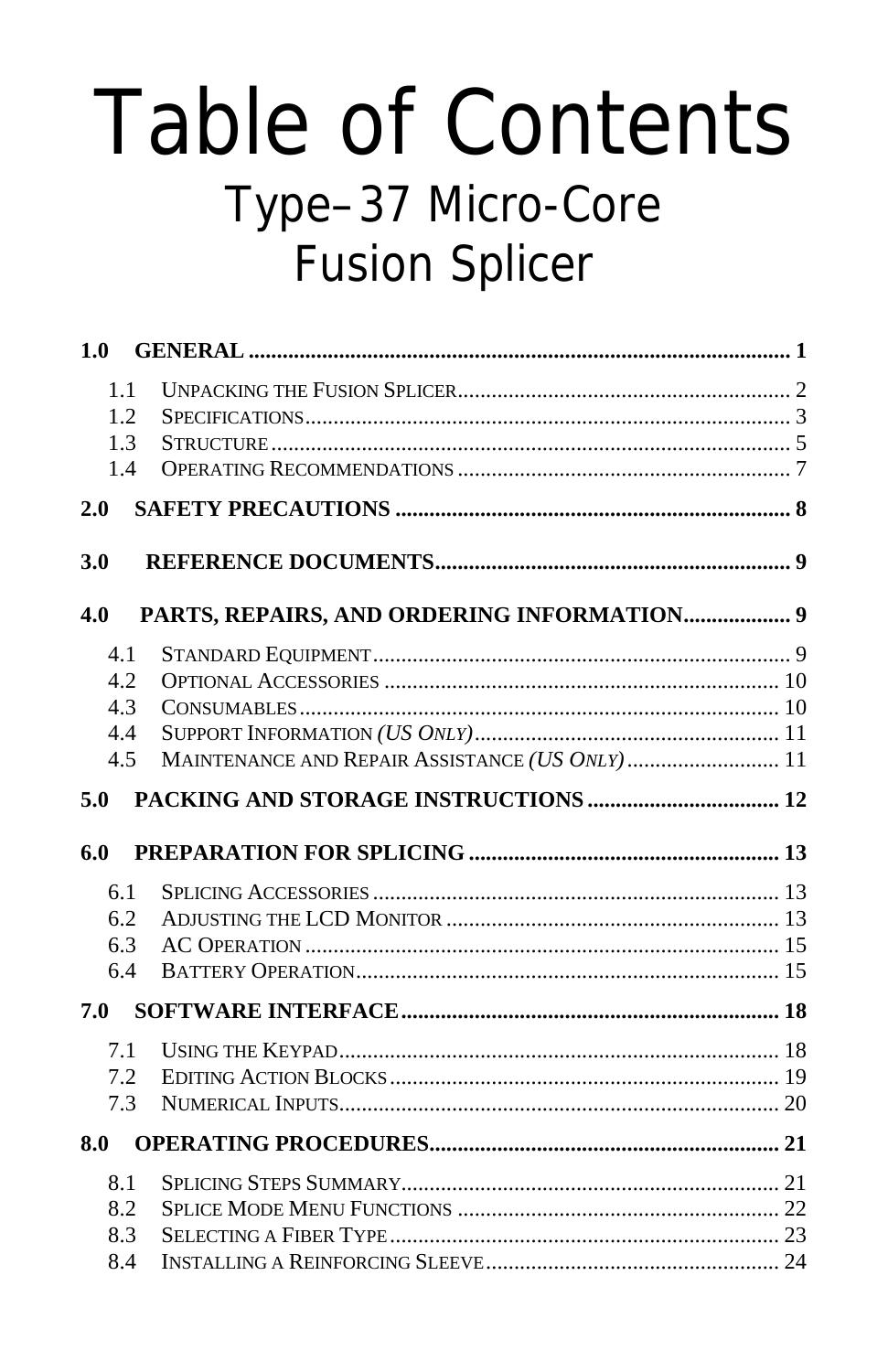# **Table of Contents** Type-37 Micro-Core **Fusion Splicer**

| 1.0 |     |                                                |  |
|-----|-----|------------------------------------------------|--|
|     | 1.1 |                                                |  |
|     | 1.2 |                                                |  |
|     | 1.3 |                                                |  |
|     | 1.4 |                                                |  |
| 2.0 |     |                                                |  |
| 3.0 |     |                                                |  |
| 4.0 |     | PARTS, REPAIRS, AND ORDERING INFORMATION 9     |  |
| 4.1 |     |                                                |  |
|     | 4.2 |                                                |  |
|     | 4.3 |                                                |  |
| 4.4 |     |                                                |  |
|     | 4.5 | MAINTENANCE AND REPAIR ASSISTANCE (US ONLY) 11 |  |
| 5.0 |     |                                                |  |
| 6.0 |     |                                                |  |
|     | 6.1 |                                                |  |
|     | 6.2 |                                                |  |
|     | 6.3 |                                                |  |
|     | 6.4 |                                                |  |
| 7.0 |     |                                                |  |
|     | 7.1 |                                                |  |
|     | 7.2 |                                                |  |
|     | 7.3 |                                                |  |
| 8.0 |     |                                                |  |
| 8.1 |     |                                                |  |
|     | 8.2 |                                                |  |
|     | 8.3 |                                                |  |
| 84  |     | INSTALLING A REINFORCING SLEEVE 24             |  |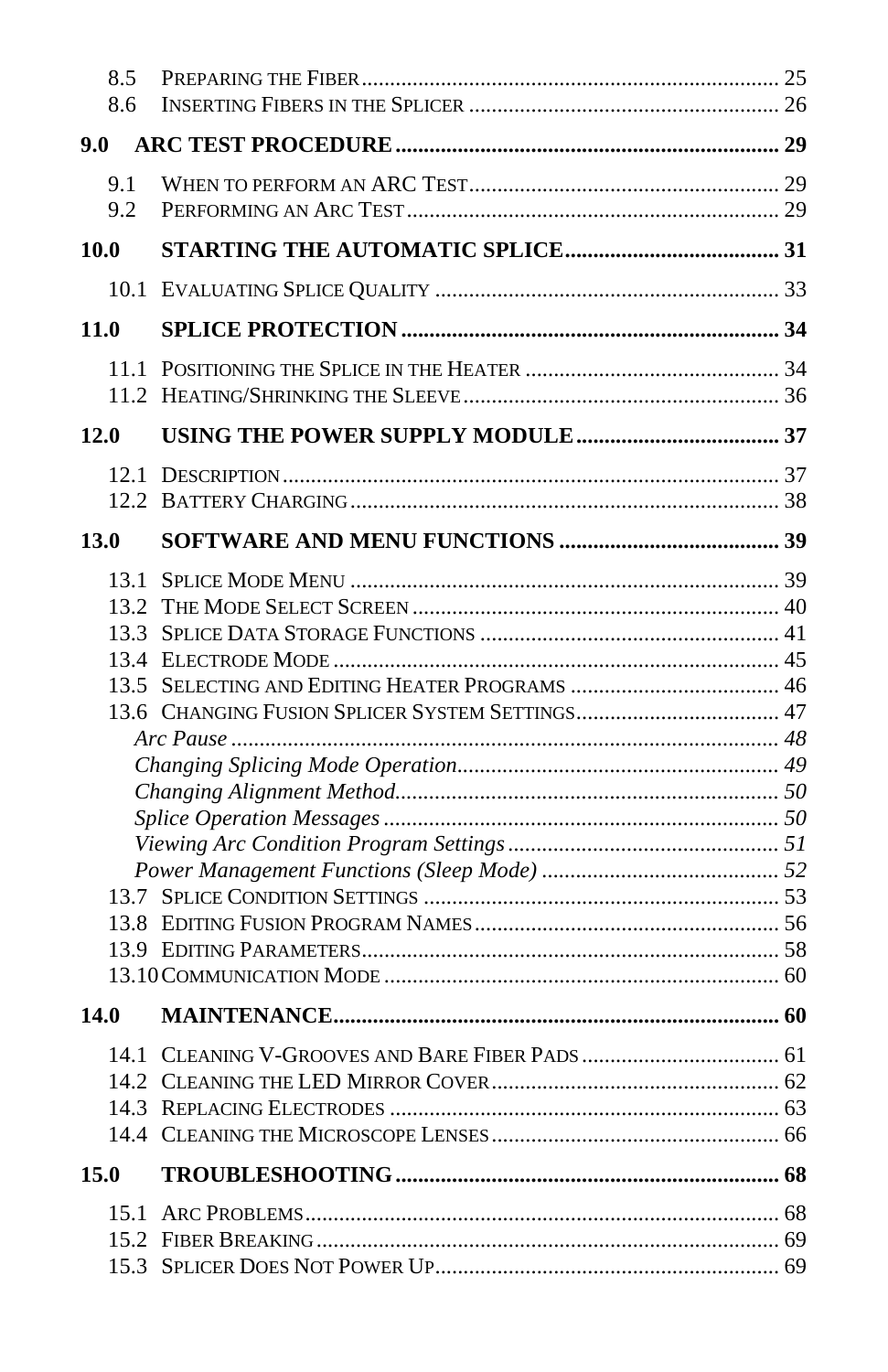|               | 8.5<br>8.6 |  |
|---------------|------------|--|
| $9.0^{\circ}$ |            |  |
|               | 9.1        |  |
|               | 9.2        |  |
| 10.0          |            |  |
|               |            |  |
|               | 11.0       |  |
|               |            |  |
|               |            |  |
| <b>12.0</b>   |            |  |
|               |            |  |
|               |            |  |
| 13.0          |            |  |
|               | 13.1       |  |
|               |            |  |
|               |            |  |
|               |            |  |
|               |            |  |
|               |            |  |
|               |            |  |
|               |            |  |
|               |            |  |
|               |            |  |
|               |            |  |
|               |            |  |
|               |            |  |
|               |            |  |
|               |            |  |
| 14.0          |            |  |
|               |            |  |
|               |            |  |
|               |            |  |
|               |            |  |
|               |            |  |
| 15.0          |            |  |
|               | 15.1       |  |
|               |            |  |
|               |            |  |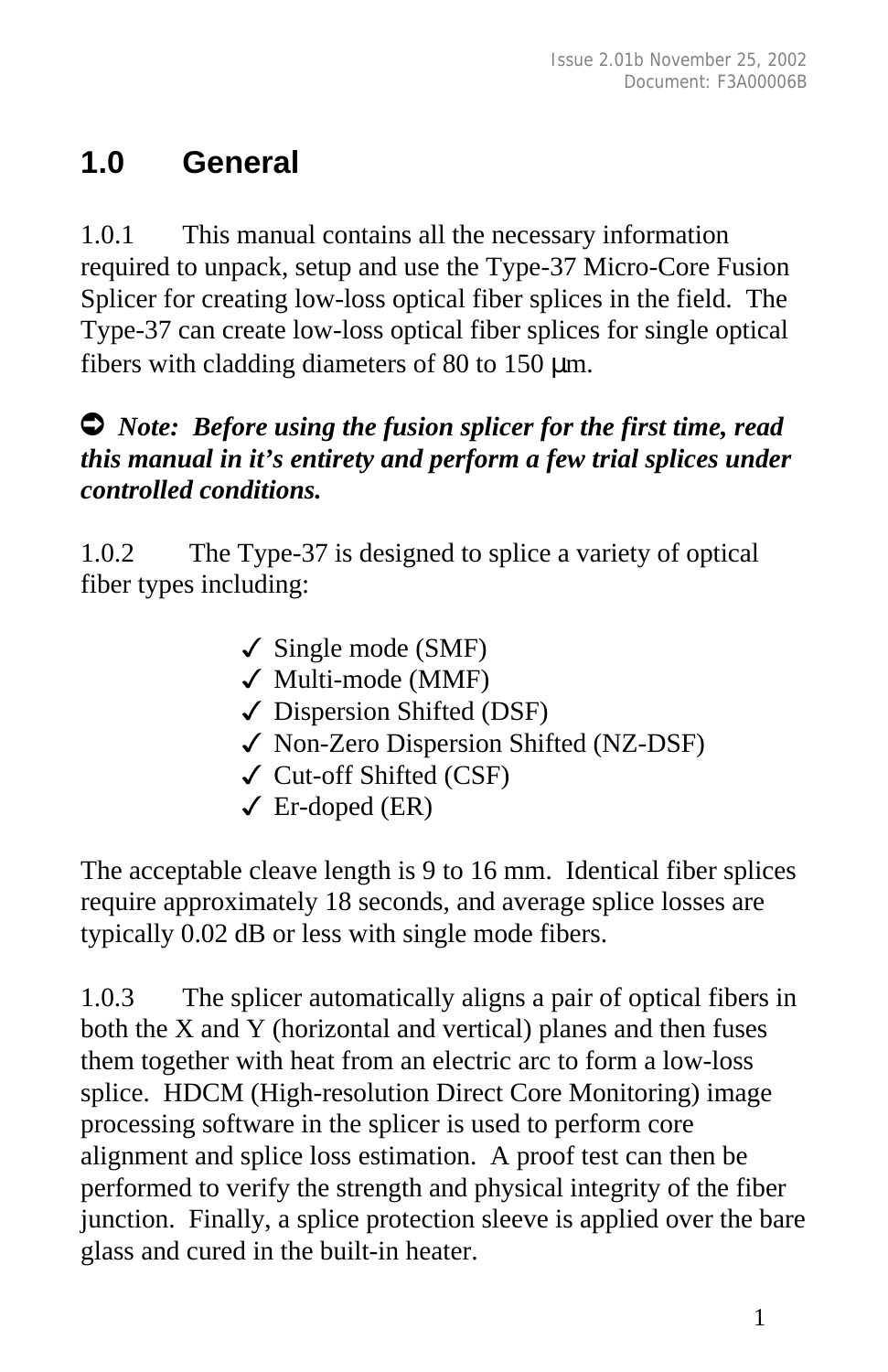## **1.0 General**

1.0.1 This manual contains all the necessary information required to unpack, setup and use the Type-37 Micro-Core Fusion Splicer for creating low-loss optical fiber splices in the field. The Type-37 can create low-loss optical fiber splices for single optical fibers with cladding diameters of 80 to 150 μm.

#### Ú *Note: Before using the fusion splicer for the first time, read this manual in it's entirety and perform a few trial splices under controlled conditions.*

1.0.2 The Type-37 is designed to splice a variety of optical fiber types including:

- $\checkmark$  Single mode (SMF)
- $\checkmark$  Multi-mode (MMF)
- $\checkmark$  Dispersion Shifted (DSF)
- 3 Non-Zero Dispersion Shifted (NZ-DSF)
- $\checkmark$  Cut-off Shifted (CSF)
- $\sqrt{\text{Er-doped (ER)}}$

The acceptable cleave length is 9 to 16 mm. Identical fiber splices require approximately 18 seconds, and average splice losses are typically 0.02 dB or less with single mode fibers.

1.0.3 The splicer automatically aligns a pair of optical fibers in both the X and Y (horizontal and vertical) planes and then fuses them together with heat from an electric arc to form a low-loss splice. HDCM (High-resolution Direct Core Monitoring) image processing software in the splicer is used to perform core alignment and splice loss estimation. A proof test can then be performed to verify the strength and physical integrity of the fiber junction. Finally, a splice protection sleeve is applied over the bare glass and cured in the built-in heater.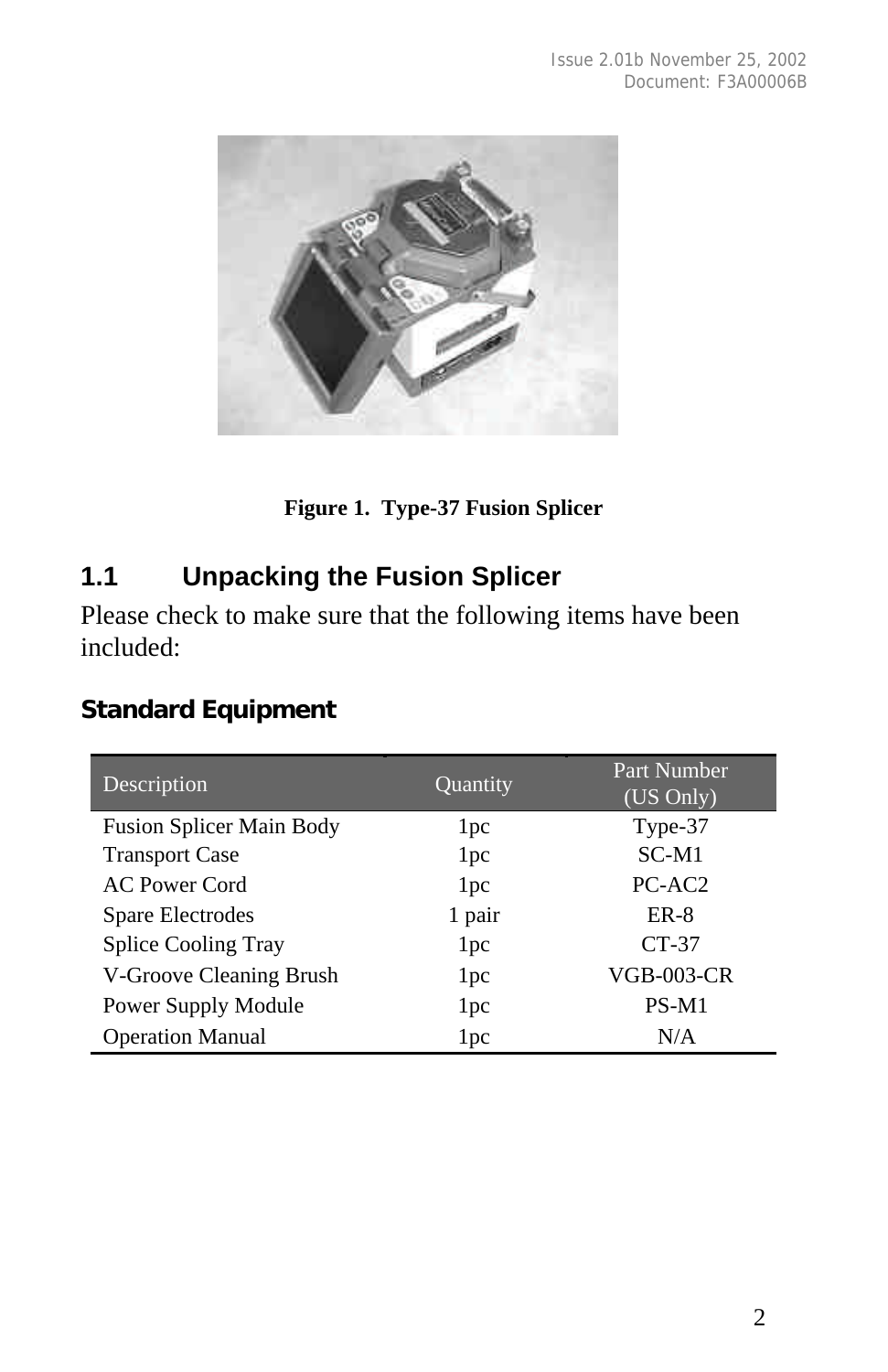

**Figure 1. Type-37 Fusion Splicer**

#### **1.1 Unpacking the Fusion Splicer**

Please check to make sure that the following items have been included:

#### **Standard Equipment**

| Description                     | Quantity        | Part Number<br>(US Only) |
|---------------------------------|-----------------|--------------------------|
| <b>Fusion Splicer Main Body</b> | 1 <sub>pc</sub> | Type-37                  |
| <b>Transport Case</b>           | 1 <sub>pc</sub> | $SC-M1$                  |
| <b>AC Power Cord</b>            | 1 <sub>pc</sub> | PC-AC <sub>2</sub>       |
| Spare Electrodes                | 1 pair          | $ER-8$                   |
| <b>Splice Cooling Tray</b>      | 1 <sub>pc</sub> | $CT-37$                  |
| V-Groove Cleaning Brush         | 1 <sub>pc</sub> | <b>VGB-003-CR</b>        |
| Power Supply Module             | 1 pc            | $PS-M1$                  |
| <b>Operation Manual</b>         | 1 <sub>pc</sub> | N/A                      |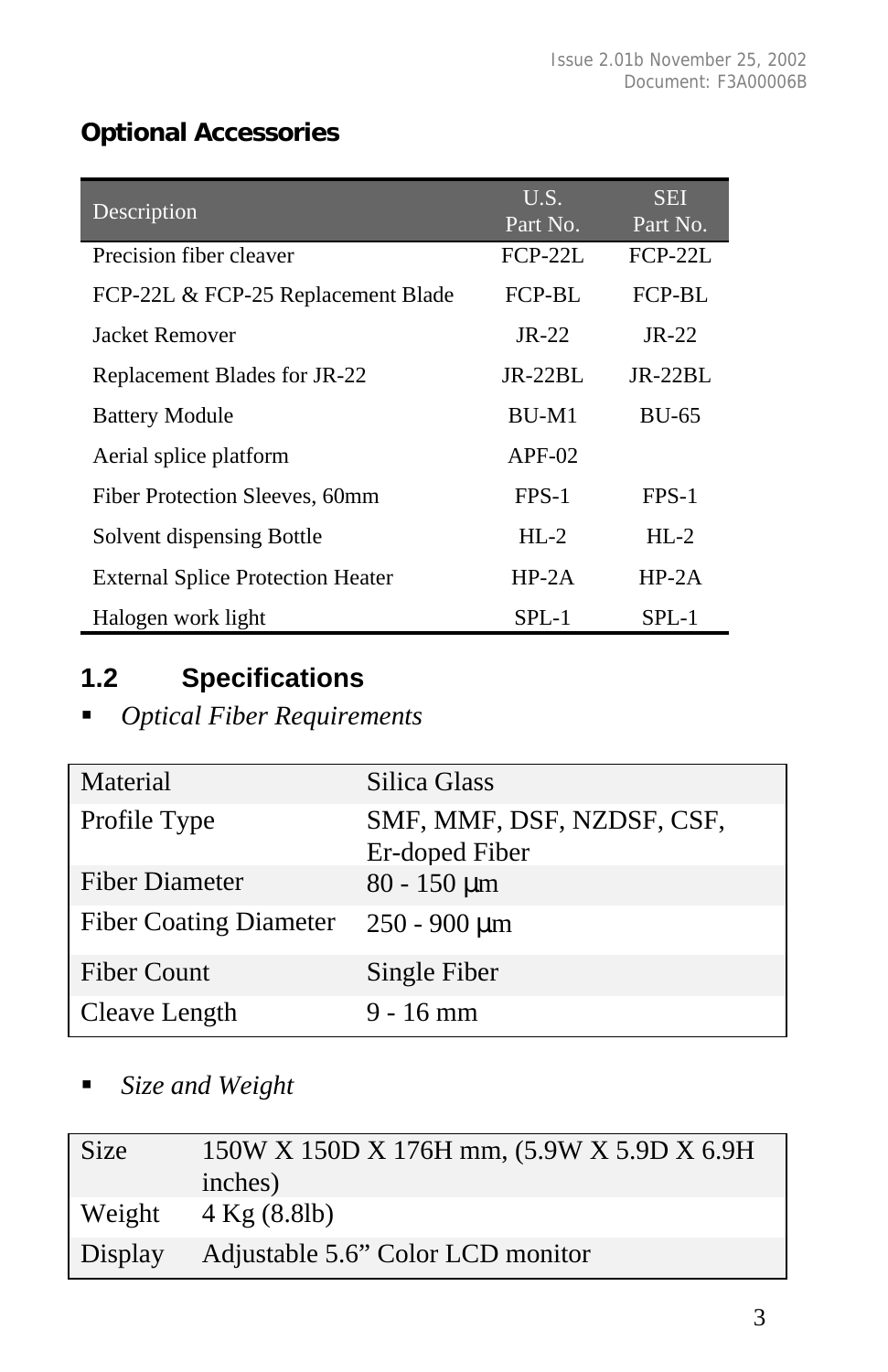#### **Optional Accessories**

| Description                              | $U.\overline{S}$ . | <b>SEI</b>   |
|------------------------------------------|--------------------|--------------|
|                                          | Part No.           | Part No.     |
| Precision fiber cleaver                  | $FCP-22L$          | $FCP-22L$    |
| FCP-22L & FCP-25 Replacement Blade       | FCP-BL             | FCP-BL       |
| Jacket Remover                           | $JR-22$            | $IR-22$      |
| Replacement Blades for JR-22             | $JR-22BL$          | $IR-22BI$ .  |
| <b>Battery Module</b>                    | BU-M1              | <b>BU-65</b> |
| Aerial splice platform                   | $APF-02$           |              |
| Fiber Protection Sleeves, 60mm           | FPS-1              | FPS-1        |
| Solvent dispensing Bottle                | $HI - 2$           | $HI - 2$     |
| <b>External Splice Protection Heater</b> | $HP-2A$            | $HP-2A$      |
| Halogen work light                       | SPL-1              | SPL-1        |

## **1.2 Specifications**

#### **•** *Optical Fiber Requirements*

| Material                      | Silica Glass                                 |
|-------------------------------|----------------------------------------------|
| Profile Type                  | SMF, MMF, DSF, NZDSF, CSF,<br>Er-doped Fiber |
| <b>Fiber Diameter</b>         | $80 - 150 \mu m$                             |
| <b>Fiber Coating Diameter</b> | $250 - 900 \mu m$                            |
| <b>Fiber Count</b>            | Single Fiber                                 |
| Cleave Length                 | $9 - 16$ mm                                  |

ß *Size and Weight*

| <b>Size</b> | 150W X 150D X 176H mm, (5.9W X 5.9D X 6.9H)<br>inches) |
|-------------|--------------------------------------------------------|
| Weight      | $4$ Kg $(8.81b)$                                       |
|             | Display Adjustable 5.6" Color LCD monitor              |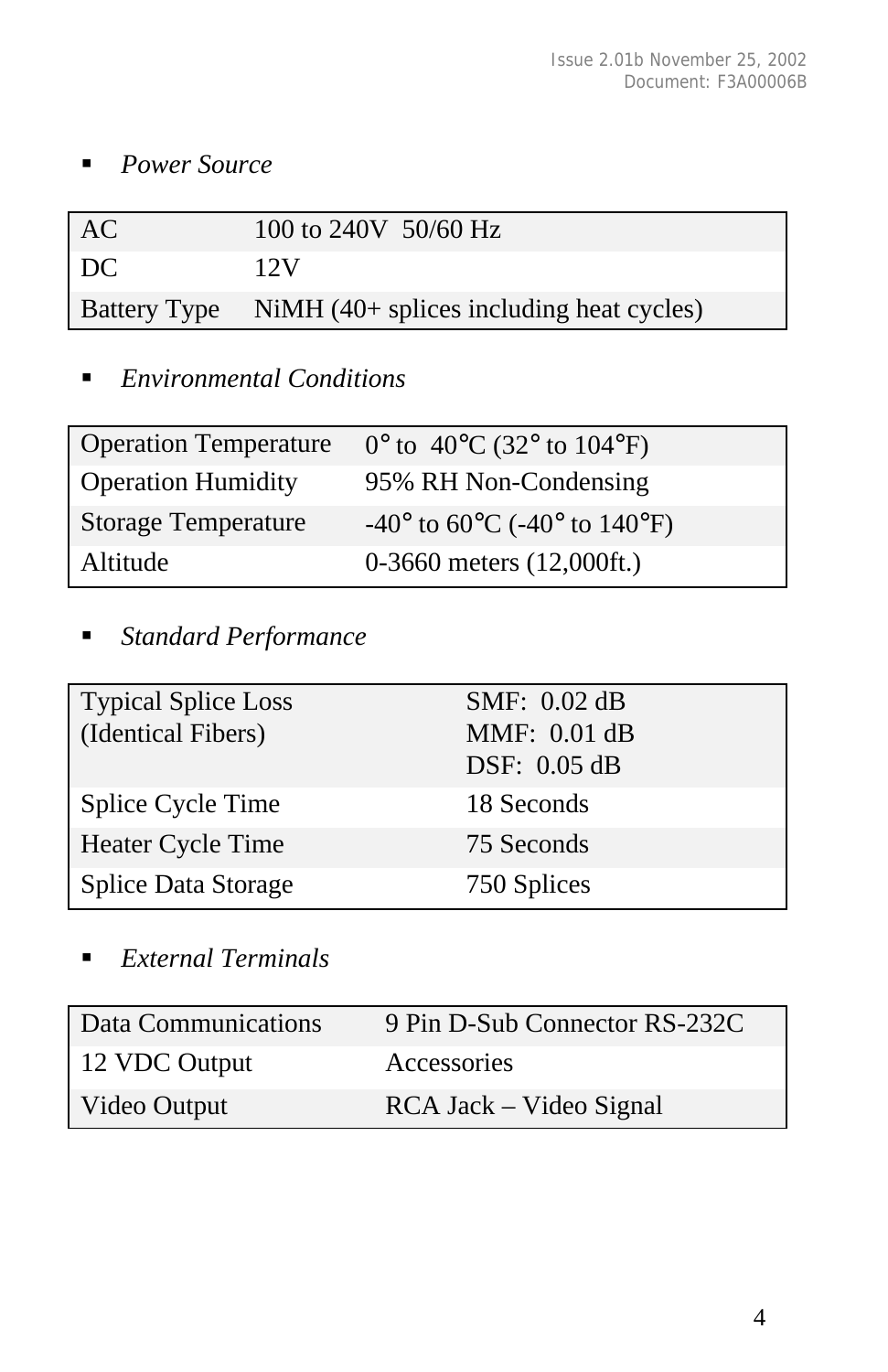■ *Power Source* 

| AC | 100 to 240V 50/60 Hz                                  |
|----|-------------------------------------------------------|
| DC | 12V                                                   |
|    | Battery Type NiMH (40+ splices including heat cycles) |

#### **Environmental Conditions**

| <b>Operation Temperature</b> | $0^{\circ}$ to 40 <sup>o</sup> C (32 <sup>o</sup> to 104 <sup>o</sup> F)  |
|------------------------------|---------------------------------------------------------------------------|
| <b>Operation Humidity</b>    | 95% RH Non-Condensing                                                     |
| <b>Storage Temperature</b>   | $-40^{\circ}$ to 60 <sup>o</sup> C ( $-40^{\circ}$ to 140 <sup>o</sup> F) |
| Altitude                     | $0-3660$ meters $(12,000$ ft.)                                            |

ß *Standard Performance*

| <b>Typical Splice Loss</b><br>(Identical Fibers) | SMF: 0.02 dB<br>MMF: 0.01 dB<br>DSF: 0.05 dB |
|--------------------------------------------------|----------------------------------------------|
| Splice Cycle Time                                | 18 Seconds                                   |
| Heater Cycle Time                                | 75 Seconds                                   |
| Splice Data Storage                              | 750 Splices                                  |

ß *External Terminals*

| Data Communications | 9 Pin D-Sub Connector RS-232C |
|---------------------|-------------------------------|
| 12 VDC Output       | <b>Accessories</b>            |
| Video Output        | RCA Jack – Video Signal       |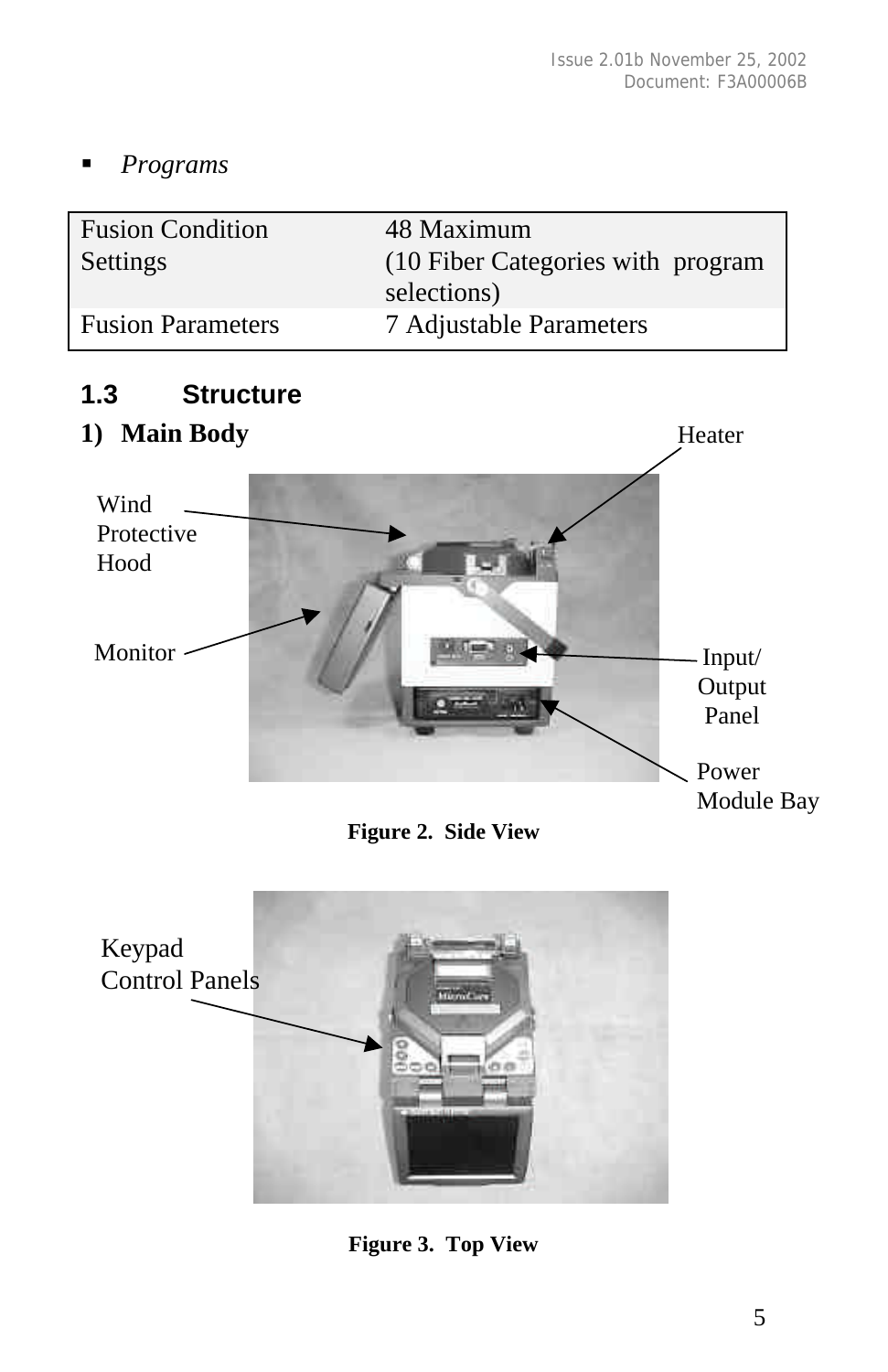Heater

ß *Programs*

| <b>Fusion Condition</b>  | 48 Maximum                         |
|--------------------------|------------------------------------|
| Settings                 | (10 Fiber Categories with program) |
|                          | selections)                        |
| <b>Fusion Parameters</b> | 7 Adjustable Parameters            |

#### **1.3 Structure**

#### **1) Main Body**



**Figure 2. Side View**



**Figure 3. Top View**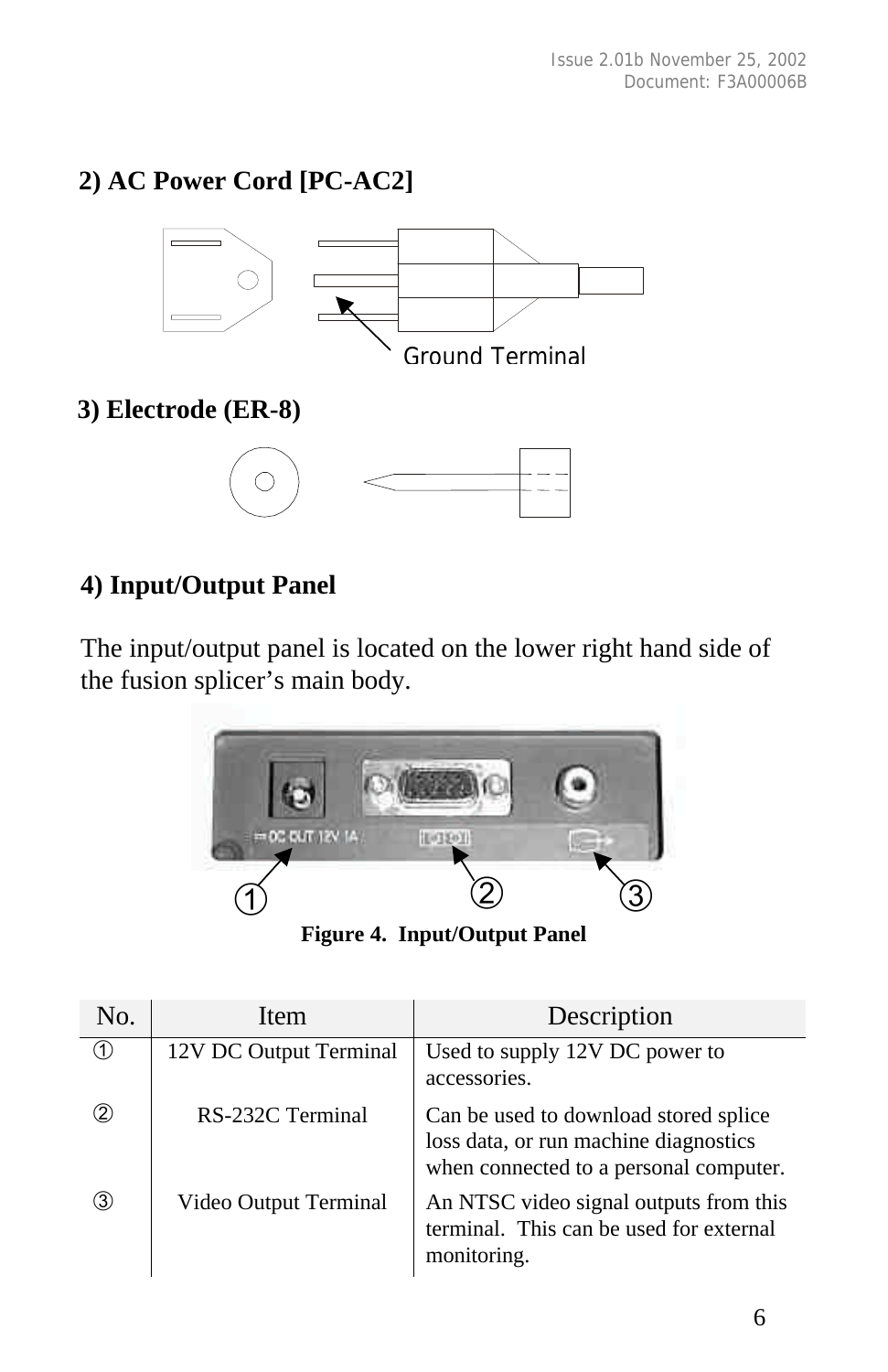#### **2) AC Power Cord [PC-AC2]**



#### **4) Input/Output Panel**

The input/output panel is located on the lower right hand side of the fusion splicer's main body.



**Figure 4. Input/Output Panel**

| No.               | <b>Item</b>            | Description                                                                                                              |
|-------------------|------------------------|--------------------------------------------------------------------------------------------------------------------------|
| $\left( 1\right)$ | 12V DC Output Terminal | Used to supply 12V DC power to<br>accessories.                                                                           |
| 2)                | RS-232C Terminal       | Can be used to download stored splice<br>loss data, or run machine diagnostics<br>when connected to a personal computer. |
| 3)                | Video Output Terminal  | An NTSC video signal outputs from this<br>terminal. This can be used for external<br>monitoring.                         |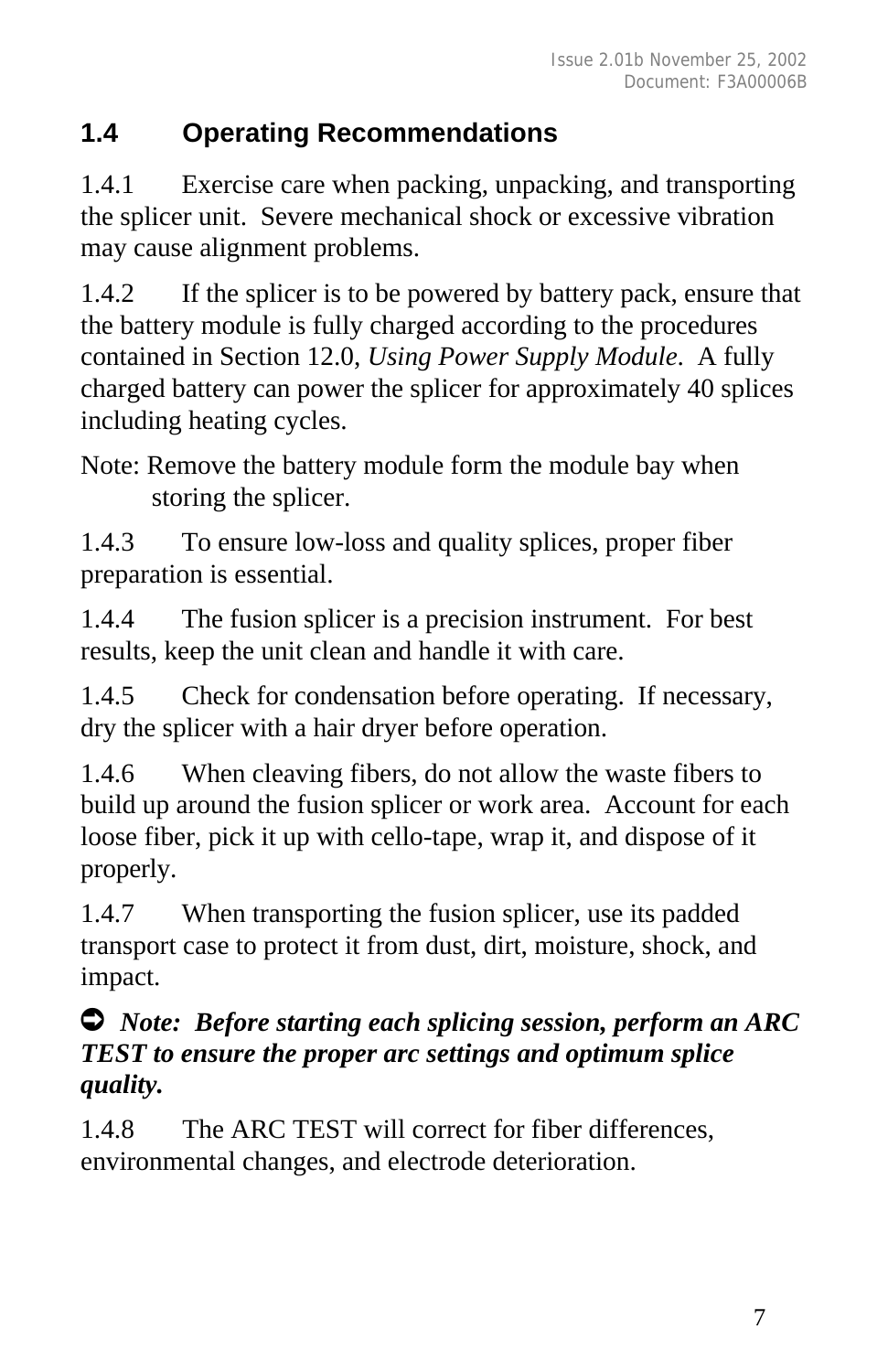#### **1.4 Operating Recommendations**

1.4.1 Exercise care when packing, unpacking, and transporting the splicer unit. Severe mechanical shock or excessive vibration may cause alignment problems.

1.4.2 If the splicer is to be powered by battery pack, ensure that the battery module is fully charged according to the procedures contained in Section 12.0, *Using Power Supply Module*. A fully charged battery can power the splicer for approximately 40 splices including heating cycles.

Note: Remove the battery module form the module bay when storing the splicer.

1.4.3 To ensure low-loss and quality splices, proper fiber preparation is essential.

1.4.4 The fusion splicer is a precision instrument. For best results, keep the unit clean and handle it with care.

1.4.5 Check for condensation before operating. If necessary, dry the splicer with a hair dryer before operation.

1.4.6 When cleaving fibers, do not allow the waste fibers to build up around the fusion splicer or work area. Account for each loose fiber, pick it up with cello-tape, wrap it, and dispose of it properly.

1.4.7 When transporting the fusion splicer, use its padded transport case to protect it from dust, dirt, moisture, shock, and impact.

#### Ú *Note: Before starting each splicing session, perform an ARC TEST to ensure the proper arc settings and optimum splice quality.*

1.4.8 The ARC TEST will correct for fiber differences, environmental changes, and electrode deterioration.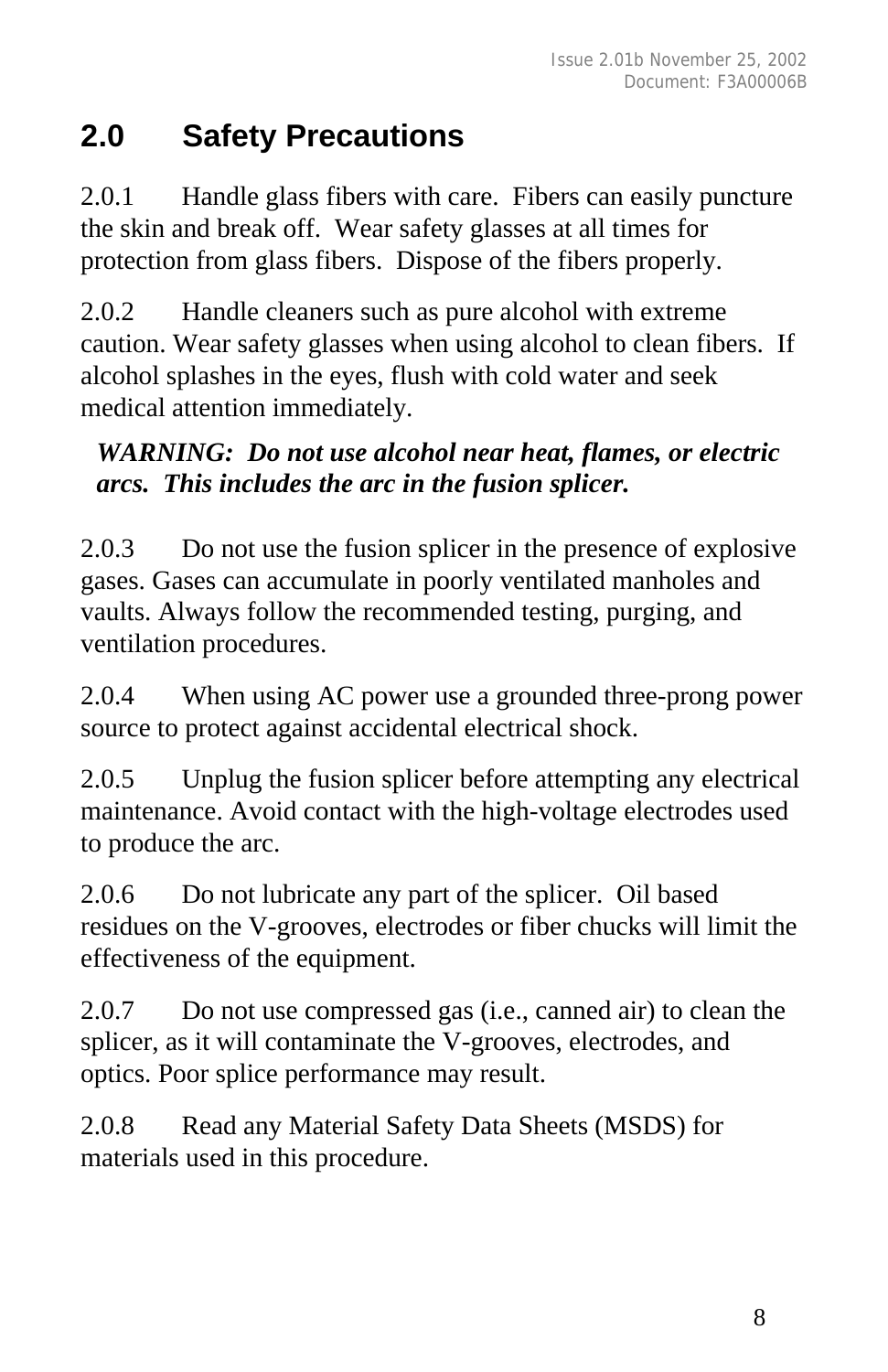## **2.0 Safety Precautions**

2.0.1 Handle glass fibers with care. Fibers can easily puncture the skin and break off. Wear safety glasses at all times for protection from glass fibers. Dispose of the fibers properly.

2.0.2 Handle cleaners such as pure alcohol with extreme caution. Wear safety glasses when using alcohol to clean fibers. If alcohol splashes in the eyes, flush with cold water and seek medical attention immediately.

#### *WARNING: Do not use alcohol near heat, flames, or electric arcs. This includes the arc in the fusion splicer.*

2.0.3 Do not use the fusion splicer in the presence of explosive gases. Gases can accumulate in poorly ventilated manholes and vaults. Always follow the recommended testing, purging, and ventilation procedures.

2.0.4 When using AC power use a grounded three-prong power source to protect against accidental electrical shock.

2.0.5 Unplug the fusion splicer before attempting any electrical maintenance. Avoid contact with the high-voltage electrodes used to produce the arc.

2.0.6 Do not lubricate any part of the splicer. Oil based residues on the V-grooves, electrodes or fiber chucks will limit the effectiveness of the equipment.

2.0.7 Do not use compressed gas (i.e., canned air) to clean the splicer, as it will contaminate the V-grooves, electrodes, and optics. Poor splice performance may result.

2.0.8 Read any Material Safety Data Sheets (MSDS) for materials used in this procedure.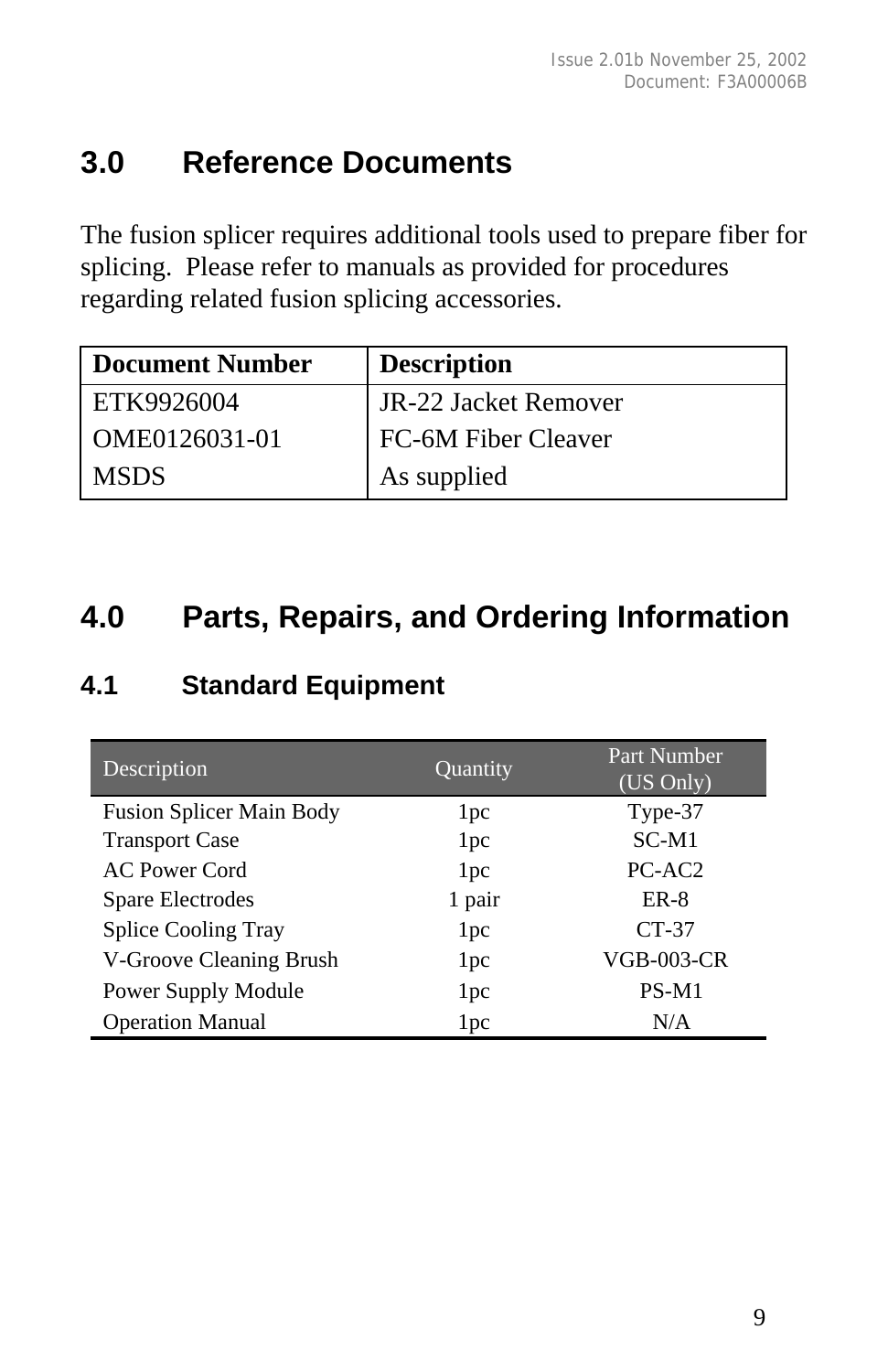## **3.0 Reference Documents**

The fusion splicer requires additional tools used to prepare fiber for splicing. Please refer to manuals as provided for procedures regarding related fusion splicing accessories.

| Document Number | <b>Description</b>   |
|-----------------|----------------------|
| ETK9926004      | JR-22 Jacket Remover |
| OME0126031-01   | FC-6M Fiber Cleaver  |
| <b>MSDS</b>     | As supplied          |

## **4.0 Parts, Repairs, and Ordering Information**

#### **4.1 Standard Equipment**

| Description                     | Quantity        | Part Number<br>$(U\overline{S}$ Only) |
|---------------------------------|-----------------|---------------------------------------|
| <b>Fusion Splicer Main Body</b> | 1 <sub>pc</sub> | Type-37                               |
| <b>Transport Case</b>           | 1 <sub>pc</sub> | $SC-M1$                               |
| AC Power Cord                   | 1 <sub>pc</sub> | PC-AC <sub>2</sub>                    |
| Spare Electrodes                | 1 pair          | $ER-8$                                |
| <b>Splice Cooling Tray</b>      | 1 <sub>pc</sub> | $CT-37$                               |
| V-Groove Cleaning Brush         | 1 <sub>pc</sub> | <b>VGB-003-CR</b>                     |
| Power Supply Module             | 1 <sub>pc</sub> | PS-M1                                 |
| <b>Operation Manual</b>         | 1 <sub>pc</sub> | N/A                                   |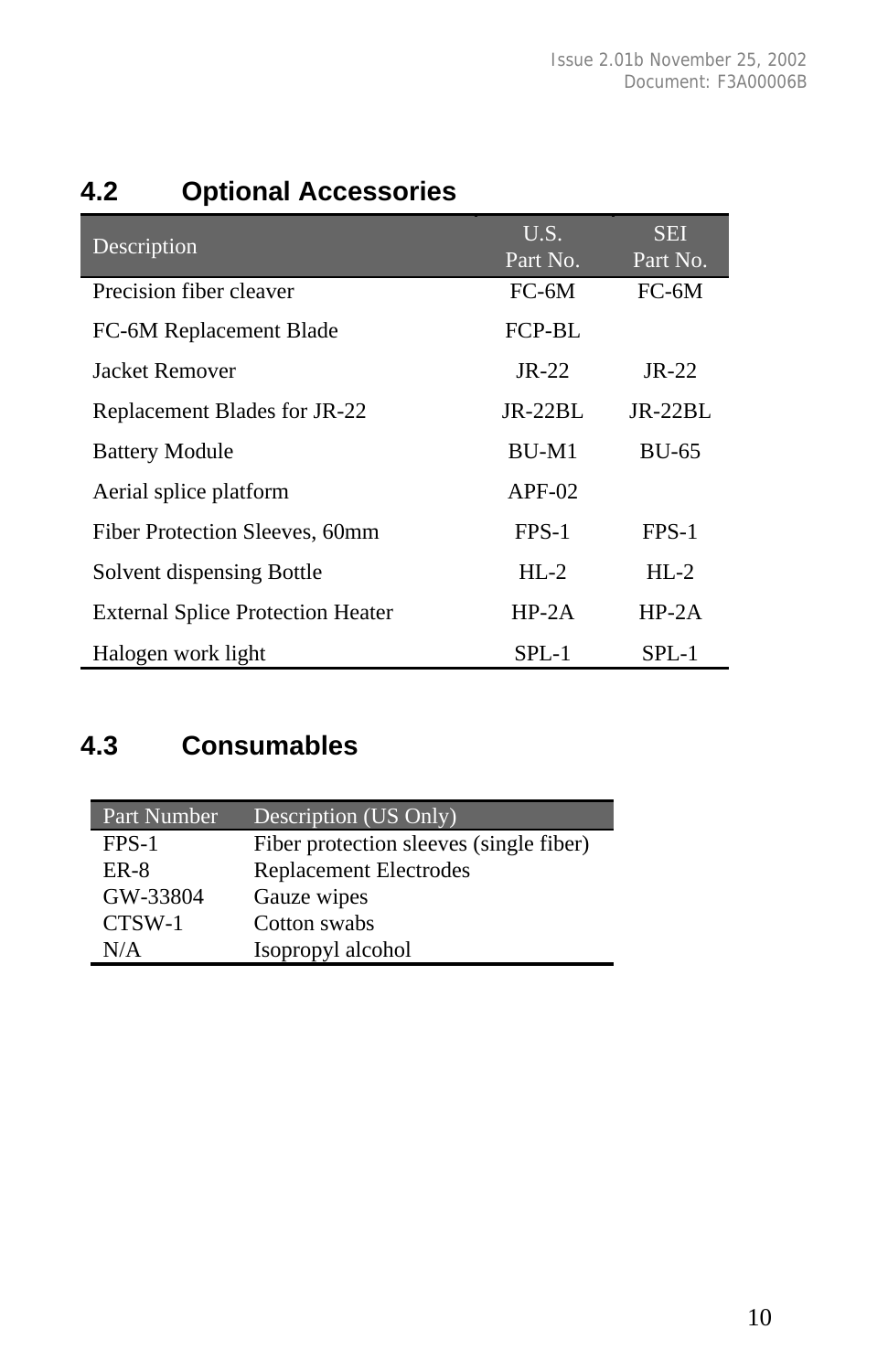|  | 4.2 |  | <b>Optional Accessories</b> |
|--|-----|--|-----------------------------|
|--|-----|--|-----------------------------|

| Description                              | U.S.<br>Part No. | <b>SEI</b><br>Part No. |
|------------------------------------------|------------------|------------------------|
| Precision fiber cleaver                  | $FC-6M$          | $FC-6M$                |
| FC-6M Replacement Blade                  | FCP-BL           |                        |
| Jacket Remover                           | $IR-22$          | $IR-22$                |
| Replacement Blades for JR-22             | $IR-22BI$ .      | $JR-22BL$              |
| <b>Battery Module</b>                    | $BU-M1$          | <b>BU-65</b>           |
| Aerial splice platform                   | $APF-02$         |                        |
| Fiber Protection Sleeves, 60mm           | FPS-1            | FPS-1                  |
| Solvent dispensing Bottle                | $HI - 2$         | $HI - 2$               |
| <b>External Splice Protection Heater</b> | $HP-2A$          | $HP-2A$                |
| Halogen work light                       | $SPL-1$          | SPL-1                  |

#### **4.3 Consumables**

| Part Number | Description (US Only)                   |
|-------------|-----------------------------------------|
| $FPS-1$     | Fiber protection sleeves (single fiber) |
| ER-8        | <b>Replacement Electrodes</b>           |
| GW-33804    | Gauze wipes                             |
| CTSW-1      | Cotton swabs                            |
| N/A         | Isopropyl alcohol                       |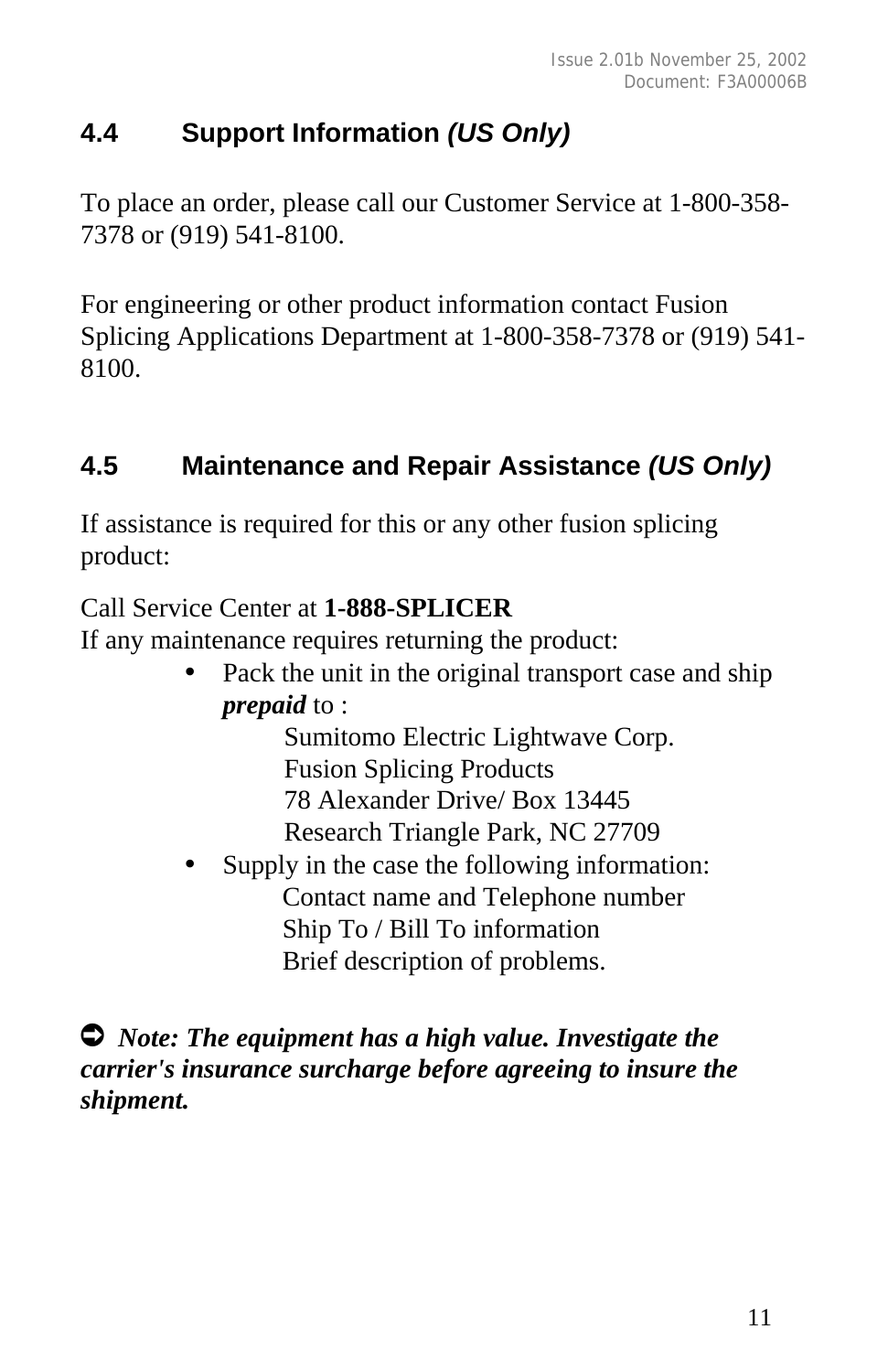#### **4.4 Support Information** *(US Only)*

To place an order, please call our Customer Service at 1-800-358- 7378 or (919) 541-8100.

For engineering or other product information contact Fusion Splicing Applications Department at 1-800-358-7378 or (919) 541- 8100.

#### **4.5 Maintenance and Repair Assistance** *(US Only)*

If assistance is required for this or any other fusion splicing product:

Call Service Center at **1-888-SPLICER**

If any maintenance requires returning the product:

Pack the unit in the original transport case and ship *prepaid* to :

Sumitomo Electric Lightwave Corp. Fusion Splicing Products 78 Alexander Drive/ Box 13445 Research Triangle Park, NC 27709

Supply in the case the following information: Contact name and Telephone number Ship To / Bill To information Brief description of problems.

Ú *Note: The equipment has a high value. Investigate the carrier's insurance surcharge before agreeing to insure the shipment.*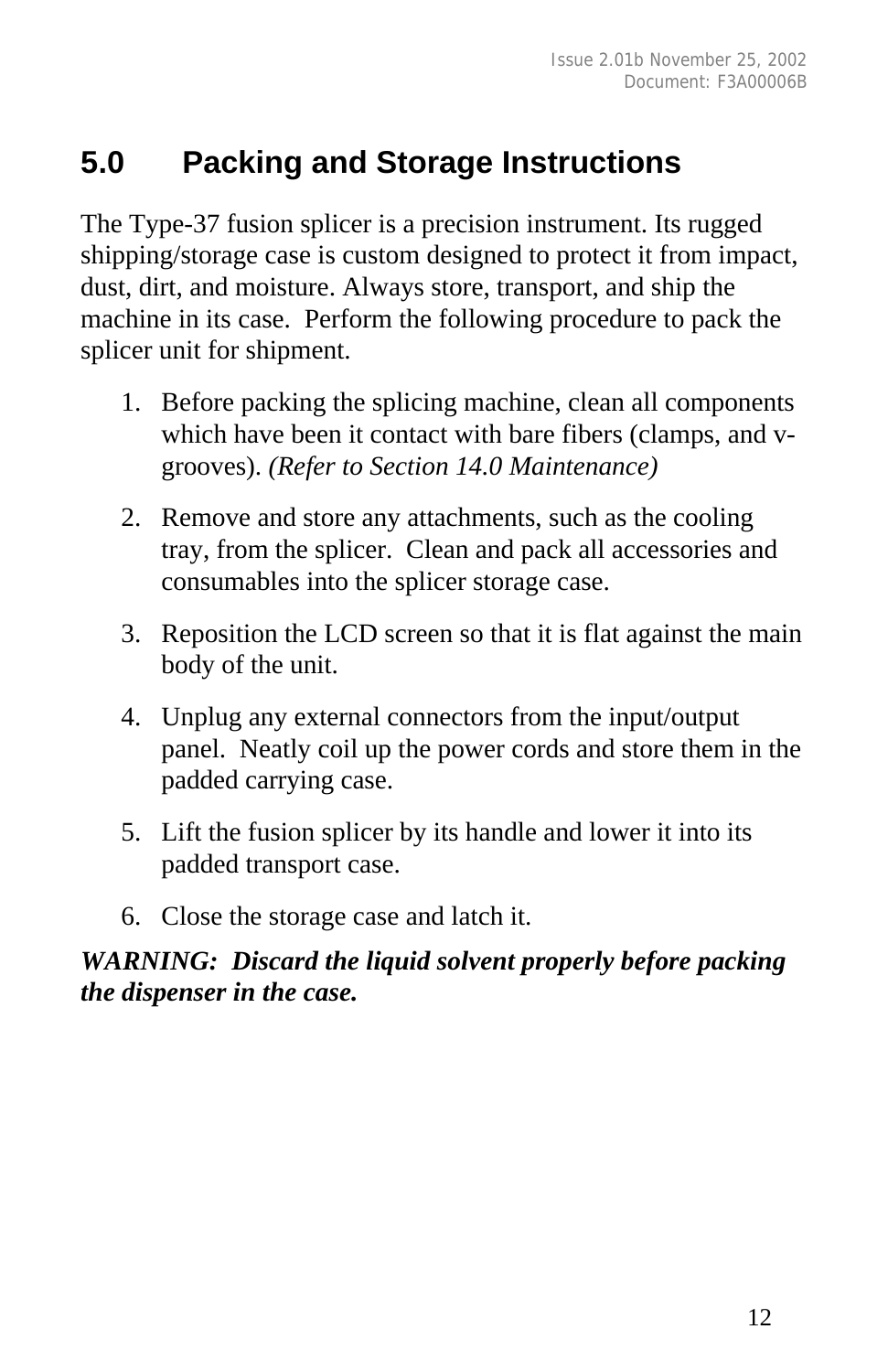## **5.0 Packing and Storage Instructions**

The Type-37 fusion splicer is a precision instrument. Its rugged shipping/storage case is custom designed to protect it from impact, dust, dirt, and moisture. Always store, transport, and ship the machine in its case. Perform the following procedure to pack the splicer unit for shipment.

- 1. Before packing the splicing machine, clean all components which have been it contact with bare fibers (clamps, and vgrooves). *(Refer to Section 14.0 Maintenance)*
- 2. Remove and store any attachments, such as the cooling tray, from the splicer. Clean and pack all accessories and consumables into the splicer storage case.
- 3. Reposition the LCD screen so that it is flat against the main body of the unit.
- 4. Unplug any external connectors from the input/output panel. Neatly coil up the power cords and store them in the padded carrying case.
- 5. Lift the fusion splicer by its handle and lower it into its padded transport case.
- 6. Close the storage case and latch it.

#### *WARNING: Discard the liquid solvent properly before packing the dispenser in the case.*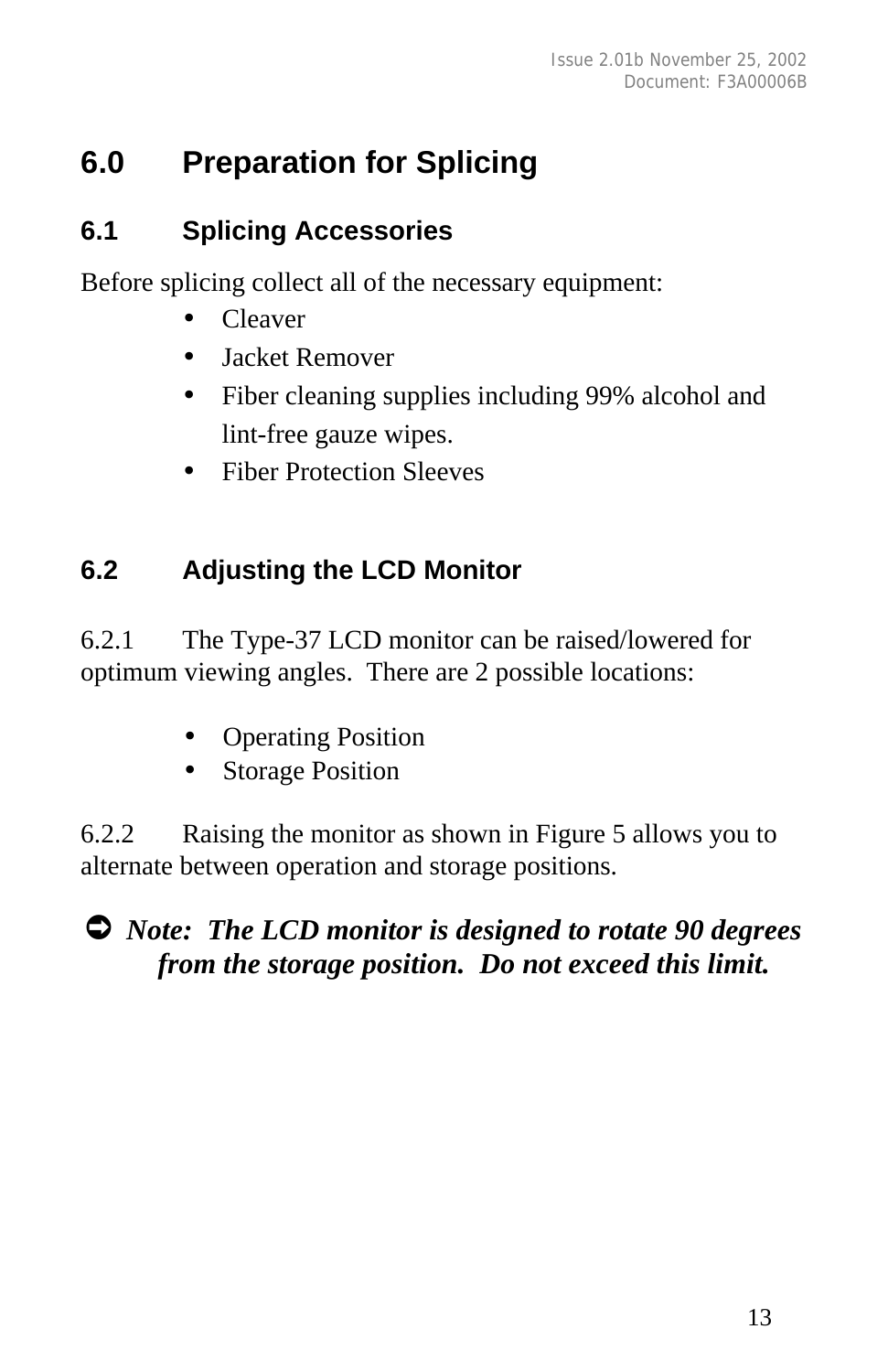## **6.0 Preparation for Splicing**

#### **6.1 Splicing Accessories**

Before splicing collect all of the necessary equipment:

- Cleaver
- Jacket Remover
- Fiber cleaning supplies including 99% alcohol and lint-free gauze wipes.
- Fiber Protection Sleeves

#### **6.2 Adjusting the LCD Monitor**

6.2.1 The Type-37 LCD monitor can be raised/lowered for optimum viewing angles. There are 2 possible locations:

- Operating Position
- **Storage Position**

6.2.2 Raising the monitor as shown in Figure 5 allows you to alternate between operation and storage positions.

#### Ú *Note: The LCD monitor is designed to rotate 90 degrees from the storage position. Do not exceed this limit.*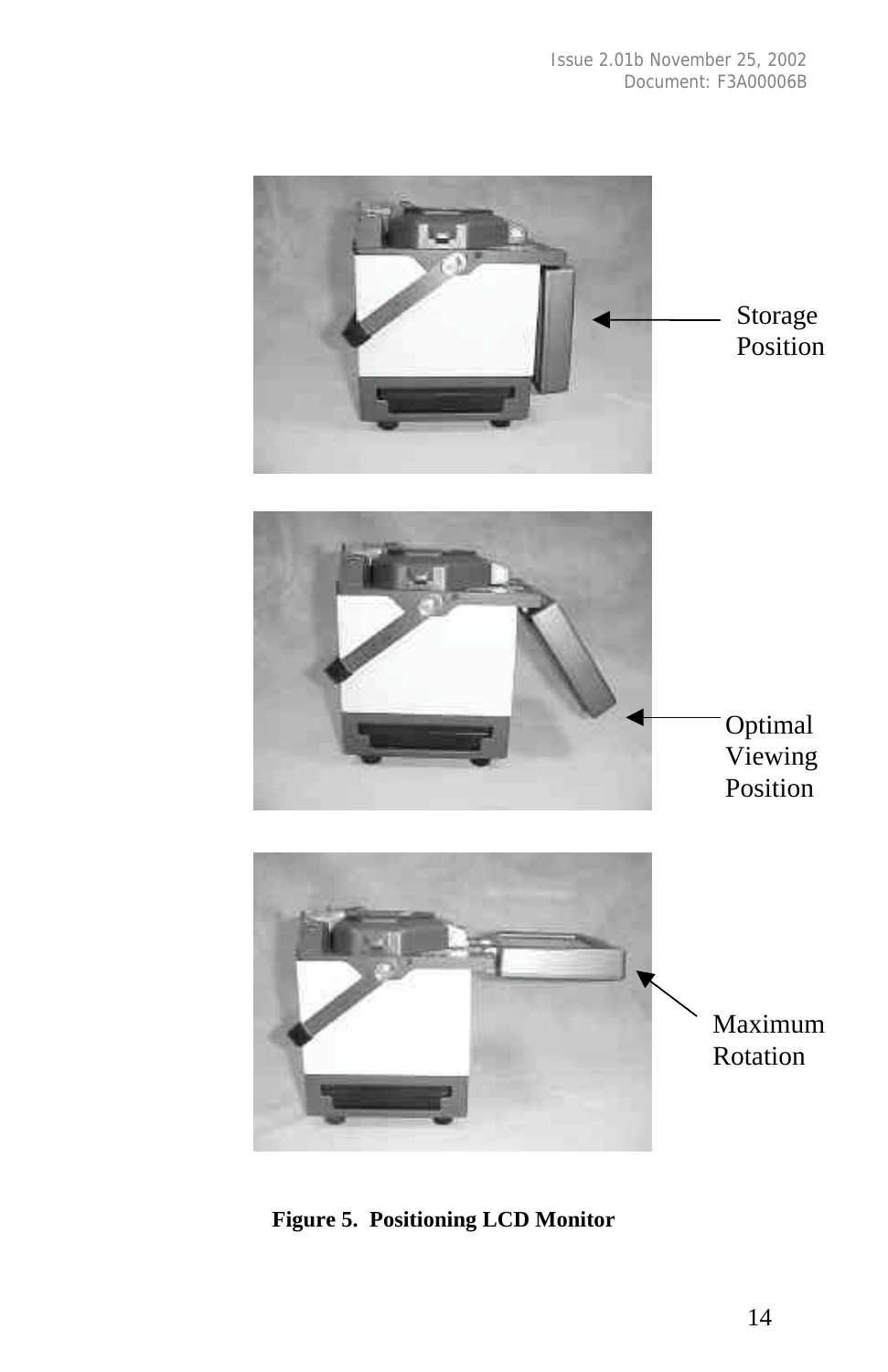

**Figure 5. Positioning LCD Monitor**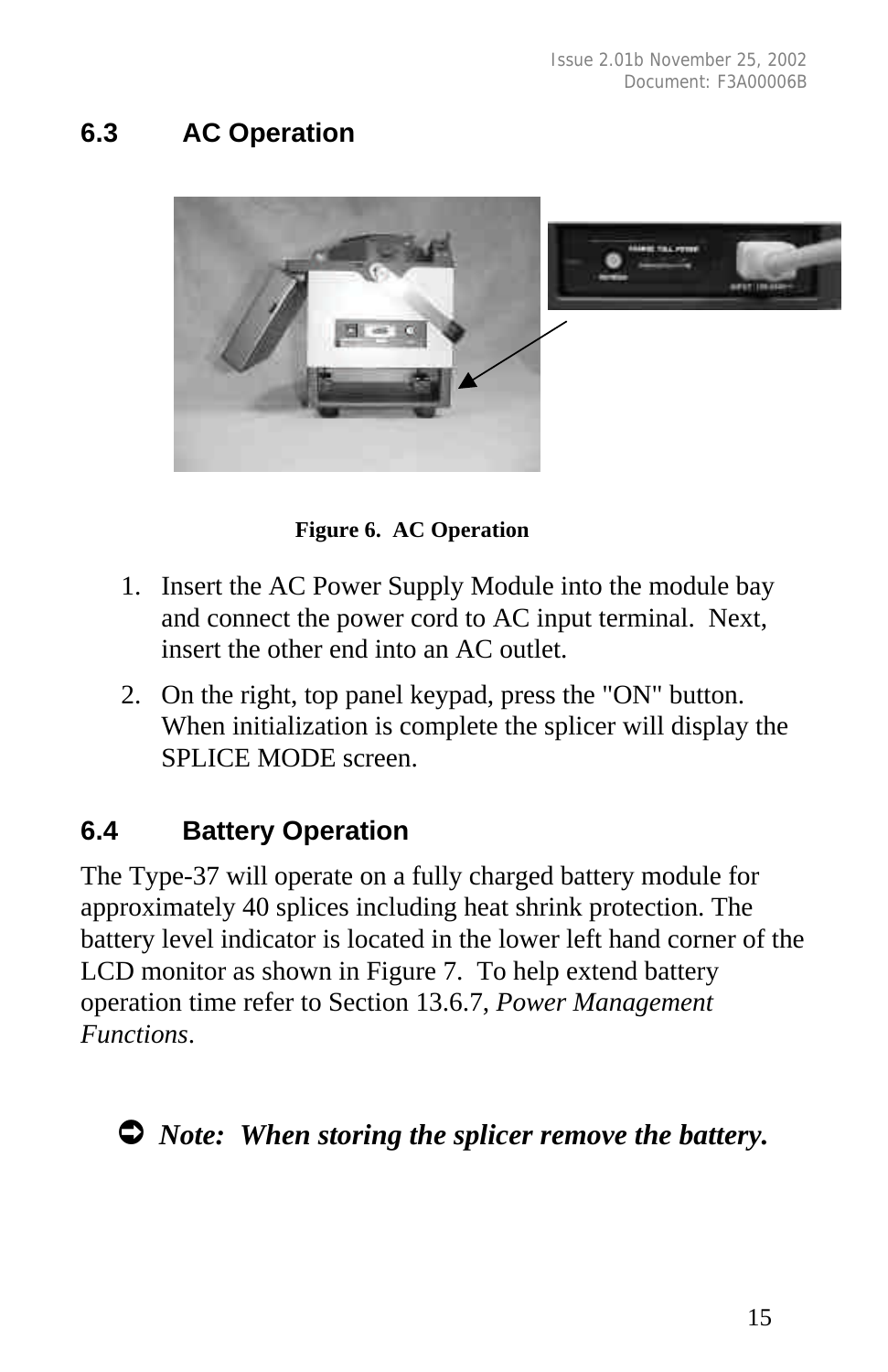#### **6.3 AC Operation**



 **Figure 6. AC Operation**

- 1. Insert the AC Power Supply Module into the module bay and connect the power cord to AC input terminal. Next, insert the other end into an AC outlet.
- 2. On the right, top panel keypad, press the "ON" button. When initialization is complete the splicer will display the SPLICE MODE screen.

#### **6.4 Battery Operation**

The Type-37 will operate on a fully charged battery module for approximately 40 splices including heat shrink protection. The battery level indicator is located in the lower left hand corner of the LCD monitor as shown in Figure 7. To help extend battery operation time refer to Section 13.6.7, *Power Management Functions*.

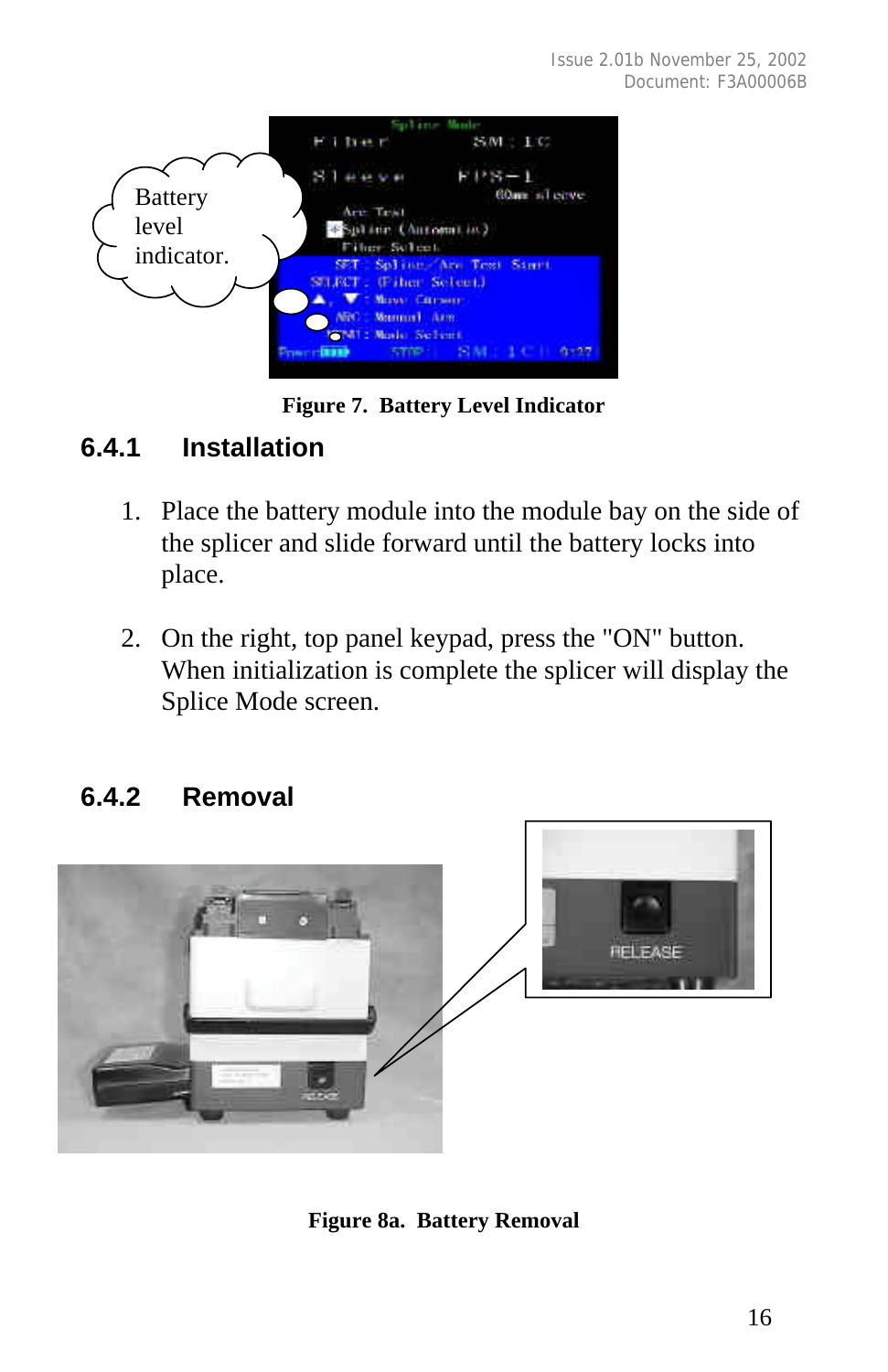

**Figure 7. Battery Level Indicator**

#### **6.4.1 Installation**

- 1. Place the battery module into the module bay on the side of the splicer and slide forward until the battery locks into place.
- 2. On the right, top panel keypad, press the "ON" button. When initialization is complete the splicer will display the Splice Mode screen.

#### **6.4.2 Removal**



**Figure 8a. Battery Removal**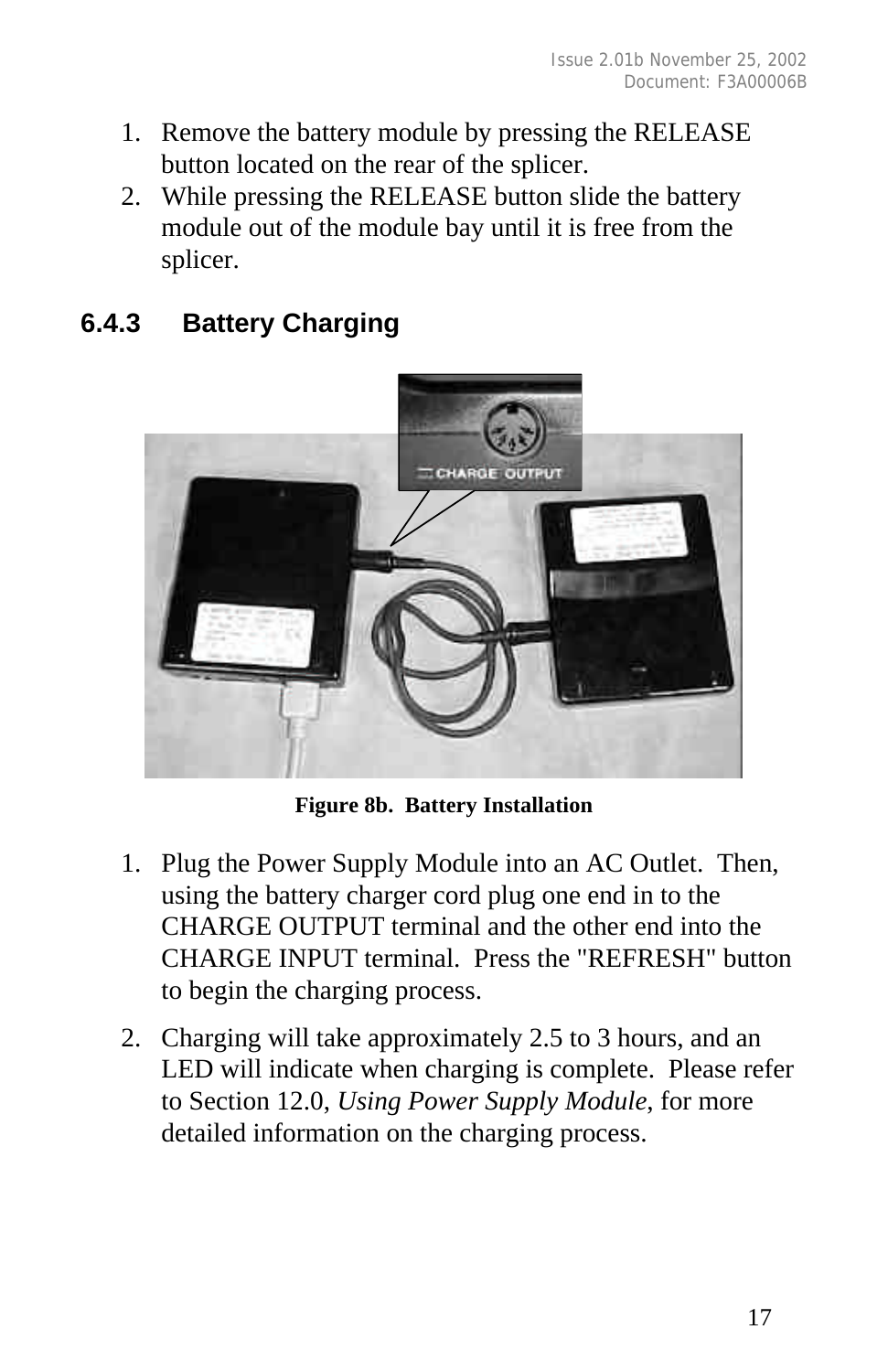- 1. Remove the battery module by pressing the RELEASE button located on the rear of the splicer.
- 2. While pressing the RELEASE button slide the battery module out of the module bay until it is free from the splicer.

## **6.4.3 Battery Charging**



**Figure 8b. Battery Installation**

- 1. Plug the Power Supply Module into an AC Outlet. Then, using the battery charger cord plug one end in to the CHARGE OUTPUT terminal and the other end into the CHARGE INPUT terminal. Press the "REFRESH" button to begin the charging process.
- 2. Charging will take approximately 2.5 to 3 hours, and an LED will indicate when charging is complete. Please refer to Section 12.0, *Using Power Supply Module*, for more detailed information on the charging process.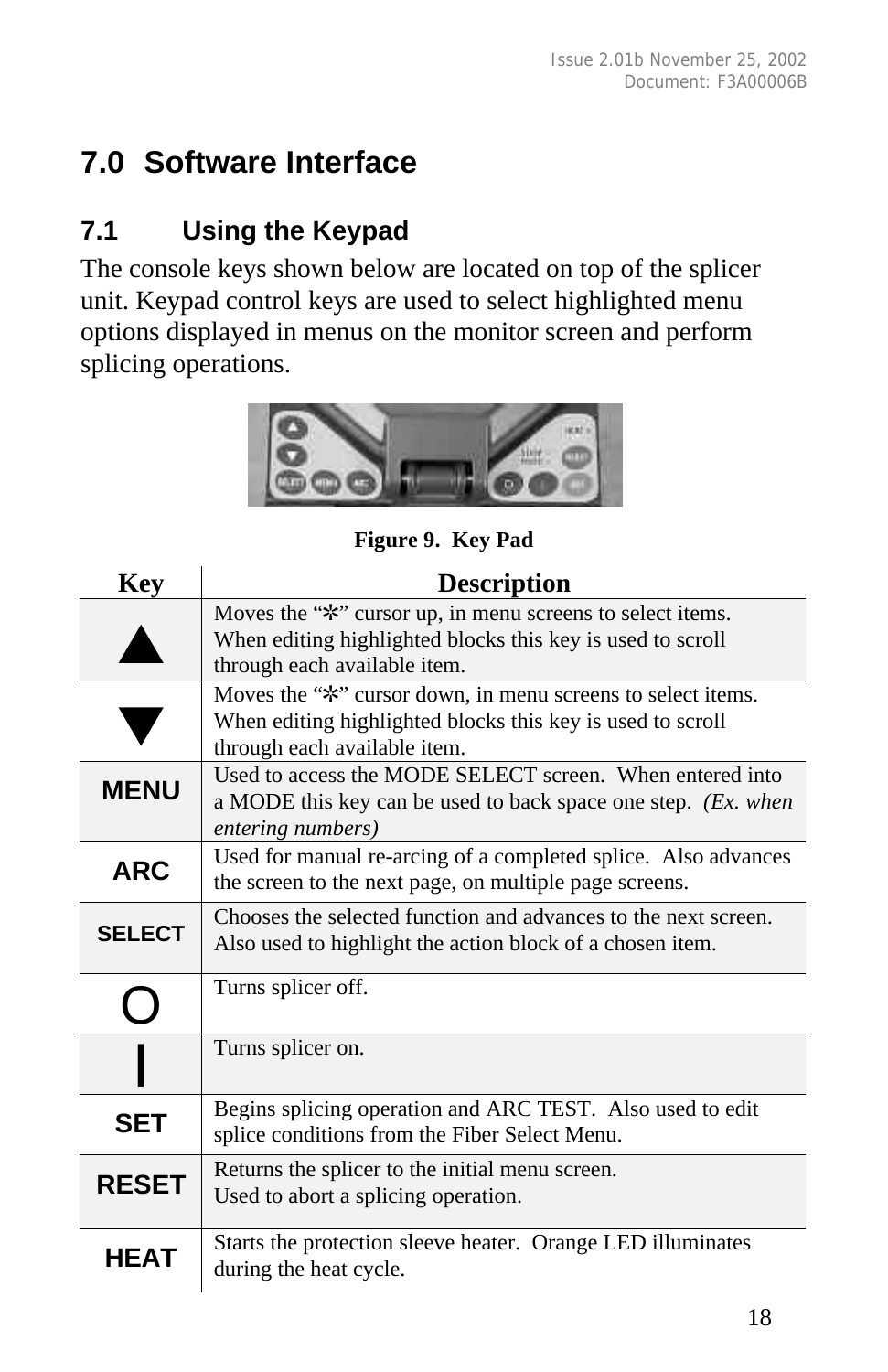## **7.0 Software Interface**

#### **7.1 Using the Keypad**

The console keys shown below are located on top of the splicer unit. Keypad control keys are used to select highlighted menu options displayed in menus on the monitor screen and perform splicing operations.



**Figure 9. Key Pad**

| <b>Key</b>    | <b>Description</b>                                                                                                                                        |
|---------------|-----------------------------------------------------------------------------------------------------------------------------------------------------------|
|               | Moves the "*" cursor up, in menu screens to select items.<br>When editing highlighted blocks this key is used to scroll<br>through each available item.   |
|               | Moves the "*" cursor down, in menu screens to select items.<br>When editing highlighted blocks this key is used to scroll<br>through each available item. |
| <b>MENU</b>   | Used to access the MODE SELECT screen. When entered into<br>a MODE this key can be used to back space one step. (Ex. when<br>entering numbers)            |
| <b>ARC</b>    | Used for manual re-arcing of a completed splice. Also advances<br>the screen to the next page, on multiple page screens.                                  |
| <b>SELECT</b> | Chooses the selected function and advances to the next screen.<br>Also used to highlight the action block of a chosen item.                               |
|               | Turns splicer off.                                                                                                                                        |
|               | Turns splicer on.                                                                                                                                         |
| <b>SET</b>    | Begins splicing operation and ARC TEST. Also used to edit<br>splice conditions from the Fiber Select Menu.                                                |
| <b>RESET</b>  | Returns the splicer to the initial menu screen.<br>Used to abort a splicing operation.                                                                    |
| HEAT          | Starts the protection sleeve heater. Orange LED illuminates<br>during the heat cycle.                                                                     |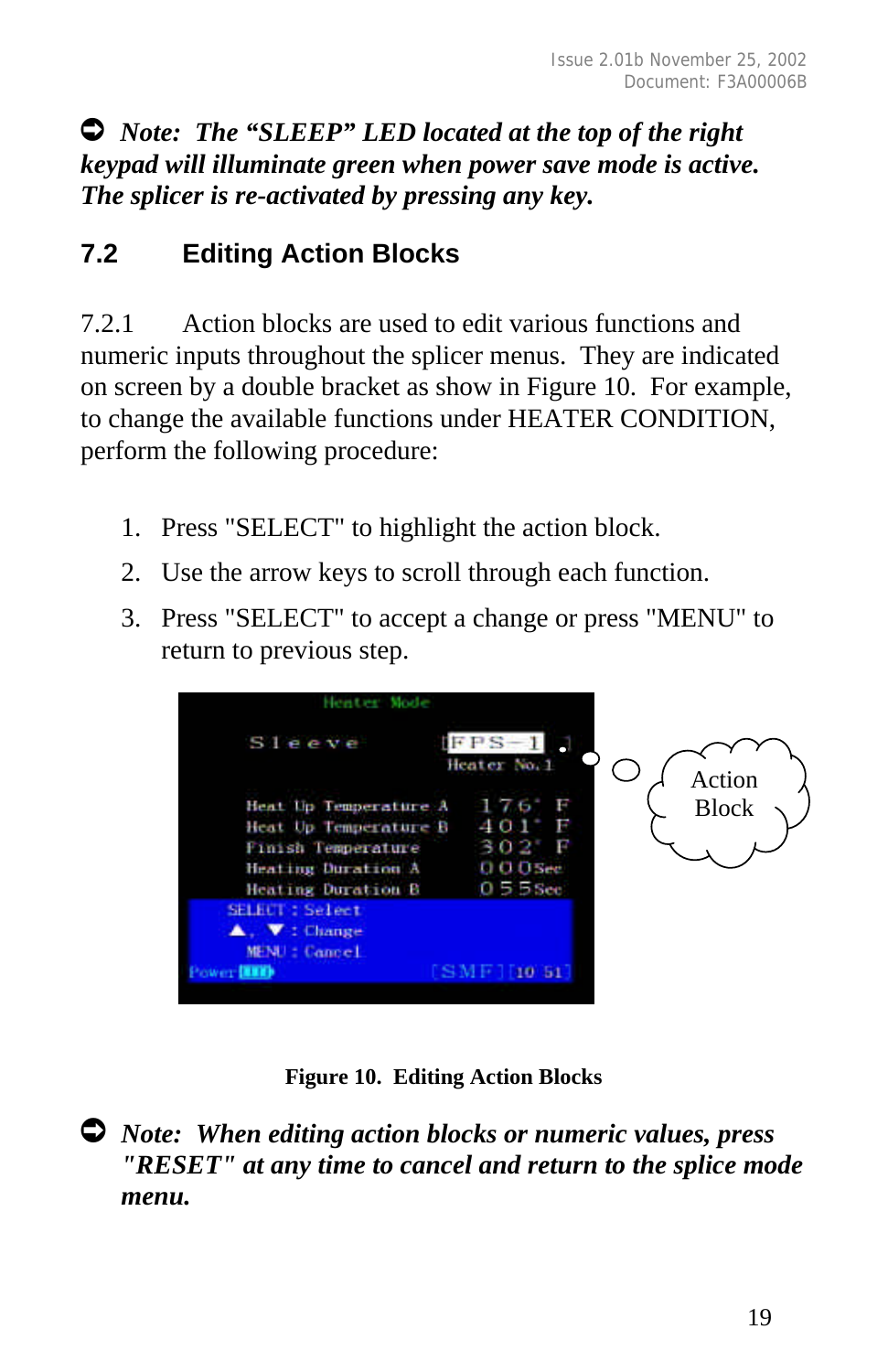Ú *Note: The "SLEEP" LED located at the top of the right keypad will illuminate green when power save mode is active. The splicer is re-activated by pressing any key.*

#### **7.2 Editing Action Blocks**

7.2.1 Action blocks are used to edit various functions and numeric inputs throughout the splicer menus. They are indicated on screen by a double bracket as show in Figure 10. For example, to change the available functions under HEATER CONDITION, perform the following procedure:

- 1. Press "SELECT" to highlight the action block.
- 2. Use the arrow keys to scroll through each function.
- 3. Press "SELECT" to accept a change or press "MENU" to return to previous step.



**Figure 10. Editing Action Blocks**

Ú *Note: When editing action blocks or numeric values, press "RESET" at any time to cancel and return to the splice mode menu.*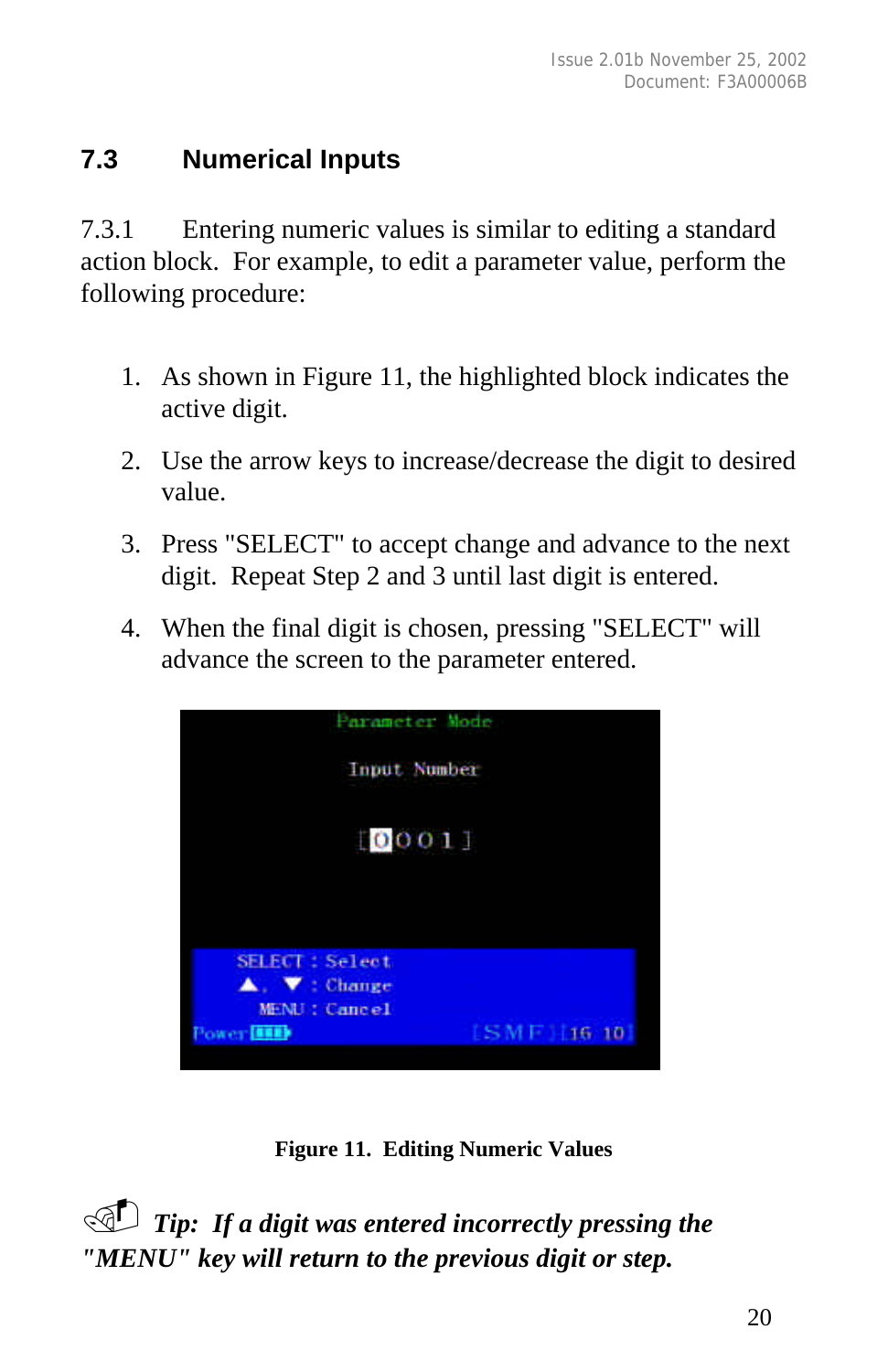#### **7.3 Numerical Inputs**

7.3.1 Entering numeric values is similar to editing a standard action block. For example, to edit a parameter value, perform the following procedure:

- 1. As shown in Figure 11, the highlighted block indicates the active digit.
- 2. Use the arrow keys to increase/decrease the digit to desired value.
- 3. Press "SELECT" to accept change and advance to the next digit. Repeat Step 2 and 3 until last digit is entered.
- 4. When the final digit is chosen, pressing "SELECT" will advance the screen to the parameter entered.



**Figure 11. Editing Numeric Values**

. *Tip: If a digit was entered incorrectly pressing the "MENU" key will return to the previous digit or step.*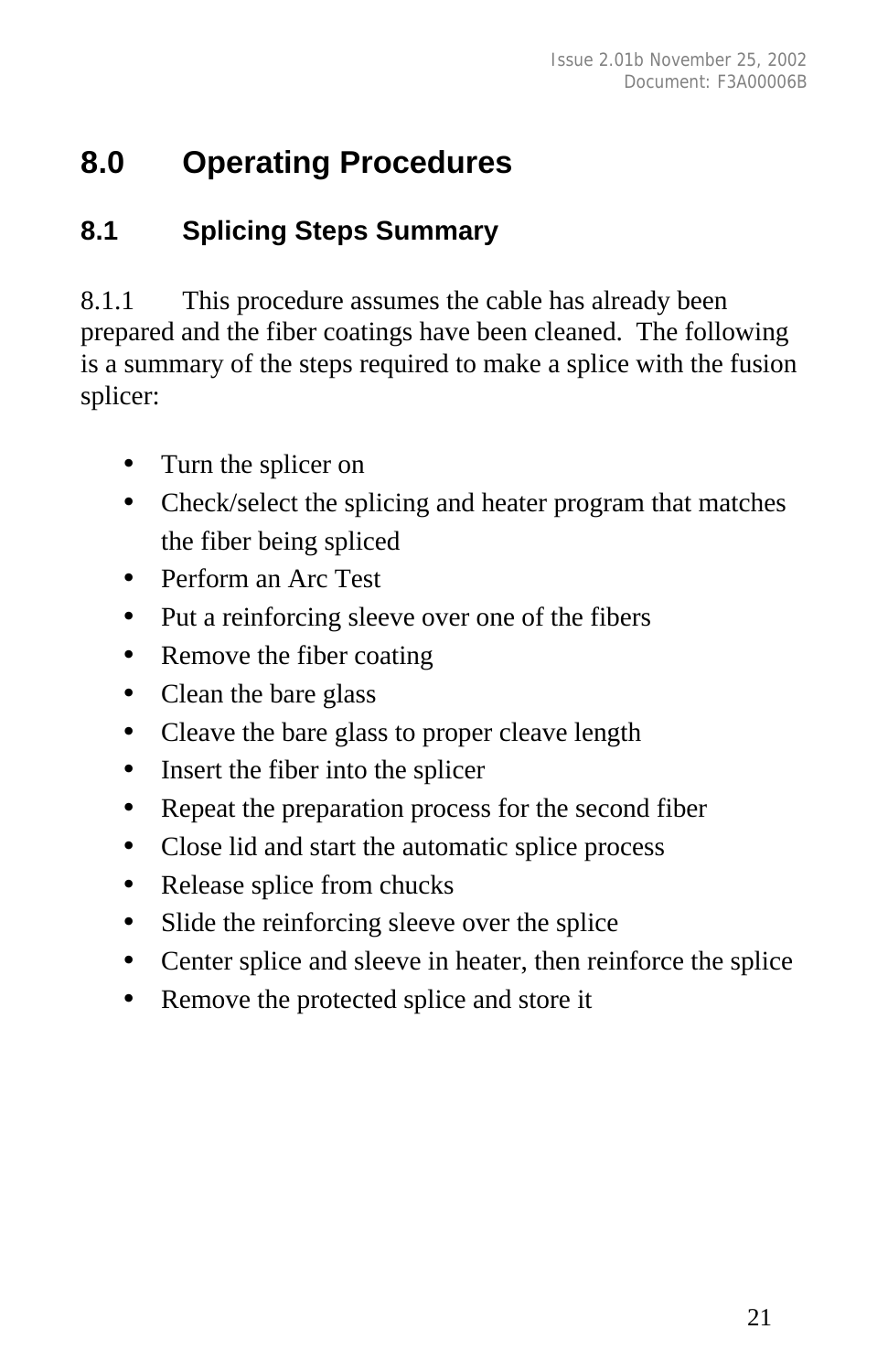## **8.0 Operating Procedures**

#### **8.1 Splicing Steps Summary**

8.1.1 This procedure assumes the cable has already been prepared and the fiber coatings have been cleaned. The following is a summary of the steps required to make a splice with the fusion splicer:

- Turn the splicer on
- Check/select the splicing and heater program that matches the fiber being spliced
- Perform an Arc Test
- Put a reinforcing sleeve over one of the fibers
- Remove the fiber coating
- Clean the bare glass
- Cleave the bare glass to proper cleave length
- Insert the fiber into the splicer
- Repeat the preparation process for the second fiber
- Close lid and start the automatic splice process
- Release splice from chucks
- Slide the reinforcing sleeve over the splice
- Center splice and sleeve in heater, then reinforce the splice
- Remove the protected splice and store it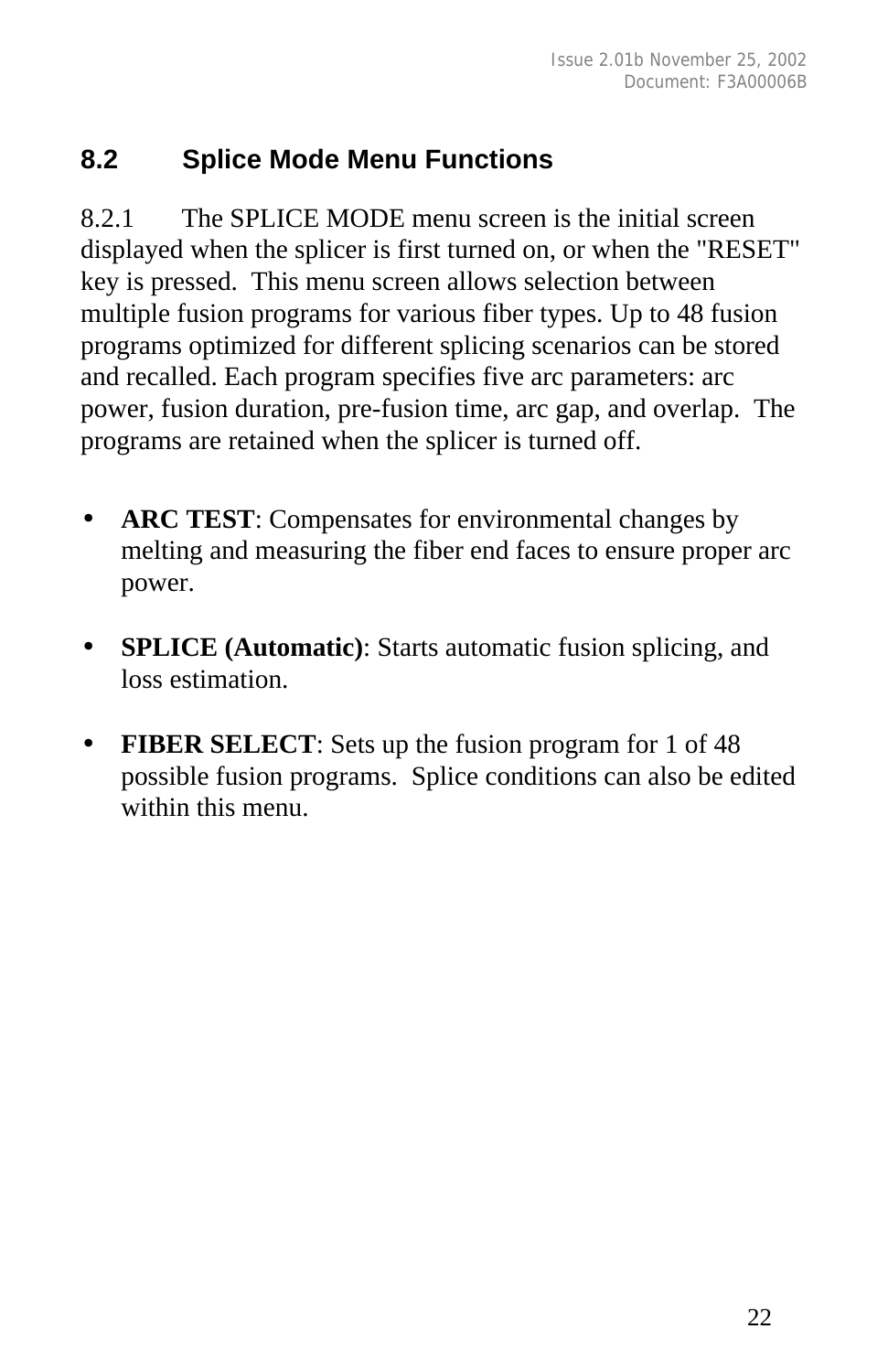#### **8.2 Splice Mode Menu Functions**

8.2.1 The SPLICE MODE menu screen is the initial screen displayed when the splicer is first turned on, or when the "RESET" key is pressed. This menu screen allows selection between multiple fusion programs for various fiber types. Up to 48 fusion programs optimized for different splicing scenarios can be stored and recalled. Each program specifies five arc parameters: arc power, fusion duration, pre-fusion time, arc gap, and overlap. The programs are retained when the splicer is turned off.

- **ARC TEST**: Compensates for environmental changes by melting and measuring the fiber end faces to ensure proper arc power.
- **SPLICE (Automatic):** Starts automatic fusion splicing, and loss estimation.
- **FIBER SELECT**: Sets up the fusion program for 1 of 48 possible fusion programs. Splice conditions can also be edited within this menu.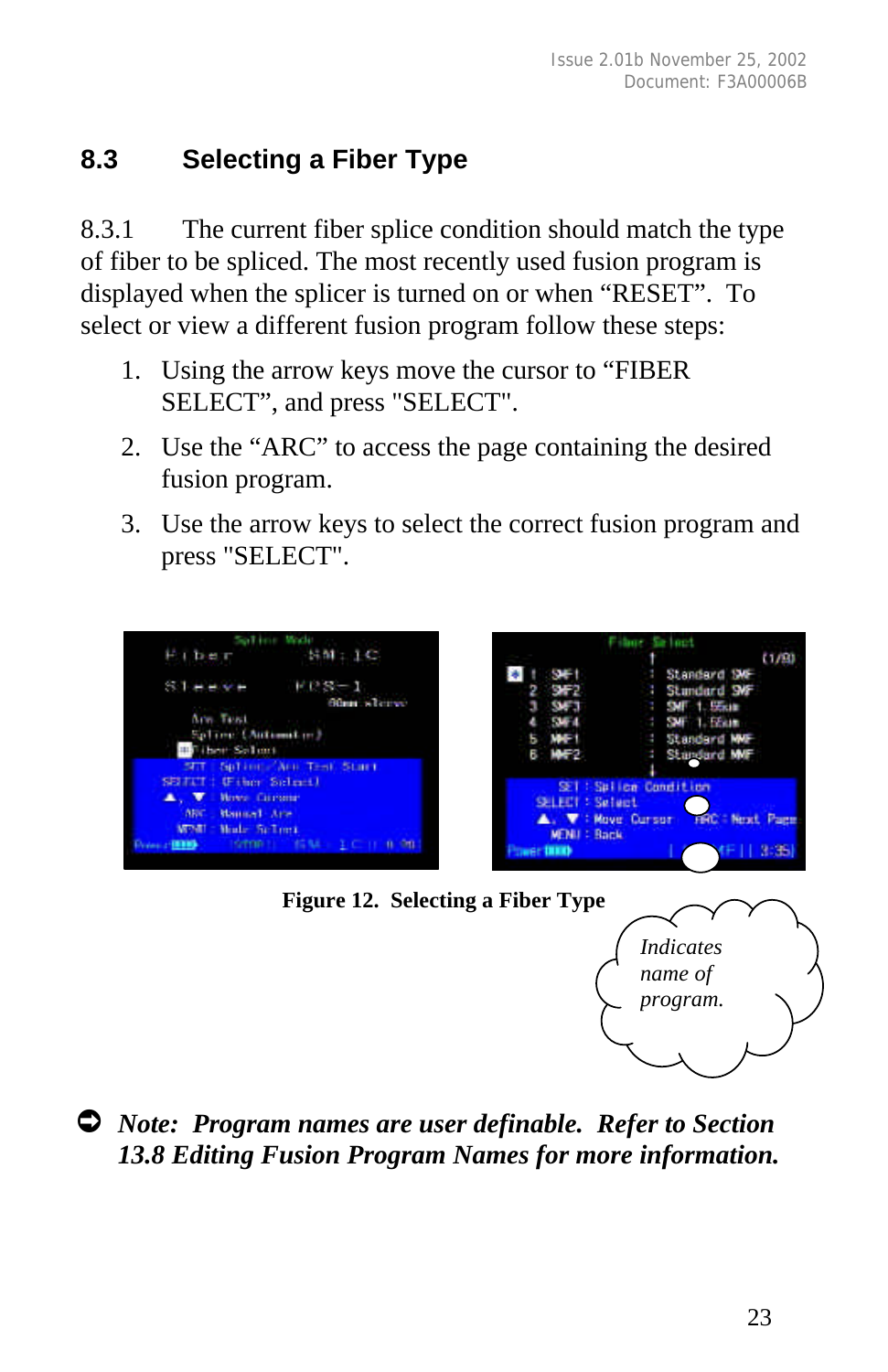#### **8.3 Selecting a Fiber Type**

8.3.1 The current fiber splice condition should match the type of fiber to be spliced. The most recently used fusion program is displayed when the splicer is turned on or when "RESET". To select or view a different fusion program follow these steps:

- 1. Using the arrow keys move the cursor to "FIBER SELECT", and press "SELECT".
- 2. Use the "ARC" to access the page containing the desired fusion program.
- 3. Use the arrow keys to select the correct fusion program and press "SELECT".



**Figure 12. Selecting a Fiber Type**



Ú *Note: Program names are user definable. Refer to Section 13.8 Editing Fusion Program Names for more information.*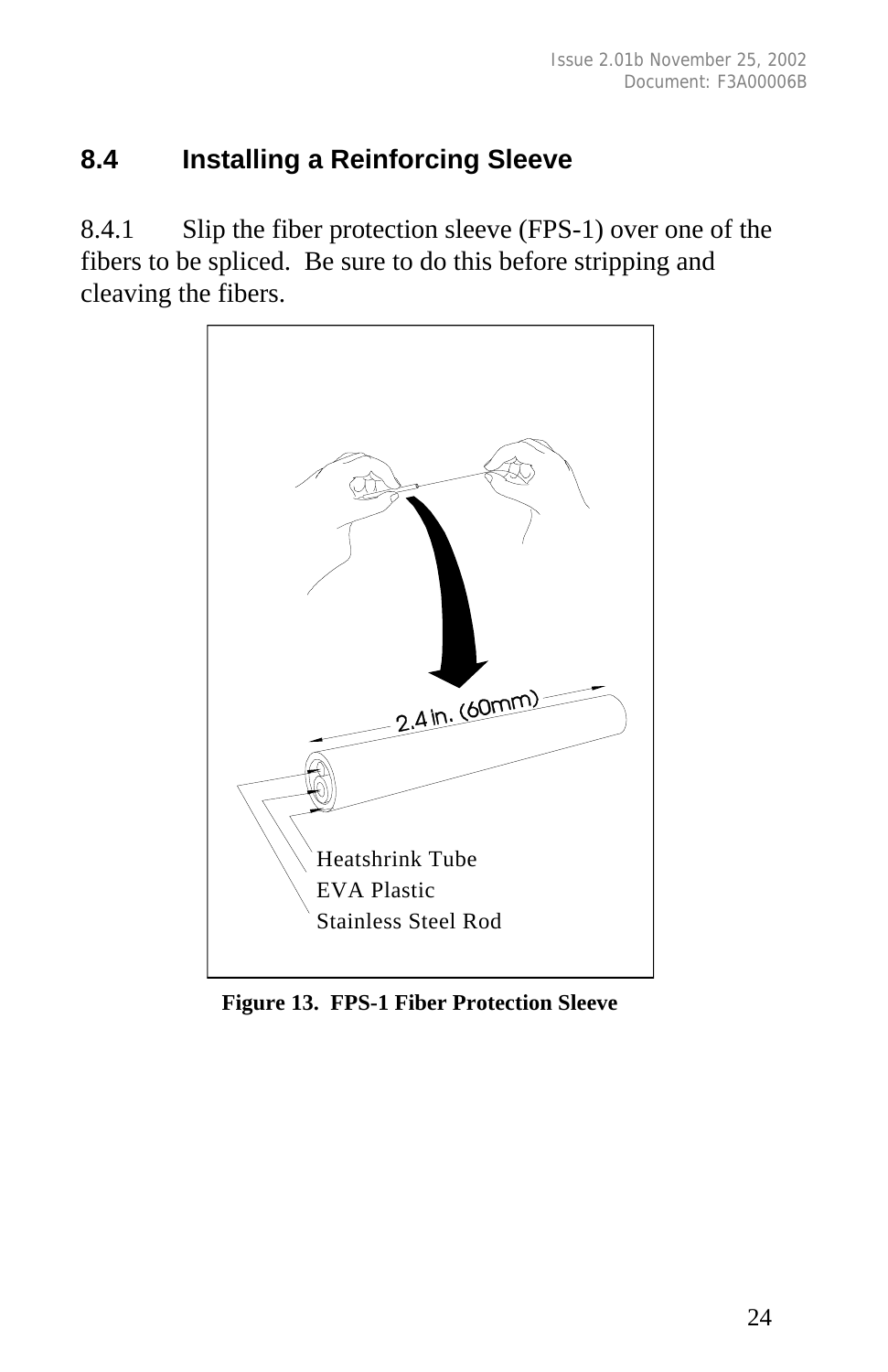#### **8.4 Installing a Reinforcing Sleeve**

8.4.1 Slip the fiber protection sleeve (FPS-1) over one of the fibers to be spliced. Be sure to do this before stripping and cleaving the fibers.



 **Figure 13. FPS-1 Fiber Protection Sleeve**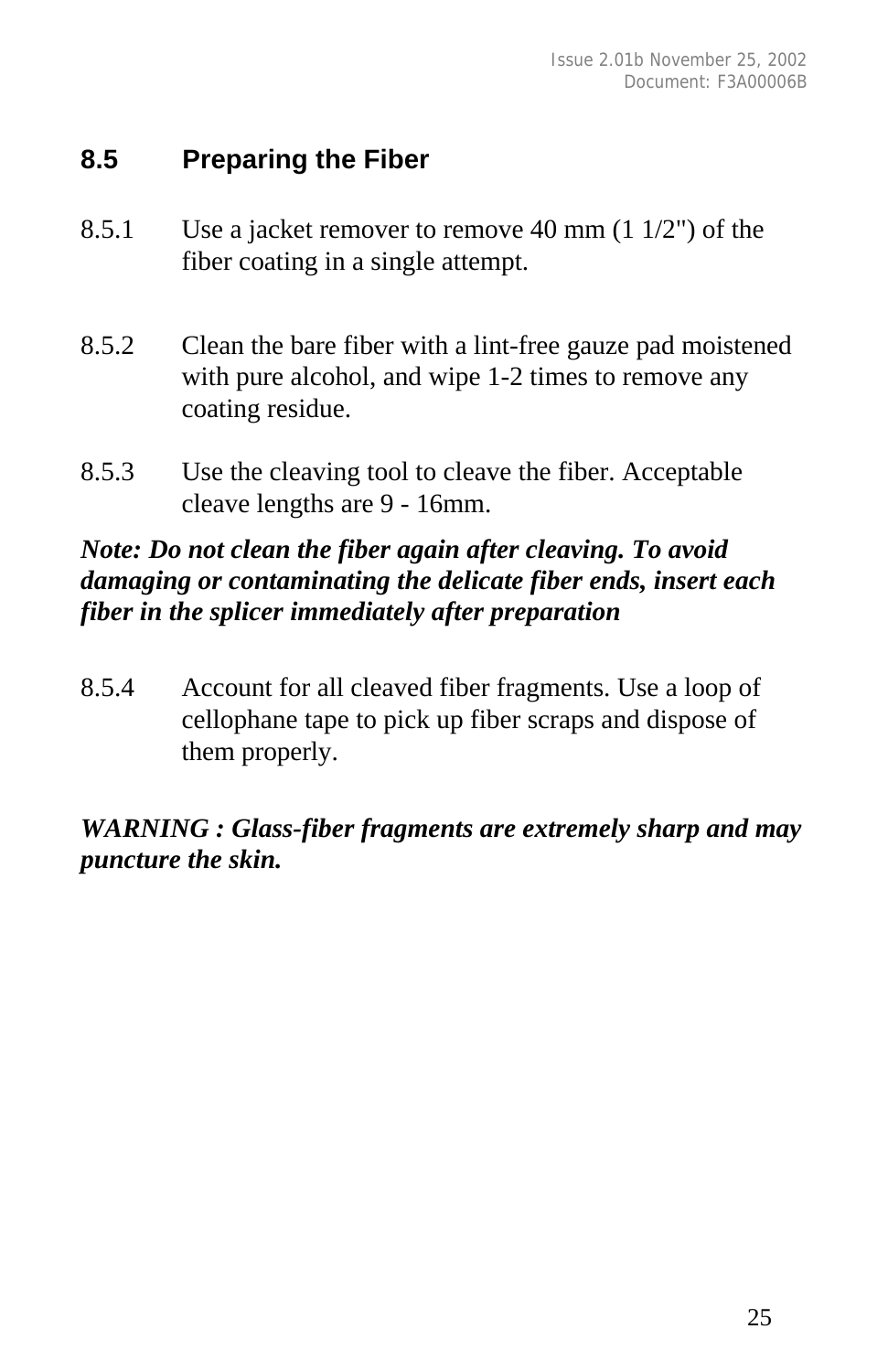#### **8.5 Preparing the Fiber**

- 8.5.1 Use a jacket remover to remove 40 mm (1 1/2") of the fiber coating in a single attempt.
- 8.5.2 Clean the bare fiber with a lint-free gauze pad moistened with pure alcohol, and wipe 1-2 times to remove any coating residue.
- 8.5.3 Use the cleaving tool to cleave the fiber. Acceptable cleave lengths are 9 - 16mm.

#### *Note: Do not clean the fiber again after cleaving. To avoid damaging or contaminating the delicate fiber ends, insert each fiber in the splicer immediately after preparation*

8.5.4 Account for all cleaved fiber fragments. Use a loop of cellophane tape to pick up fiber scraps and dispose of them properly.

#### *WARNING : Glass-fiber fragments are extremely sharp and may puncture the skin.*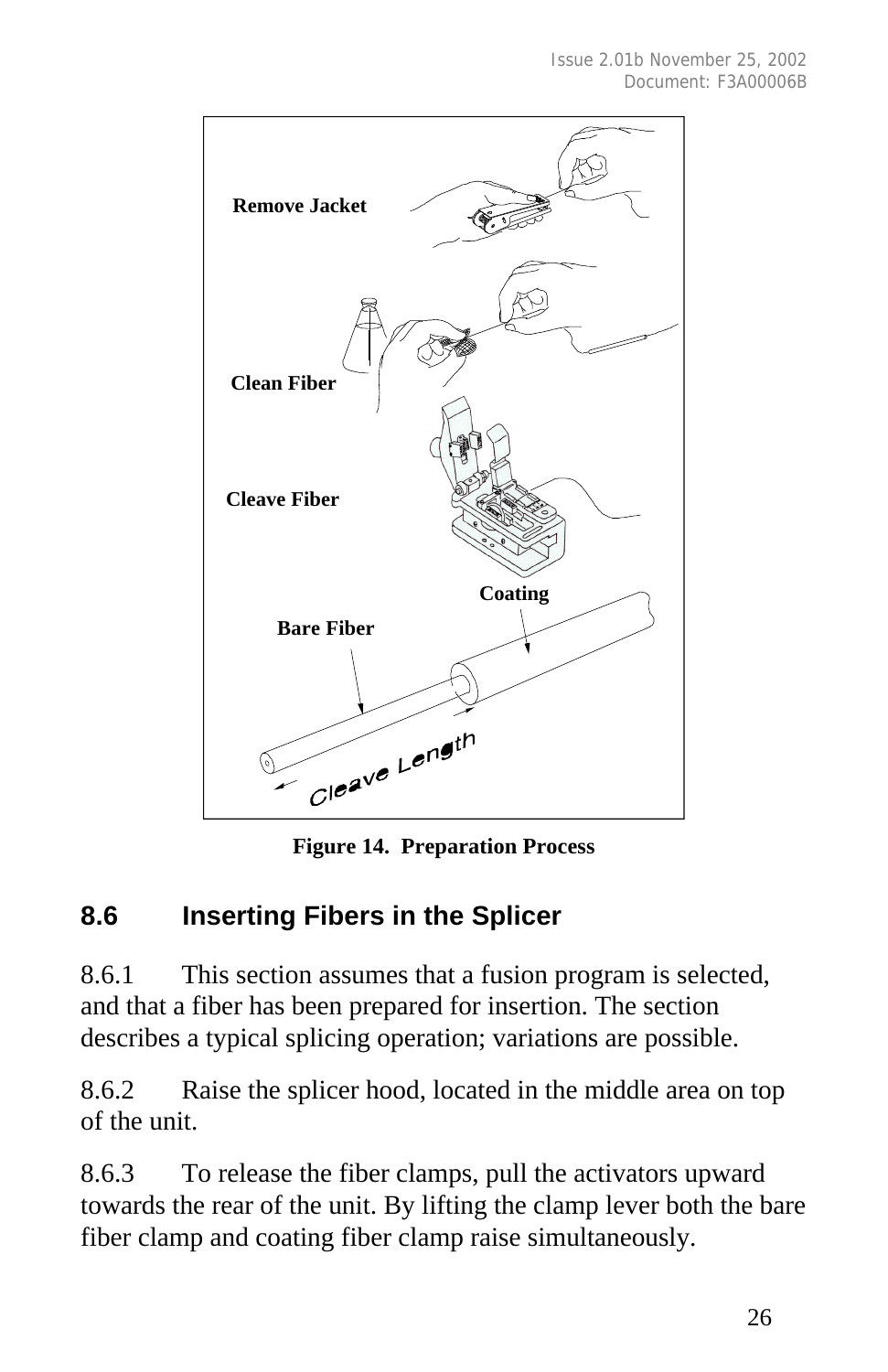

**Figure 14. Preparation Process**

#### **8.6 Inserting Fibers in the Splicer**

8.6.1 This section assumes that a fusion program is selected, and that a fiber has been prepared for insertion. The section describes a typical splicing operation; variations are possible.

8.6.2 Raise the splicer hood, located in the middle area on top of the unit.

8.6.3 To release the fiber clamps, pull the activators upward towards the rear of the unit. By lifting the clamp lever both the bare fiber clamp and coating fiber clamp raise simultaneously.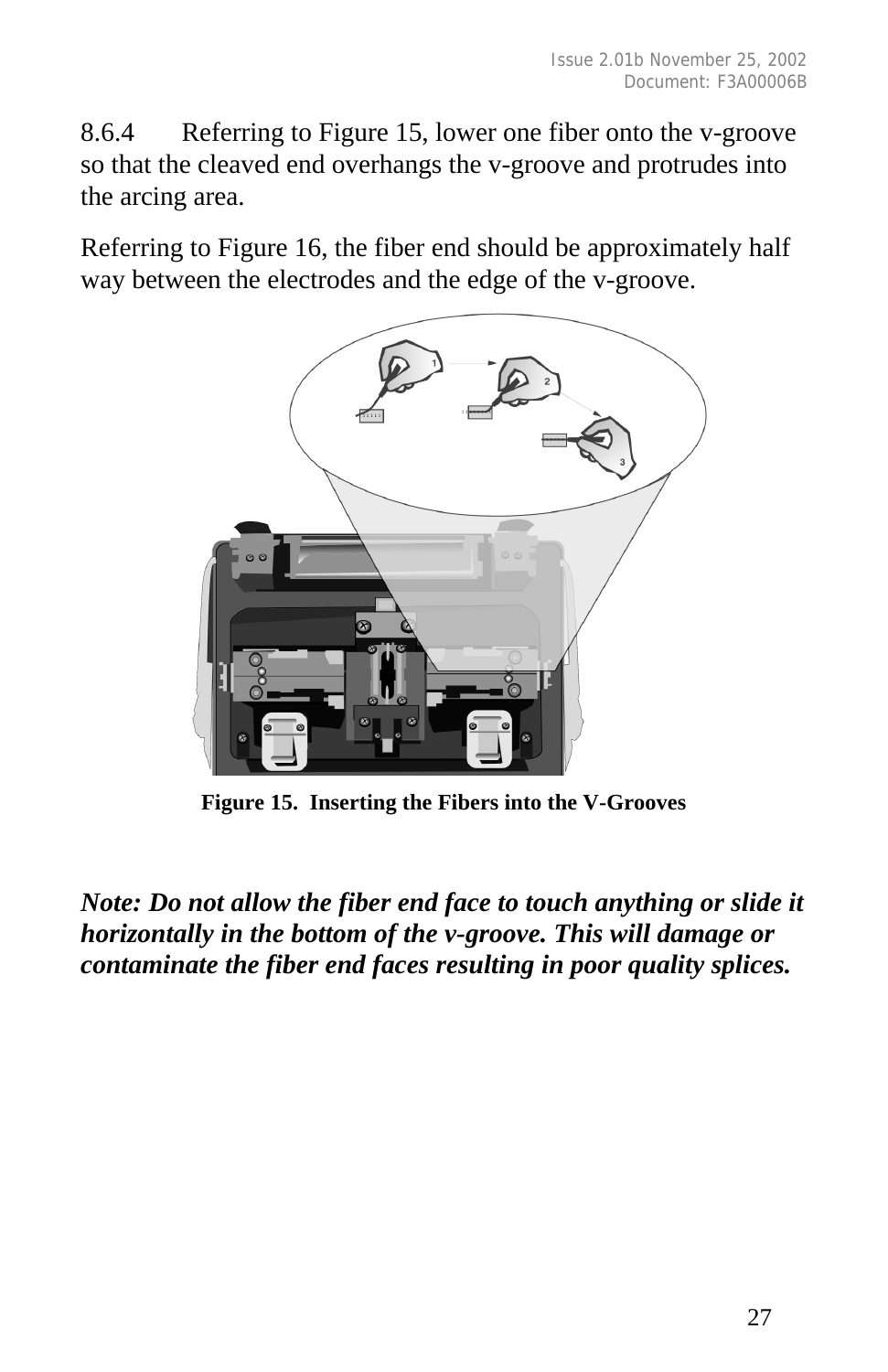8.6.4 Referring to Figure 15, lower one fiber onto the v-groove so that the cleaved end overhangs the v-groove and protrudes into the arcing area.

Referring to Figure 16, the fiber end should be approximately half way between the electrodes and the edge of the v-groove.



**Figure 15. Inserting the Fibers into the V-Grooves**

*Note: Do not allow the fiber end face to touch anything or slide it horizontally in the bottom of the v-groove. This will damage or contaminate the fiber end faces resulting in poor quality splices.*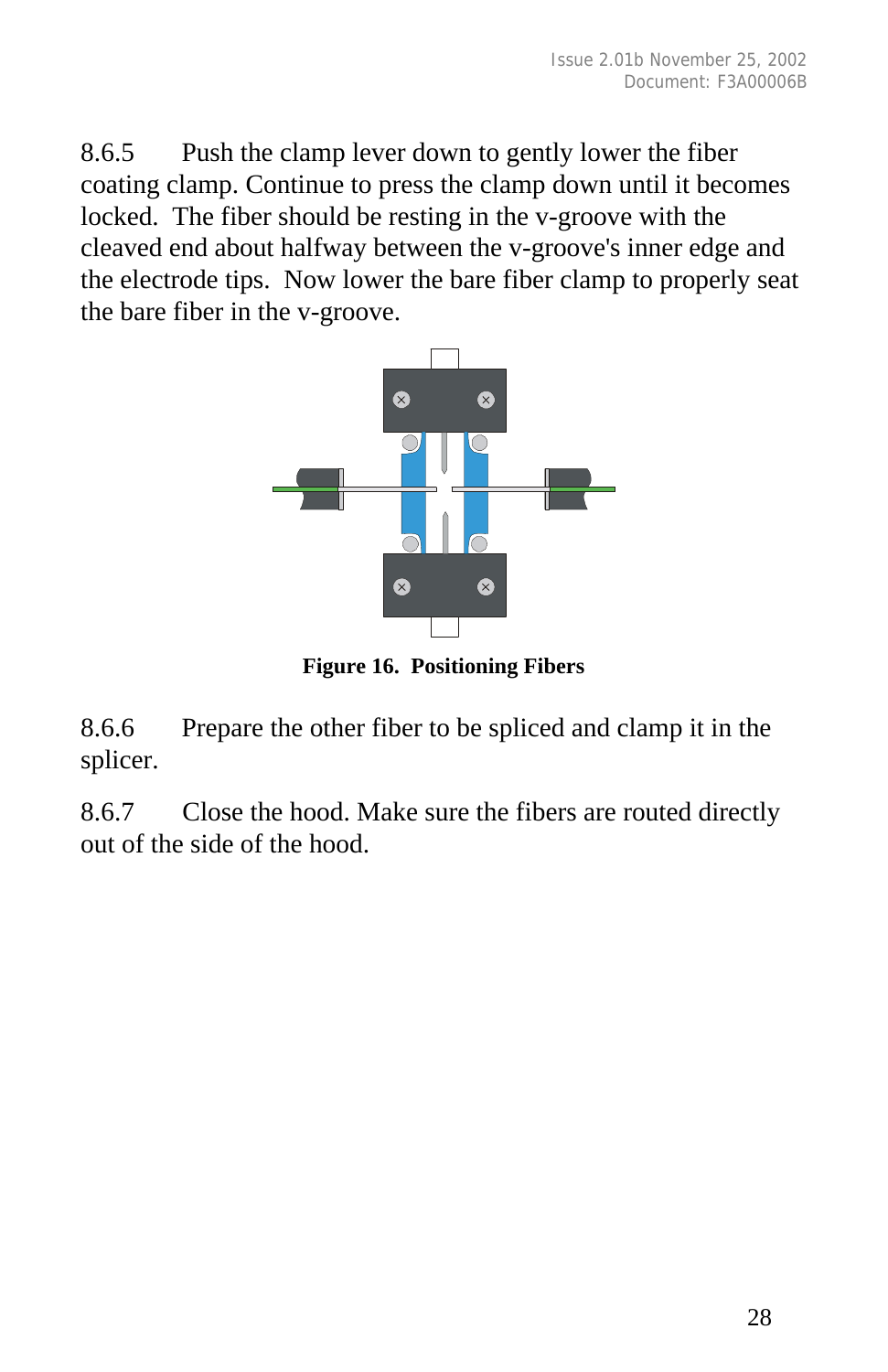8.6.5 Push the clamp lever down to gently lower the fiber coating clamp. Continue to press the clamp down until it becomes locked. The fiber should be resting in the v-groove with the cleaved end about halfway between the v-groove's inner edge and the electrode tips. Now lower the bare fiber clamp to properly seat the bare fiber in the v-groove.



**Figure 16. Positioning Fibers**

8.6.6 Prepare the other fiber to be spliced and clamp it in the splicer.

8.6.7 Close the hood. Make sure the fibers are routed directly out of the side of the hood.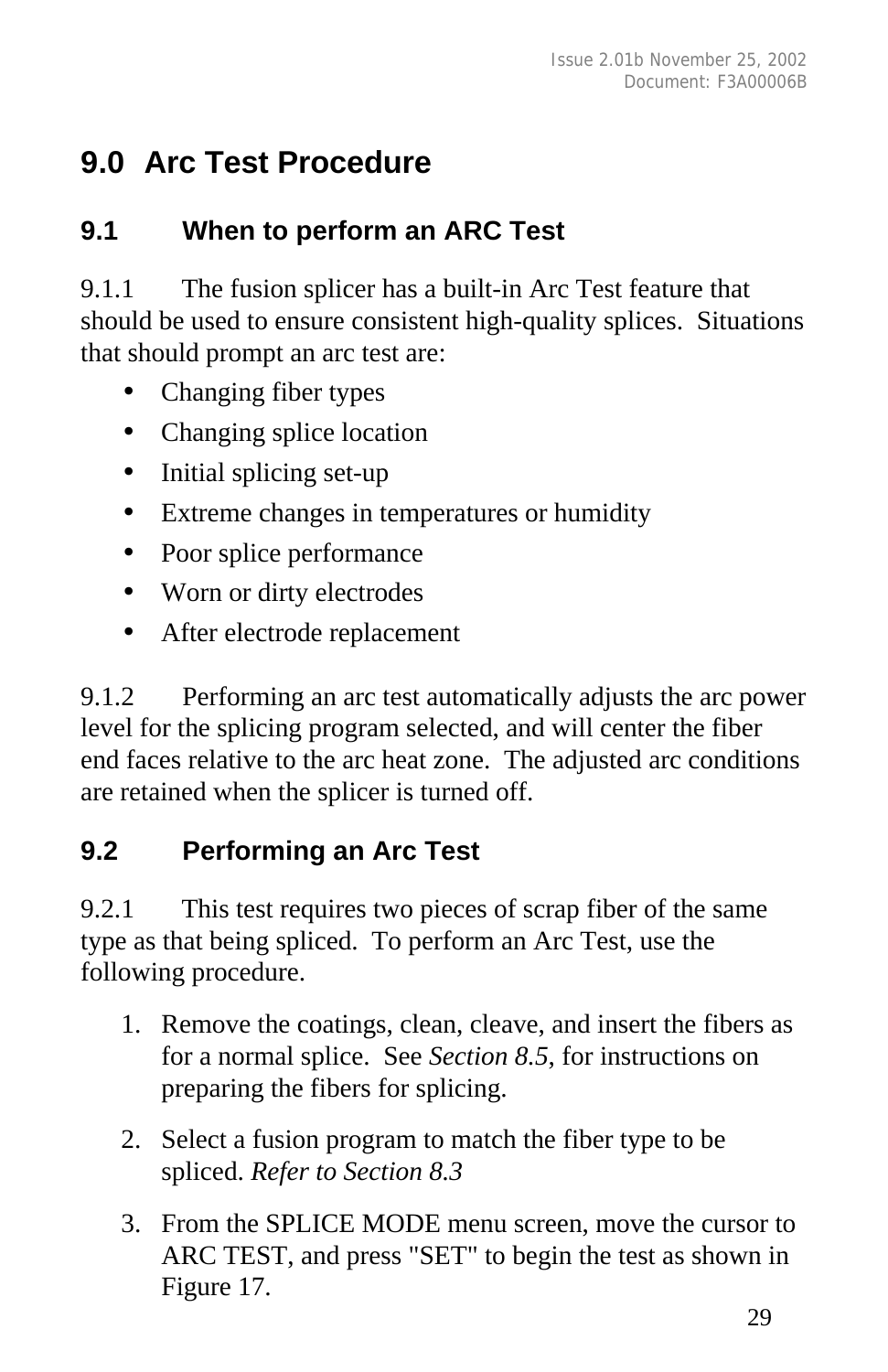## **9.0 Arc Test Procedure**

#### **9.1 When to perform an ARC Test**

9.1.1 The fusion splicer has a built-in Arc Test feature that should be used to ensure consistent high-quality splices. Situations that should prompt an arc test are:

- Changing fiber types
- Changing splice location
- Initial splicing set-up
- Extreme changes in temperatures or humidity
- Poor splice performance
- Worn or dirty electrodes
- After electrode replacement

9.1.2 Performing an arc test automatically adjusts the arc power level for the splicing program selected, and will center the fiber end faces relative to the arc heat zone. The adjusted arc conditions are retained when the splicer is turned off.

#### **9.2 Performing an Arc Test**

9.2.1 This test requires two pieces of scrap fiber of the same type as that being spliced. To perform an Arc Test, use the following procedure.

- 1. Remove the coatings, clean, cleave, and insert the fibers as for a normal splice. See *Section 8.5*, for instructions on preparing the fibers for splicing.
- 2. Select a fusion program to match the fiber type to be spliced. *Refer to Section 8.3*
- 3. From the SPLICE MODE menu screen, move the cursor to ARC TEST, and press "SET" to begin the test as shown in Figure 17.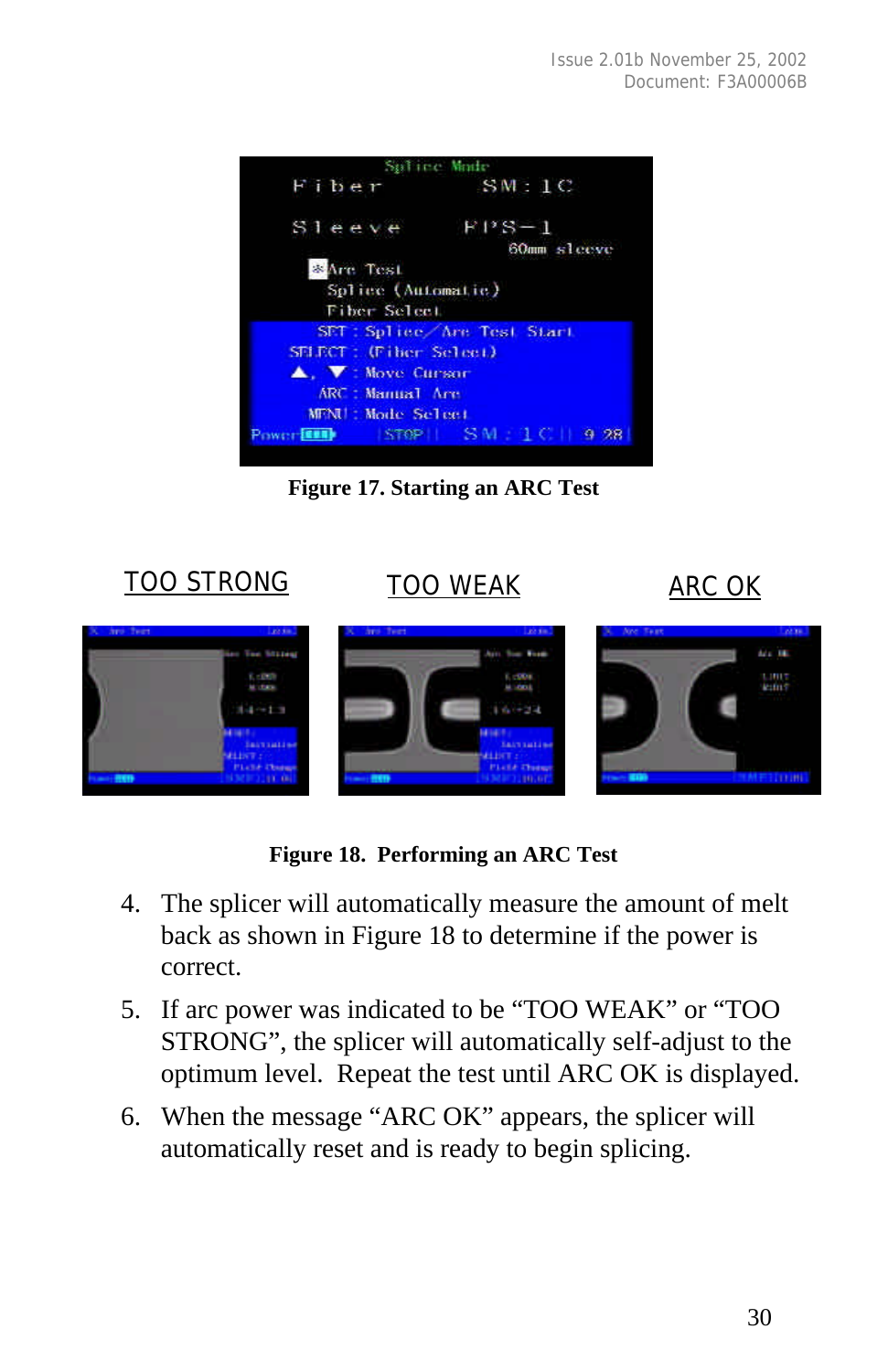

**Figure 17. Starting an ARC Test**



**Figure 18. Performing an ARC Test**

- 4. The splicer will automatically measure the amount of melt back as shown in Figure 18 to determine if the power is correct.
- 5. If arc power was indicated to be "TOO WEAK" or "TOO STRONG", the splicer will automatically self-adjust to the optimum level. Repeat the test until ARC OK is displayed.
- 6. When the message "ARC OK" appears, the splicer will automatically reset and is ready to begin splicing.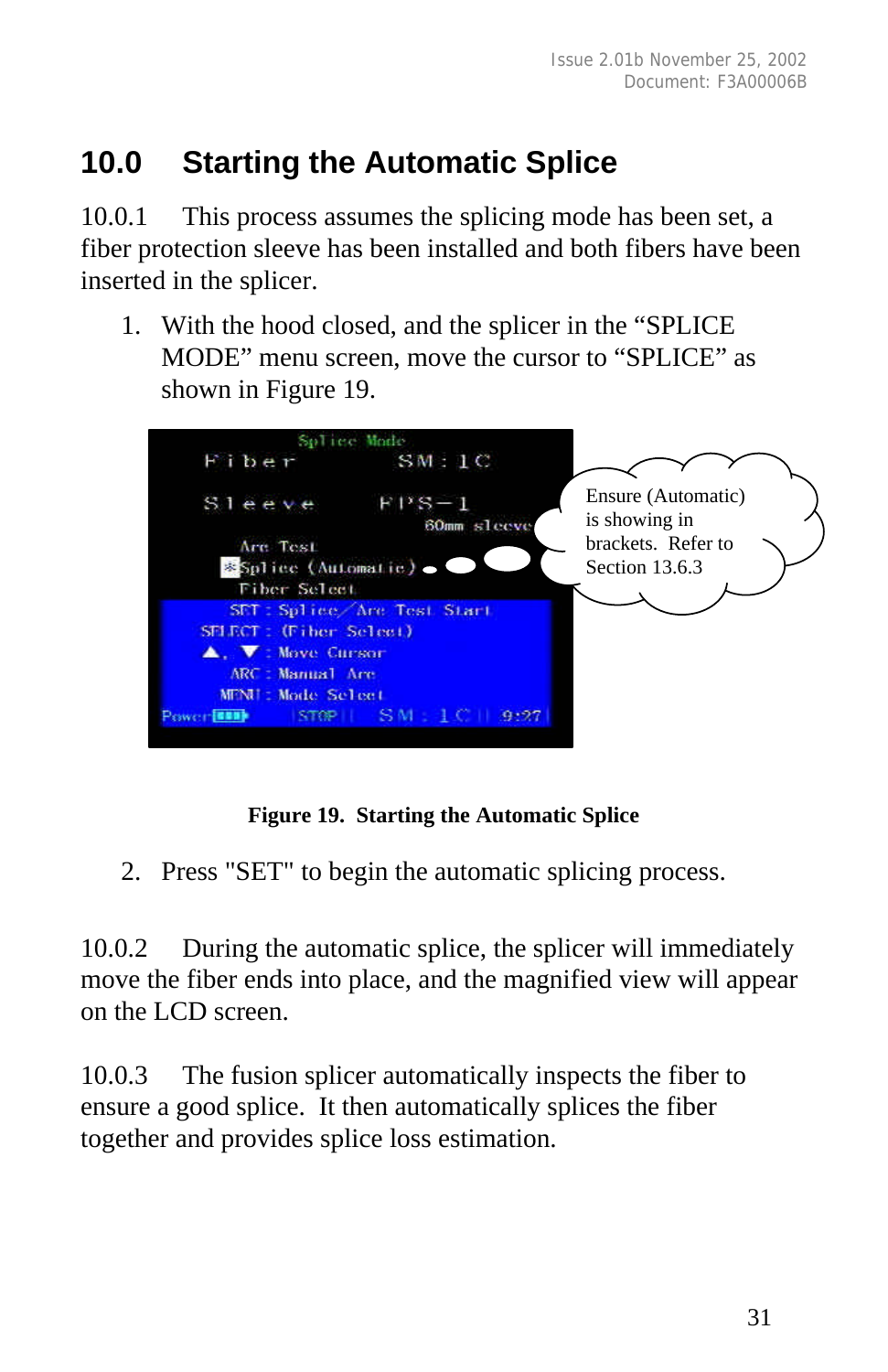# **10.0 Starting the Automatic Splice**

10.0.1 This process assumes the splicing mode has been set, a fiber protection sleeve has been installed and both fibers have been inserted in the splicer.

1. With the hood closed, and the splicer in the "SPLICE MODE" menu screen, move the cursor to "SPLICE" as shown in Figure 19.



#### **Figure 19. Starting the Automatic Splice**

2. Press "SET" to begin the automatic splicing process.

10.0.2 During the automatic splice, the splicer will immediately move the fiber ends into place, and the magnified view will appear on the LCD screen.

10.0.3 The fusion splicer automatically inspects the fiber to ensure a good splice. It then automatically splices the fiber together and provides splice loss estimation.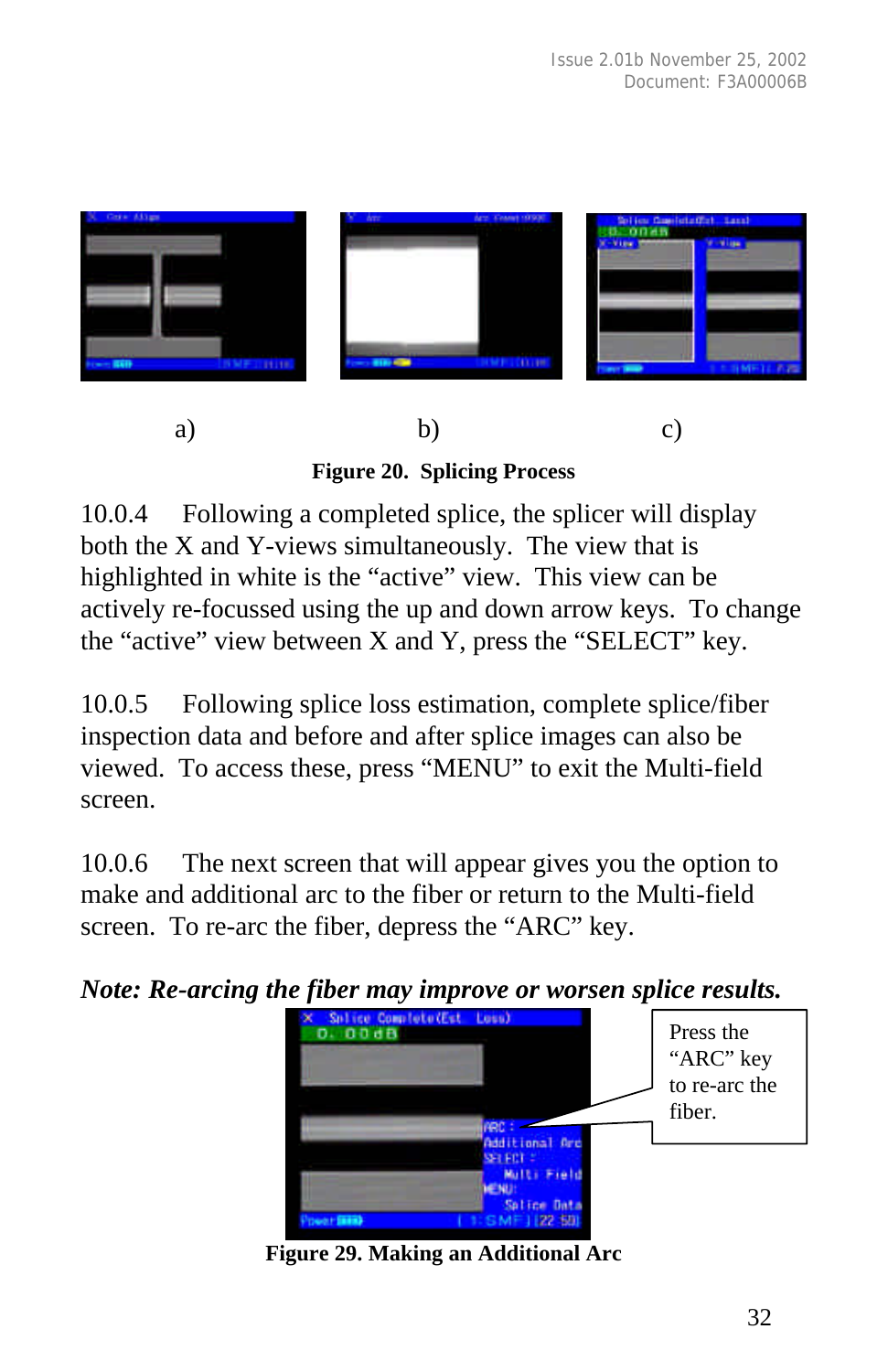

**Figure 20. Splicing Process**

10.0.4 Following a completed splice, the splicer will display both the X and Y-views simultaneously. The view that is highlighted in white is the "active" view. This view can be actively re-focussed using the up and down arrow keys. To change the "active" view between X and Y, press the "SELECT" key.

10.0.5 Following splice loss estimation, complete splice/fiber inspection data and before and after splice images can also be viewed. To access these, press "MENU" to exit the Multi-field screen.

10.0.6 The next screen that will appear gives you the option to make and additional arc to the fiber or return to the Multi-field screen. To re-arc the fiber, depress the "ARC" key.

*Note: Re-arcing the fiber may improve or worsen splice results.*

| Snlied<br><b>D. 00dB</b> | Complete (Est Loss | Press the     |
|--------------------------|--------------------|---------------|
|                          |                    | "ARC" key     |
|                          |                    | to re-arc the |
|                          |                    | fiber.        |
|                          | Additional Arc     |               |
|                          | Multi Field        |               |
|                          | Salice Data        |               |
|                          | 50                 |               |

**Figure 29. Making an Additional Arc**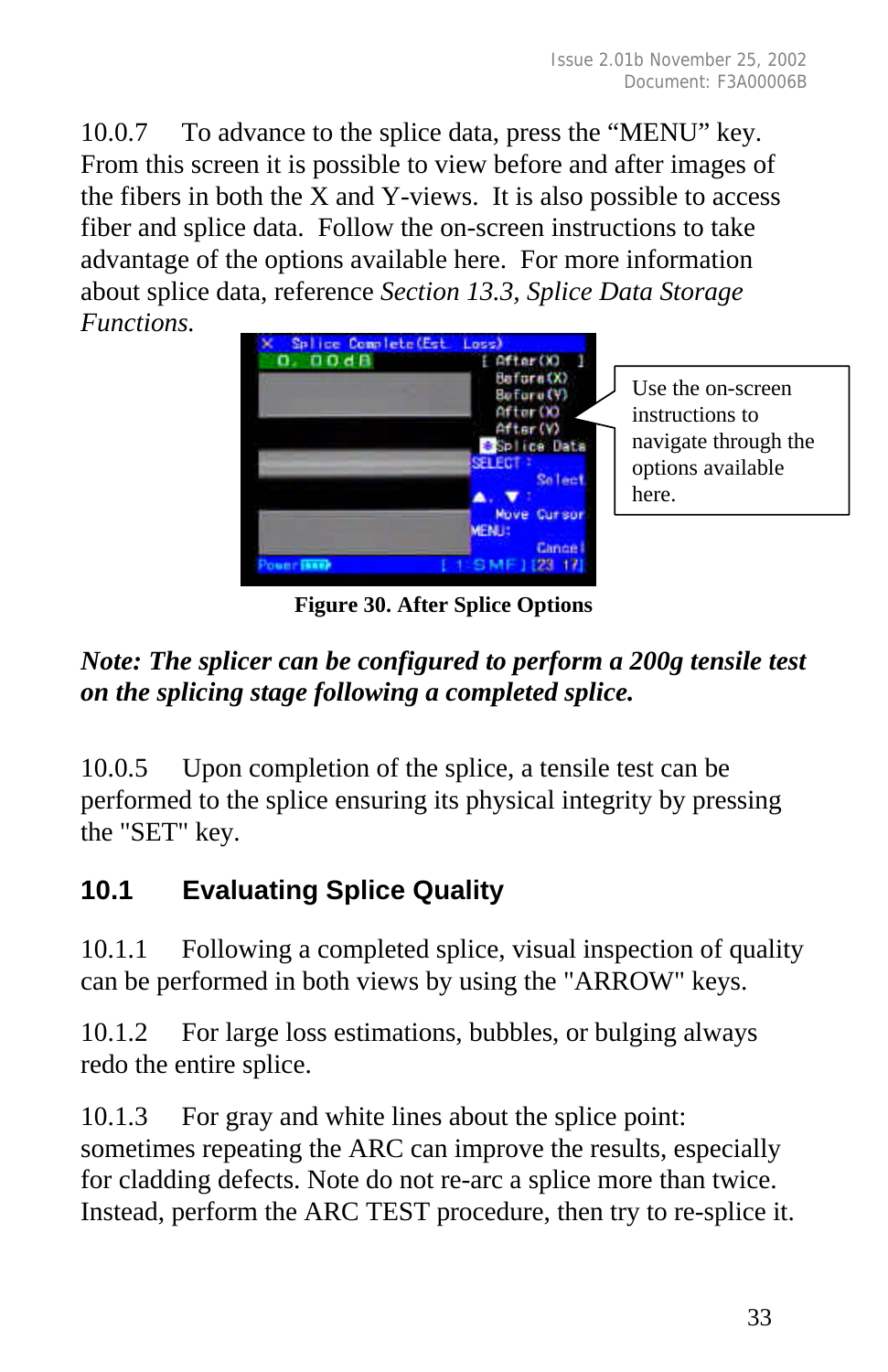10.0.7 To advance to the splice data, press the "MENU" key. From this screen it is possible to view before and after images of the fibers in both the X and Y-views. It is also possible to access fiber and splice data. Follow the on-screen instructions to take advantage of the options available here. For more information about splice data, reference *Section 13.3, Splice Data Storage Functions.*



**Figure 30. After Splice Options**

# *Note: The splicer can be configured to perform a 200g tensile test on the splicing stage following a completed splice.*

10.0.5 Upon completion of the splice, a tensile test can be performed to the splice ensuring its physical integrity by pressing the "SET" key.

# **10.1 Evaluating Splice Quality**

10.1.1 Following a completed splice, visual inspection of quality can be performed in both views by using the "ARROW" keys.

10.1.2 For large loss estimations, bubbles, or bulging always redo the entire splice.

10.1.3 For gray and white lines about the splice point: sometimes repeating the ARC can improve the results, especially for cladding defects. Note do not re-arc a splice more than twice. Instead, perform the ARC TEST procedure, then try to re-splice it.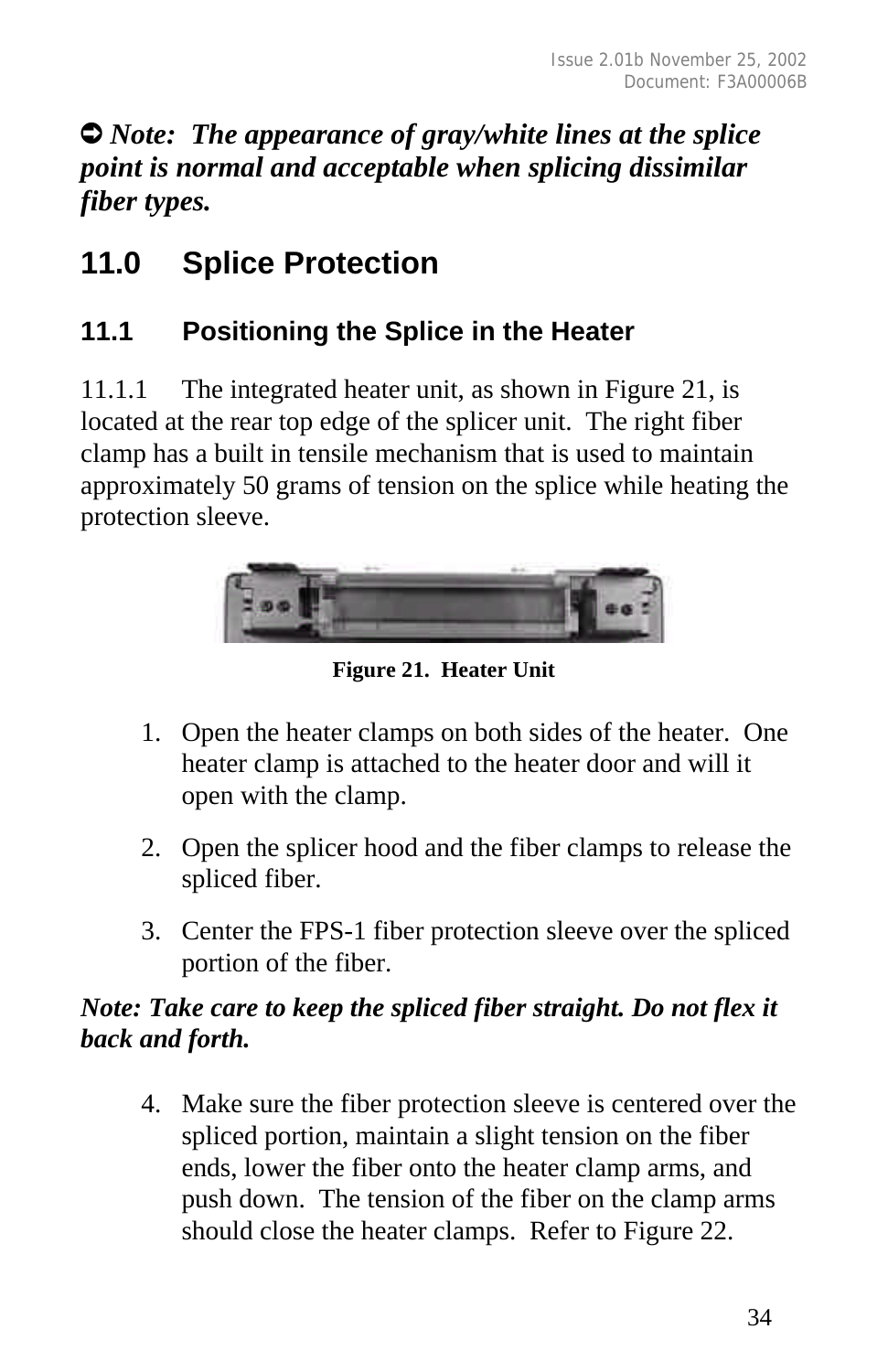Ú *Note: The appearance of gray/white lines at the splice point is normal and acceptable when splicing dissimilar fiber types.*

# **11.0 Splice Protection**

# **11.1 Positioning the Splice in the Heater**

11.1.1 The integrated heater unit, as shown in Figure 21, is located at the rear top edge of the splicer unit. The right fiber clamp has a built in tensile mechanism that is used to maintain approximately 50 grams of tension on the splice while heating the protection sleeve.



**Figure 21. Heater Unit**

- 1. Open the heater clamps on both sides of the heater. One heater clamp is attached to the heater door and will it open with the clamp.
- 2. Open the splicer hood and the fiber clamps to release the spliced fiber.
- 3. Center the FPS-1 fiber protection sleeve over the spliced portion of the fiber.

### *Note: Take care to keep the spliced fiber straight. Do not flex it back and forth.*

4. Make sure the fiber protection sleeve is centered over the spliced portion, maintain a slight tension on the fiber ends, lower the fiber onto the heater clamp arms, and push down. The tension of the fiber on the clamp arms should close the heater clamps. Refer to Figure 22.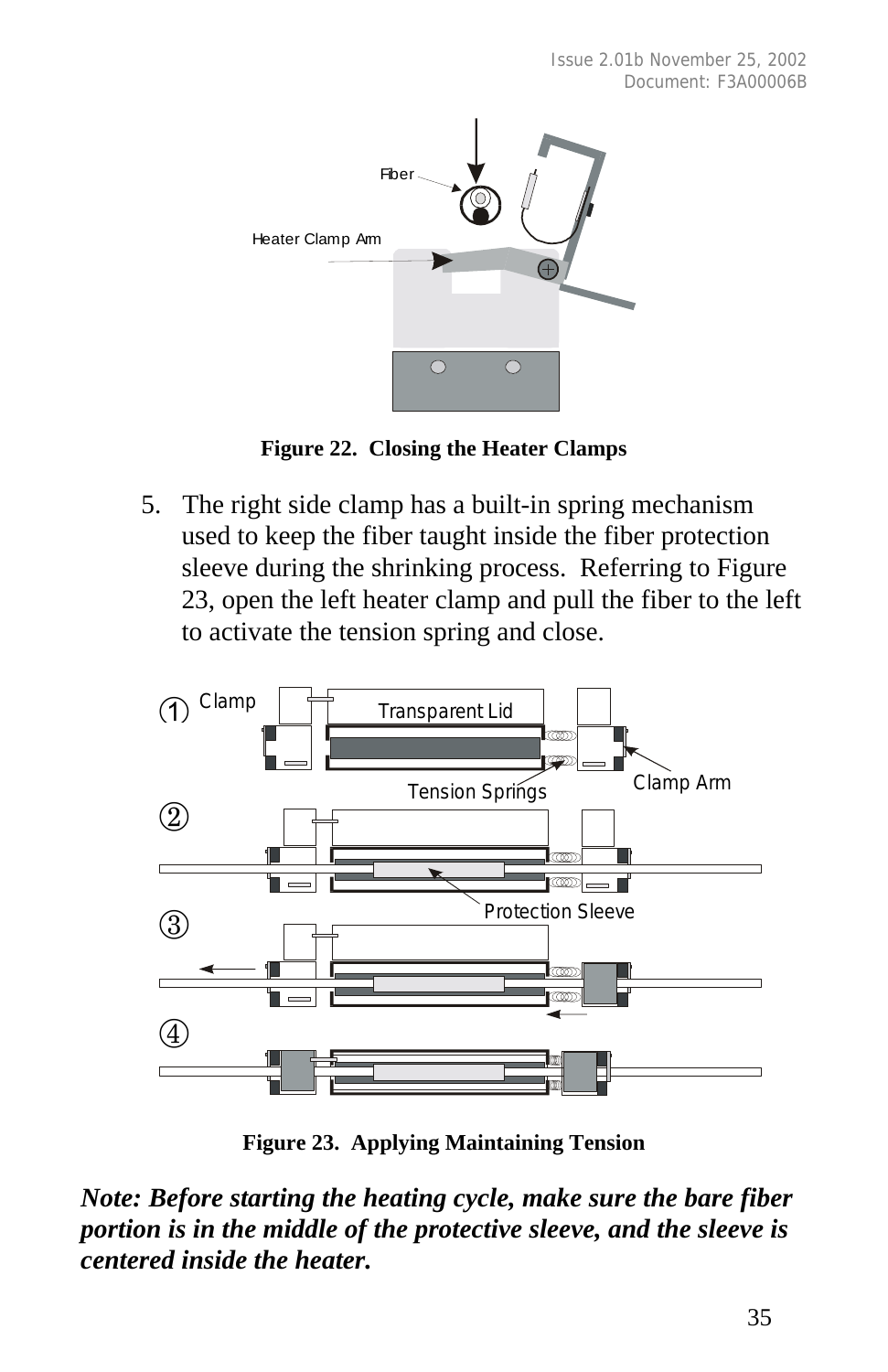

**Figure 22. Closing the Heater Clamps**

5. The right side clamp has a built-in spring mechanism used to keep the fiber taught inside the fiber protection sleeve during the shrinking process. Referring to Figure 23, open the left heater clamp and pull the fiber to the left to activate the tension spring and close.



**Figure 23. Applying Maintaining Tension**

*Note: Before starting the heating cycle, make sure the bare fiber portion is in the middle of the protective sleeve, and the sleeve is centered inside the heater.*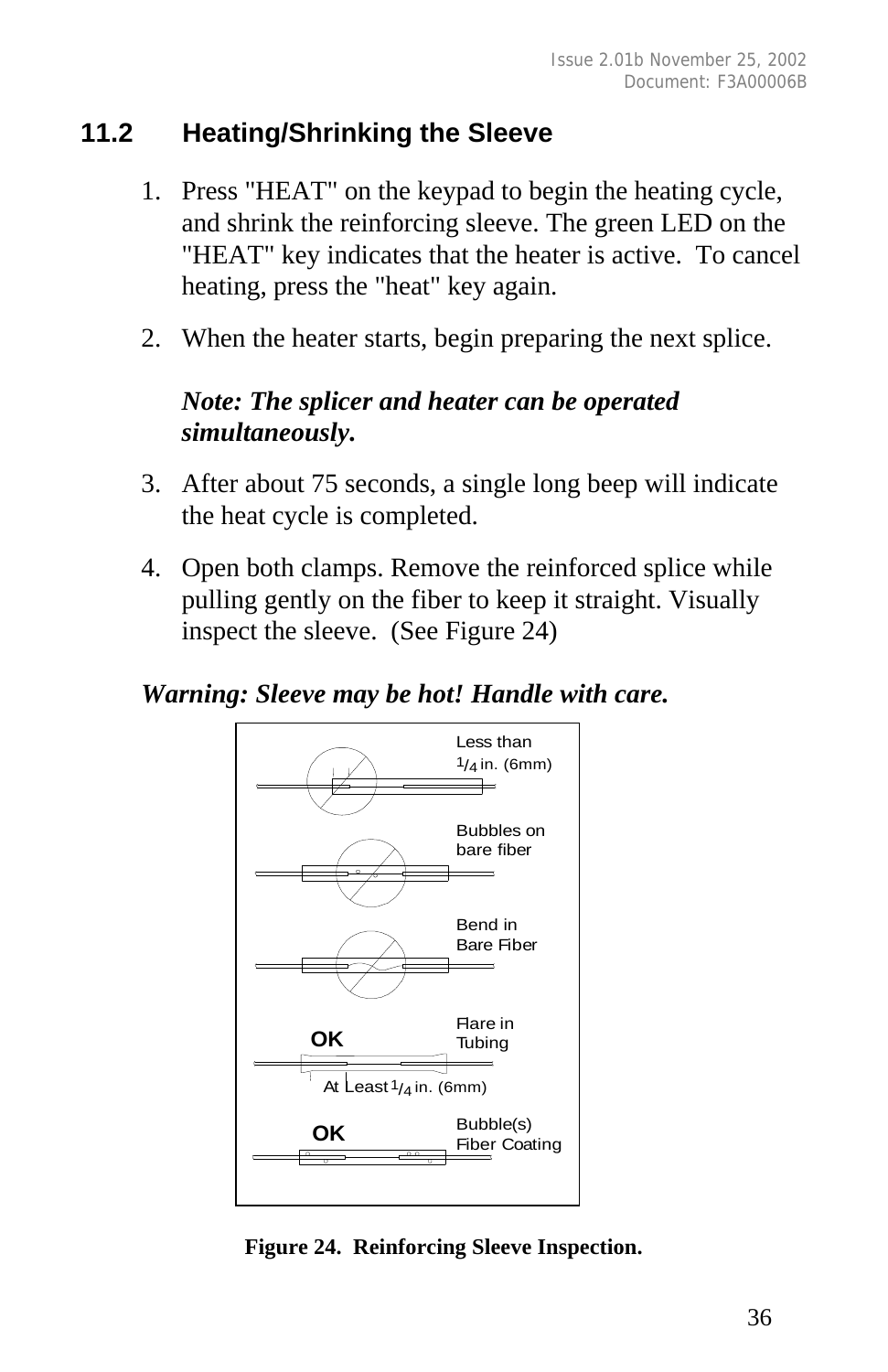### **11.2 Heating/Shrinking the Sleeve**

- 1. Press "HEAT" on the keypad to begin the heating cycle, and shrink the reinforcing sleeve. The green LED on the "HEAT" key indicates that the heater is active. To cancel heating, press the "heat" key again.
- 2. When the heater starts, begin preparing the next splice.

### *Note: The splicer and heater can be operated simultaneously.*

- 3. After about 75 seconds, a single long beep will indicate the heat cycle is completed.
- 4. Open both clamps. Remove the reinforced splice while pulling gently on the fiber to keep it straight. Visually inspect the sleeve. (See Figure 24)

#### *Warning: Sleeve may be hot! Handle with care.*



**Figure 24. Reinforcing Sleeve Inspection.**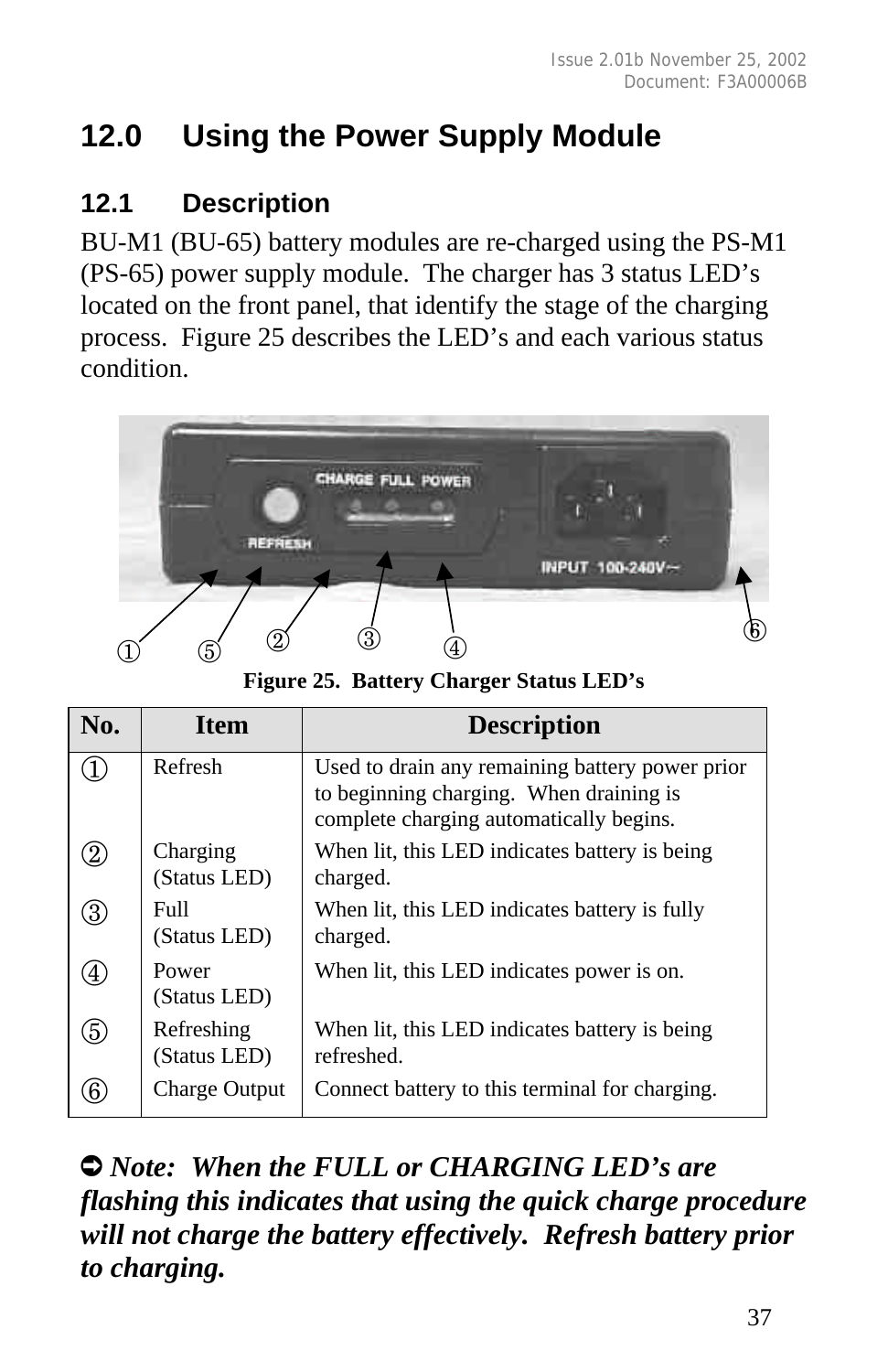# **12.0 Using the Power Supply Module**

# **12.1 Description**

BU-M1 (BU-65) battery modules are re-charged using the PS-M1 (PS-65) power supply module. The charger has 3 status LED's located on the front panel, that identify the stage of the charging process. Figure 25 describes the LED's and each various status condition.



**Figure 25. Battery Charger Status LED's**

| No.               | <b>Item</b>                | <b>Description</b>                                                                                                                    |
|-------------------|----------------------------|---------------------------------------------------------------------------------------------------------------------------------------|
|                   | Refresh                    | Used to drain any remaining battery power prior<br>to beginning charging. When draining is<br>complete charging automatically begins. |
| $\left( 2\right)$ | Charging<br>(Status LED)   | When lit, this LED indicates battery is being<br>charged.                                                                             |
| 3                 | Full<br>(Status LED)       | When lit, this LED indicates battery is fully<br>charged.                                                                             |
| $\left( 4\right)$ | Power<br>(Status LED)      | When lit, this LED indicates power is on.                                                                                             |
| 5                 | Refreshing<br>(Status LED) | When lit, this LED indicates battery is being<br>refreshed.                                                                           |
| 6                 | <b>Charge Output</b>       | Connect battery to this terminal for charging.                                                                                        |

Ú *Note: When the FULL or CHARGING LED's are flashing this indicates that using the quick charge procedure will not charge the battery effectively. Refresh battery prior to charging.*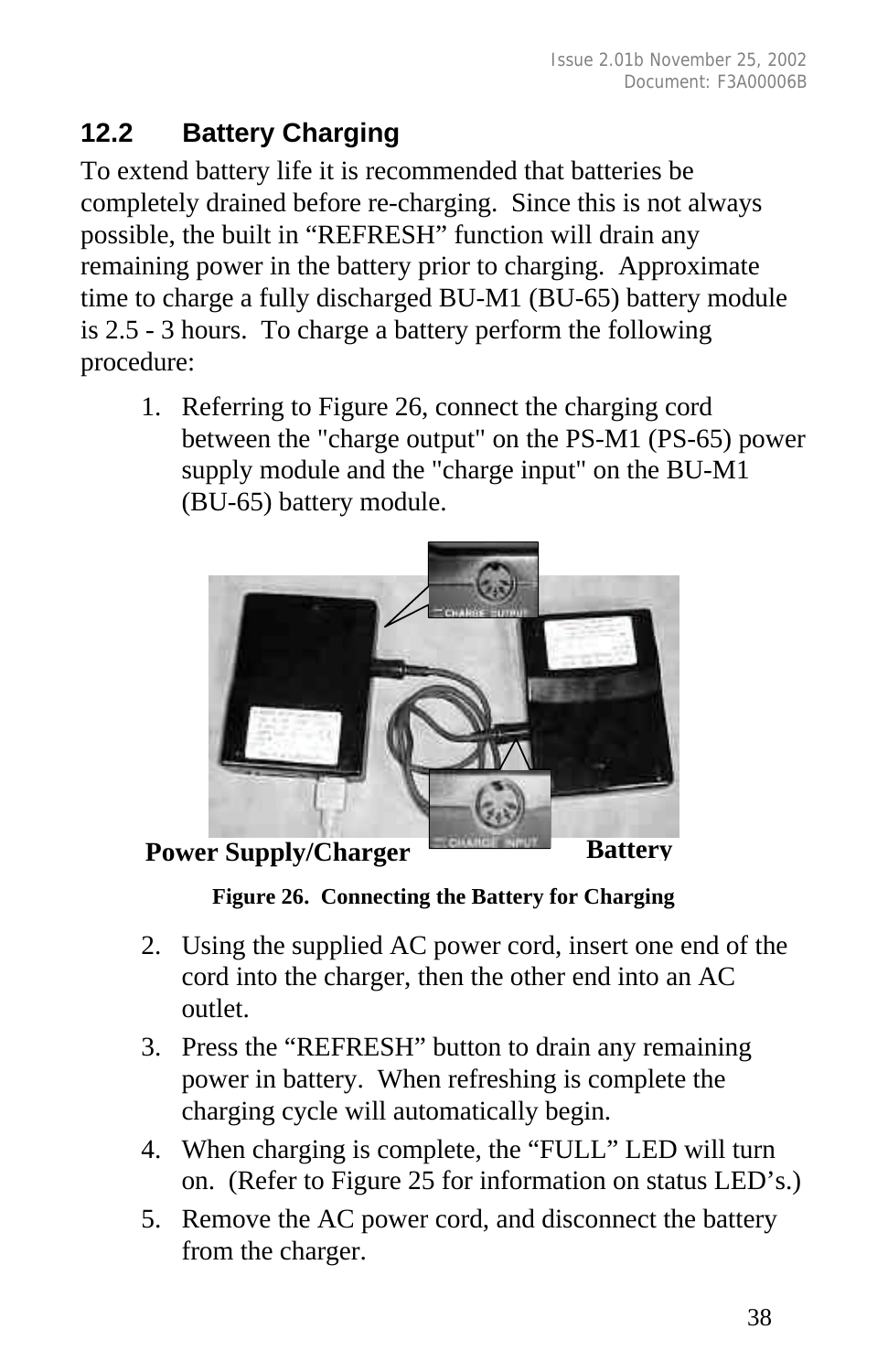# **12.2 Battery Charging**

To extend battery life it is recommended that batteries be completely drained before re-charging. Since this is not always possible, the built in "REFRESH" function will drain any remaining power in the battery prior to charging. Approximate time to charge a fully discharged BU-M1 (BU-65) battery module is 2.5 - 3 hours. To charge a battery perform the following procedure:

1. Referring to Figure 26, connect the charging cord between the "charge output" on the PS-M1 (PS-65) power supply module and the "charge input" on the BU-M1 (BU-65) battery module.



**Power Supply/Charger Battery** 

**Figure 26. Connecting the Battery for Charging**

- 2. Using the supplied AC power cord, insert one end of the cord into the charger, then the other end into an AC outlet.
- 3. Press the "REFRESH" button to drain any remaining power in battery. When refreshing is complete the charging cycle will automatically begin.
- 4. When charging is complete, the "FULL" LED will turn on. (Refer to Figure 25 for information on status LED's.)
- 5. Remove the AC power cord, and disconnect the battery from the charger.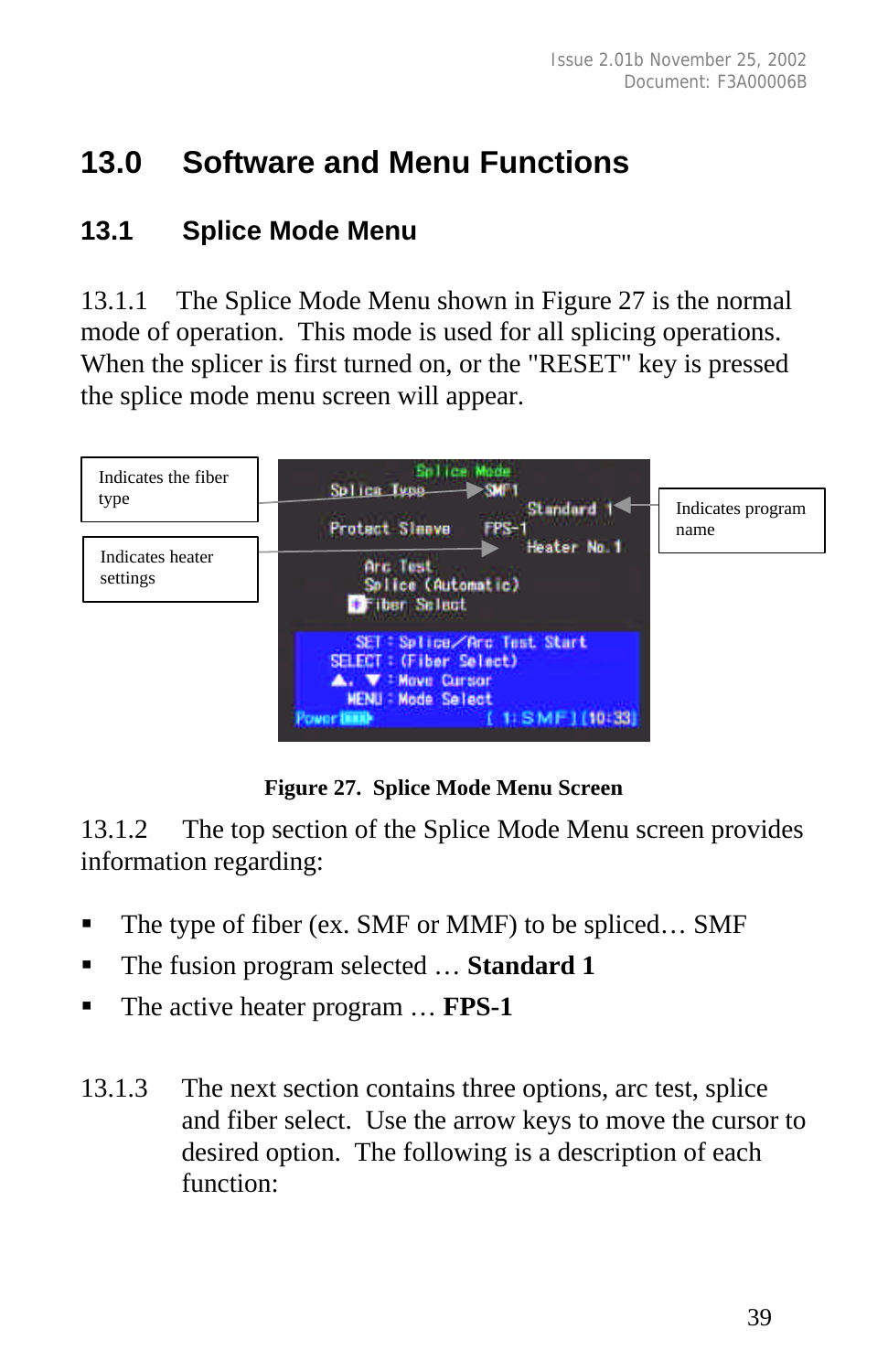# **13.0 Software and Menu Functions**

### **13.1 Splice Mode Menu**

13.1.1 The Splice Mode Menu shown in Figure 27 is the normal mode of operation. This mode is used for all splicing operations. When the splicer is first turned on, or the "RESET" key is pressed the splice mode menu screen will appear.



**Figure 27. Splice Mode Menu Screen**

13.1.2 The top section of the Splice Mode Menu screen provides information regarding:

- $\blacksquare$  The type of fiber (ex. SMF or MMF) to be spliced... SMF
- The fusion program selected ... **Standard 1**
- The active heater program ... **FPS-1**
- 13.1.3 The next section contains three options, arc test, splice and fiber select. Use the arrow keys to move the cursor to desired option. The following is a description of each function: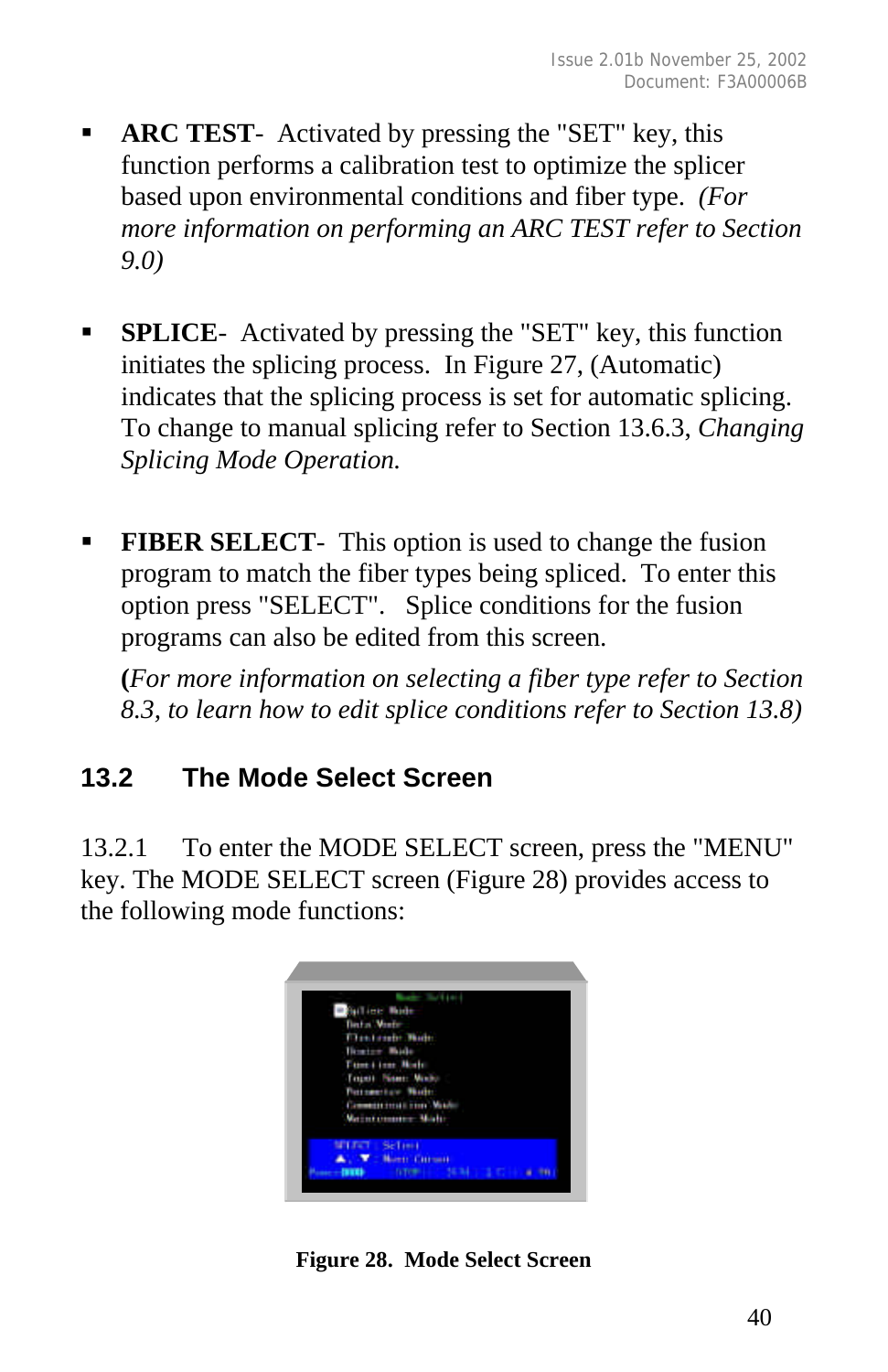- **ARC TEST** Activated by pressing the "SET" key, this function performs a calibration test to optimize the splicer based upon environmental conditions and fiber type. *(For more information on performing an ARC TEST refer to Section 9.0)*
- ß **SPLICE** Activated by pressing the "SET" key, this function initiates the splicing process. In Figure 27, (Automatic) indicates that the splicing process is set for automatic splicing. To change to manual splicing refer to Section 13.6.3, *Changing Splicing Mode Operation.*
- **FIBER SELECT** This option is used to change the fusion program to match the fiber types being spliced. To enter this option press "SELECT". Splice conditions for the fusion programs can also be edited from this screen.

**(***For more information on selecting a fiber type refer to Section 8.3, to learn how to edit splice conditions refer to Section 13.8)*

# **13.2 The Mode Select Screen**

13.2.1 To enter the MODE SELECT screen, press the "MENU" key. The MODE SELECT screen (Figure 28) provides access to the following mode functions:



**Figure 28. Mode Select Screen**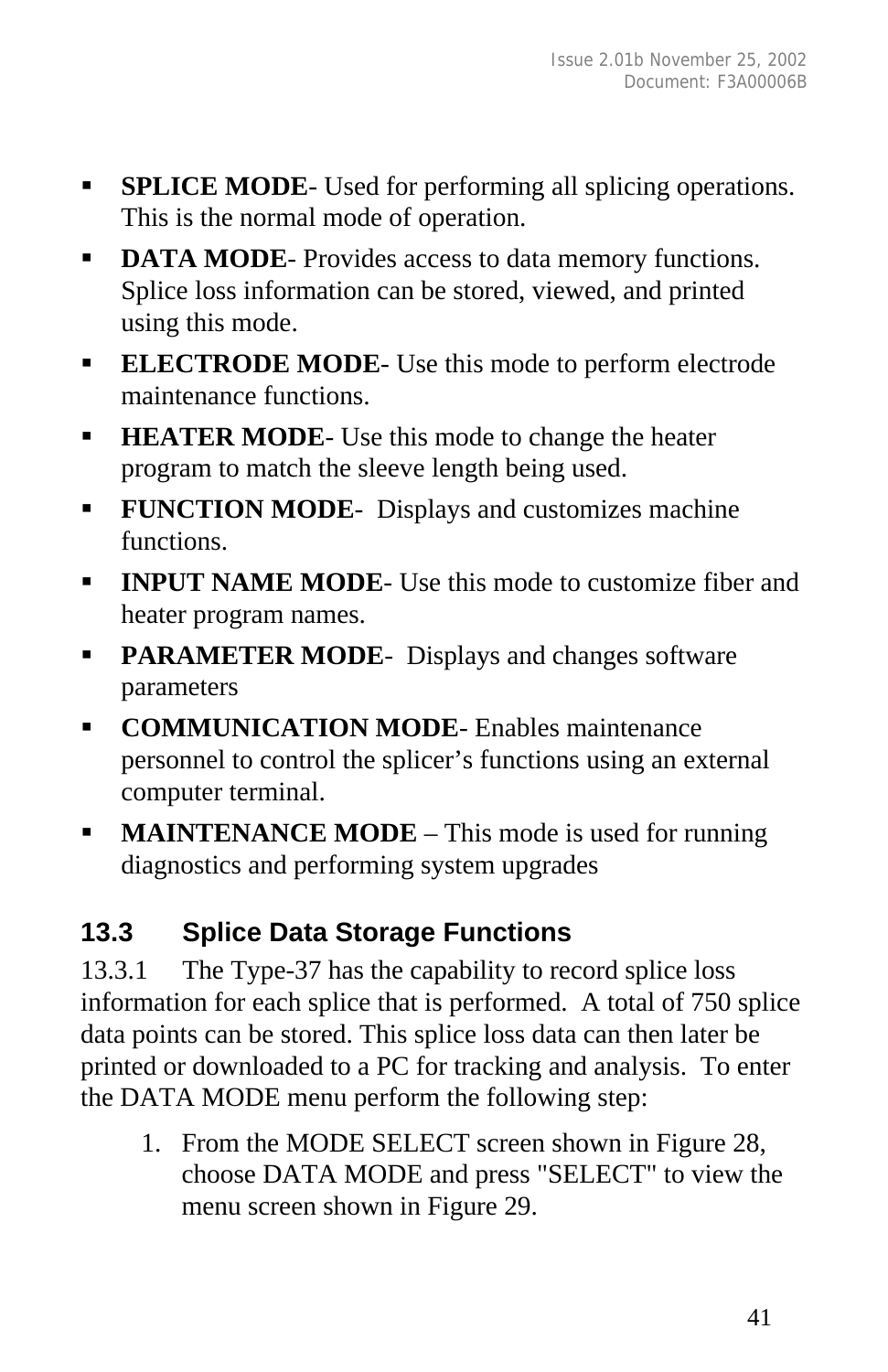- **SPLICE MODE** Used for performing all splicing operations. This is the normal mode of operation.
- **DATA MODE-** Provides access to data memory functions. Splice loss information can be stored, viewed, and printed using this mode.
- **ELECTRODE MODE** Use this mode to perform electrode maintenance functions.
- **HEATER MODE** Use this mode to change the heater program to match the sleeve length being used.
- **FUNCTION MODE-** Displays and customizes machine functions.
- **INPUT NAME MODE-** Use this mode to customize fiber and heater program names.
- **PARAMETER MODE-** Displays and changes software parameters
- **EXECOMMUNICATION MODE-** Enables maintenance personnel to control the splicer's functions using an external computer terminal.
- **MAINTENANCE MODE** This mode is used for running diagnostics and performing system upgrades

# **13.3 Splice Data Storage Functions**

13.3.1 The Type-37 has the capability to record splice loss information for each splice that is performed. A total of 750 splice data points can be stored. This splice loss data can then later be printed or downloaded to a PC for tracking and analysis. To enter the DATA MODE menu perform the following step:

1. From the MODE SELECT screen shown in Figure 28, choose DATA MODE and press "SELECT" to view the menu screen shown in Figure 29.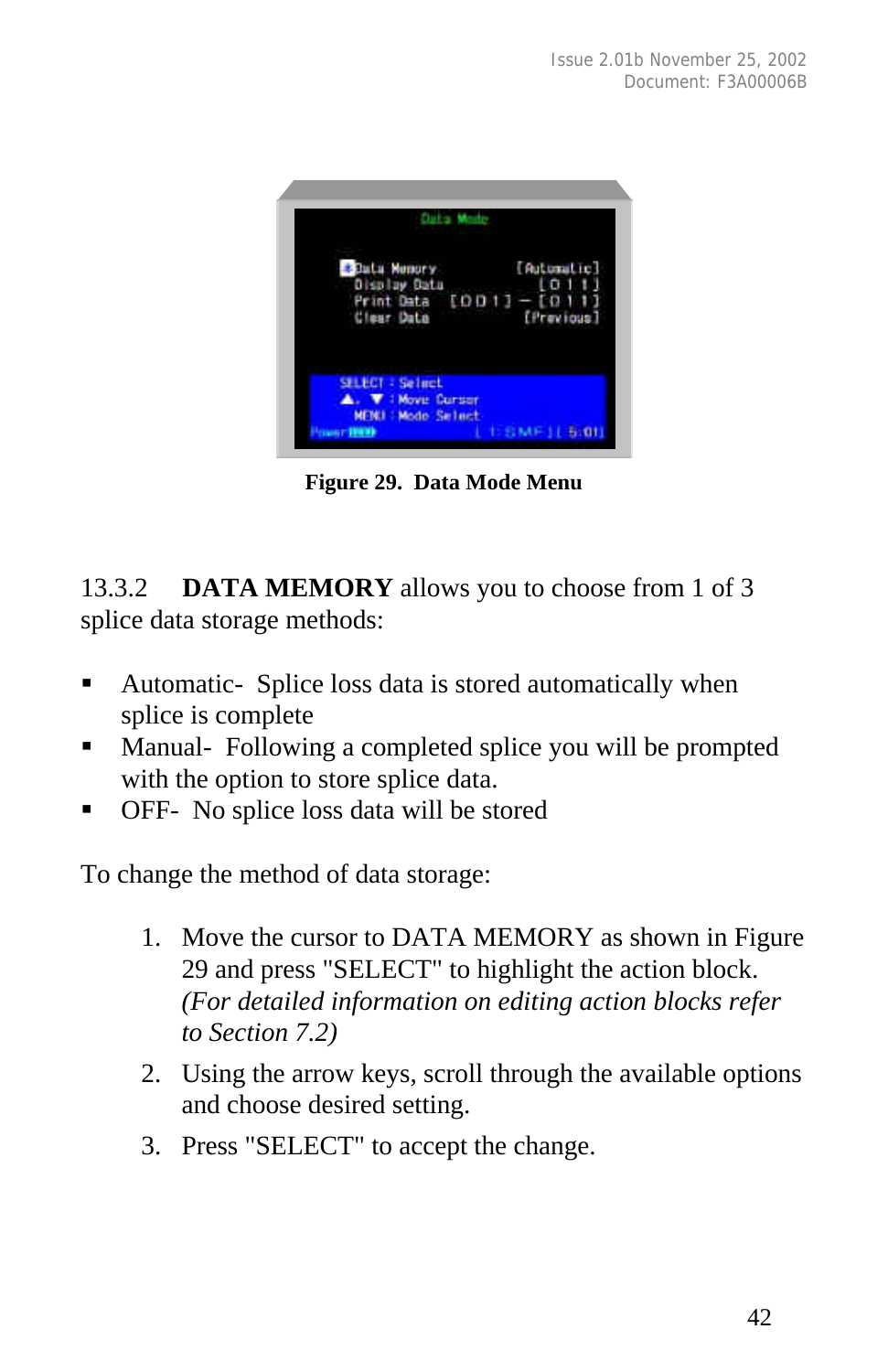

**Figure 29. Data Mode Menu**

13.3.2 **DATA MEMORY** allows you to choose from 1 of 3 splice data storage methods:

- ß Automatic- Splice loss data is stored automatically when splice is complete
- ß Manual- Following a completed splice you will be prompted with the option to store splice data.
- ß OFF- No splice loss data will be stored

To change the method of data storage:

- 1. Move the cursor to DATA MEMORY as shown in Figure 29 and press "SELECT" to highlight the action block. *(For detailed information on editing action blocks refer to Section 7.2)*
- 2. Using the arrow keys, scroll through the available options and choose desired setting.
- 3. Press "SELECT" to accept the change.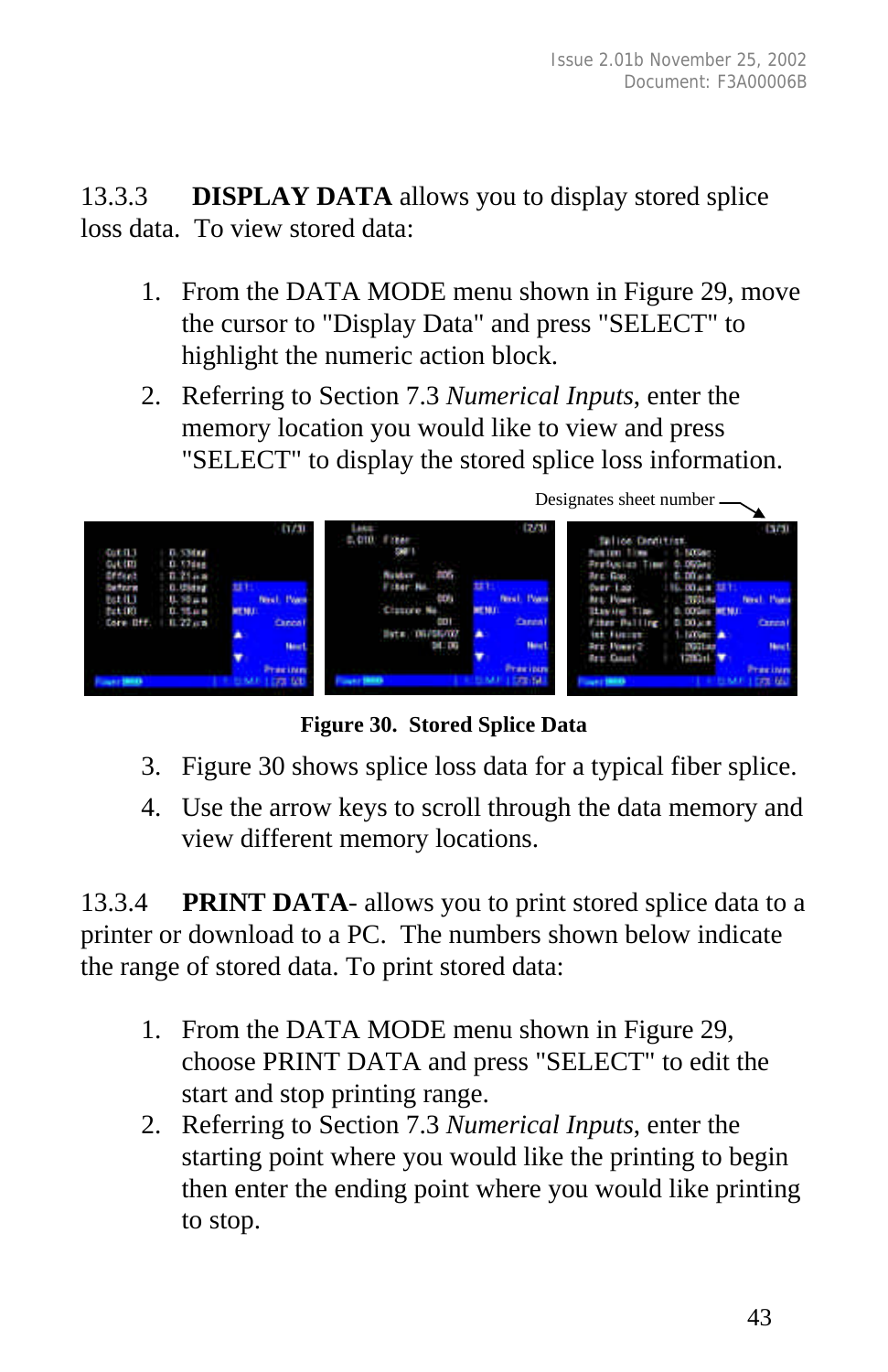13.3.3 **DISPLAY DATA** allows you to display stored splice loss data. To view stored data:

- 1. From the DATA MODE menu shown in Figure 29, move the cursor to "Display Data" and press "SELECT" to highlight the numeric action block.
- 2. Referring to Section 7.3 *Numerical Inputs*, enter the memory location you would like to view and press "SELECT" to display the stored splice loss information.



**Figure 30. Stored Splice Data**

- 3. Figure 30 shows splice loss data for a typical fiber splice.
- 4. Use the arrow keys to scroll through the data memory and view different memory locations.

13.3.4 **PRINT DATA**- allows you to print stored splice data to a printer or download to a PC. The numbers shown below indicate the range of stored data. To print stored data:

- 1. From the DATA MODE menu shown in Figure 29, choose PRINT DATA and press "SELECT" to edit the start and stop printing range.
- 2. Referring to Section 7.3 *Numerical Inputs*, enter the starting point where you would like the printing to begin then enter the ending point where you would like printing to stop.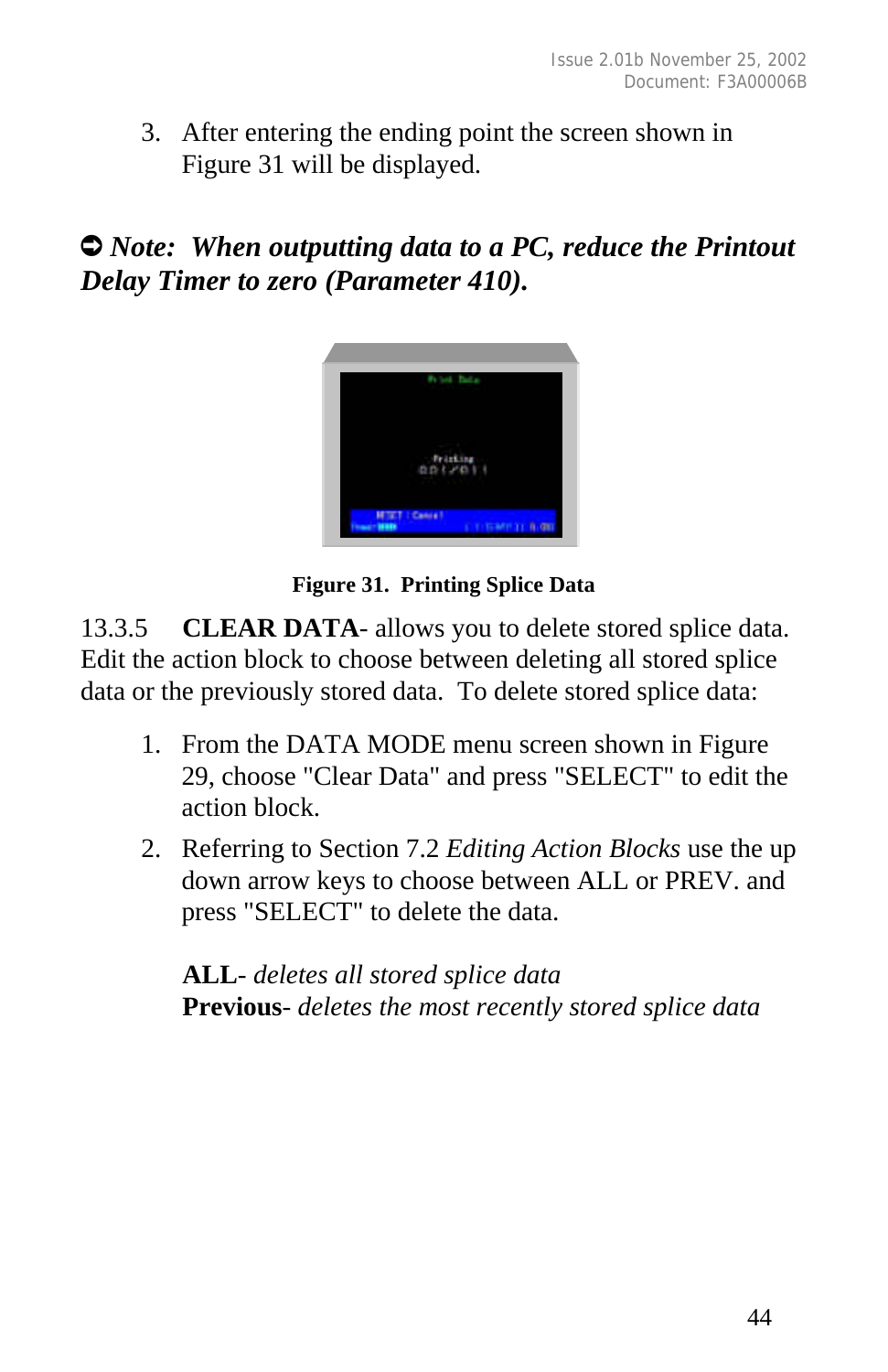3. After entering the ending point the screen shown in Figure 31 will be displayed.

# $\bullet$  *Note:* When outputting data to a PC, reduce the Printout *Delay Timer to zero (Parameter 410).*



**Figure 31. Printing Splice Data**

13.3.5 **CLEAR DATA**- allows you to delete stored splice data. Edit the action block to choose between deleting all stored splice data or the previously stored data. To delete stored splice data:

- 1. From the DATA MODE menu screen shown in Figure 29, choose "Clear Data" and press "SELECT" to edit the action block.
- 2. Referring to Section 7.2 *Editing Action Blocks* use the up down arrow keys to choose between ALL or PREV. and press "SELECT" to delete the data.

**ALL**- *deletes all stored splice data* **Previous**- *deletes the most recently stored splice data*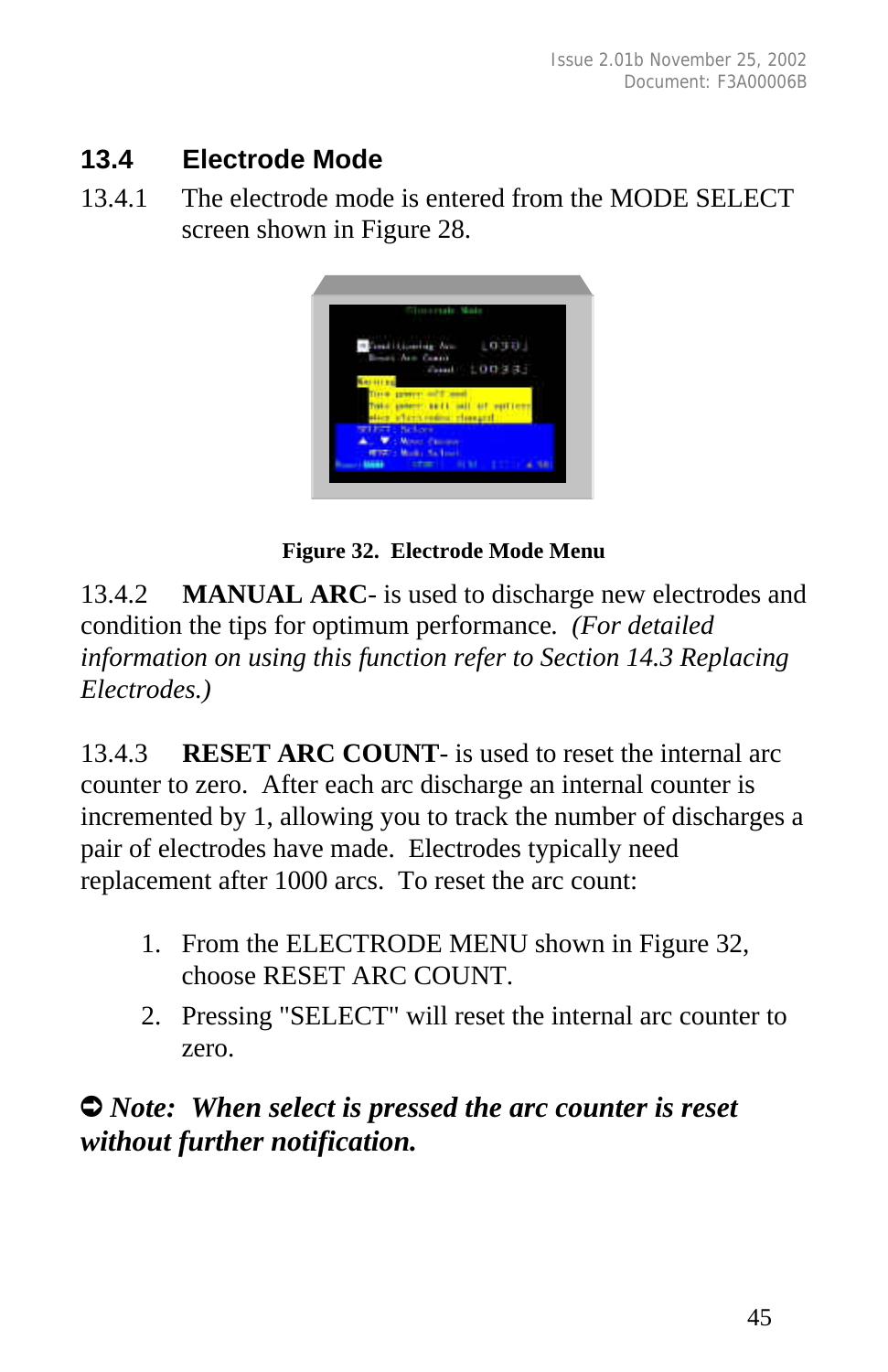# **13.4 Electrode Mode**

13.4.1 The electrode mode is entered from the MODE SELECT screen shown in Figure 28.



**Figure 32. Electrode Mode Menu**

13.4.2 **MANUAL ARC**- is used to discharge new electrodes and condition the tips for optimum performance*. (For detailed information on using this function refer to Section 14.3 Replacing Electrodes.)*

13.4.3 **RESET ARC COUNT**- is used to reset the internal arc counter to zero. After each arc discharge an internal counter is incremented by 1, allowing you to track the number of discharges a pair of electrodes have made. Electrodes typically need replacement after 1000 arcs. To reset the arc count:

- 1. From the ELECTRODE MENU shown in Figure 32, choose RESET ARC COUNT.
- 2. Pressing "SELECT" will reset the internal arc counter to zero.

# Ú *Note: When select is pressed the arc counter is reset without further notification.*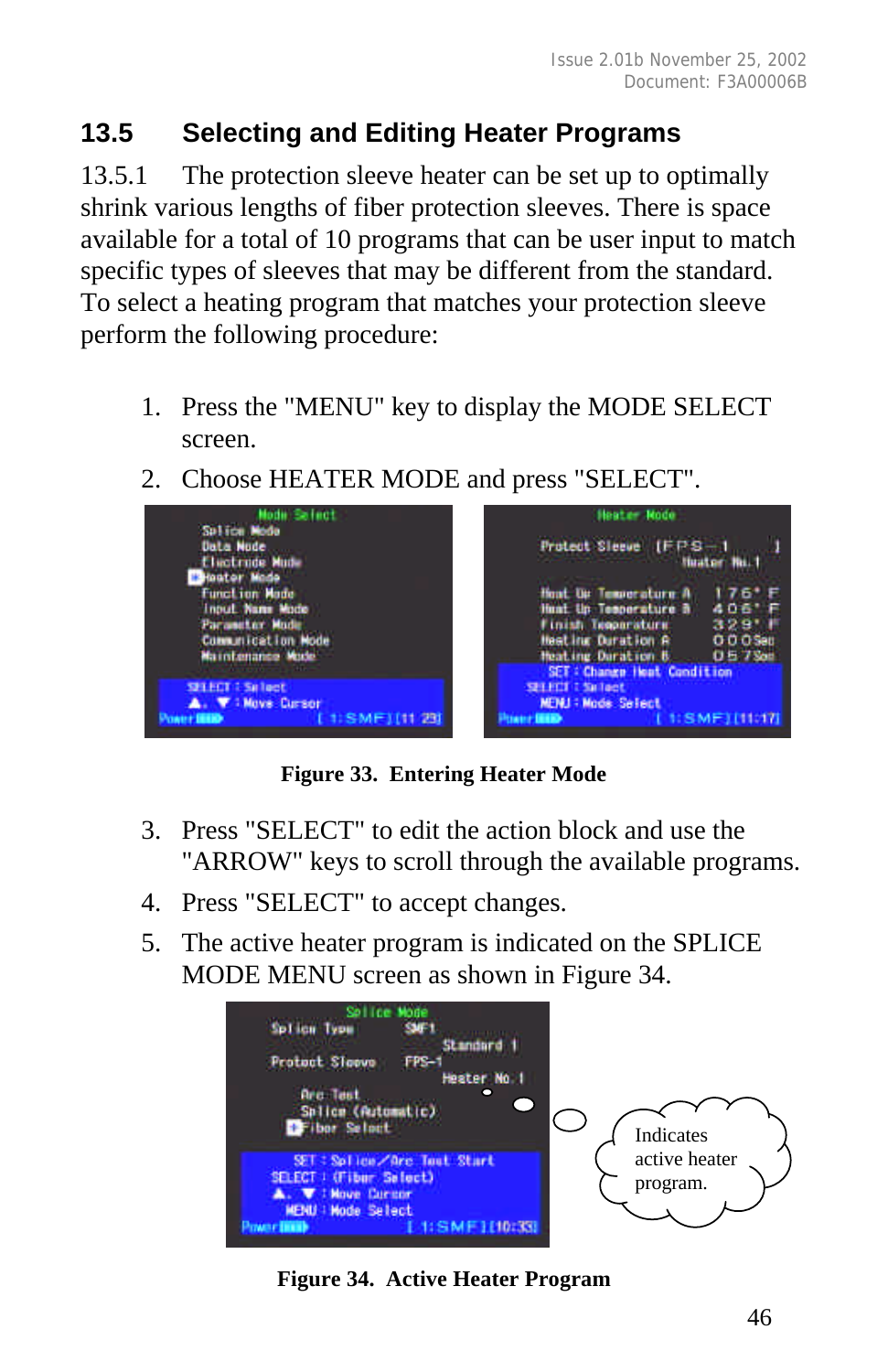# **13.5 Selecting and Editing Heater Programs**

13.5.1 The protection sleeve heater can be set up to optimally shrink various lengths of fiber protection sleeves. There is space available for a total of 10 programs that can be user input to match specific types of sleeves that may be different from the standard. To select a heating program that matches your protection sleeve perform the following procedure:

- 1. Press the "MENU" key to display the MODE SELECT screen.
- 2. Choose HEATER MODE and press "SELECT".



**Figure 33. Entering Heater Mode**

- 3. Press "SELECT" to edit the action block and use the "ARROW" keys to scroll through the available programs.
- 4. Press "SELECT" to accept changes.
- 5. The active heater program is indicated on the SPLICE MODE MENU screen as shown in Figure 34.



**Figure 34. Active Heater Program**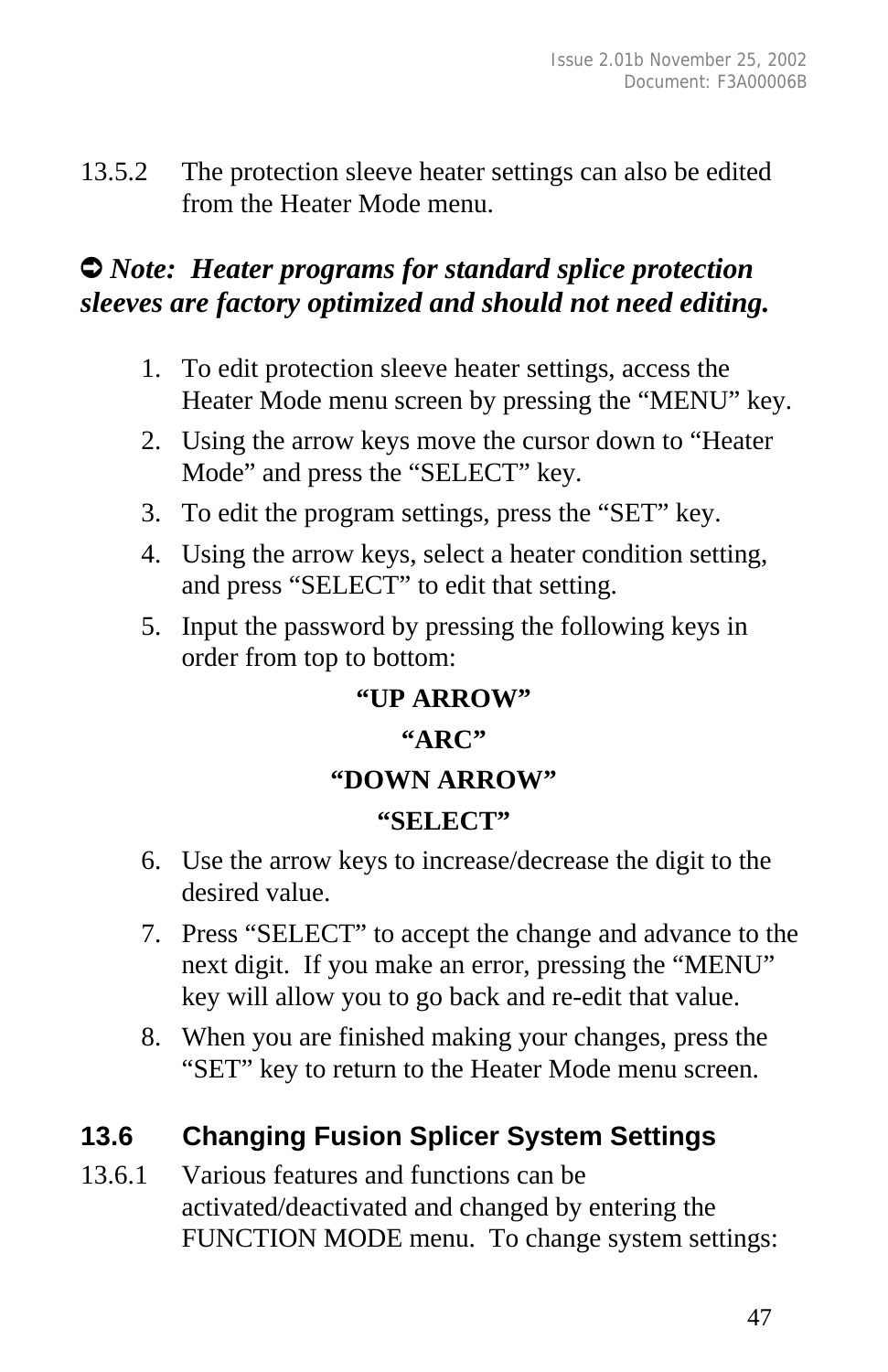13.5.2 The protection sleeve heater settings can also be edited from the Heater Mode menu.

# Ú *Note: Heater programs for standard splice protection sleeves are factory optimized and should not need editing.*

- 1. To edit protection sleeve heater settings, access the Heater Mode menu screen by pressing the "MENU" key.
- 2. Using the arrow keys move the cursor down to "Heater Mode" and press the "SELECT" key.
- 3. To edit the program settings, press the "SET" key.
- 4. Using the arrow keys, select a heater condition setting, and press "SELECT" to edit that setting.
- 5. Input the password by pressing the following keys in order from top to bottom:

# **"UP ARROW" "ARC" "DOWN ARROW" "SELECT"**

- 6. Use the arrow keys to increase/decrease the digit to the desired value.
- 7. Press "SELECT" to accept the change and advance to the next digit. If you make an error, pressing the "MENU" key will allow you to go back and re-edit that value.
- 8. When you are finished making your changes, press the "SET" key to return to the Heater Mode menu screen.

# **13.6 Changing Fusion Splicer System Settings**

13.6.1 Various features and functions can be activated/deactivated and changed by entering the FUNCTION MODE menu. To change system settings: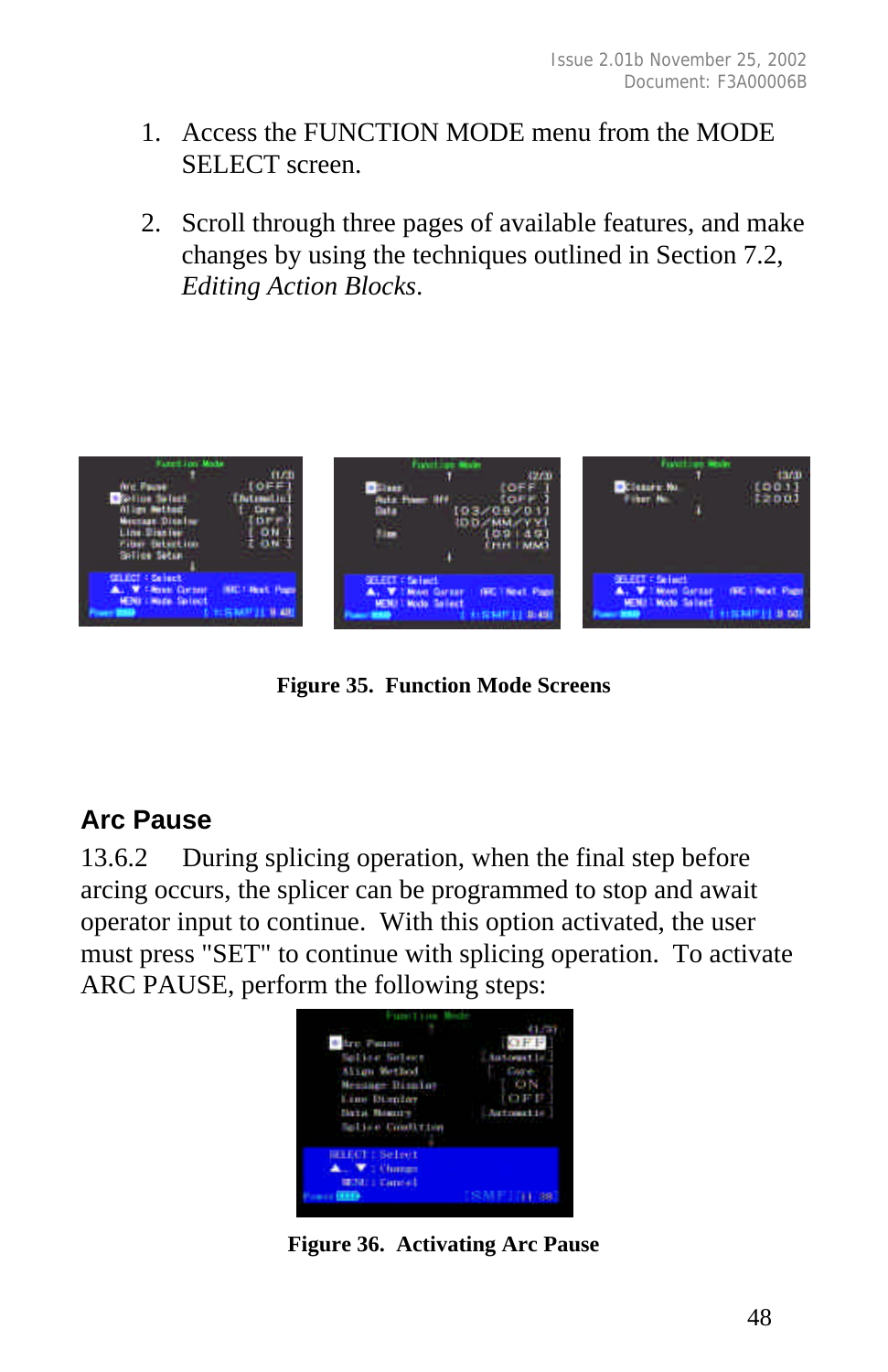- 1. Access the FUNCTION MODE menu from the MODE SELECT screen.
- 2. Scroll through three pages of available features, and make changes by using the techniques outlined in Section 7.2, *Editing Action Blocks*.



**Figure 35. Function Mode Screens**

### **Arc Pause**

13.6.2 During splicing operation, when the final step before arcing occurs, the splicer can be programmed to stop and await operator input to continue. With this option activated, the user must press "SET" to continue with splicing operation. To activate ARC PAUSE, perform the following steps:



**Figure 36. Activating Arc Pause**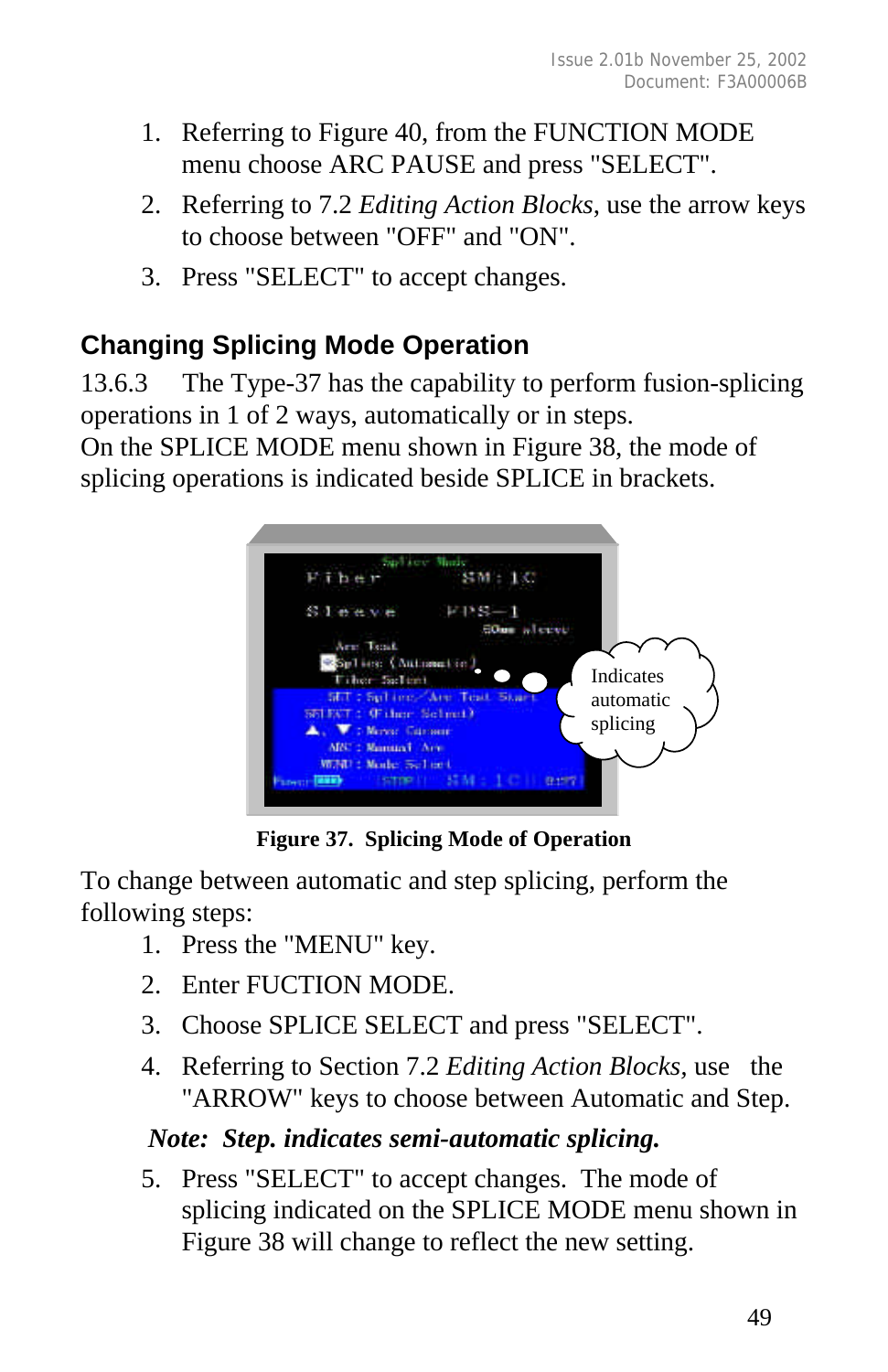- 1. Referring to Figure 40, from the FUNCTION MODE menu choose ARC PAUSE and press "SELECT".
- 2. Referring to 7.2 *Editing Action Blocks*, use the arrow keys to choose between "OFF" and "ON".
- 3. Press "SELECT" to accept changes.

# **Changing Splicing Mode Operation**

13.6.3 The Type-37 has the capability to perform fusion-splicing operations in 1 of 2 ways, automatically or in steps.

On the SPLICE MODE menu shown in Figure 38, the mode of splicing operations is indicated beside SPLICE in brackets.



**Figure 37. Splicing Mode of Operation**

To change between automatic and step splicing, perform the following steps:

- 1. Press the "MENU" key.
- 2. Enter FUCTION MODE.
- 3. Choose SPLICE SELECT and press "SELECT".
- 4. Referring to Section 7.2 *Editing Action Blocks,* use the "ARROW" keys to choose between Automatic and Step.

### *Note: Step. indicates semi-automatic splicing.*

5. Press "SELECT" to accept changes. The mode of splicing indicated on the SPLICE MODE menu shown in Figure 38 will change to reflect the new setting.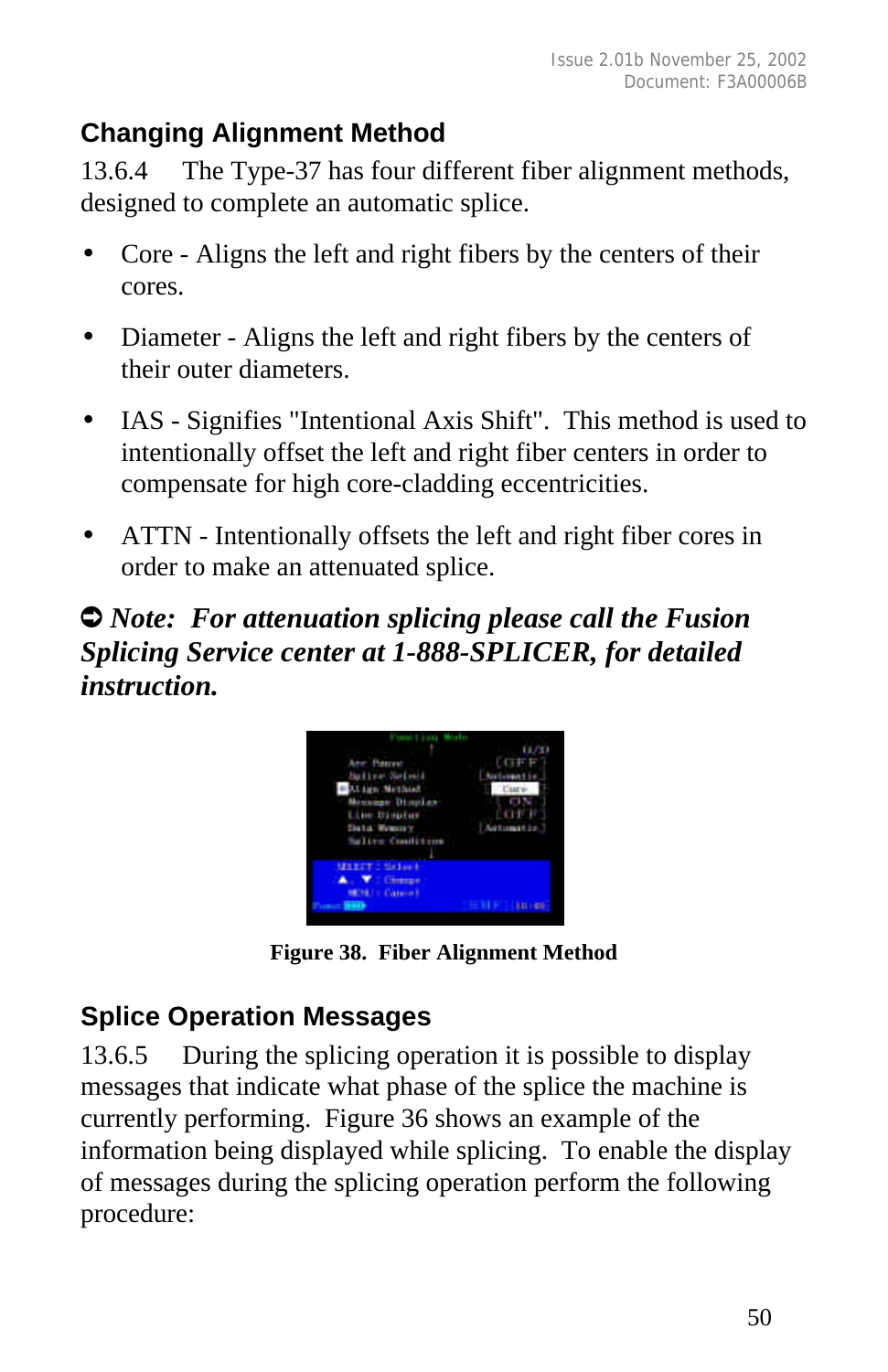# **Changing Alignment Method**

13.6.4 The Type-37 has four different fiber alignment methods, designed to complete an automatic splice.

- Core Aligns the left and right fibers by the centers of their cores.
- Diameter Aligns the left and right fibers by the centers of their outer diameters.
- IAS Signifies "Intentional Axis Shift". This method is used to intentionally offset the left and right fiber centers in order to compensate for high core-cladding eccentricities.
- ATTN Intentionally offsets the left and right fiber cores in order to make an attenuated splice.

# Ú *Note: For attenuation splicing please call the Fusion Splicing Service center at 1-888-SPLICER, for detailed instruction.*



**Figure 38. Fiber Alignment Method**

# **Splice Operation Messages**

13.6.5 During the splicing operation it is possible to display messages that indicate what phase of the splice the machine is currently performing. Figure 36 shows an example of the information being displayed while splicing. To enable the display of messages during the splicing operation perform the following procedure: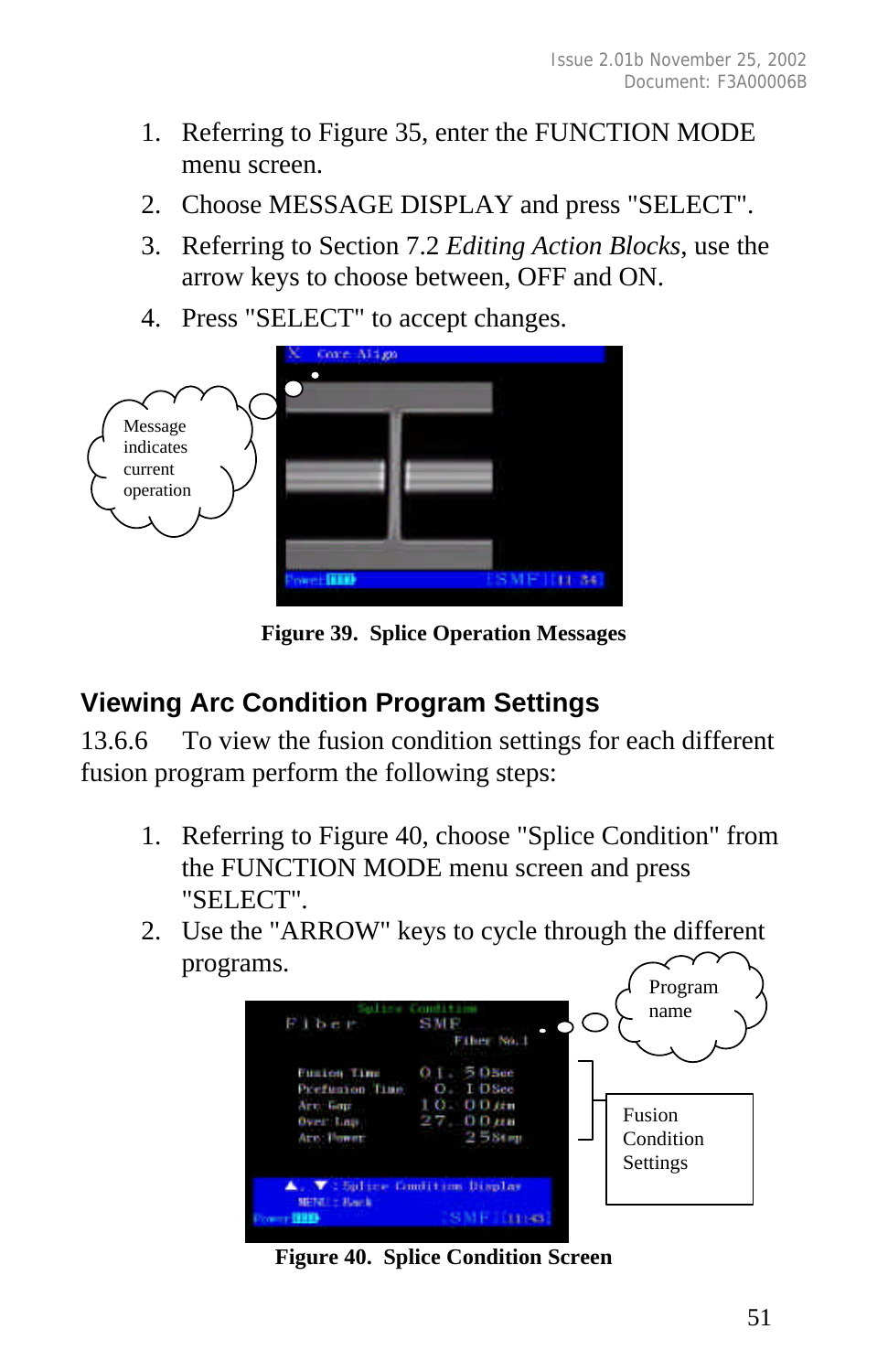- 1. Referring to Figure 35, enter the FUNCTION MODE menu screen.
- 2. Choose MESSAGE DISPLAY and press "SELECT".
- 3. Referring to Section 7.2 *Editing Action Blocks*, use the arrow keys to choose between, OFF and ON.
- 4. Press "SELECT" to accept changes.



**Figure 39. Splice Operation Messages**

### **Viewing Arc Condition Program Settings**

13.6.6 To view the fusion condition settings for each different fusion program perform the following steps:

- 1. Referring to Figure 40, choose "Splice Condition" from the FUNCTION MODE menu screen and press "SELECT".
- 2. Use the "ARROW" keys to cycle through the different programs.



**Figure 40. Splice Condition Screen**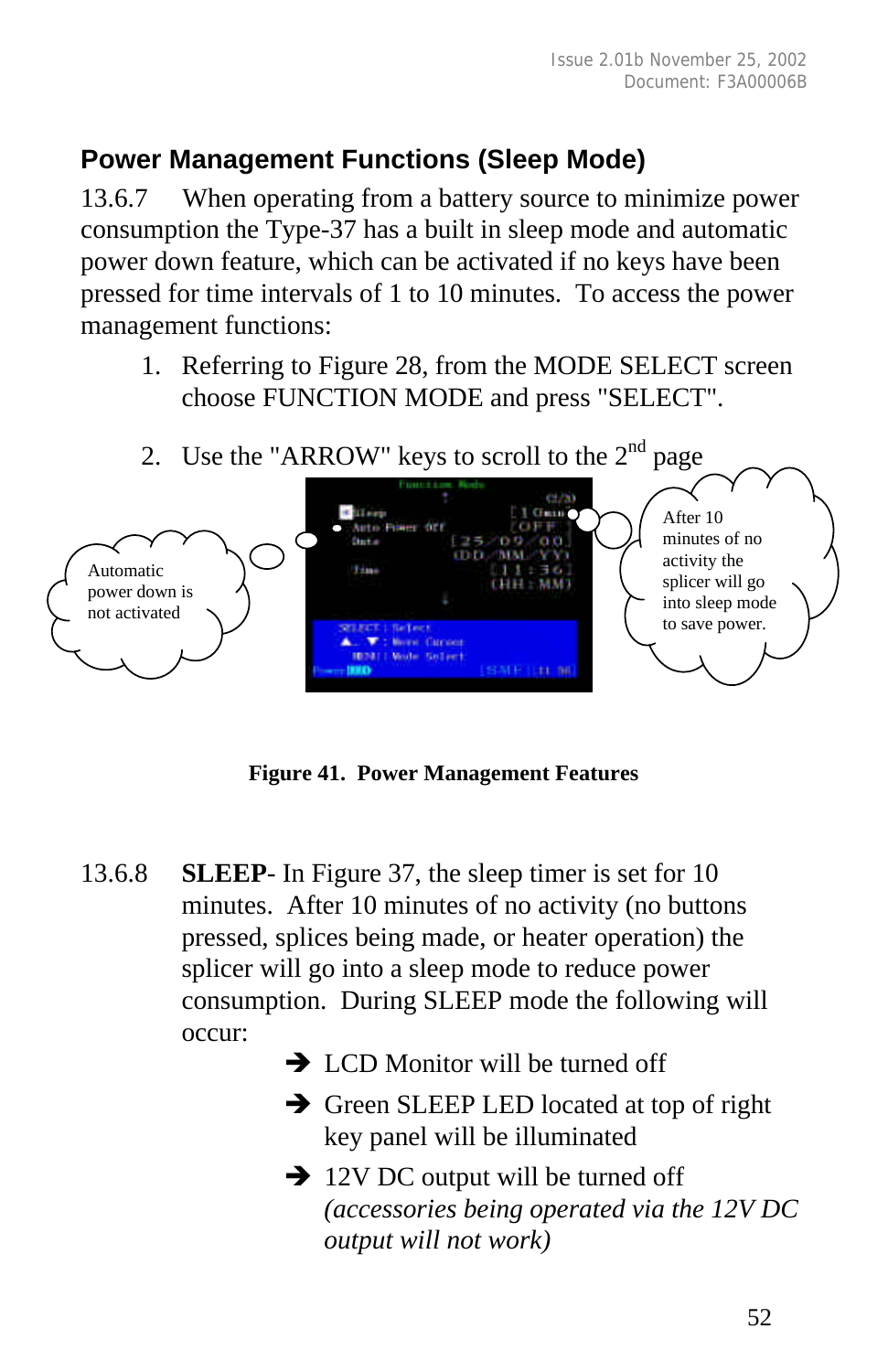# **Power Management Functions (Sleep Mode)**

13.6.7 When operating from a battery source to minimize power consumption the Type-37 has a built in sleep mode and automatic power down feature, which can be activated if no keys have been pressed for time intervals of 1 to 10 minutes. To access the power management functions:

1. Referring to Figure 28, from the MODE SELECT screen choose FUNCTION MODE and press "SELECT".



**Figure 41. Power Management Features**

- 13.6.8 **SLEEP** In Figure 37, the sleep timer is set for 10 minutes. After 10 minutes of no activity (no buttons pressed, splices being made, or heater operation) the splicer will go into a sleep mode to reduce power consumption. During SLEEP mode the following will occur:
	- $\rightarrow$  LCD Monitor will be turned off
	- $\rightarrow$  Green SLEEP LED located at top of right key panel will be illuminated
	- $\rightarrow$  12V DC output will be turned off *(accessories being operated via the 12V DC output will not work)*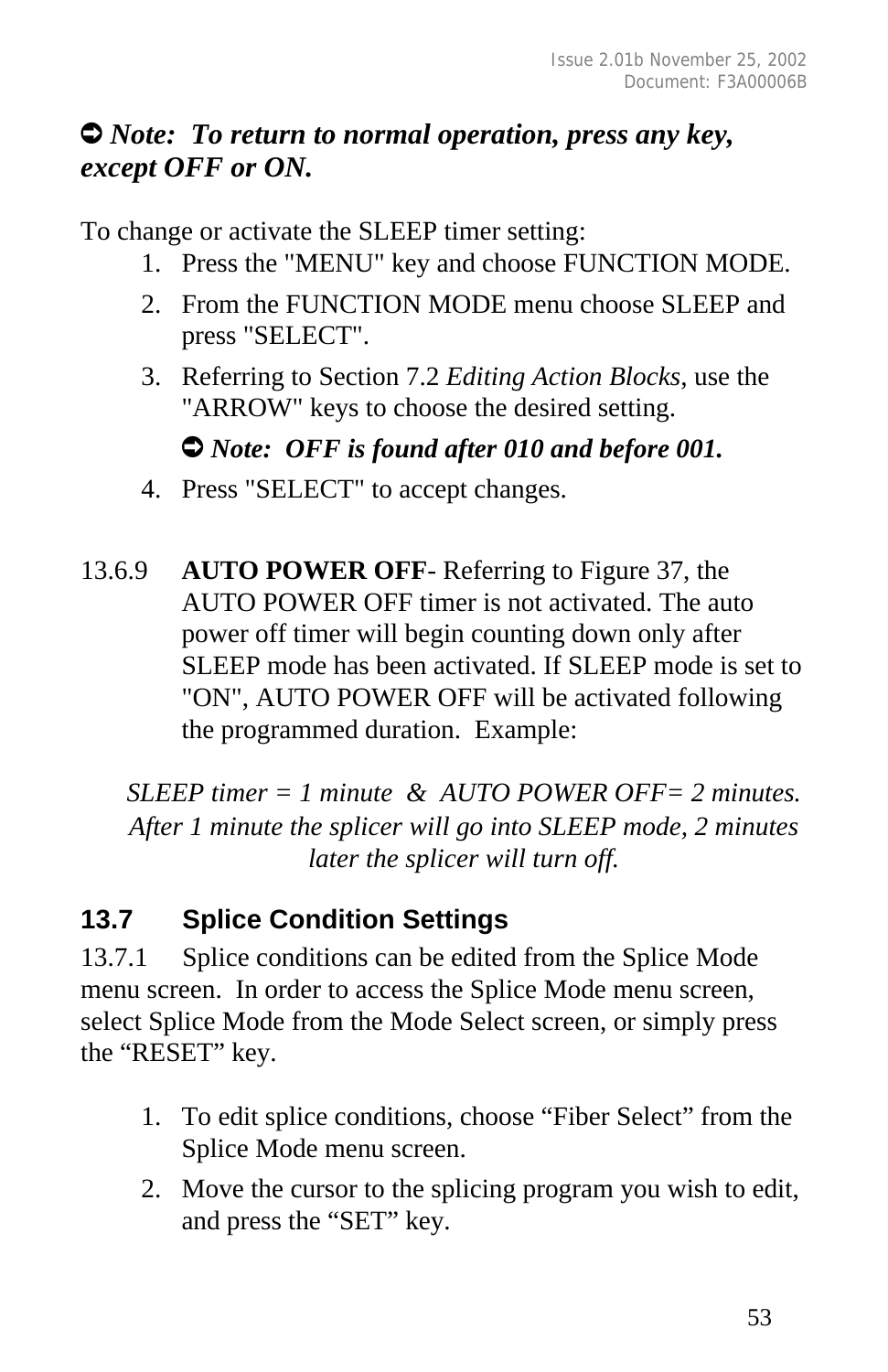## Ú *Note: To return to normal operation, press any key, except OFF or ON.*

To change or activate the SLEEP timer setting:

- 1. Press the "MENU" key and choose FUNCTION MODE.
- 2. From the FUNCTION MODE menu choose SLEEP and press "SELECT".
- 3. Referring to Section 7.2 *Editing Action Blocks*, use the "ARROW" keys to choose the desired setting.

#### $\bullet$  *Note: OFF is found after 010 and before 001.*

- 4. Press "SELECT" to accept changes.
- 13.6.9 **AUTO POWER OFF** Referring to Figure 37, the AUTO POWER OFF timer is not activated. The auto power off timer will begin counting down only after SLEEP mode has been activated. If SLEEP mode is set to "ON", AUTO POWER OFF will be activated following the programmed duration. Example:

*SLEEP timer = 1 minute & AUTO POWER OFF= 2 minutes. After 1 minute the splicer will go into SLEEP mode, 2 minutes later the splicer will turn off.*

# **13.7 Splice Condition Settings**

13.7.1 Splice conditions can be edited from the Splice Mode menu screen. In order to access the Splice Mode menu screen, select Splice Mode from the Mode Select screen, or simply press the "RESET" key.

- 1. To edit splice conditions, choose "Fiber Select" from the Splice Mode menu screen.
- 2. Move the cursor to the splicing program you wish to edit, and press the "SET" key.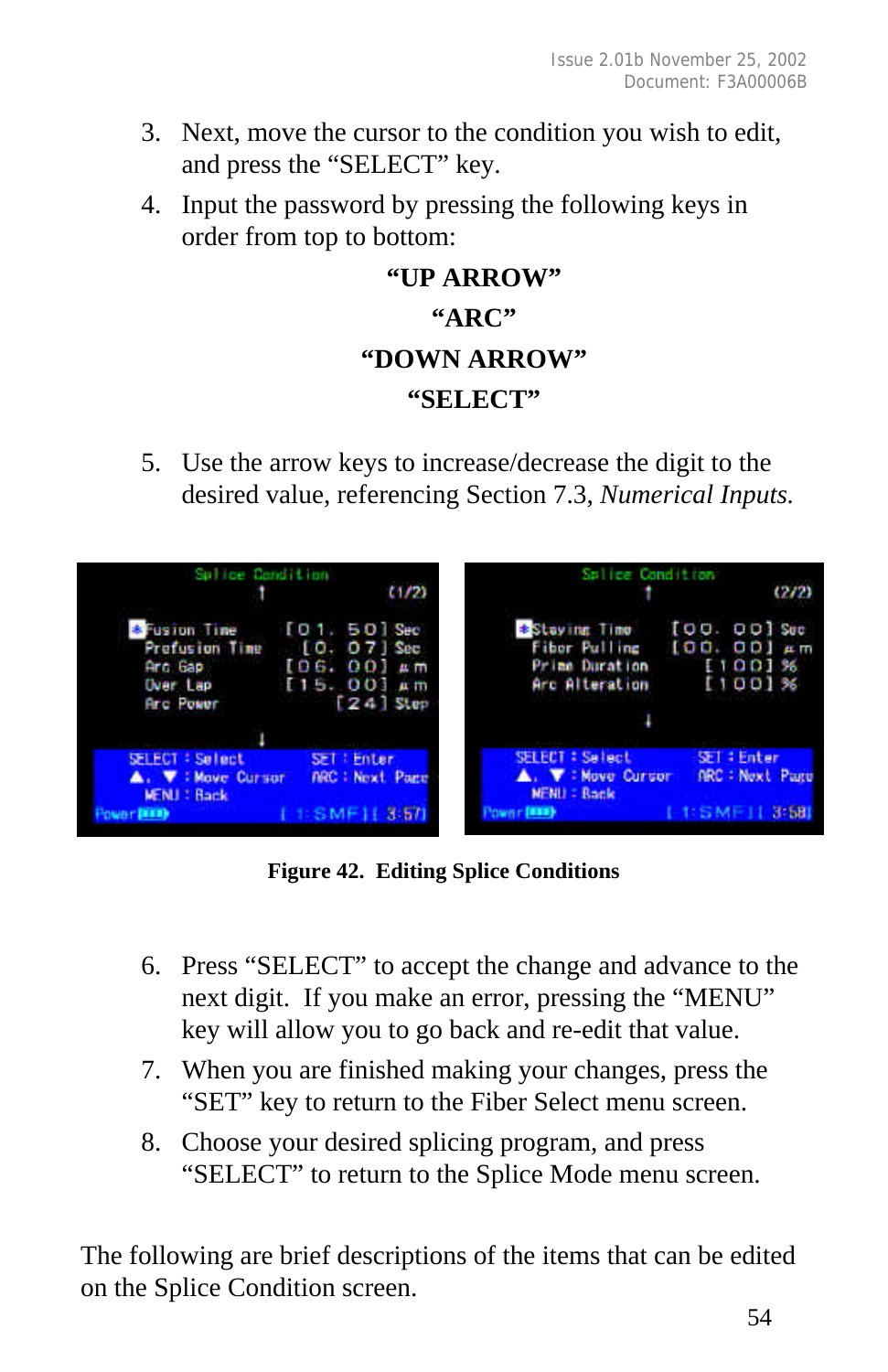- 3. Next, move the cursor to the condition you wish to edit, and press the "SELECT" key.
- 4. Input the password by pressing the following keys in order from top to bottom:

# **"UP ARROW" "ARC" "DOWN ARROW" "SELECT"**

5. Use the arrow keys to increase/decrease the digit to the desired value, referencing Section 7.3, *Numerical Inputs.*



**Figure 42. Editing Splice Conditions**

- 6. Press "SELECT" to accept the change and advance to the next digit. If you make an error, pressing the "MENU" key will allow you to go back and re-edit that value.
- 7. When you are finished making your changes, press the "SET" key to return to the Fiber Select menu screen.
- 8. Choose your desired splicing program, and press "SELECT" to return to the Splice Mode menu screen.

The following are brief descriptions of the items that can be edited on the Splice Condition screen.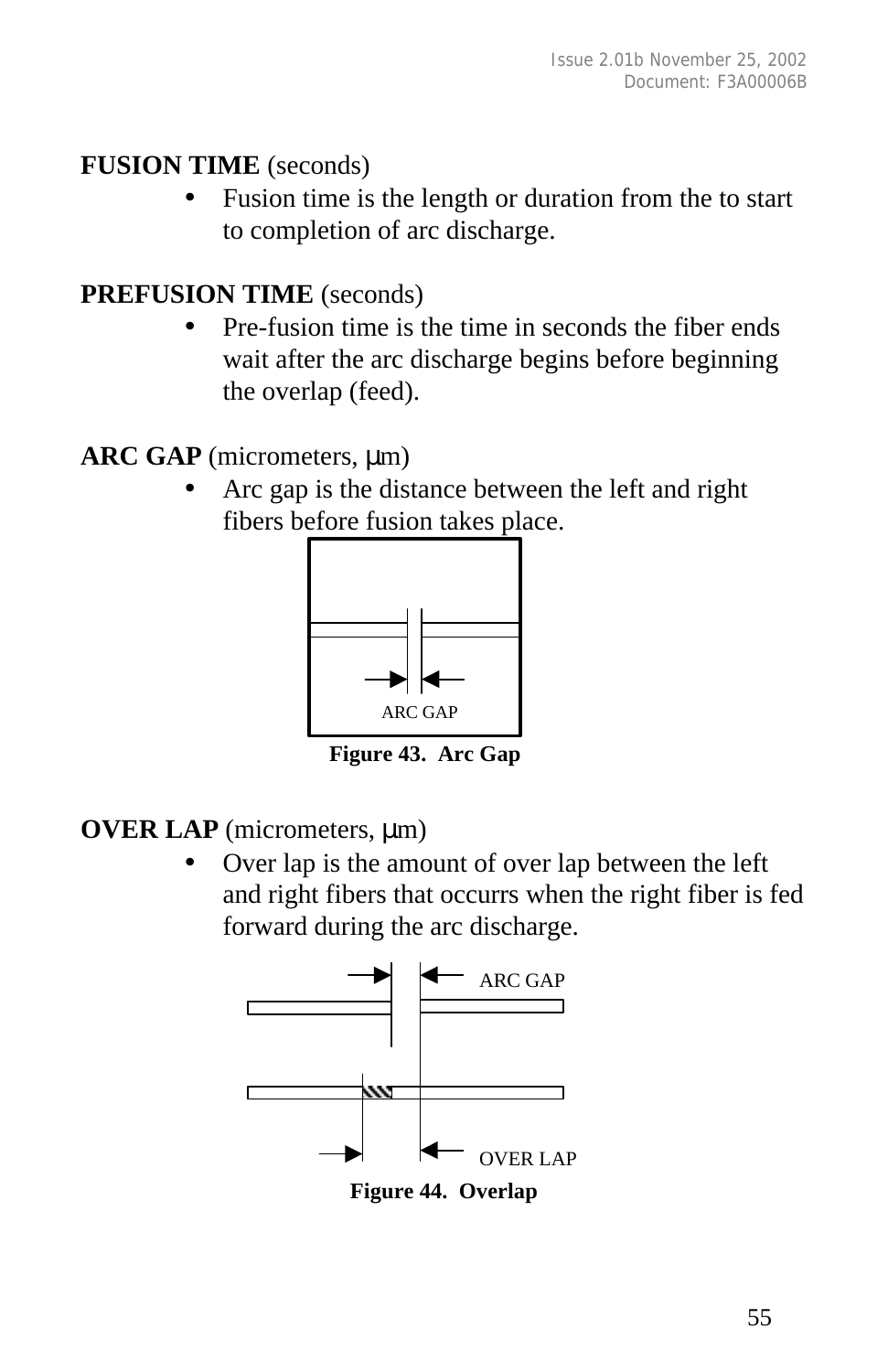## **FUSION TIME** (seconds)

Fusion time is the length or duration from the to start to completion of arc discharge.

# **PREFUSION TIME** (seconds)

• Pre-fusion time is the time in seconds the fiber ends wait after the arc discharge begins before beginning the overlap (feed).

# **ARC GAP** (micrometers, μm)

• Arc gap is the distance between the left and right fibers before fusion takes place.



 **Figure 43. Arc Gap**

**OVER LAP** (micrometers, μm)

• Over lap is the amount of over lap between the left and right fibers that occurrs when the right fiber is fed forward during the arc discharge.



**Figure 44. Overlap**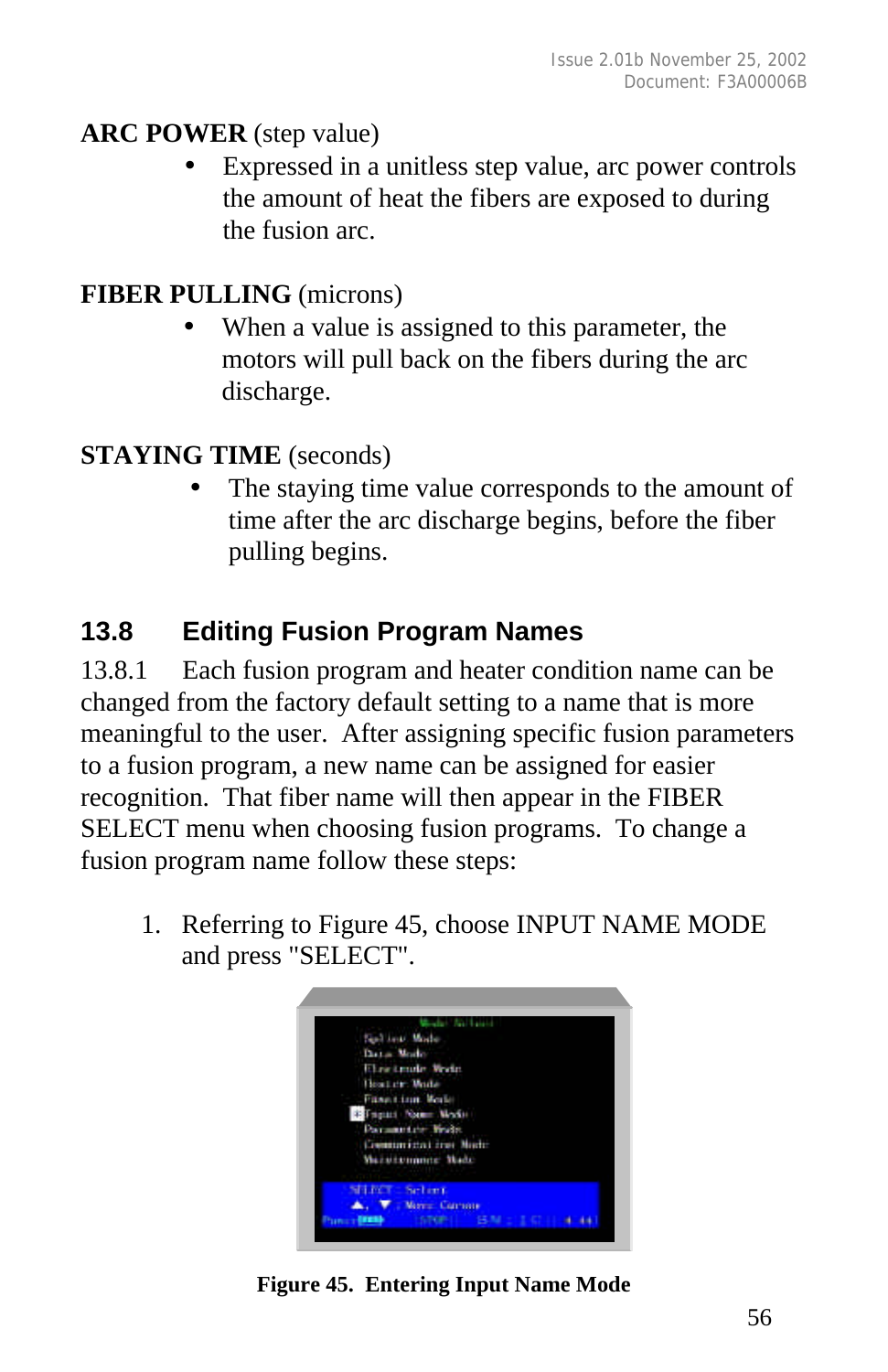#### **ARC POWER** (step value)

Expressed in a unitless step value, arc power controls the amount of heat the fibers are exposed to during the fusion arc.

### **FIBER PULLING** (microns)

When a value is assigned to this parameter, the motors will pull back on the fibers during the arc discharge.

## **STAYING TIME** (seconds)

The staying time value corresponds to the amount of time after the arc discharge begins, before the fiber pulling begins.

# **13.8 Editing Fusion Program Names**

13.8.1 Each fusion program and heater condition name can be changed from the factory default setting to a name that is more meaningful to the user. After assigning specific fusion parameters to a fusion program, a new name can be assigned for easier recognition. That fiber name will then appear in the FIBER SELECT menu when choosing fusion programs. To change a fusion program name follow these steps:

1. Referring to Figure 45, choose INPUT NAME MODE and press "SELECT".



**Figure 45. Entering Input Name Mode**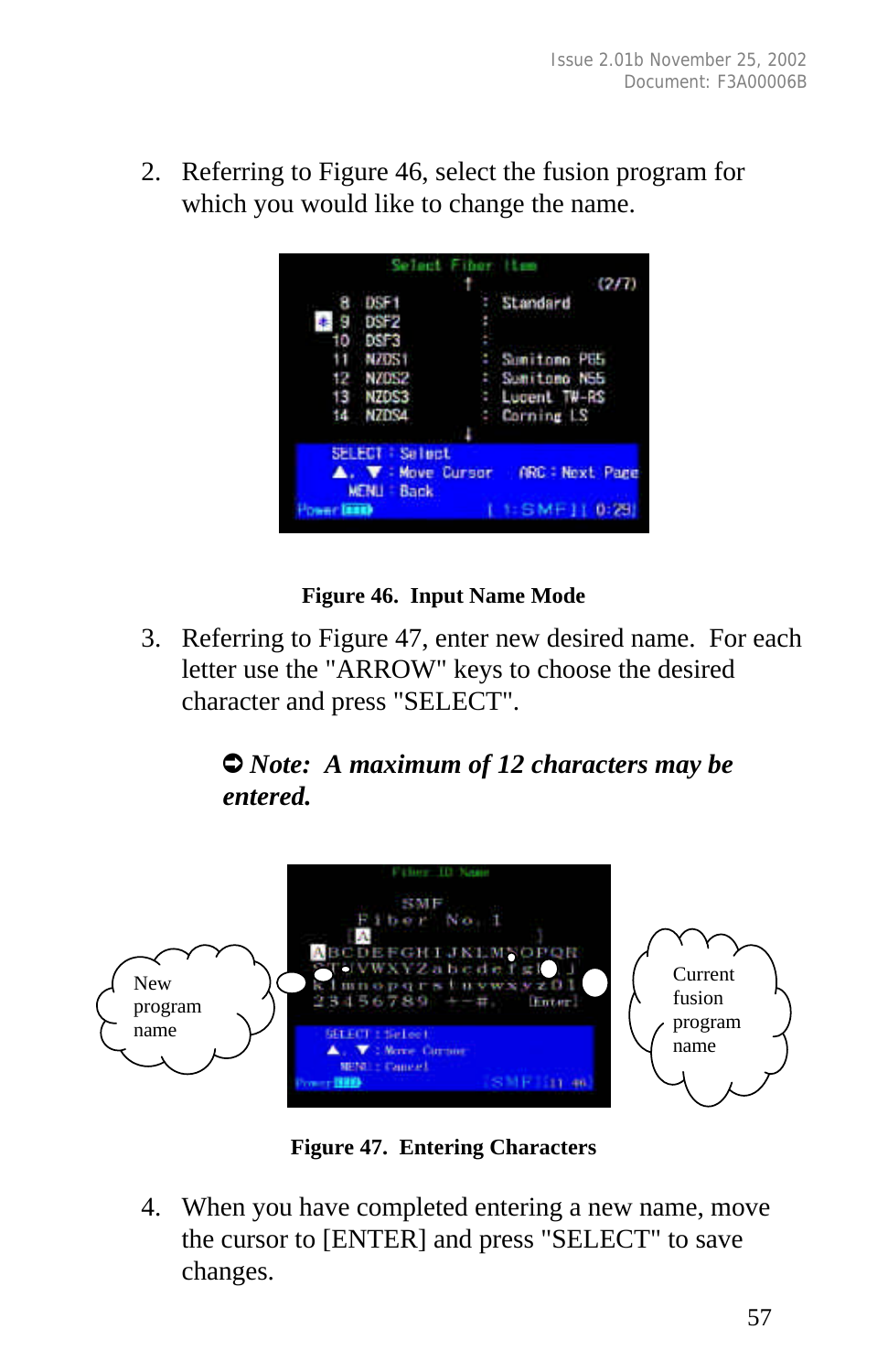2. Referring to Figure 46, select the fusion program for which you would like to change the name.



#### **Figure 46. Input Name Mode**

3. Referring to Figure 47, enter new desired name. For each letter use the "ARROW" keys to choose the desired character and press "SELECT".

#### Ú *Note: A maximum of 12 characters may be entered.*



**Figure 47. Entering Characters**

4. When you have completed entering a new name, move the cursor to [ENTER] and press "SELECT" to save changes.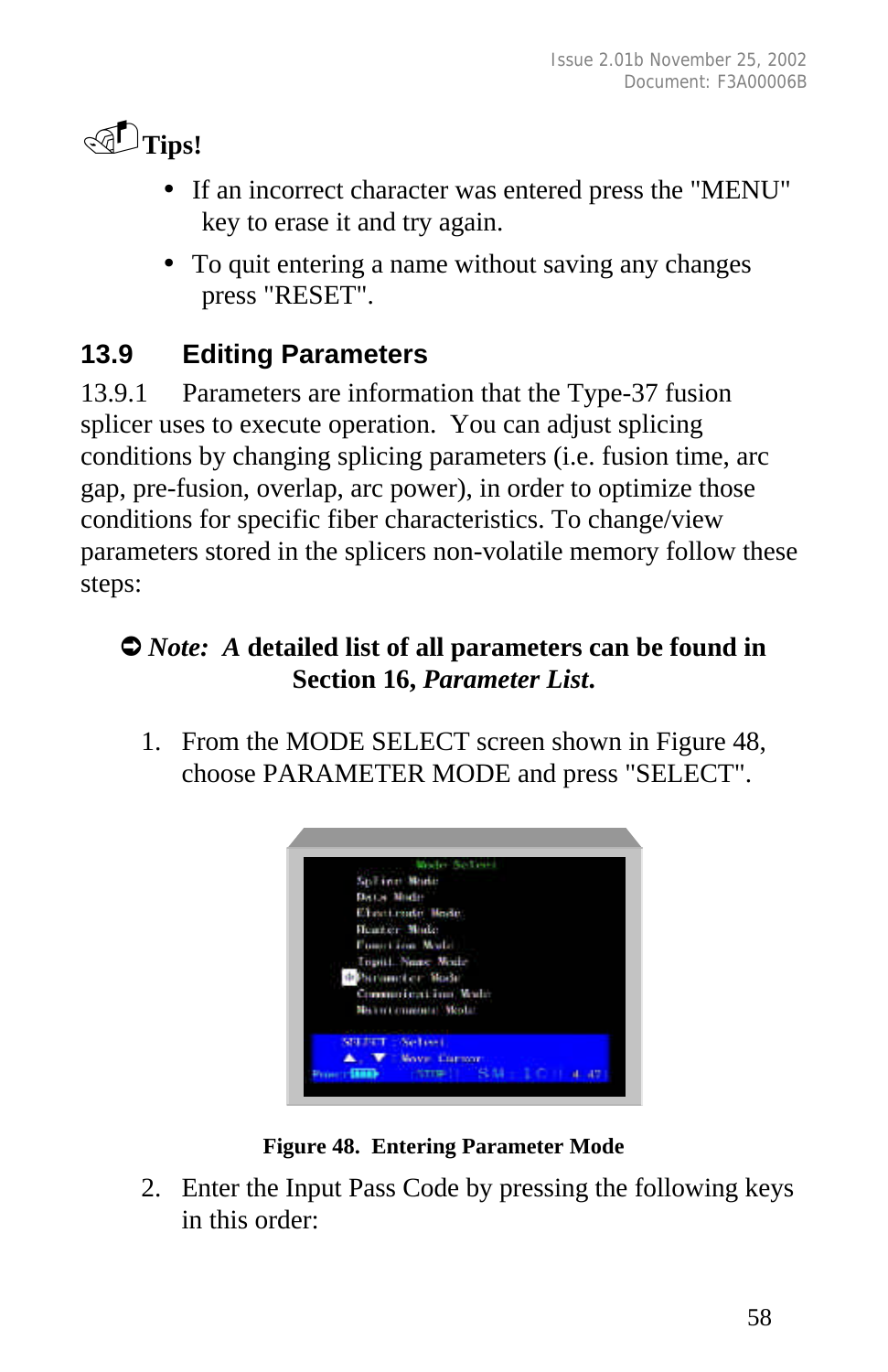

- If an incorrect character was entered press the "MENU" key to erase it and try again.
- To quit entering a name without saving any changes press "RESET".

# **13.9 Editing Parameters**

13.9.1 Parameters are information that the Type-37 fusion splicer uses to execute operation. You can adjust splicing conditions by changing splicing parameters (i.e. fusion time, arc gap, pre-fusion, overlap, arc power), in order to optimize those conditions for specific fiber characteristics. To change/view parameters stored in the splicers non-volatile memory follow these steps:

### Ú *Note: A* **detailed list of all parameters can be found in Section 16,** *Parameter List***.**

1. From the MODE SELECT screen shown in Figure 48, choose PARAMETER MODE and press "SELECT".



**Figure 48. Entering Parameter Mode**

2. Enter the Input Pass Code by pressing the following keys in this order: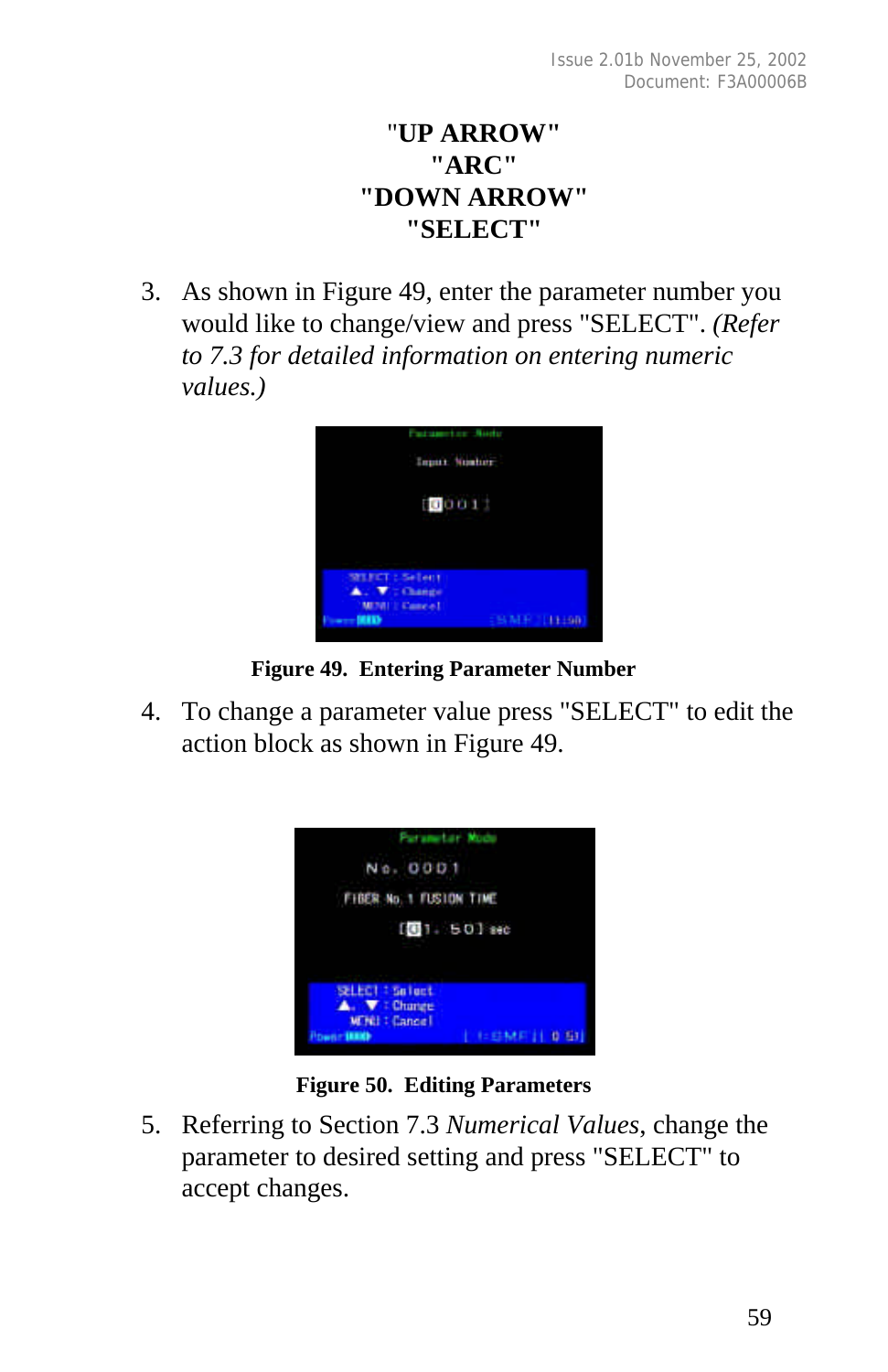### "**UP ARROW" "ARC" "DOWN ARROW" "SELECT"**

3. As shown in Figure 49, enter the parameter number you would like to change/view and press "SELECT". *(Refer to 7.3 for detailed information on entering numeric values.)*



**Figure 49. Entering Parameter Number**

4. To change a parameter value press "SELECT" to edit the action block as shown in Figure 49.



**Figure 50. Editing Parameters**

5. Referring to Section 7.3 *Numerical Values*, change the parameter to desired setting and press "SELECT" to accept changes.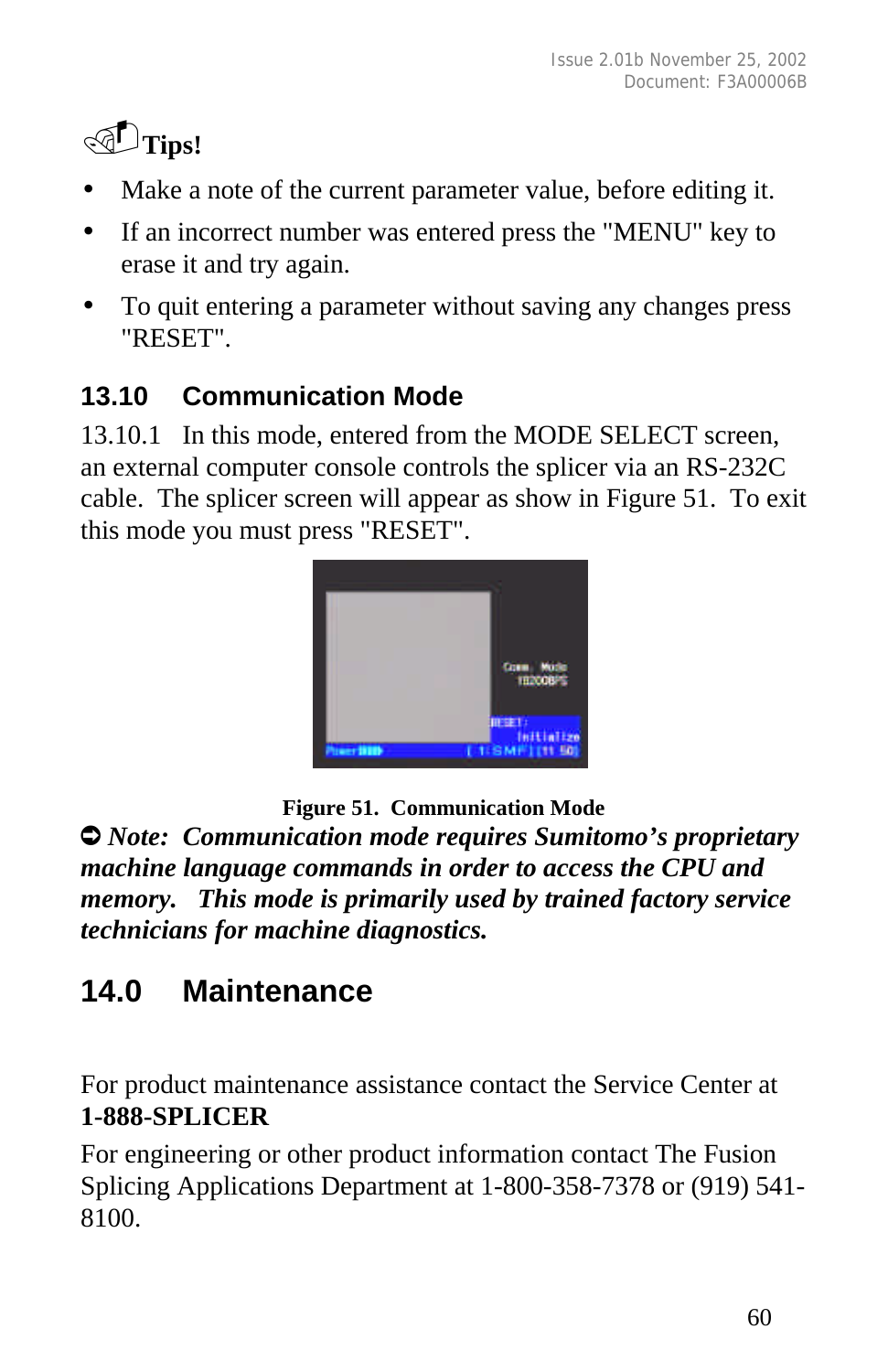

- Make a note of the current parameter value, before editing it.
- If an incorrect number was entered press the "MENU" key to erase it and try again.
- To quit entering a parameter without saving any changes press "RESET".

# **13.10 Communication Mode**

13.10.1 In this mode, entered from the MODE SELECT screen, an external computer console controls the splicer via an RS-232C cable. The splicer screen will appear as show in Figure 51. To exit this mode you must press "RESET".



**Figure 51. Communication Mode**

Ú *Note: Communication mode requires Sumitomo's proprietary machine language commands in order to access the CPU and memory. This mode is primarily used by trained factory service technicians for machine diagnostics.*

# **14.0 Maintenance**

For product maintenance assistance contact the Service Center at **1-888-SPLICER**

For engineering or other product information contact The Fusion Splicing Applications Department at 1-800-358-7378 or (919) 541- 8100.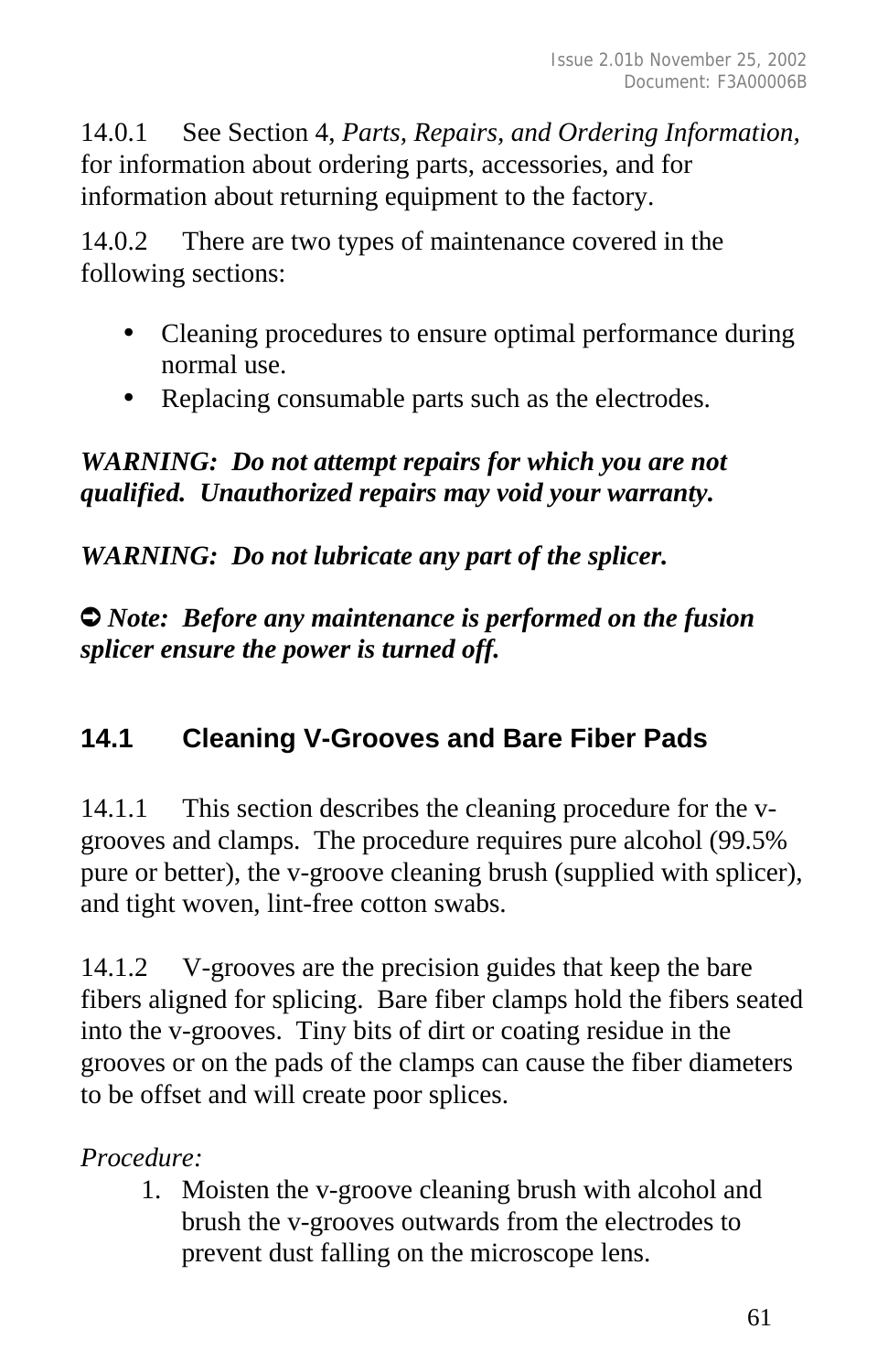14.0.1 See Section 4, *Parts, Repairs, and Ordering Information,* for information about ordering parts, accessories, and for information about returning equipment to the factory.

14.0.2 There are two types of maintenance covered in the following sections:

- Cleaning procedures to ensure optimal performance during normal use.
- Replacing consumable parts such as the electrodes.

### *WARNING: Do not attempt repairs for which you are not qualified. Unauthorized repairs may void your warranty.*

*WARNING: Do not lubricate any part of the splicer.*

Ú *Note: Before any maintenance is performed on the fusion splicer ensure the power is turned off.*

# **14.1 Cleaning V-Grooves and Bare Fiber Pads**

14.1.1 This section describes the cleaning procedure for the vgrooves and clamps. The procedure requires pure alcohol (99.5% pure or better), the v-groove cleaning brush (supplied with splicer), and tight woven, lint-free cotton swabs.

14.1.2 V-grooves are the precision guides that keep the bare fibers aligned for splicing. Bare fiber clamps hold the fibers seated into the v-grooves. Tiny bits of dirt or coating residue in the grooves or on the pads of the clamps can cause the fiber diameters to be offset and will create poor splices.

### *Procedure:*

1. Moisten the v-groove cleaning brush with alcohol and brush the v-grooves outwards from the electrodes to prevent dust falling on the microscope lens.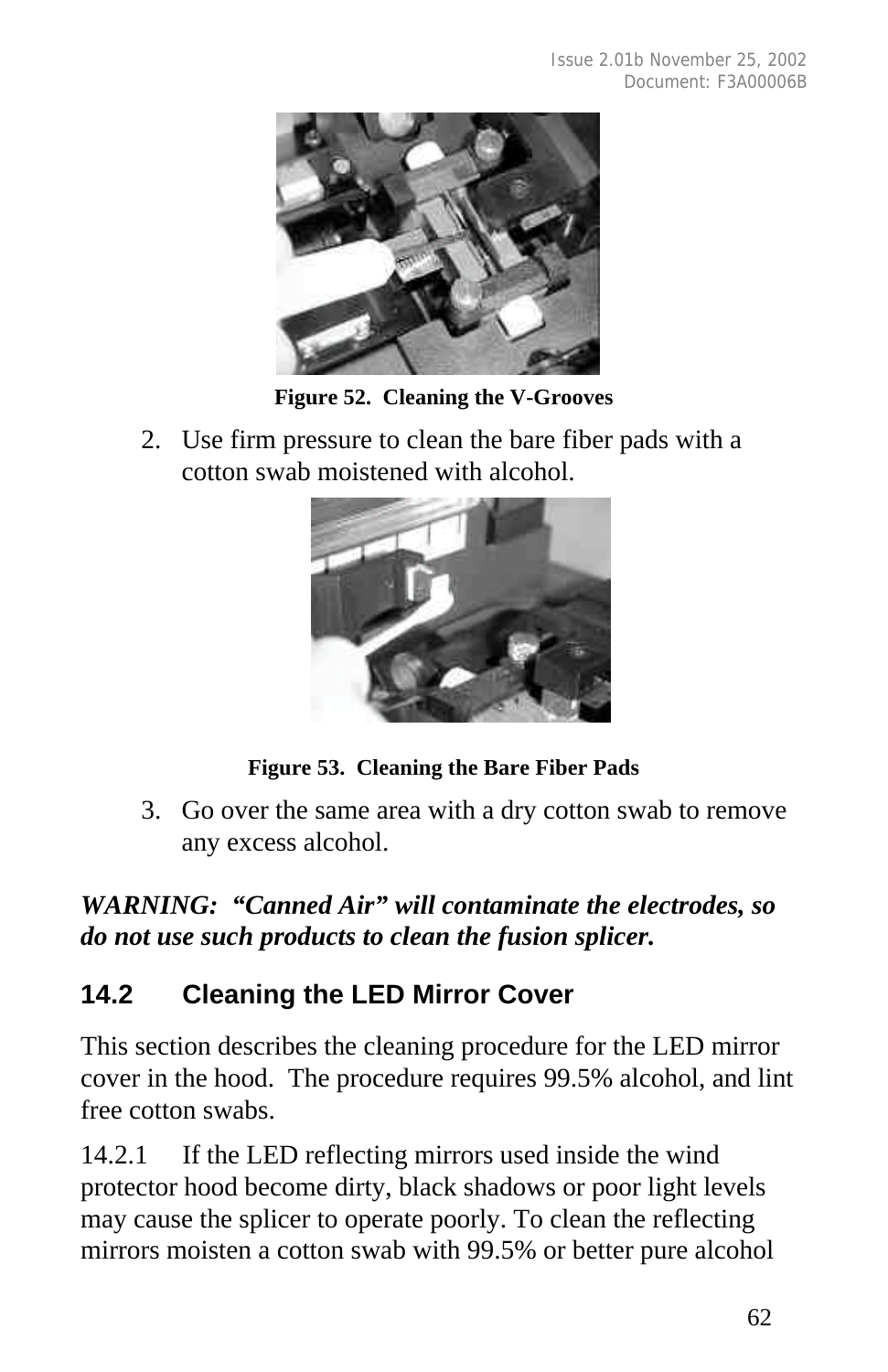

**Figure 52. Cleaning the V-Grooves**

2. Use firm pressure to clean the bare fiber pads with a cotton swab moistened with alcohol.



**Figure 53. Cleaning the Bare Fiber Pads**

3. Go over the same area with a dry cotton swab to remove any excess alcohol.

## *WARNING: "Canned Air" will contaminate the electrodes, so do not use such products to clean the fusion splicer.*

# **14.2 Cleaning the LED Mirror Cover**

This section describes the cleaning procedure for the LED mirror cover in the hood. The procedure requires 99.5% alcohol, and lint free cotton swabs.

14.2.1 If the LED reflecting mirrors used inside the wind protector hood become dirty, black shadows or poor light levels may cause the splicer to operate poorly. To clean the reflecting mirrors moisten a cotton swab with 99.5% or better pure alcohol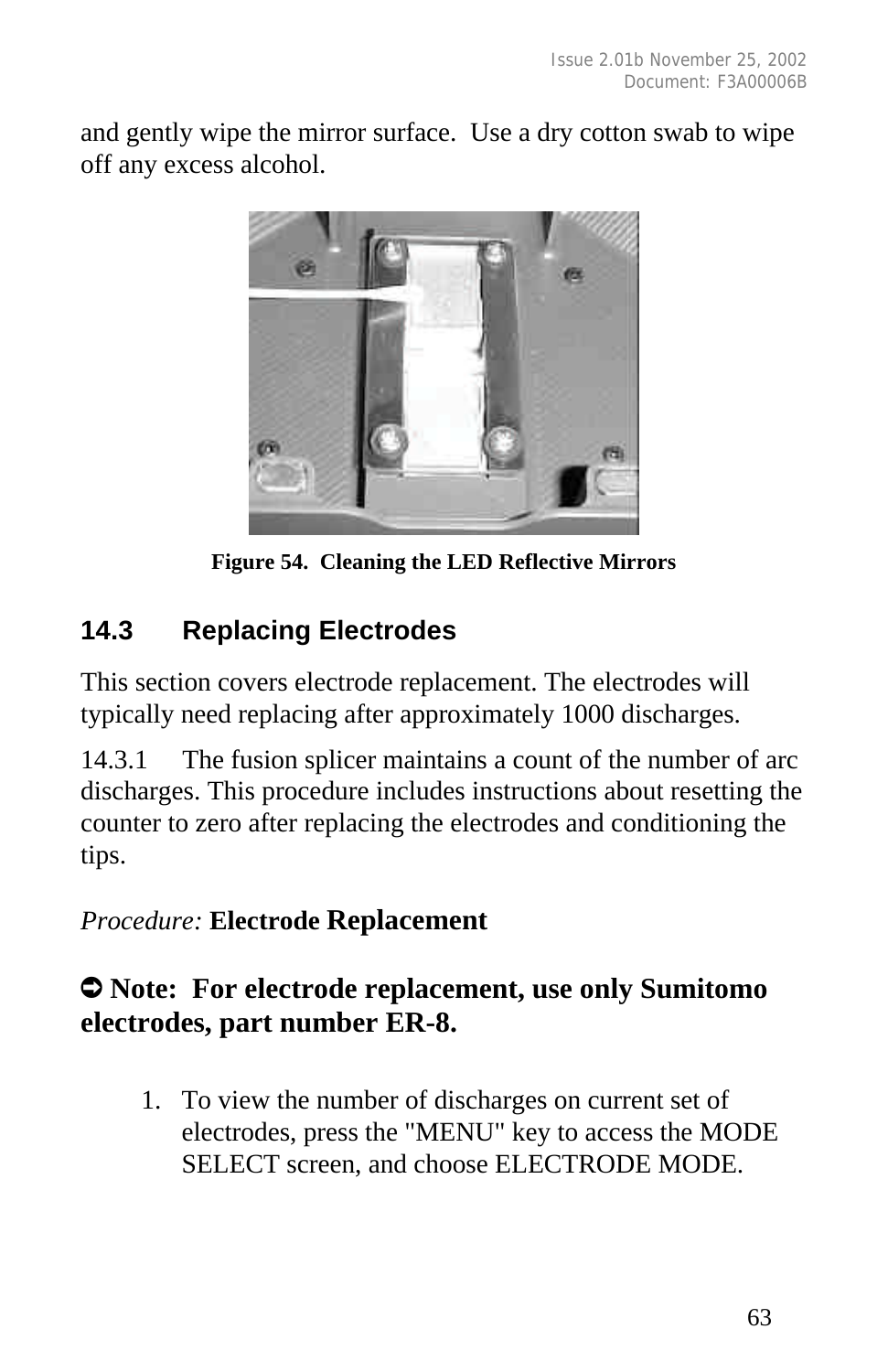and gently wipe the mirror surface. Use a dry cotton swab to wipe off any excess alcohol.



**Figure 54. Cleaning the LED Reflective Mirrors**

# **14.3 Replacing Electrodes**

This section covers electrode replacement. The electrodes will typically need replacing after approximately 1000 discharges.

14.3.1 The fusion splicer maintains a count of the number of arc discharges. This procedure includes instructions about resetting the counter to zero after replacing the electrodes and conditioning the tips.

*Procedure:* **Electrode Replacement**

# Ú **Note: For electrode replacement, use only Sumitomo electrodes, part number ER-8.**

1. To view the number of discharges on current set of electrodes, press the "MENU" key to access the MODE SELECT screen, and choose ELECTRODE MODE.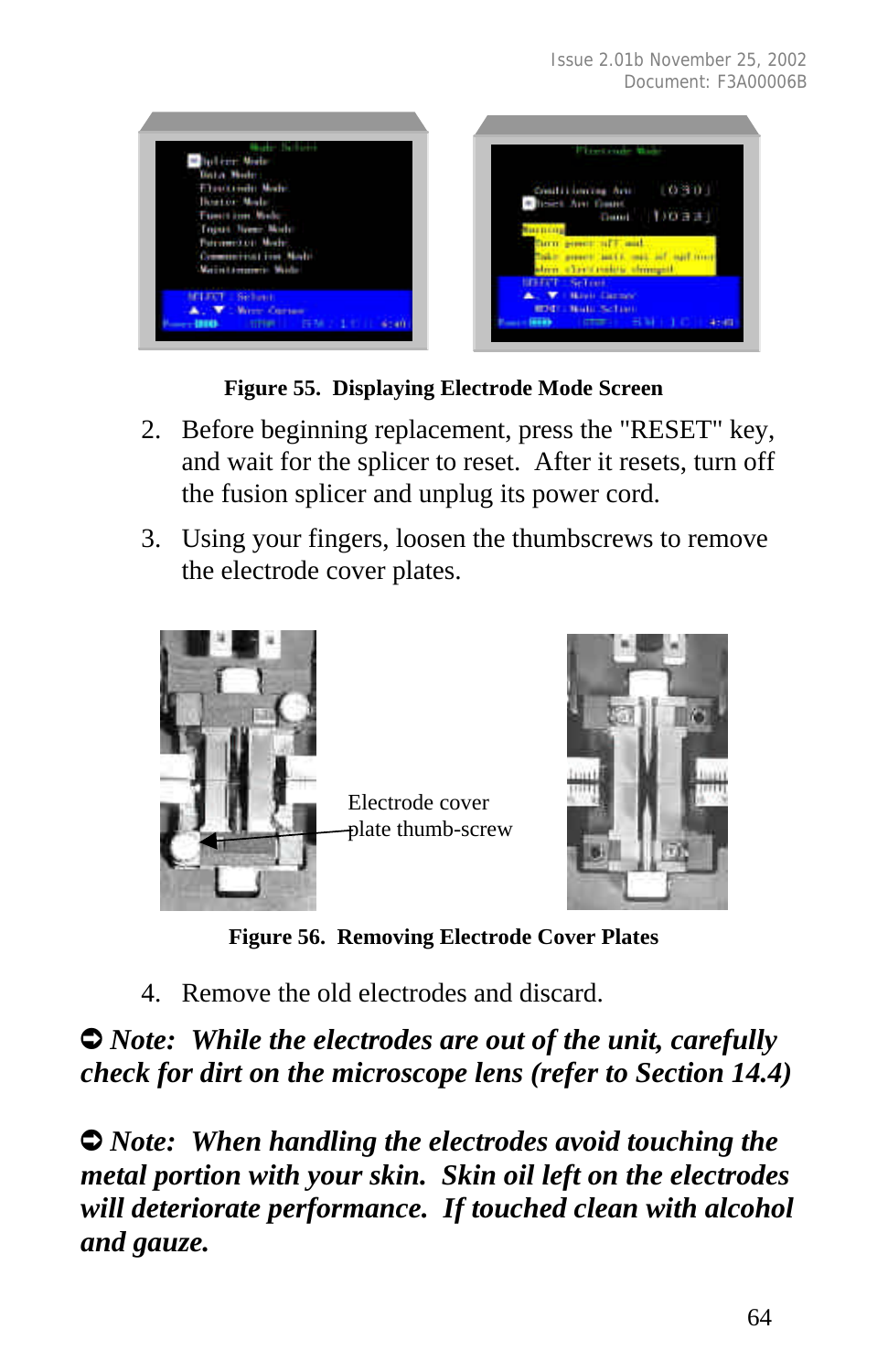

#### **Figure 55. Displaying Electrode Mode Screen**

- 2. Before beginning replacement, press the "RESET" key, and wait for the splicer to reset. After it resets, turn off the fusion splicer and unplug its power cord.
- 3. Using your fingers, loosen the thumbscrews to remove the electrode cover plates.



Electrode cover plate thumb-screw



**Figure 56. Removing Electrode Cover Plates**

4. Remove the old electrodes and discard.

 $\bullet$  *Note:* While the electrodes are out of the unit, carefully *check for dirt on the microscope lens (refer to Section 14.4)*

Ú *Note: When handling the electrodes avoid touching the metal portion with your skin. Skin oil left on the electrodes will deteriorate performance. If touched clean with alcohol and gauze.*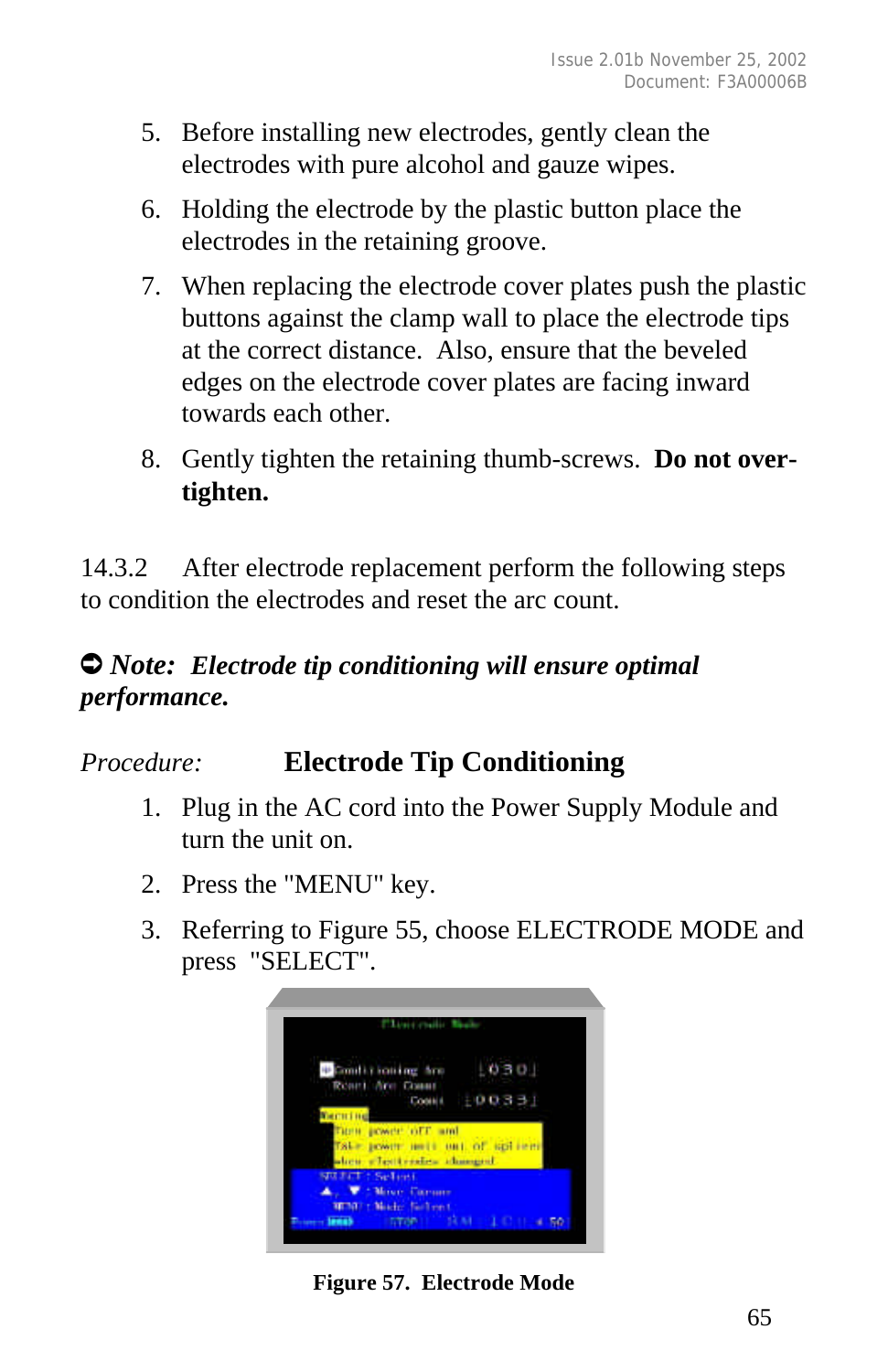- 5. Before installing new electrodes, gently clean the electrodes with pure alcohol and gauze wipes.
- 6. Holding the electrode by the plastic button place the electrodes in the retaining groove.
- 7. When replacing the electrode cover plates push the plastic buttons against the clamp wall to place the electrode tips at the correct distance. Also, ensure that the beveled edges on the electrode cover plates are facing inward towards each other.
- 8. Gently tighten the retaining thumb-screws. **Do not overtighten.**

14.3.2 After electrode replacement perform the following steps to condition the electrodes and reset the arc count.

## Ú *Note: Electrode tip conditioning will ensure optimal performance.*

# *Procedure:* **Electrode Tip Conditioning**

- 1. Plug in the AC cord into the Power Supply Module and turn the unit on.
- 2. Press the "MENU" key.
- 3. Referring to Figure 55, choose ELECTRODE MODE and press "SELECT".



**Figure 57. Electrode Mode**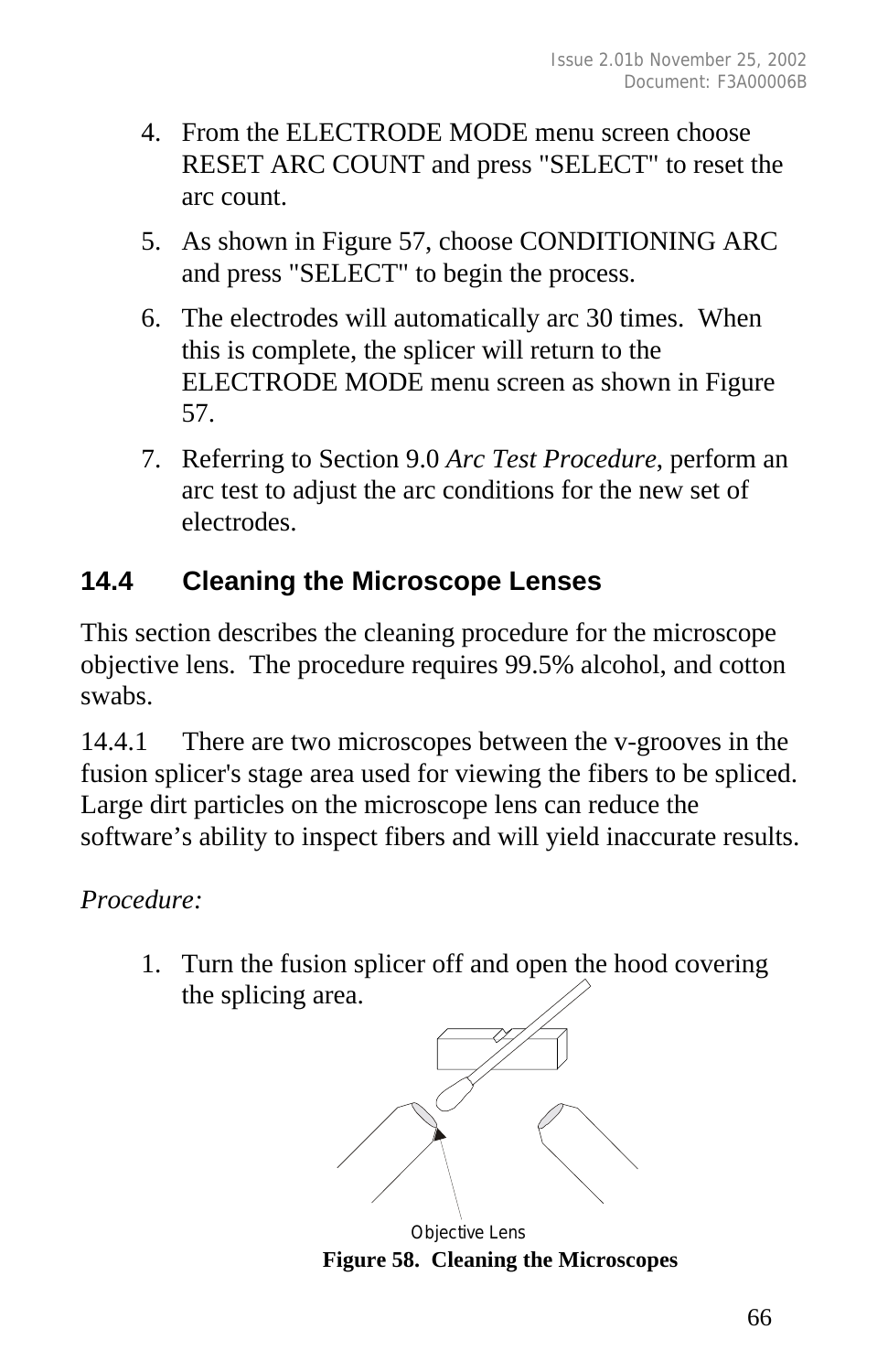- 4. From the ELECTRODE MODE menu screen choose RESET ARC COUNT and press "SELECT" to reset the arc count.
- 5. As shown in Figure 57, choose CONDITIONING ARC and press "SELECT" to begin the process.
- 6. The electrodes will automatically arc 30 times. When this is complete, the splicer will return to the ELECTRODE MODE menu screen as shown in Figure 57.
- 7. Referring to Section 9.0 *Arc Test Procedure*, perform an arc test to adjust the arc conditions for the new set of electrodes.

# **14.4 Cleaning the Microscope Lenses**

This section describes the cleaning procedure for the microscope objective lens. The procedure requires 99.5% alcohol, and cotton swabs.

14.4.1 There are two microscopes between the v-grooves in the fusion splicer's stage area used for viewing the fibers to be spliced. Large dirt particles on the microscope lens can reduce the software's ability to inspect fibers and will yield inaccurate results.

*Procedure:*

1. Turn the fusion splicer off and open the hood covering the splicing area.



 **Figure 58. Cleaning the Microscopes**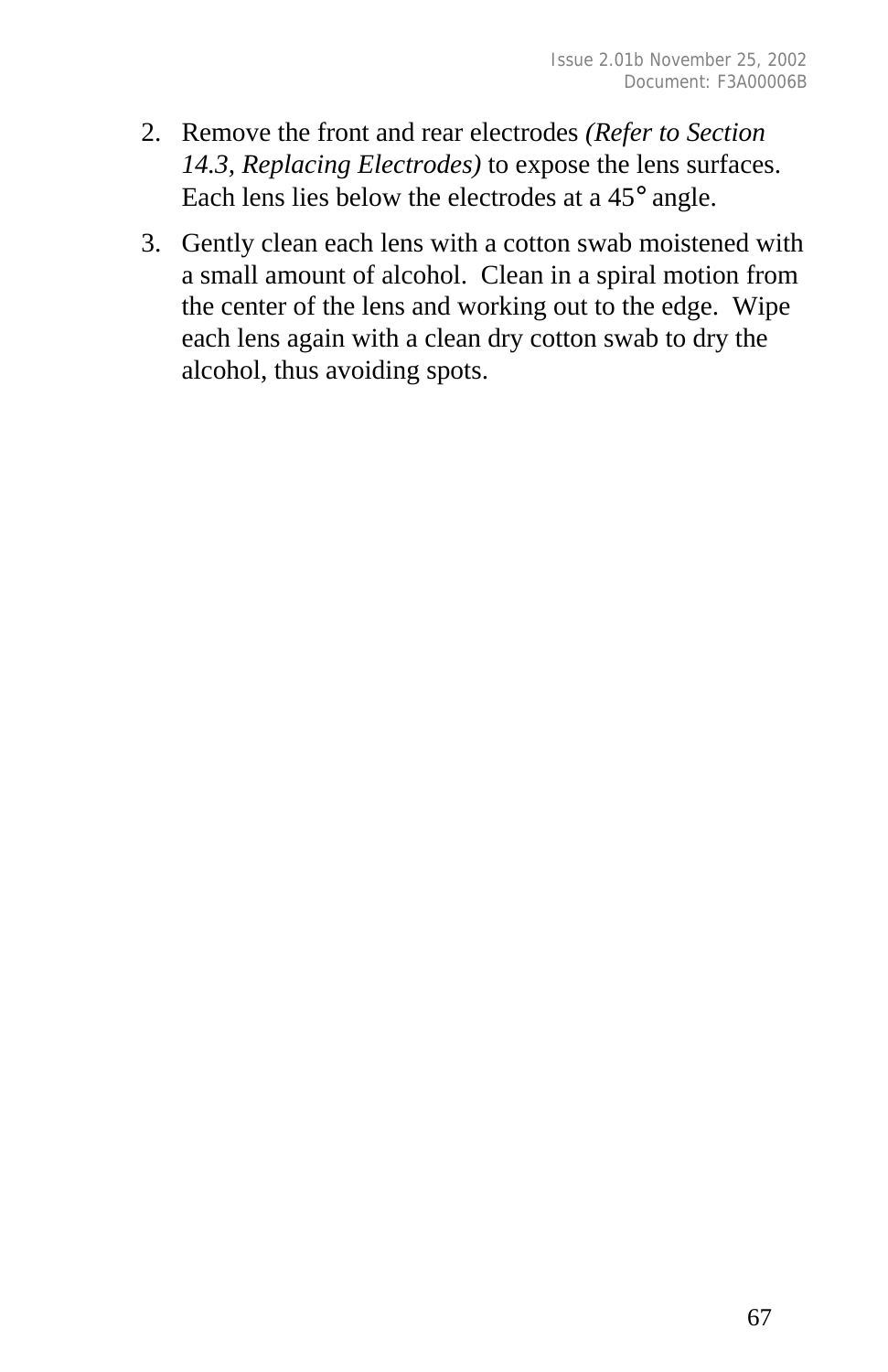- 2. Remove the front and rear electrodes *(Refer to Section 14.3, Replacing Electrodes)* to expose the lens surfaces. Each lens lies below the electrodes at a 45° angle.
- 3. Gently clean each lens with a cotton swab moistened with a small amount of alcohol. Clean in a spiral motion from the center of the lens and working out to the edge. Wipe each lens again with a clean dry cotton swab to dry the alcohol, thus avoiding spots.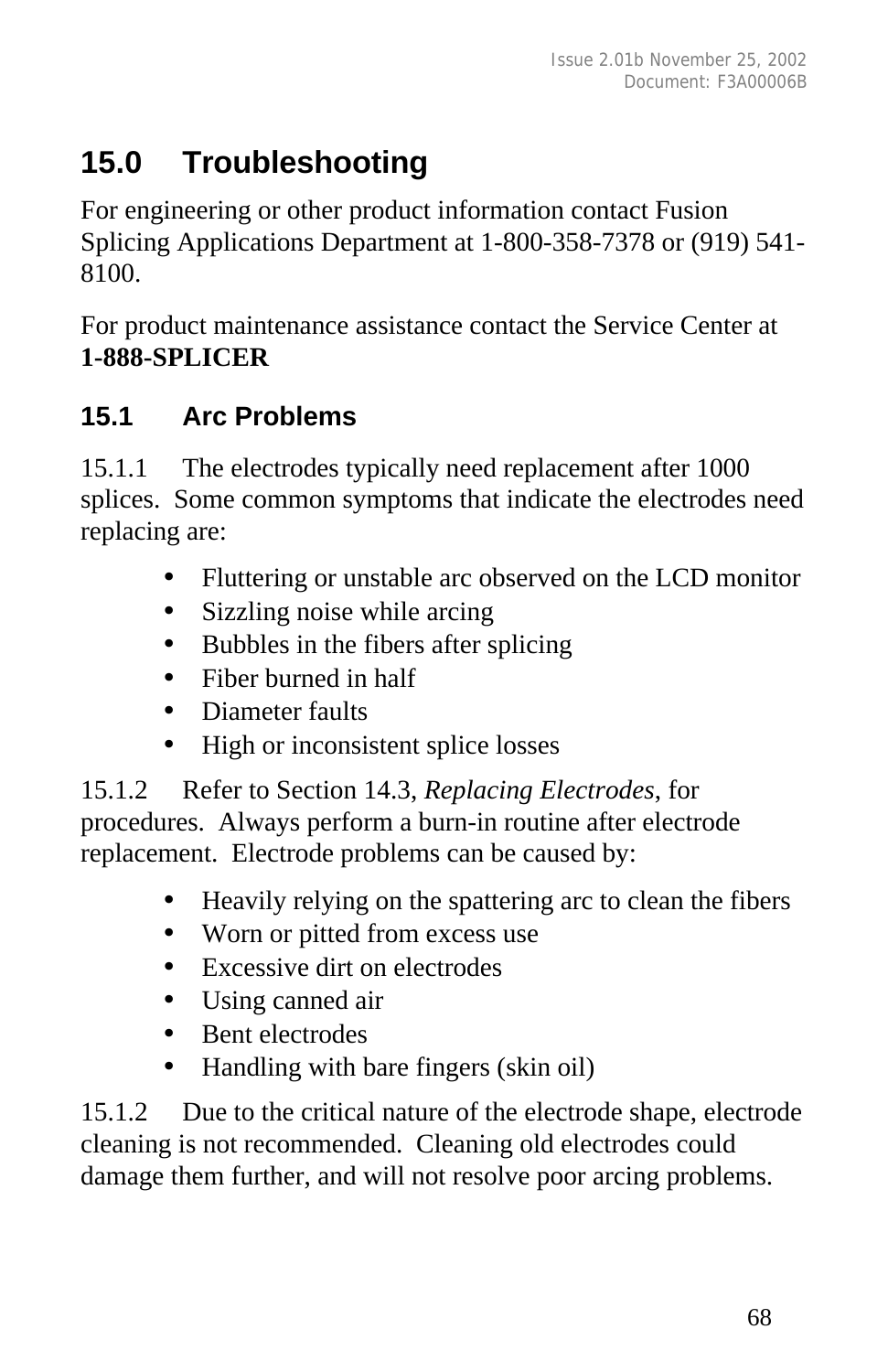# **15.0 Troubleshooting**

For engineering or other product information contact Fusion Splicing Applications Department at 1-800-358-7378 or (919) 541- 8100.

For product maintenance assistance contact the Service Center at **1-888-SPLICER**

## **15.1 Arc Problems**

15.1.1 The electrodes typically need replacement after 1000 splices. Some common symptoms that indicate the electrodes need replacing are:

- Fluttering or unstable arc observed on the LCD monitor
- Sizzling noise while arcing
- Bubbles in the fibers after splicing
- Fiber burned in half
- Diameter faults
- High or inconsistent splice losses

15.1.2 Refer to Section 14.3, *Replacing Electrodes*, for procedures. Always perform a burn-in routine after electrode replacement. Electrode problems can be caused by:

- Heavily relying on the spattering arc to clean the fibers
- Worn or pitted from excess use
- Excessive dirt on electrodes
- Using canned air
- Bent electrodes
- Handling with bare fingers (skin oil)

15.1.2 Due to the critical nature of the electrode shape, electrode cleaning is not recommended. Cleaning old electrodes could damage them further, and will not resolve poor arcing problems.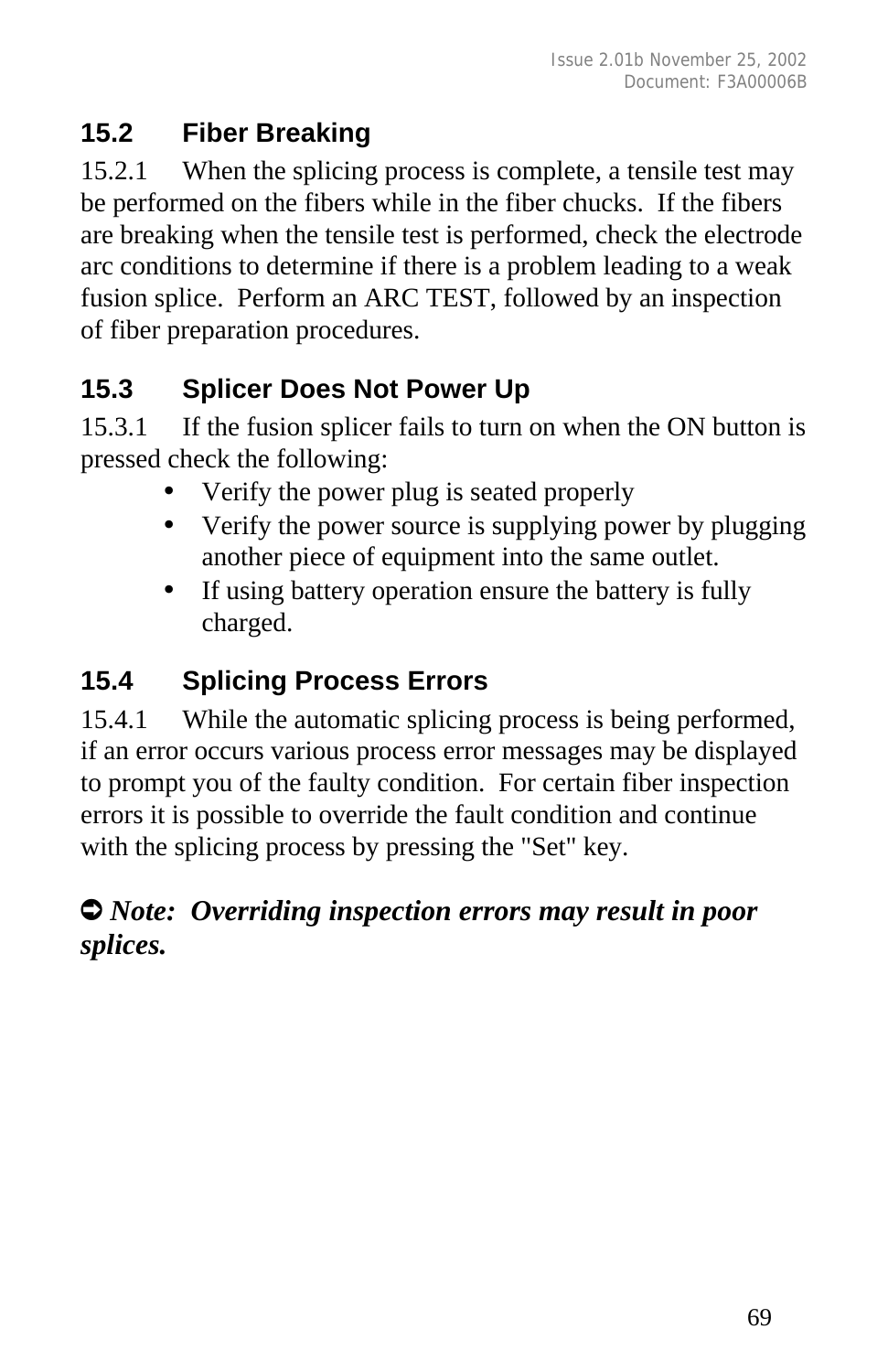## **15.2 Fiber Breaking**

15.2.1 When the splicing process is complete, a tensile test may be performed on the fibers while in the fiber chucks. If the fibers are breaking when the tensile test is performed, check the electrode arc conditions to determine if there is a problem leading to a weak fusion splice. Perform an ARC TEST, followed by an inspection of fiber preparation procedures.

## **15.3 Splicer Does Not Power Up**

15.3.1 If the fusion splicer fails to turn on when the ON button is pressed check the following:

- Verify the power plug is seated properly
- Verify the power source is supplying power by plugging another piece of equipment into the same outlet.
- If using battery operation ensure the battery is fully charged.

## **15.4 Splicing Process Errors**

15.4.1 While the automatic splicing process is being performed, if an error occurs various process error messages may be displayed to prompt you of the faulty condition. For certain fiber inspection errors it is possible to override the fault condition and continue with the splicing process by pressing the "Set" key.

## Ú *Note: Overriding inspection errors may result in poor splices.*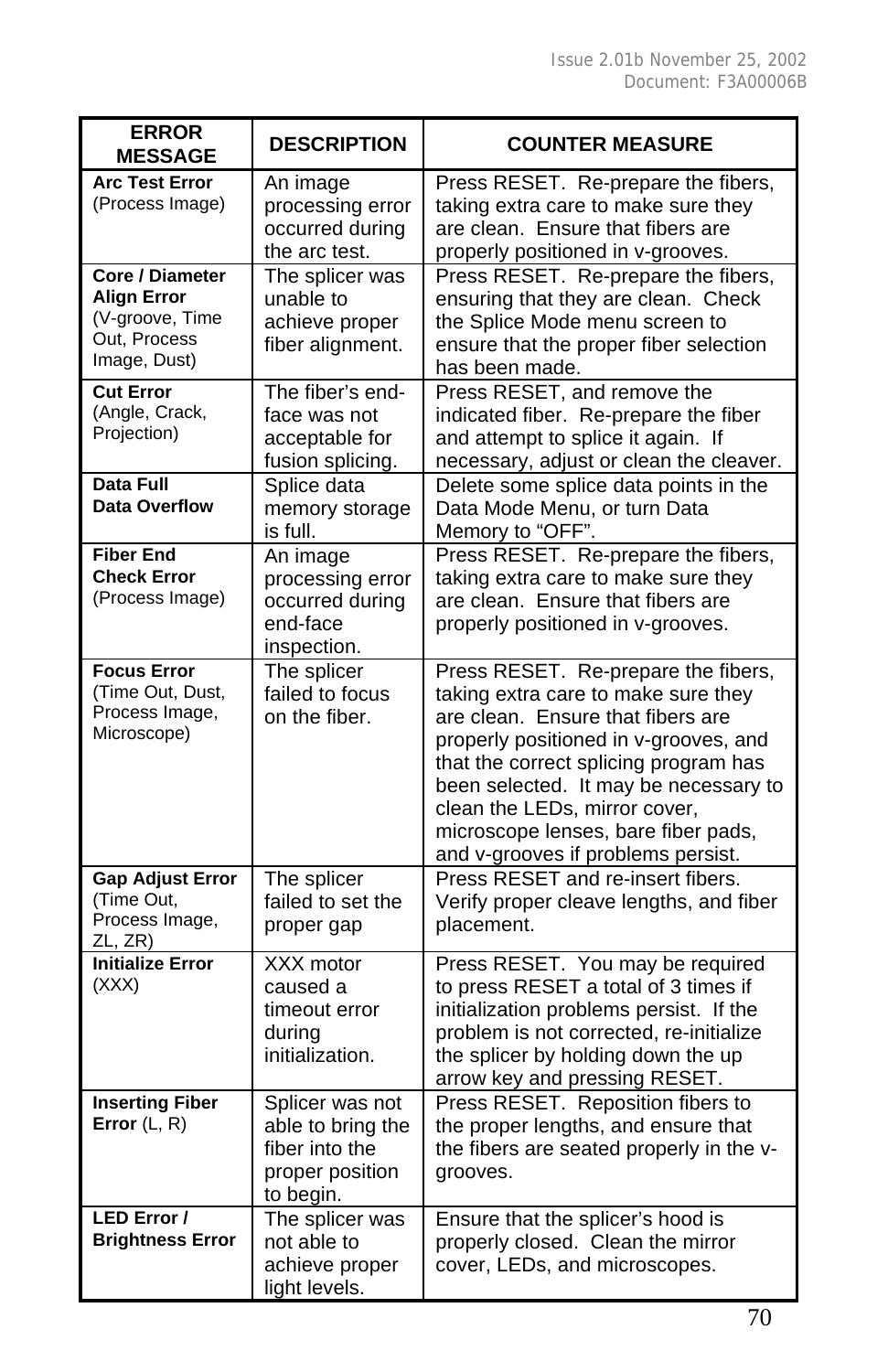| <b>ERROR</b><br><b>MESSAGE</b>                                                                  | <b>DESCRIPTION</b>                                                                     | <b>COUNTER MEASURE</b>                                                                                                                                                                                                                                                                                                                                   |
|-------------------------------------------------------------------------------------------------|----------------------------------------------------------------------------------------|----------------------------------------------------------------------------------------------------------------------------------------------------------------------------------------------------------------------------------------------------------------------------------------------------------------------------------------------------------|
| <b>Arc Test Error</b><br>(Process Image)                                                        | An image<br>processing error<br>occurred during<br>the arc test.                       | Press RESET. Re-prepare the fibers,<br>taking extra care to make sure they<br>are clean. Ensure that fibers are<br>properly positioned in v-grooves.                                                                                                                                                                                                     |
| <b>Core / Diameter</b><br><b>Align Error</b><br>(V-groove, Time<br>Out, Process<br>Image, Dust) | The splicer was<br>unable to<br>achieve proper<br>fiber alignment.                     | Press RESET. Re-prepare the fibers,<br>ensuring that they are clean. Check<br>the Splice Mode menu screen to<br>ensure that the proper fiber selection<br>has been made.                                                                                                                                                                                 |
| <b>Cut Error</b><br>(Angle, Crack,<br>Projection)                                               | The fiber's end-<br>face was not<br>acceptable for<br>fusion splicing.                 | Press RESET, and remove the<br>indicated fiber. Re-prepare the fiber<br>and attempt to splice it again. If<br>necessary, adjust or clean the cleaver.                                                                                                                                                                                                    |
| Data Full<br><b>Data Overflow</b>                                                               | Splice data<br>memory storage<br>is full.                                              | Delete some splice data points in the<br>Data Mode Menu, or turn Data<br>Memory to "OFF".                                                                                                                                                                                                                                                                |
| <b>Fiber End</b><br><b>Check Error</b><br>(Process Image)                                       | An image<br>processing error<br>occurred during<br>end-face<br>inspection.             | Press RESET. Re-prepare the fibers,<br>taking extra care to make sure they<br>are clean. Ensure that fibers are<br>properly positioned in v-grooves.                                                                                                                                                                                                     |
| <b>Focus Error</b><br>(Time Out, Dust,<br>Process Image,<br>Microscope)                         | The splicer<br>failed to focus<br>on the fiber.                                        | Press RESET. Re-prepare the fibers,<br>taking extra care to make sure they<br>are clean. Ensure that fibers are<br>properly positioned in v-grooves, and<br>that the correct splicing program has<br>been selected. It may be necessary to<br>clean the LEDs, mirror cover,<br>microscope lenses, bare fiber pads,<br>and v-grooves if problems persist. |
| <b>Gap Adjust Error</b><br>(Time Out,<br>Process Image,<br>ZL, ZR)                              | The splicer<br>failed to set the<br>proper gap                                         | Press RESET and re-insert fibers.<br>Verify proper cleave lengths, and fiber<br>placement.                                                                                                                                                                                                                                                               |
| <b>Initialize Error</b><br>(XXX)                                                                | XXX motor<br>caused a<br>timeout error<br>during<br>initialization.                    | Press RESET. You may be required<br>to press RESET a total of 3 times if<br>initialization problems persist. If the<br>problem is not corrected, re-initialize<br>the splicer by holding down the up<br>arrow key and pressing RESET.                                                                                                                    |
| <b>Inserting Fiber</b><br>Error $(L, R)$                                                        | Splicer was not<br>able to bring the<br>fiber into the<br>proper position<br>to begin. | Press RESET. Reposition fibers to<br>the proper lengths, and ensure that<br>the fibers are seated properly in the v-<br>grooves.                                                                                                                                                                                                                         |
| LED Error /<br><b>Brightness Error</b>                                                          | The splicer was<br>not able to<br>achieve proper<br>light levels.                      | Ensure that the splicer's hood is<br>properly closed. Clean the mirror<br>cover, LEDs, and microscopes.                                                                                                                                                                                                                                                  |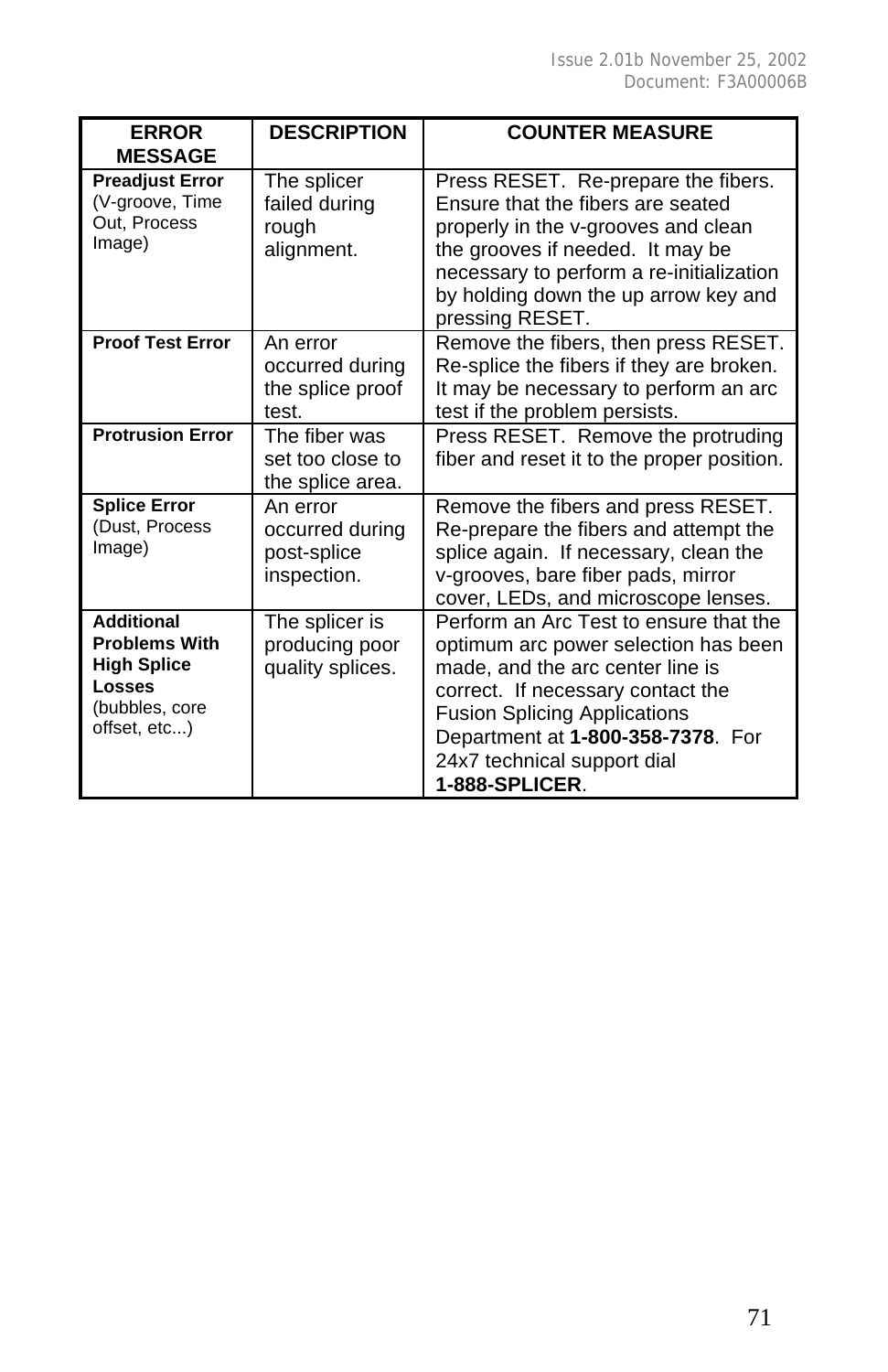| <b>ERROR</b><br><b>MESSAGE</b>                                                                                     | <b>DESCRIPTION</b>                                        | <b>COUNTER MEASURE</b>                                                                                                                                                                                                                                                               |
|--------------------------------------------------------------------------------------------------------------------|-----------------------------------------------------------|--------------------------------------------------------------------------------------------------------------------------------------------------------------------------------------------------------------------------------------------------------------------------------------|
| <b>Preadjust Error</b><br>(V-groove, Time<br>Out. Process<br>Image)                                                | The splicer<br>failed during<br>rough<br>alignment.       | Press RESET. Re-prepare the fibers.<br>Ensure that the fibers are seated<br>properly in the v-grooves and clean<br>the grooves if needed. It may be<br>necessary to perform a re-initialization<br>by holding down the up arrow key and<br>pressing RESET.                           |
| <b>Proof Test Error</b>                                                                                            | An error<br>occurred during<br>the splice proof<br>test.  | Remove the fibers, then press RESET.<br>Re-splice the fibers if they are broken.<br>It may be necessary to perform an arc<br>test if the problem persists.                                                                                                                           |
| <b>Protrusion Error</b>                                                                                            | The fiber was<br>set too close to<br>the splice area.     | Press RESET. Remove the protruding<br>fiber and reset it to the proper position.                                                                                                                                                                                                     |
| <b>Splice Error</b><br>(Dust, Process<br>Image)                                                                    | An error<br>occurred during<br>post-splice<br>inspection. | Remove the fibers and press RESET.<br>Re-prepare the fibers and attempt the<br>splice again. If necessary, clean the<br>v-grooves, bare fiber pads, mirror<br>cover, LEDs, and microscope lenses.                                                                                    |
| <b>Additional</b><br><b>Problems With</b><br><b>High Splice</b><br><b>Losses</b><br>(bubbles, core<br>offset, etc) | The splicer is<br>producing poor<br>quality splices.      | Perform an Arc Test to ensure that the<br>optimum arc power selection has been<br>made, and the arc center line is<br>correct. If necessary contact the<br><b>Fusion Splicing Applications</b><br>Department at 1-800-358-7378. For<br>24x7 technical support dial<br>1-888-SPLICER. |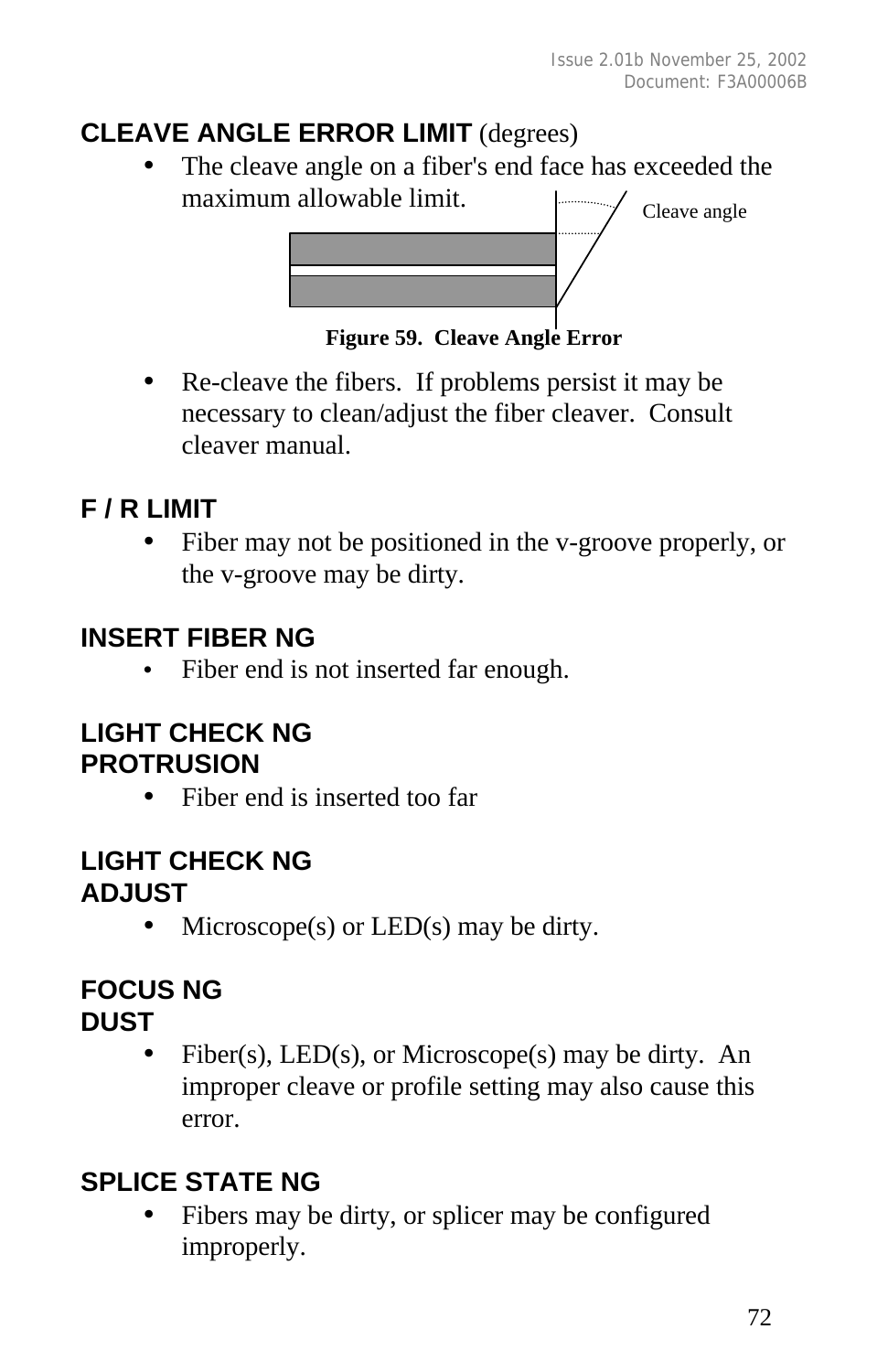## **CLEAVE ANGLE ERROR LIMIT** (degrees)

The cleave angle on a fiber's end face has exceeded the maximum allowable limit.



**Figure 59. Cleave Angle Error**

• Re-cleave the fibers. If problems persist it may be necessary to clean/adjust the fiber cleaver. Consult cleaver manual.

## **F / R LIMIT**

• Fiber may not be positioned in the v-groove properly, or the v-groove may be dirty.

## **INSERT FIBER NG**

• Fiber end is not inserted far enough.

## **LIGHT CHECK NG PROTRUSION**

• Fiber end is inserted too far

#### **LIGHT CHECK NG ADJUST**

• Microscope(s) or  $LED(s)$  may be dirty.

## **FOCUS NG**

## **DUST**

• Fiber(s),  $LED(s)$ , or Microscope(s) may be dirty. An improper cleave or profile setting may also cause this error.

## **SPLICE STATE NG**

Fibers may be dirty, or splicer may be configured improperly.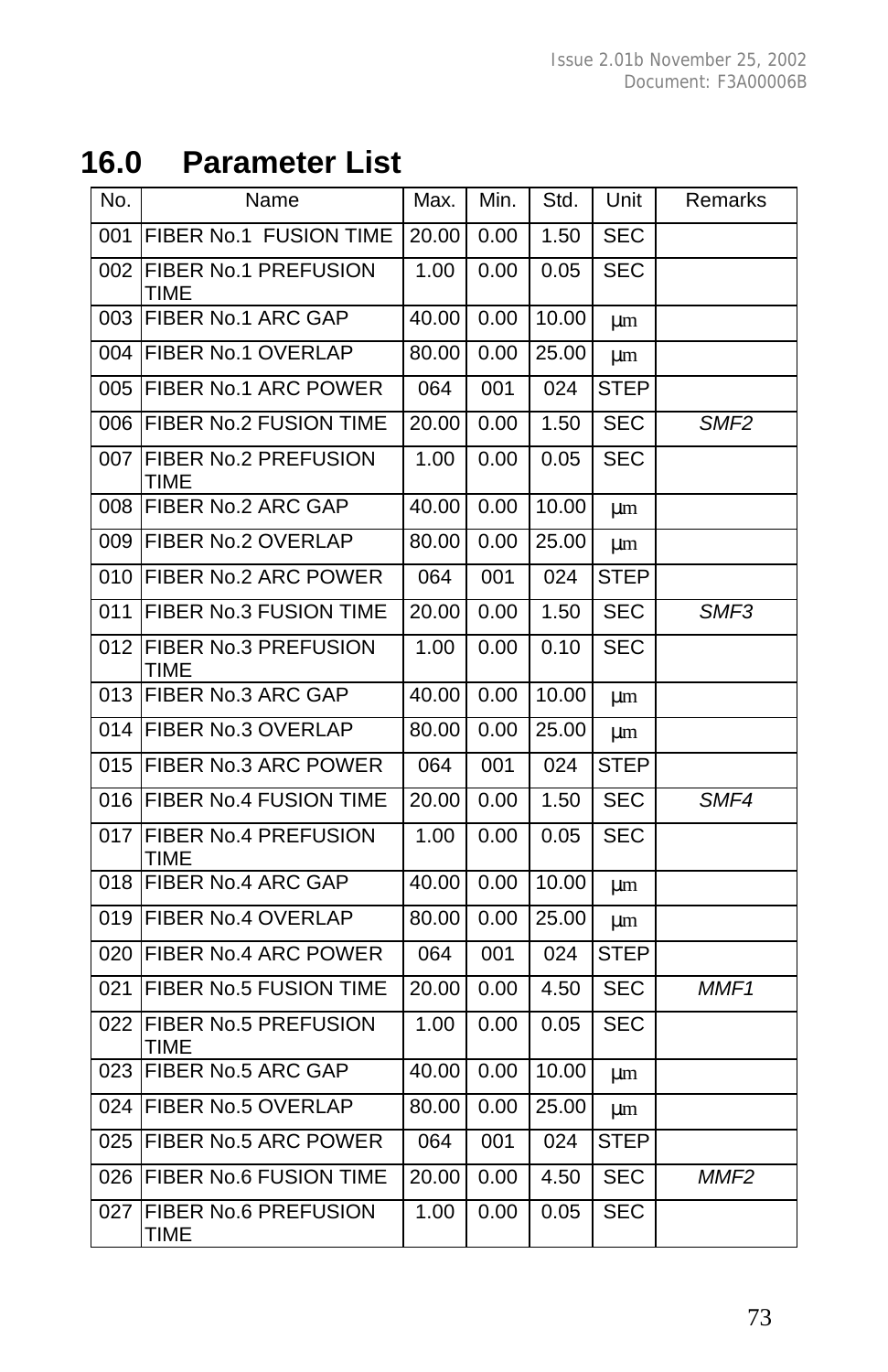# **16.0 Parameter List**

| No. | Name                                | Max.  | Min. | Std.  | Unit        | Remarks          |
|-----|-------------------------------------|-------|------|-------|-------------|------------------|
| 001 | FIBER No.1 FUSION TIME              | 20.00 | 0.00 | 1.50  | <b>SEC</b>  |                  |
| 002 | FIBER No.1 PREFUSION<br><b>TIME</b> | 1.00  | 0.00 | 0.05  | <b>SEC</b>  |                  |
| 003 | FIBER No.1 ARC GAP                  | 40.00 | 0.00 | 10.00 | μm          |                  |
| 004 | <b>FIBER No.1 OVERLAP</b>           | 80.00 | 0.00 | 25.00 | μm          |                  |
| 005 | <b>FIBER No.1 ARC POWER</b>         | 064   | 001  | 024   | <b>STEP</b> |                  |
| 006 | <b>FIBER No.2 FUSION TIME</b>       | 20.00 | 0.00 | 1.50  | <b>SEC</b>  | SMF <sub>2</sub> |
| 007 | FIBER No.2 PREFUSION<br>TIME        | 1.00  | 0.00 | 0.05  | <b>SEC</b>  |                  |
| 008 | FIBER No.2 ARC GAP                  | 40.00 | 0.00 | 10.00 | μm          |                  |
| 009 | <b>FIBER No.2 OVERLAP</b>           | 80.00 | 0.00 | 25.00 | μm          |                  |
| 010 | FIBER No.2 ARC POWER                | 064   | 001  | 024   | <b>STEP</b> |                  |
| 011 | FIBER No.3 FUSION TIME              | 20.00 | 0.00 | 1.50  | SEC         | SMF3             |
| 012 | FIBER No.3 PREFUSION<br><b>TIME</b> | 1.00  | 0.00 | 0.10  | <b>SEC</b>  |                  |
| 013 | FIBER No.3 ARC GAP                  | 40.00 | 0.00 | 10.00 | μm          |                  |
| 014 | <b>FIBER No.3 OVERLAP</b>           | 80.00 | 0.00 | 25.00 | μm          |                  |
| 015 | <b>FIBER No.3 ARC POWER</b>         | 064   | 001  | 024   | <b>STEP</b> |                  |
| 016 | FIBER No.4 FUSION TIME              | 20.00 | 0.00 | 1.50  | SEC         | SMF4             |
| 017 | FIBER No.4 PREFUSION<br><b>TIME</b> | 1.00  | 0.00 | 0.05  | <b>SEC</b>  |                  |
| 018 | FIBER No.4 ARC GAP                  | 40.00 | 0.00 | 10.00 | μm          |                  |
| 019 | FIBER No.4 OVERLAP                  | 80.00 | 0.00 | 25.00 | μm          |                  |
| 020 | <b>FIBER No.4 ARC POWER</b>         | 064   | 001  | 024   | <b>STEP</b> |                  |
| 021 | FIBER No.5 FUSION TIME              | 20.00 | 0.00 | 4.50  | <b>SEC</b>  | MMF <sub>1</sub> |
| 022 | FIBER No.5 PREFUSION<br><b>TIME</b> | 1.00  | 0.00 | 0.05  | <b>SEC</b>  |                  |
| 023 | <b>FIBER No.5 ARC GAP</b>           | 40.00 | 0.00 | 10.00 | μm          |                  |
| 024 | <b>FIBER No.5 OVERLAP</b>           | 80.00 | 0.00 | 25.00 | μm          |                  |
| 025 | <b>FIBER No.5 ARC POWER</b>         | 064   | 001  | 024   | <b>STEP</b> |                  |
| 026 | FIBER No.6 FUSION TIME              | 20.00 | 0.00 | 4.50  | <b>SEC</b>  | MMF <sub>2</sub> |
| 027 | FIBER No.6 PREFUSION<br><b>TIME</b> | 1.00  | 0.00 | 0.05  | <b>SEC</b>  |                  |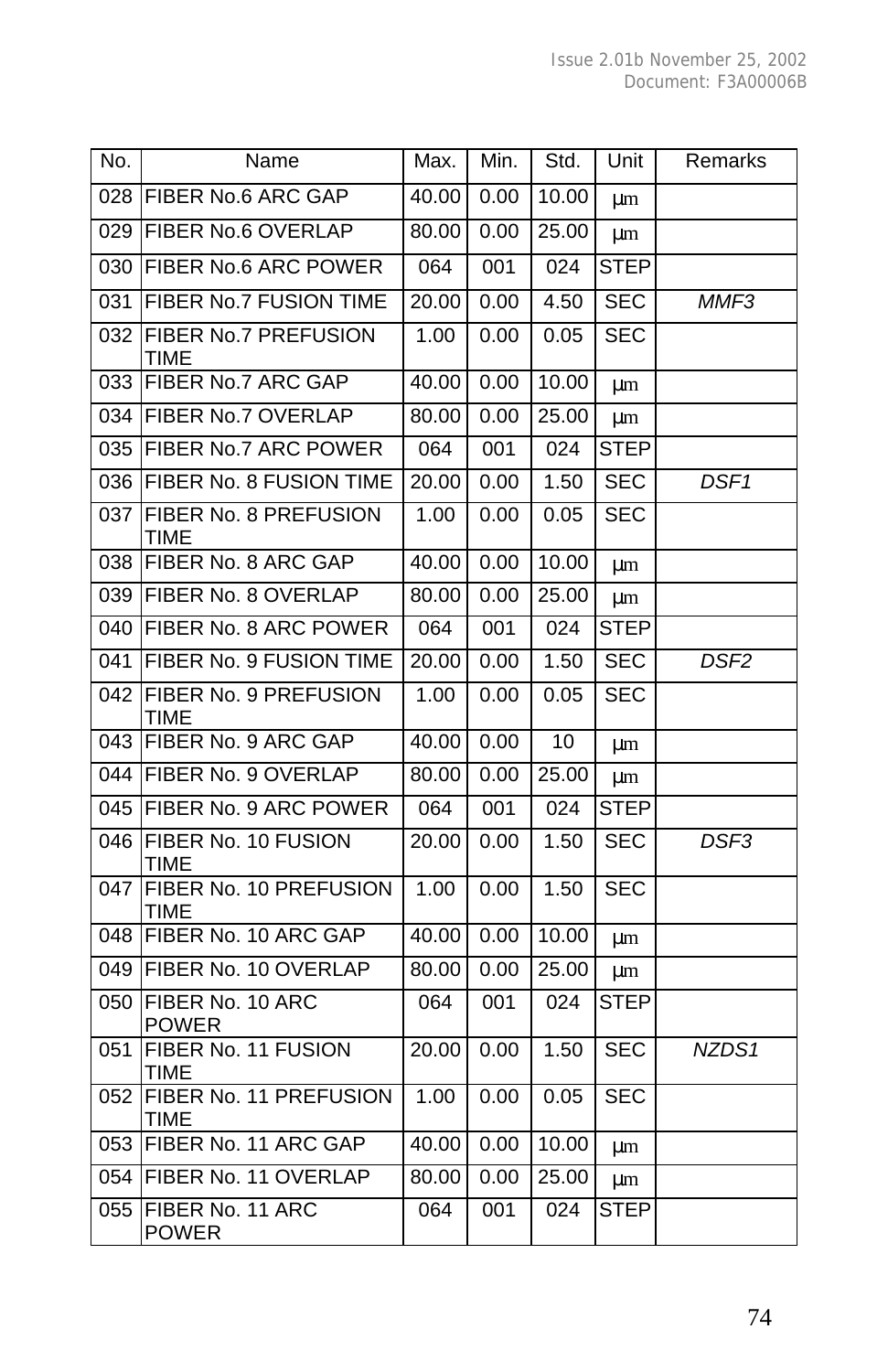| No. | Name                                | Max.  | Min. | Std.             | Unit        | Remarks          |
|-----|-------------------------------------|-------|------|------------------|-------------|------------------|
|     | 028 FIBER No.6 ARC GAP              | 40.00 | 0.00 | 10.00            | μm          |                  |
| 029 | <b>FIBER No.6 OVERLAP</b>           | 80.00 | 0.00 | 25.00            | μm          |                  |
| 030 | <b>FIBER No.6 ARC POWER</b>         | 064   | 001  | 024              | <b>STEP</b> |                  |
| 031 | FIBER No.7 FUSION TIME              | 20.00 | 0.00 | 4.50             | <b>SEC</b>  | MMF3             |
| 032 | <b>FIBER No.7 PREFUSION</b><br>TIME | 1.00  | 0.00 | 0.05             | <b>SEC</b>  |                  |
| 033 | <b>FIBER No.7 ARC GAP</b>           | 40.00 | 0.00 | 10.00            | μm          |                  |
| 034 | <b>FIBER No.7 OVERLAP</b>           | 80.00 | 0.00 | 25.00            | μm          |                  |
| 035 | FIBER No.7 ARC POWER                | 064   | 001  | 024              | <b>STEP</b> |                  |
| 036 | <b>FIBER No. 8 FUSION TIME</b>      | 20.00 | 0.00 | 1.50             | <b>SEC</b>  | DSF <sub>1</sub> |
| 037 | FIBER No. 8 PREFUSION<br>TIME       | 1.00  | 0.00 | 0.05             | <b>SEC</b>  |                  |
| 038 | FIBER No. 8 ARC GAP                 | 40.00 | 0.00 | 10.00            | μm          |                  |
| 039 | FIBER No. 8 OVERLAP                 | 80.00 | 0.00 | 25.00            | μm          |                  |
| 040 | <b>FIBER No. 8 ARC POWER</b>        | 064   | 001  | $\overline{024}$ | <b>STEP</b> |                  |
| 041 | <b>FIBER No. 9 FUSION TIME</b>      | 20.00 | 0.00 | 1.50             | <b>SEC</b>  | DSF <sub>2</sub> |
| 042 | FIBER No. 9 PREFUSION<br>TIME       | 1.00  | 0.00 | 0.05             | <b>SEC</b>  |                  |
| 043 | FIBER No. 9 ARC GAP                 | 40.00 | 0.00 | 10               | μm          |                  |
| 044 | FIBER No. 9 OVERLAP                 | 80.00 | 0.00 | 25.00            | μm          |                  |
| 045 | FIBER No. 9 ARC POWER               | 064   | 001  | 024              | <b>STEP</b> |                  |
| 046 | FIBER No. 10 FUSION<br><b>TIME</b>  | 20.00 | 0.00 | 1.50             | SEC         | DSF3             |
| 047 | FIBER No. 10 PREFUSION<br>TIME      | 1.00  | 0.00 | 1.50             | SEC         |                  |
| 048 | FIBER No. 10 ARC GAP                | 40.00 | 0.00 | 10.00            | μm          |                  |
| 049 | FIBER No. 10 OVERLAP                | 80.00 | 0.00 | 25.00            | μm          |                  |
| 050 | FIBER No. 10 ARC<br><b>POWER</b>    | 064   | 001  | 024              | <b>STEP</b> |                  |
| 051 | FIBER No. 11 FUSION<br><b>TIME</b>  | 20.00 | 0.00 | 1.50             | <b>SEC</b>  | NZDS1            |
| 052 | FIBER No. 11 PREFUSION<br>TIME      | 1.00  | 0.00 | 0.05             | <b>SEC</b>  |                  |
| 053 | FIBER No. 11 ARC GAP                | 40.00 | 0.00 | 10.00            | μm          |                  |
| 054 | FIBER No. 11 OVERLAP                | 80.00 | 0.00 | 25.00            | μm          |                  |
| 055 | FIBER No. 11 ARC<br><b>POWER</b>    | 064   | 001  | 024              | <b>STEP</b> |                  |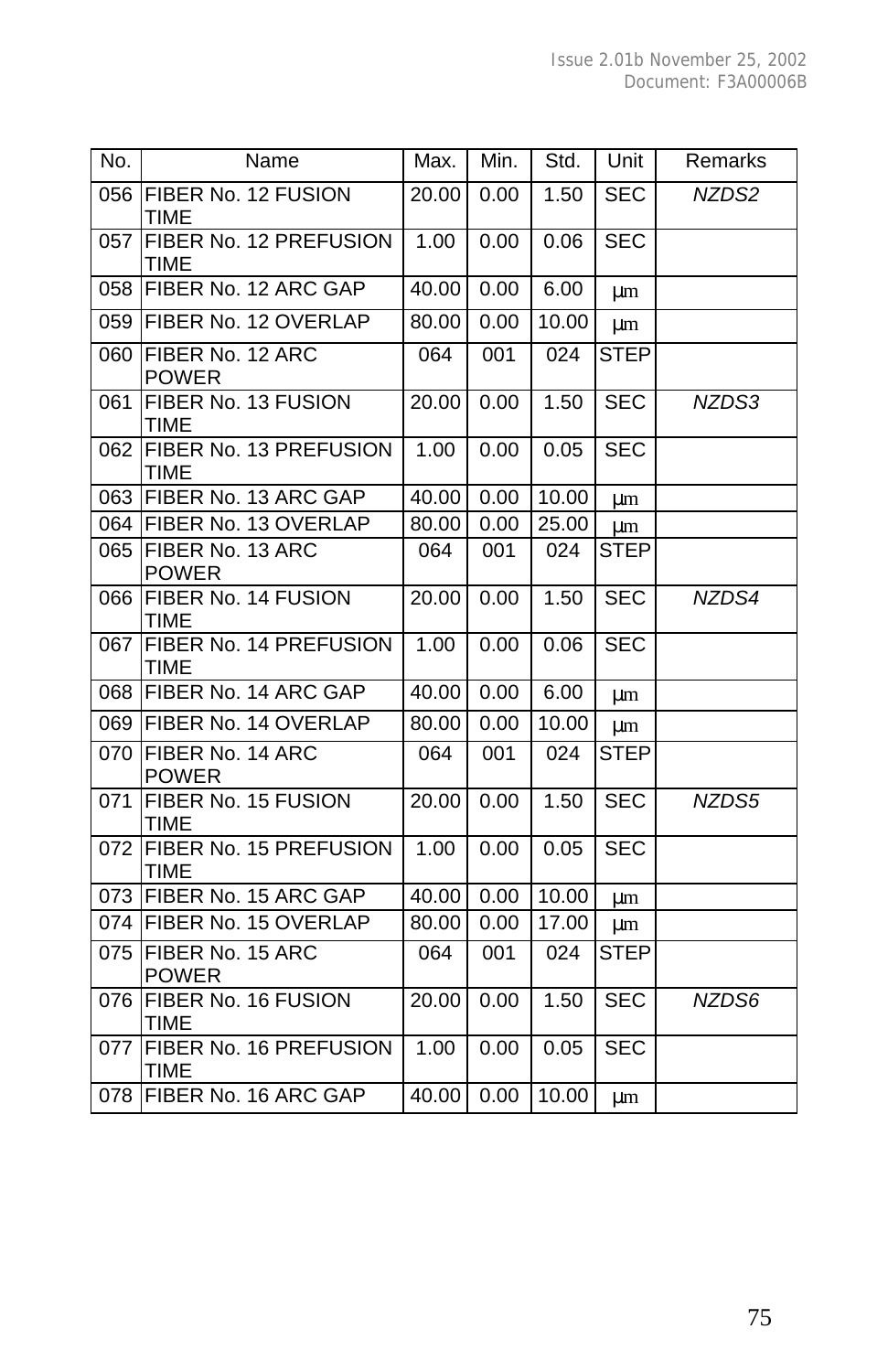| No. | Name                                  | Max.  | Min. | Std.  | Unit        | Remarks |
|-----|---------------------------------------|-------|------|-------|-------------|---------|
| 056 | FIBER No. 12 FUSION<br><b>TIME</b>    | 20.00 | 0.00 | 1.50  | <b>SEC</b>  | NZDS2   |
| 057 | FIBER No. 12 PREFUSION<br><b>TIME</b> | 1.00  | 0.00 | 0.06  | <b>SEC</b>  |         |
| 058 | FIBER No. 12 ARC GAP                  | 40.00 | 0.00 | 6.00  | μm          |         |
| 059 | FIBER No. 12 OVERLAP                  | 80.00 | 0.00 | 10.00 | μm          |         |
| 060 | FIBER No. 12 ARC<br><b>POWER</b>      | 064   | 001  | 024   | <b>STEP</b> |         |
| 061 | FIBER No. 13 FUSION<br><b>TIME</b>    | 20.00 | 0.00 | 1.50  | <b>SEC</b>  | NZDS3   |
| 062 | FIBER No. 13 PREFUSION<br><b>TIME</b> | 1.00  | 0.00 | 0.05  | <b>SEC</b>  |         |
| 063 | FIBER No. 13 ARC GAP                  | 40.00 | 0.00 | 10.00 | μm          |         |
|     | 064 FIBER No. 13 OVERLAP              | 80.00 | 0.00 | 25.00 | μm          |         |
| 065 | FIBER No. 13 ARC<br><b>POWER</b>      | 064   | 001  | 024   | <b>STEP</b> |         |
| 066 | FIBER No. 14 FUSION<br><b>TIME</b>    | 20.00 | 0.00 | 1.50  | <b>SEC</b>  | NZDS4   |
| 067 | FIBER No. 14 PREFUSION<br><b>TIME</b> | 1.00  | 0.00 | 0.06  | <b>SEC</b>  |         |
|     | 068 FIBER No. 14 ARC GAP              | 40.00 | 0.00 | 6.00  | μm          |         |
|     | 069 FIBER No. 14 OVERLAP              | 80.00 | 0.00 | 10.00 | μm          |         |
| 070 | FIBER No. 14 ARC<br><b>POWER</b>      | 064   | 001  | 024   | <b>STEP</b> |         |
| 071 | FIBER No. 15 FUSION<br><b>TIME</b>    | 20.00 | 0.00 | 1.50  | <b>SEC</b>  | NZDS5   |
| 072 | FIBER No. 15 PREFUSION<br><b>TIME</b> | 1.00  | 0.00 | 0.05  | <b>SEC</b>  |         |
| 073 | FIBER No. 15 ARC GAP                  | 40.00 | 0.00 | 10.00 | μm          |         |
|     | 074 FIBER No. 15 OVERLAP              | 80.00 | 0.00 | 17.00 | μm          |         |
| 075 | FIBER No. 15 ARC<br><b>POWER</b>      | 064   | 001  | 024   | <b>STEP</b> |         |
| 076 | FIBER No. 16 FUSION<br><b>TIME</b>    | 20.00 | 0.00 | 1.50  | <b>SEC</b>  | NZDS6   |
| 077 | FIBER No. 16 PREFUSION<br><b>TIME</b> | 1.00  | 0.00 | 0.05  | <b>SEC</b>  |         |
|     | 078 FIBER No. 16 ARC GAP              | 40.00 | 0.00 | 10.00 | μm          |         |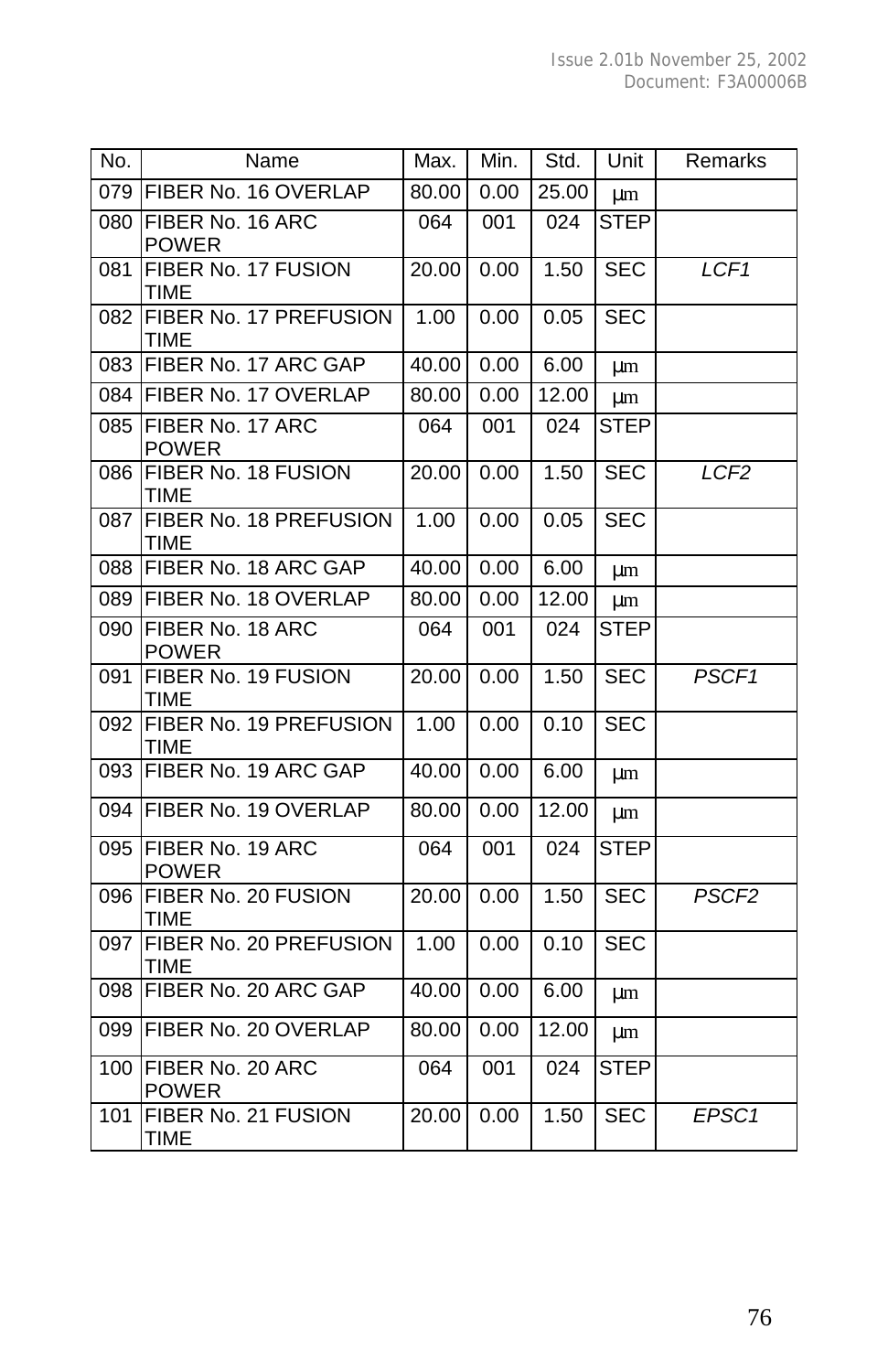| No. | Name                                  | Max.  | Min. | Std.  | Unit        | Remarks           |
|-----|---------------------------------------|-------|------|-------|-------------|-------------------|
|     | 079 FIBER No. 16 OVERLAP              | 80.00 | 0.00 | 25.00 | μm          |                   |
| 080 | FIBER No. 16 ARC<br><b>POWER</b>      | 064   | 001  | 024   | <b>STEP</b> |                   |
| 081 | FIBER No. 17 FUSION<br><b>TIME</b>    | 20.00 | 0.00 | 1.50  | <b>SEC</b>  | LCF <sub>1</sub>  |
| 082 | FIBER No. 17 PREFUSION<br><b>TIME</b> | 1.00  | 0.00 | 0.05  | <b>SEC</b>  |                   |
| 083 | FIBER No. 17 ARC GAP                  | 40.00 | 0.00 | 6.00  | μm          |                   |
| 084 | FIBER No. 17 OVERLAP                  | 80.00 | 0.00 | 12.00 | μm          |                   |
| 085 | FIBER No. 17 ARC<br><b>POWER</b>      | 064   | 001  | 024   | <b>STEP</b> |                   |
| 086 | FIBER No. 18 FUSION<br><b>TIME</b>    | 20.00 | 0.00 | 1.50  | <b>SEC</b>  | LCF <sub>2</sub>  |
| 087 | FIBER No. 18 PREFUSION<br><b>TIME</b> | 1.00  | 0.00 | 0.05  | <b>SEC</b>  |                   |
| 088 | FIBER No. 18 ARC GAP                  | 40.00 | 0.00 | 6.00  | μm          |                   |
| 089 | FIBER No. 18 OVERLAP                  | 80.00 | 0.00 | 12.00 | μm          |                   |
| 090 | FIBER No. 18 ARC<br><b>POWER</b>      | 064   | 001  | 024   | <b>STEP</b> |                   |
| 091 | FIBER No. 19 FUSION<br><b>TIME</b>    | 20.00 | 0.00 | 1.50  | <b>SEC</b>  | PSCF <sub>1</sub> |
| 092 | FIBER No. 19 PREFUSION<br><b>TIME</b> | 1.00  | 0.00 | 0.10  | <b>SEC</b>  |                   |
| 093 | FIBER No. 19 ARC GAP                  | 40.00 | 0.00 | 6.00  | μm          |                   |
| 094 | FIBER No. 19 OVERLAP                  | 80.00 | 0.00 | 12.00 | μm          |                   |
| 095 | FIBER No. 19 ARC<br><b>POWER</b>      | 064   | 001  | 024   | <b>STEP</b> |                   |
| 096 | FIBER No. 20 FUSION<br><b>TIME</b>    | 20.00 | 0.00 | 1.50  | <b>SEC</b>  | PSCF <sub>2</sub> |
| 097 | FIBER No. 20 PREFUSION<br><b>TIME</b> | 1.00  | 0.00 | 0.10  | <b>SEC</b>  |                   |
| 098 | FIBER No. 20 ARC GAP                  | 40.00 | 0.00 | 6.00  | μm          |                   |
| 099 | FIBER No. 20 OVERLAP                  | 80.00 | 0.00 | 12.00 | μm          |                   |
| 100 | FIBER No. 20 ARC<br><b>POWER</b>      | 064   | 001  | 024   | <b>STEP</b> |                   |
| 101 | FIBER No. 21 FUSION<br>TIME           | 20.00 | 0.00 | 1.50  | <b>SEC</b>  | EPSC1             |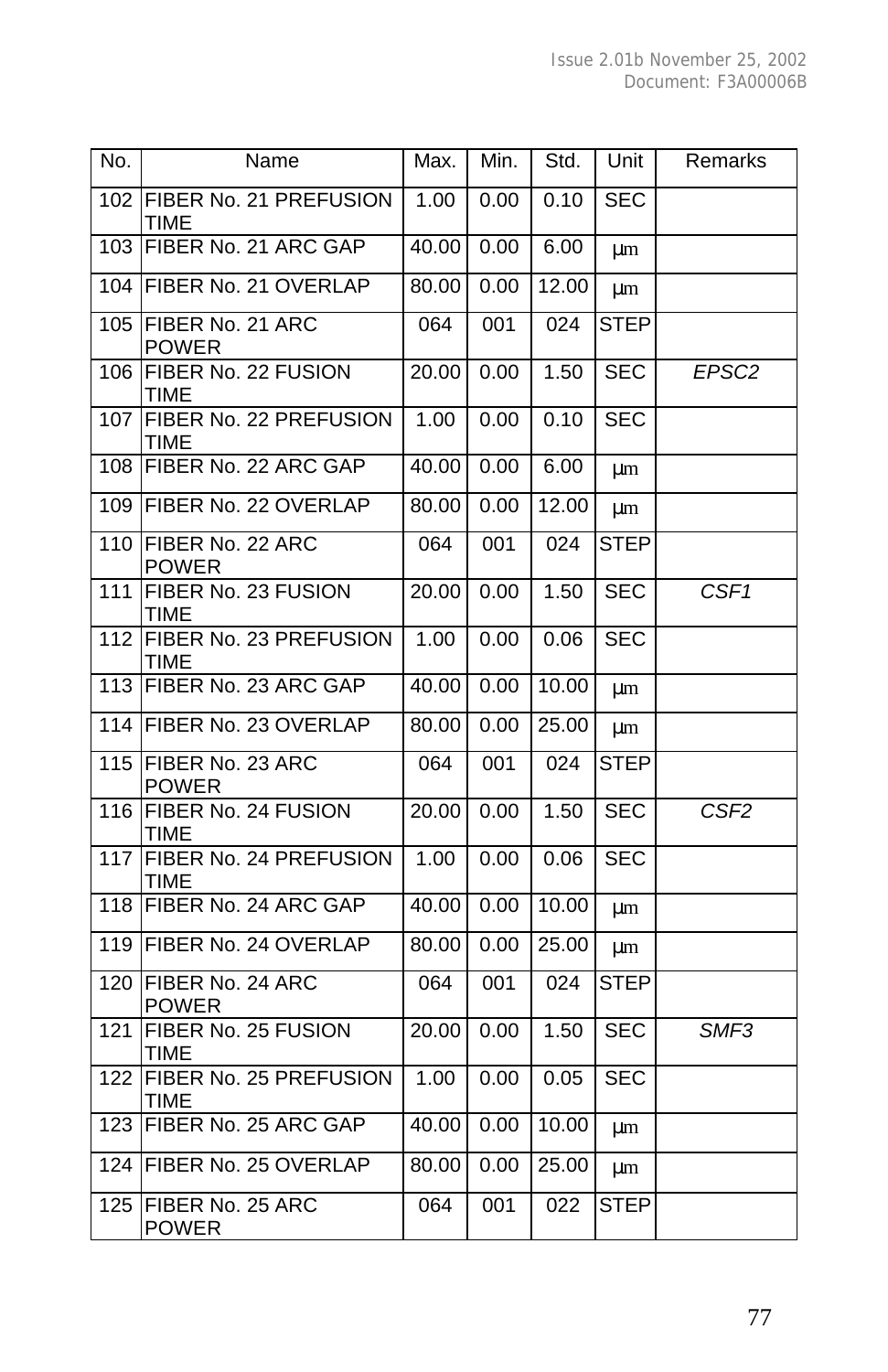| No.              | Name                                    | Max.  | Min. | Std.  | Unit        | Remarks           |
|------------------|-----------------------------------------|-------|------|-------|-------------|-------------------|
| 102              | FIBER No. 21 PREFUSION<br>TIME          | 1.00  | 0.00 | 0.10  | <b>SEC</b>  |                   |
| 103              | FIBER No. 21 ARC GAP                    | 40.00 | 0.00 | 6.00  | μm          |                   |
| 104              | FIBER No. 21 OVERLAP                    | 80.00 | 0.00 | 12.00 | μm          |                   |
| 105              | <b>FIBER No. 21 ARC</b><br><b>POWER</b> | 064   | 001  | 024   | <b>STEP</b> |                   |
| 106              | FIBER No. 22 FUSION<br>TIME             | 20.00 | 0.00 | 1.50  | <b>SEC</b>  | EPSC <sub>2</sub> |
| 107              | FIBER No. 22 PREFUSION<br>TIME          | 1.00  | 0.00 | 0.10  | <b>SEC</b>  |                   |
| 108              | FIBER No. 22 ARC GAP                    | 40.00 | 0.00 | 6.00  | μm          |                   |
| 109              | FIBER No. 22 OVERLAP                    | 80.00 | 0.00 | 12.00 | μm          |                   |
| 110              | FIBER No. 22 ARC<br><b>POWER</b>        | 064   | 001  | 024   | <b>STEP</b> |                   |
| 111              | FIBER No. 23 FUSION<br>TIME             | 20.00 | 0.00 | 1.50  | <b>SEC</b>  | CSF1              |
| $\overline{112}$ | FIBER No. 23 PREFUSION<br>TIME          | 1.00  | 0.00 | 0.06  | <b>SEC</b>  |                   |
| 113              | FIBER No. 23 ARC GAP                    | 40.00 | 0.00 | 10.00 | μm          |                   |
|                  | 114 FIBER No. 23 OVERLAP                | 80.00 | 0.00 | 25.00 | μm          |                   |
| 115              | FIBER No. 23 ARC<br><b>POWER</b>        | 064   | 001  | 024   | STEP        |                   |
| 116              | FIBER No. 24 FUSION<br><b>TIME</b>      | 20.00 | 0.00 | 1.50  | <b>SEC</b>  | CSF <sub>2</sub>  |
| 117              | FIBER No. 24 PREFUSION<br>TIME          | 1.00  | 0.00 | 0.06  | <b>SEC</b>  |                   |
| 118              | FIBER No. 24 ARC GAP                    | 40.00 | 0.00 | 10.00 | μm          |                   |
| 119              | <b>FIBER No. 24 OVERLAP</b>             | 80.00 | 0.00 | 25.00 | μm          |                   |
| 120              | FIBER No. 24 ARC<br><b>POWER</b>        | 064   | 001  | 024   | <b>STEP</b> |                   |
| 121              | FIBER No. 25 FUSION<br>TIME             | 20.00 | 0.00 | 1.50  | <b>SEC</b>  | SMF3              |
| 122              | FIBER No. 25 PREFUSION<br>TIME          | 1.00  | 0.00 | 0.05  | <b>SEC</b>  |                   |
| 123              | FIBER No. 25 ARC GAP                    | 40.00 | 0.00 | 10.00 | μm          |                   |
| 124              | <b>FIBER No. 25 OVERLAP</b>             | 80.00 | 0.00 | 25.00 | μm          |                   |
| 125              | FIBER No. 25 ARC<br><b>POWER</b>        | 064   | 001  | 022   | <b>STEP</b> |                   |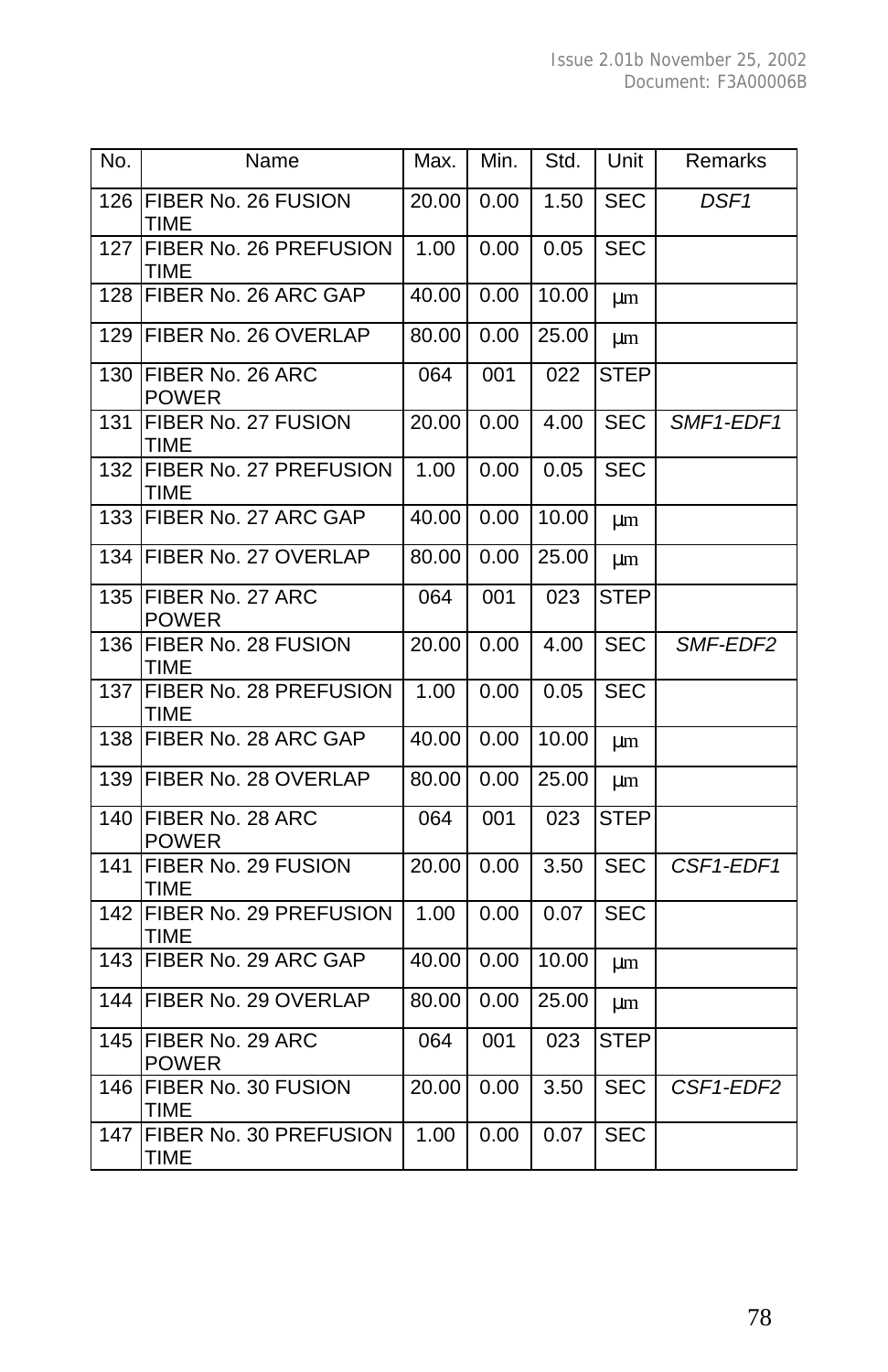| No. | Name                                  | Max.  | Min. | Std.  | Unit        | Remarks          |
|-----|---------------------------------------|-------|------|-------|-------------|------------------|
| 126 | FIBER No. 26 FUSION<br>TIME           | 20.00 | 0.00 | 1.50  | <b>SEC</b>  | DSF <sub>1</sub> |
| 127 | FIBER No. 26 PREFUSION<br>TIME        | 1.00  | 0.00 | 0.05  | <b>SEC</b>  |                  |
| 128 | FIBER No. 26 ARC GAP                  | 40.00 | 0.00 | 10.00 | μm          |                  |
| 129 | FIBER No. 26 OVERLAP                  | 80.00 | 0.00 | 25.00 | μm          |                  |
| 130 | FIBER No. 26 ARC<br><b>POWER</b>      | 064   | 001  | 022   | <b>STEP</b> |                  |
| 131 | FIBER No. 27 FUSION<br>TIME           | 20.00 | 0.00 | 4.00  | <b>SEC</b>  | SMF1-EDF1        |
| 132 | FIBER No. 27 PREFUSION<br><b>TIME</b> | 1.00  | 0.00 | 0.05  | <b>SEC</b>  |                  |
| 133 | FIBER No. 27 ARC GAP                  | 40.00 | 0.00 | 10.00 | μm          |                  |
| 134 | FIBER No. 27 OVERLAP                  | 80.00 | 0.00 | 25.00 | μm          |                  |
| 135 | FIBER No. 27 ARC<br><b>POWER</b>      | 064   | 001  | 023   | <b>STEP</b> |                  |
| 136 | FIBER No. 28 FUSION<br>TIME           | 20.00 | 0.00 | 4.00  | <b>SEC</b>  | SMF-EDF2         |
| 137 | FIBER No. 28 PREFUSION<br><b>TIME</b> | 1.00  | 0.00 | 0.05  | <b>SEC</b>  |                  |
| 138 | FIBER No. 28 ARC GAP                  | 40.00 | 0.00 | 10.00 | μm          |                  |
| 139 | FIBER No. 28 OVERLAP                  | 80.00 | 0.00 | 25.00 | μm          |                  |
| 140 | FIBER No. 28 ARC<br><b>POWER</b>      | 064   | 001  | 023   | <b>STEP</b> |                  |
| 141 | FIBER No. 29 FUSION<br><b>TIME</b>    | 20.00 | 0.00 | 3.50  | <b>SEC</b>  | CSF1-EDF1        |
| 142 | FIBER No. 29 PREFUSION<br><b>TIME</b> | 1.00  | 0.00 | 0.07  | <b>SEC</b>  |                  |
| 143 | FIBER No. 29 ARC GAP                  | 40.00 | 0.00 | 10.00 | μm          |                  |
| 144 | FIBER No. 29 OVERLAP                  | 80.00 | 0.00 | 25.00 | μm          |                  |
| 145 | FIBER No. 29 ARC<br><b>POWER</b>      | 064   | 001  | 023   | <b>STEP</b> |                  |
| 146 | FIBER No. 30 FUSION<br>TIME           | 20.00 | 0.00 | 3.50  | <b>SEC</b>  | CSF1-EDF2        |
| 147 | FIBER No. 30 PREFUSION<br><b>TIME</b> | 1.00  | 0.00 | 0.07  | <b>SEC</b>  |                  |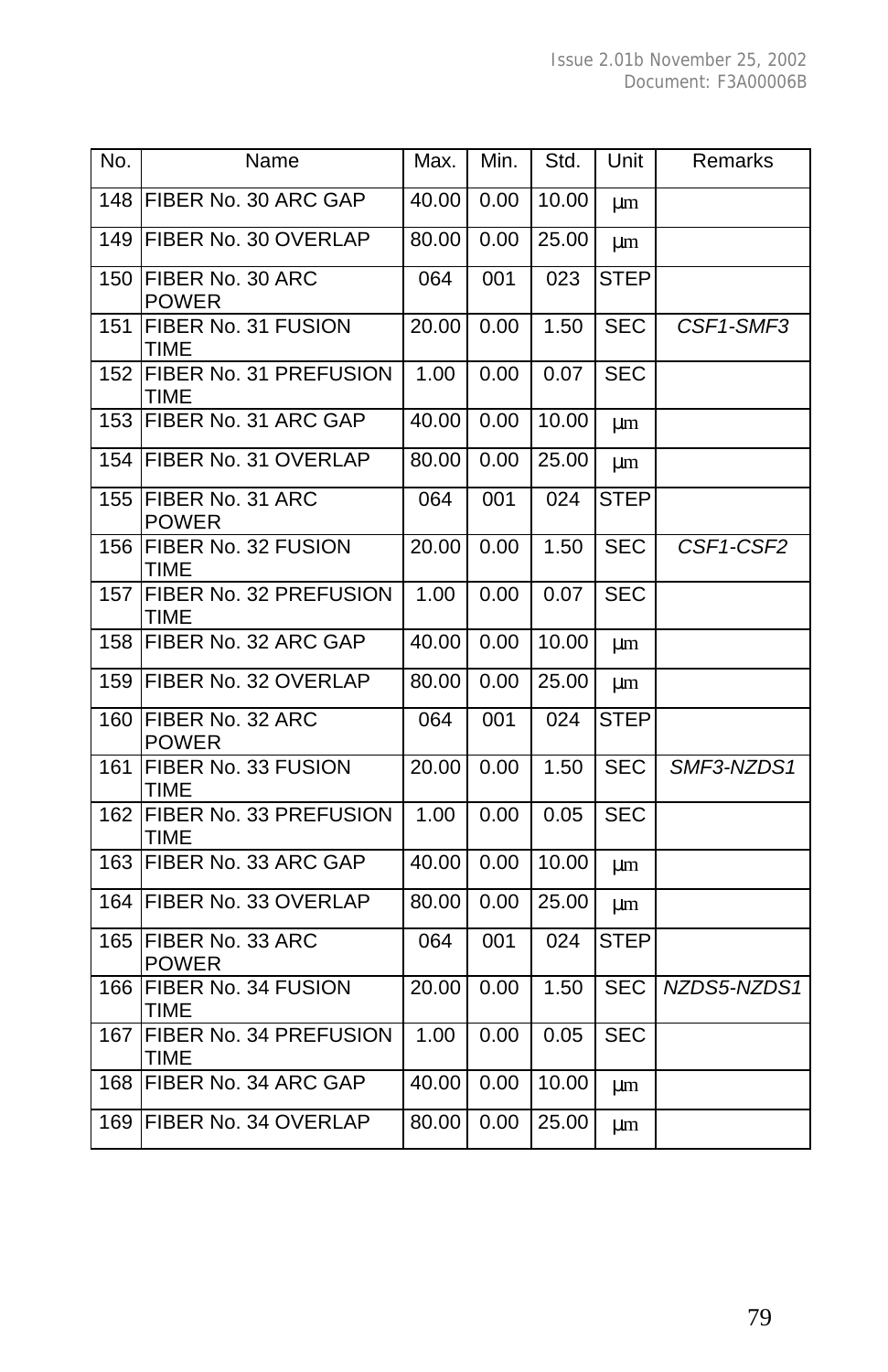| No. | Name                                  | Max.               | Min. | Std.  | Unit        | Remarks     |
|-----|---------------------------------------|--------------------|------|-------|-------------|-------------|
| 148 | FIBER No. 30 ARC GAP                  | 40.00              | 0.00 | 10.00 | μm          |             |
| 149 | FIBER No. 30 OVERLAP                  | 80.00              | 0.00 | 25.00 | μm          |             |
| 150 | FIBER No. 30 ARC<br><b>POWER</b>      | 064                | 001  | 023   | <b>STEP</b> |             |
| 151 | FIBER No. 31 FUSION<br><b>TIME</b>    | 20.00              | 0.00 | 1.50  | <b>SEC</b>  | CSF1-SMF3   |
| 152 | FIBER No. 31 PREFUSION<br>TIME        | 1.00               | 0.00 | 0.07  | SEC         |             |
| 153 | FIBER No. 31 ARC GAP                  | $\overline{40.00}$ | 0.00 | 10.00 | μm          |             |
| 154 | FIBER No. 31 OVERLAP                  | 80.00              | 0.00 | 25.00 | μm          |             |
| 155 | FIBER No. 31 ARC<br><b>POWER</b>      | 064                | 001  | 024   | <b>STEP</b> |             |
| 156 | FIBER No. 32 FUSION<br><b>TIME</b>    | 20.00              | 0.00 | 1.50  | <b>SEC</b>  | CSF1-CSF2   |
| 157 | FIBER No. 32 PREFUSION<br><b>TIME</b> | 1.00               | 0.00 | 0.07  | <b>SEC</b>  |             |
| 158 | FIBER No. 32 ARC GAP                  | 40.00              | 0.00 | 10.00 | μm          |             |
| 159 | FIBER No. 32 OVERLAP                  | 80.00              | 0.00 | 25.00 | μm          |             |
| 160 | FIBER No. 32 ARC<br><b>POWER</b>      | 064                | 001  | 024   | <b>STEP</b> |             |
| 161 | FIBER No. 33 FUSION<br><b>TIME</b>    | 20.00              | 0.00 | 1.50  | <b>SEC</b>  | SMF3-NZDS1  |
| 162 | FIBER No. 33 PREFUSION<br><b>TIME</b> | 1.00               | 0.00 | 0.05  | <b>SEC</b>  |             |
| 163 | FIBER No. 33 ARC GAP                  | 40.00              | 0.00 | 10.00 | μm          |             |
| 164 | FIBER No. 33 OVERLAP                  | 80.00              | 0.00 | 25.00 | μm          |             |
| 165 | FIBER No. 33 ARC<br><b>POWER</b>      | 064                | 001  | 024   | <b>STEP</b> |             |
| 166 | FIBER No. 34 FUSION<br><b>TIME</b>    | 20.00              | 0.00 | 1.50  | <b>SEC</b>  | NZDS5-NZDS1 |
| 167 | FIBER No. 34 PREFUSION<br><b>TIME</b> | 1.00               | 0.00 | 0.05  | <b>SEC</b>  |             |
|     | 168 FIBER No. 34 ARC GAP              | 40.00              | 0.00 | 10.00 | μm          |             |
| 169 | FIBER No. 34 OVERLAP                  | 80.00              | 0.00 | 25.00 | μm          |             |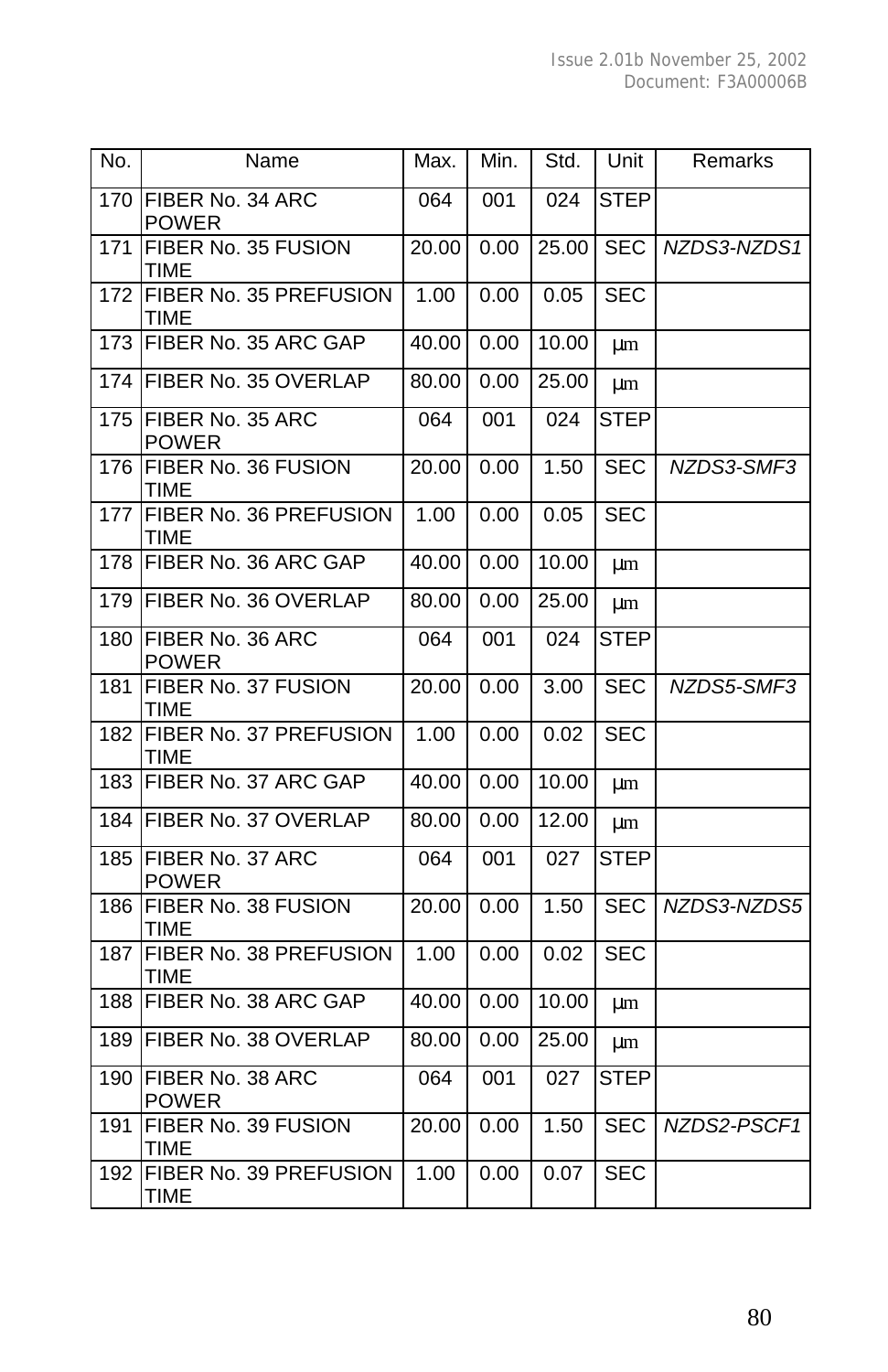| No. | Name                                  | Max.               | Min. | Std.  | Unit        | Remarks     |
|-----|---------------------------------------|--------------------|------|-------|-------------|-------------|
| 170 | FIBER No. 34 ARC<br><b>POWER</b>      | 064                | 001  | 024   | <b>STEP</b> |             |
| 171 | FIBER No. 35 FUSION<br><b>TIME</b>    | 20.00              | 0.00 | 25.00 | <b>SEC</b>  | NZDS3-NZDS1 |
| 172 | FIBER No. 35 PREFUSION<br><b>TIME</b> | 1.00               | 0.00 | 0.05  | <b>SEC</b>  |             |
| 173 | FIBER No. 35 ARC GAP                  | 40.00              | 0.00 | 10.00 | $\mu$ m     |             |
| 174 | FIBER No. 35 OVERLAP                  | 80.00              | 0.00 | 25.00 | μm          |             |
| 175 | FIBER No. 35 ARC<br><b>POWER</b>      | 064                | 001  | 024   | <b>STEP</b> |             |
| 176 | FIBER No. 36 FUSION<br><b>TIME</b>    | 20.00              | 0.00 | 1.50  | <b>SEC</b>  | NZDS3-SMF3  |
| 177 | FIBER No. 36 PREFUSION<br><b>TIME</b> | 1.00               | 0.00 | 0.05  | <b>SEC</b>  |             |
| 178 | FIBER No. 36 ARC GAP                  | 40.00              | 0.00 | 10.00 | μm          |             |
| 179 | FIBER No. 36 OVERLAP                  | 80.00              | 0.00 | 25.00 | μm          |             |
| 180 | FIBER No. 36 ARC<br><b>POWER</b>      | 064                | 001  | 024   | <b>STEP</b> |             |
| 181 | FIBER No. 37 FUSION<br>TIME           | 20.00              | 0.00 | 3.00  | <b>SEC</b>  | NZDS5-SMF3  |
| 182 | FIBER No. 37 PREFUSION<br>TIME        | 1.00               | 0.00 | 0.02  | <b>SEC</b>  |             |
| 183 | FIBER No. 37 ARC GAP                  | $\overline{40.00}$ | 0.00 | 10.00 | μm          |             |
| 184 | FIBER No. 37 OVERLAP                  | 80.00              | 0.00 | 12.00 | μm          |             |
| 185 | FIBER No. 37 ARC<br><b>POWER</b>      | 064                | 001  | 027   | <b>STEP</b> |             |
| 186 | FIBER No. 38 FUSION<br><b>TIME</b>    | 20.00              | 0.00 | 1.50  | <b>SEC</b>  | NZDS3-NZDS5 |
| 187 | FIBER No. 38 PREFUSION<br><b>TIME</b> | 1.00               | 0.00 | 0.02  | SEC         |             |
| 188 | FIBER No. 38 ARC GAP                  | 40.00              | 0.00 | 10.00 | μm          |             |
| 189 | FIBER No. 38 OVERLAP                  | 80.00              | 0.00 | 25.00 | μm          |             |
| 190 | FIBER No. 38 ARC<br><b>POWER</b>      | 064                | 001  | 027   | <b>STEP</b> |             |
| 191 | FIBER No. 39 FUSION<br><b>TIME</b>    | 20.00              | 0.00 | 1.50  | <b>SEC</b>  | NZDS2-PSCF1 |
| 192 | FIBER No. 39 PREFUSION<br>TIME        | 1.00               | 0.00 | 0.07  | <b>SEC</b>  |             |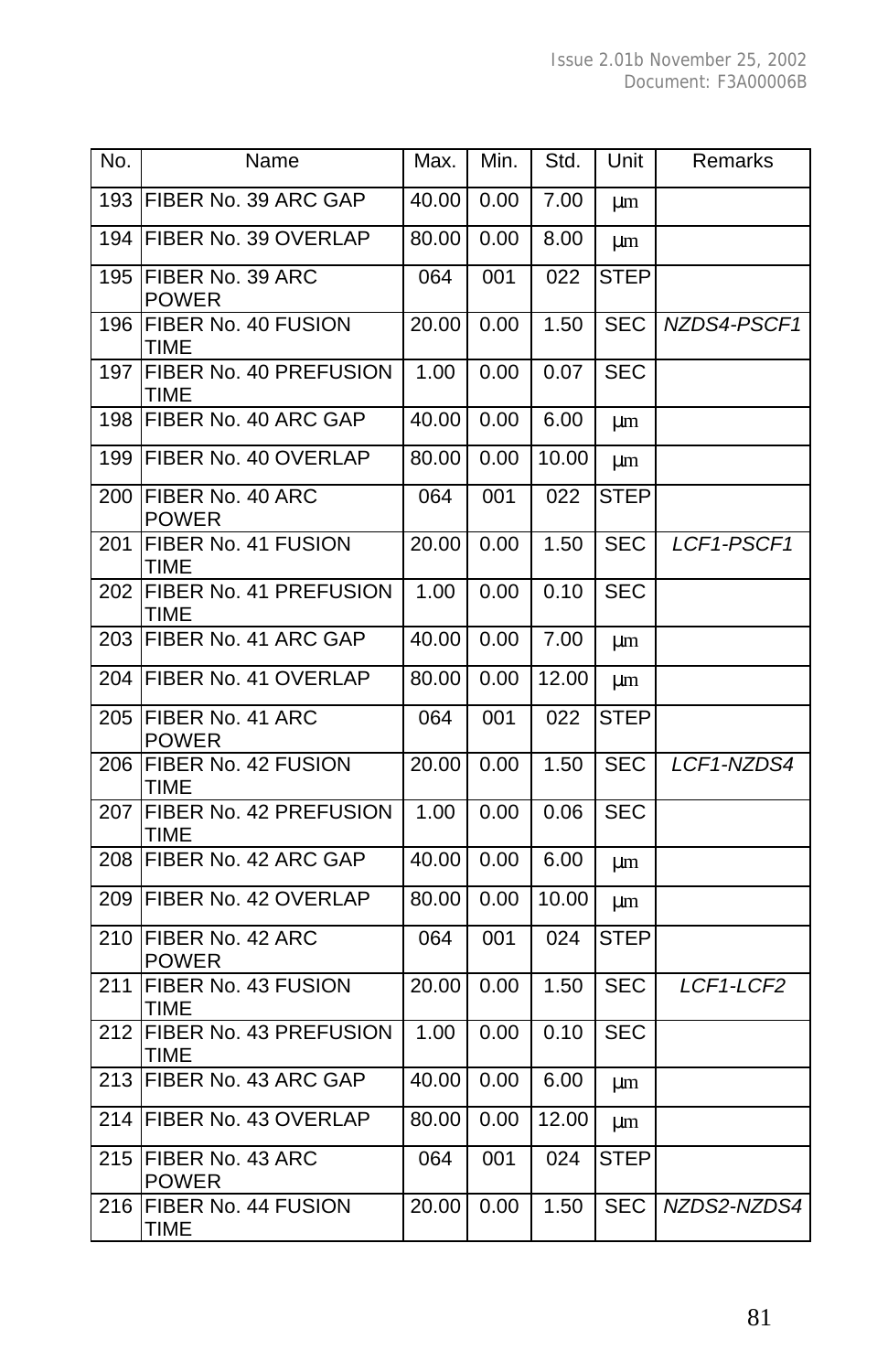| No. | Name                               | Max.  | Min. | Std.  | Unit        | Remarks     |
|-----|------------------------------------|-------|------|-------|-------------|-------------|
| 193 | FIBER No. 39 ARC GAP               | 40.00 | 0.00 | 7.00  | μm          |             |
| 194 | FIBER No. 39 OVERLAP               | 80.00 | 0.00 | 8.00  | μm          |             |
| 195 | FIBER No. 39 ARC<br><b>POWER</b>   | 064   | 001  | 022   | <b>STEP</b> |             |
| 196 | FIBER No. 40 FUSION<br>TIME        | 20.00 | 0.00 | 1.50  | SEC         | NZDS4-PSCF1 |
| 197 | FIBER No. 40 PREFUSION<br>TIME     | 1.00  | 0.00 | 0.07  | SEC         |             |
| 198 | FIBER No. 40 ARC GAP               | 40.00 | 0.00 | 6.00  | μm          |             |
| 199 | FIBER No. 40 OVERLAP               | 80.00 | 0.00 | 10.00 | μm          |             |
| 200 | FIBER No. 40 ARC<br><b>POWER</b>   | 064   | 001  | 022   | <b>STEP</b> |             |
| 201 | FIBER No. 41 FUSION<br>TIME        | 20.00 | 0.00 | 1.50  | <b>SEC</b>  | LCF1-PSCF1  |
| 202 | FIBER No. 41 PREFUSION<br>TIME     | 1.00  | 0.00 | 0.10  | SEC         |             |
| 203 | FIBER No. 41 ARC GAP               | 40.00 | 0.00 | 7.00  | μm          |             |
| 204 | FIBER No. 41 OVERLAP               | 80.00 | 0.00 | 12.00 | μm          |             |
| 205 | FIBER No. 41 ARC<br><b>POWER</b>   | 064   | 001  | 022   | <b>STEP</b> |             |
| 206 | FIBER No. 42 FUSION<br><b>TIME</b> | 20.00 | 0.00 | 1.50  | <b>SEC</b>  | LCF1-NZDS4  |
| 207 | FIBER No. 42 PREFUSION<br>TIME     | 1.00  | 0.00 | 0.06  | SEC         |             |
| 208 | FIBER No. 42 ARC GAP               | 40.00 | 0.00 | 6.00  | μm          |             |
| 209 | FIBER No. 42 OVERLAP               | 80.00 | 0.00 | 10.00 | μm          |             |
| 210 | FIBER No. 42 ARC<br><b>POWER</b>   | 064   | 001  | 024   | <b>STEP</b> |             |
| 211 | FIBER No. 43 FUSION<br>TIME        | 20.00 | 0.00 | 1.50  | <b>SEC</b>  | LCF1-LCF2   |
| 212 | FIBER No. 43 PREFUSION<br>TIME     | 1.00  | 0.00 | 0.10  | <b>SEC</b>  |             |
| 213 | FIBER No. 43 ARC GAP               | 40.00 | 0.00 | 6.00  | μm          |             |
| 214 | FIBER No. 43 OVERLAP               | 80.00 | 0.00 | 12.00 | μm          |             |
| 215 | FIBER No. 43 ARC<br><b>POWER</b>   | 064   | 001  | 024   | STEP        |             |
| 216 | FIBER No. 44 FUSION<br>TIME        | 20.00 | 0.00 | 1.50  | SEC         | NZDS2-NZDS4 |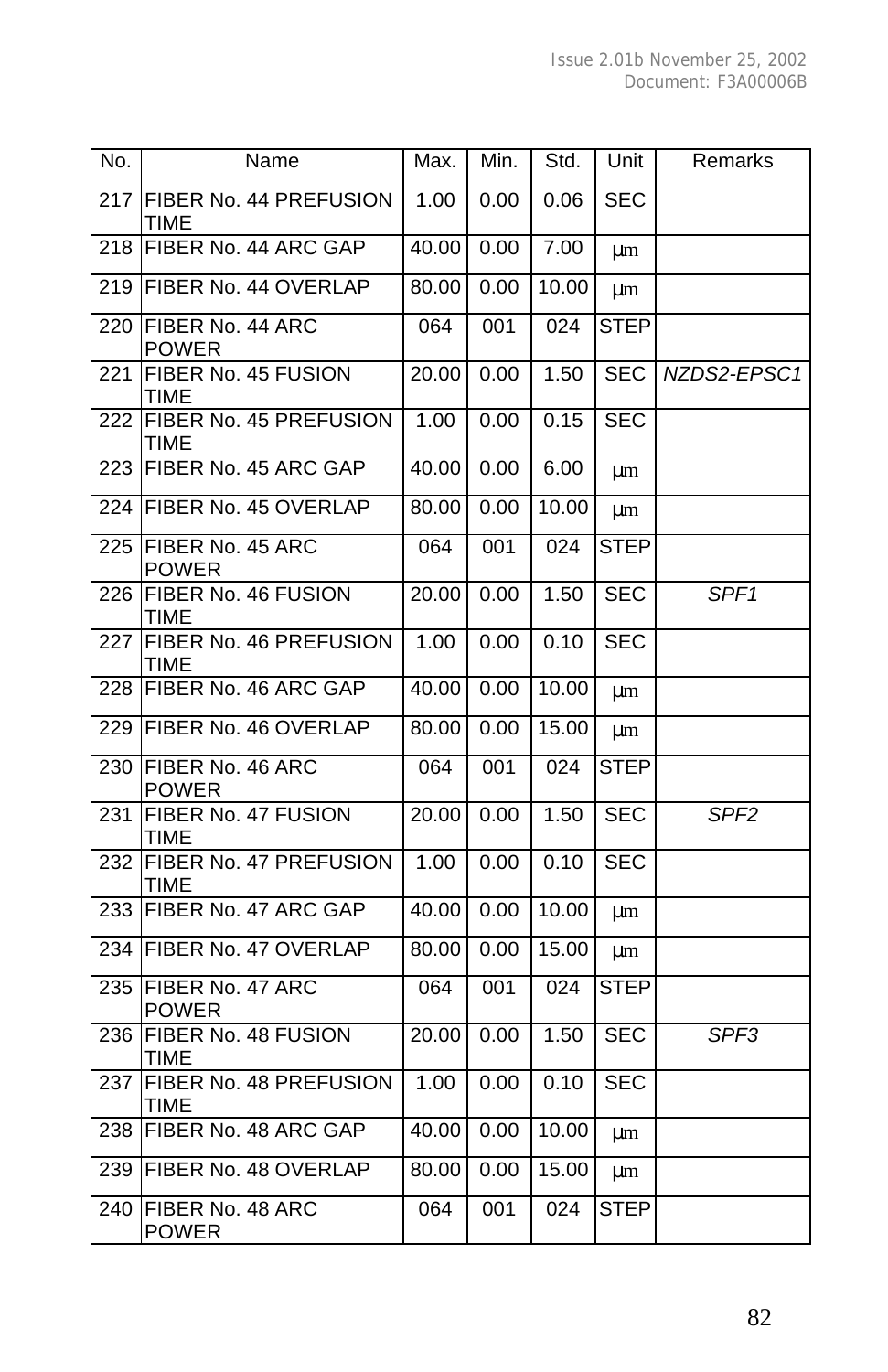| No. | Name                                  | Max.  | Min. | Std.  | Unit        | Remarks          |
|-----|---------------------------------------|-------|------|-------|-------------|------------------|
| 217 | FIBER No. 44 PREFUSION<br>TIME        | 1.00  | 0.00 | 0.06  | <b>SEC</b>  |                  |
| 218 | FIBER No. 44 ARC GAP                  | 40.00 | 0.00 | 7.00  | μm          |                  |
| 219 | FIBER No. 44 OVERLAP                  | 80.00 | 0.00 | 10.00 | μm          |                  |
| 220 | FIBER No. 44 ARC<br><b>POWER</b>      | 064   | 001  | 024   | <b>STEP</b> |                  |
| 221 | FIBER No. 45 FUSION<br><b>TIME</b>    | 20.00 | 0.00 | 1.50  | SEC         | NZDS2-EPSC1      |
| 222 | FIBER No. 45 PREFUSION<br>TIME        | 1.00  | 0.00 | 0.15  | <b>SEC</b>  |                  |
| 223 | FIBER No. 45 ARC GAP                  | 40.00 | 0.00 | 6.00  | μm          |                  |
| 224 | FIBER No. 45 OVERLAP                  | 80.00 | 0.00 | 10.00 | μm          |                  |
| 225 | FIBER No. 45 ARC<br><b>POWER</b>      | 064   | 001  | 024   | STEP        |                  |
| 226 | FIBER No. 46 FUSION<br>TIME           | 20.00 | 0.00 | 1.50  | <b>SEC</b>  | SPF <sub>1</sub> |
| 227 | FIBER No. 46 PREFUSION<br>TIME        | 1.00  | 0.00 | 0.10  | SEC         |                  |
| 228 | FIBER No. 46 ARC GAP                  | 40.00 | 0.00 | 10.00 | μm          |                  |
| 229 | FIBER No. 46 OVERLAP                  | 80.00 | 0.00 | 15.00 | μm          |                  |
| 230 | FIBER No. 46 ARC<br><b>POWER</b>      | 064   | 001  | 024   | <b>STEP</b> |                  |
| 231 | FIBER No. 47 FUSION<br>TIME           | 20.00 | 0.00 | 1.50  | <b>SEC</b>  | SPF <sub>2</sub> |
| 232 | FIBER No. 47 PREFUSION<br><b>TIME</b> | 1.00  | 0.00 | 0.10  | <b>SEC</b>  |                  |
| 233 | FIBER No. 47 ARC GAP                  | 40.00 | 0.00 | 10.00 | μm          |                  |
| 234 | FIBER No. 47 OVERLAP                  | 80.00 | 0.00 | 15.00 | μm          |                  |
| 235 | FIBER No. 47 ARC<br><b>POWER</b>      | 064   | 001  | 024   | STEP        |                  |
| 236 | FIBER No. 48 FUSION<br>TIME           | 20.00 | 0.00 | 1.50  | <b>SEC</b>  | SPF <sub>3</sub> |
| 237 | FIBER No. 48 PREFUSION<br>TIME        | 1.00  | 0.00 | 0.10  | SEC         |                  |
| 238 | FIBER No. 48 ARC GAP                  | 40.00 | 0.00 | 10.00 | μm          |                  |
| 239 | FIBER No. 48 OVERLAP                  | 80.00 | 0.00 | 15.00 | μm          |                  |
| 240 | FIBER No. 48 ARC<br>POWER             | 064   | 001  | 024   | STEP        |                  |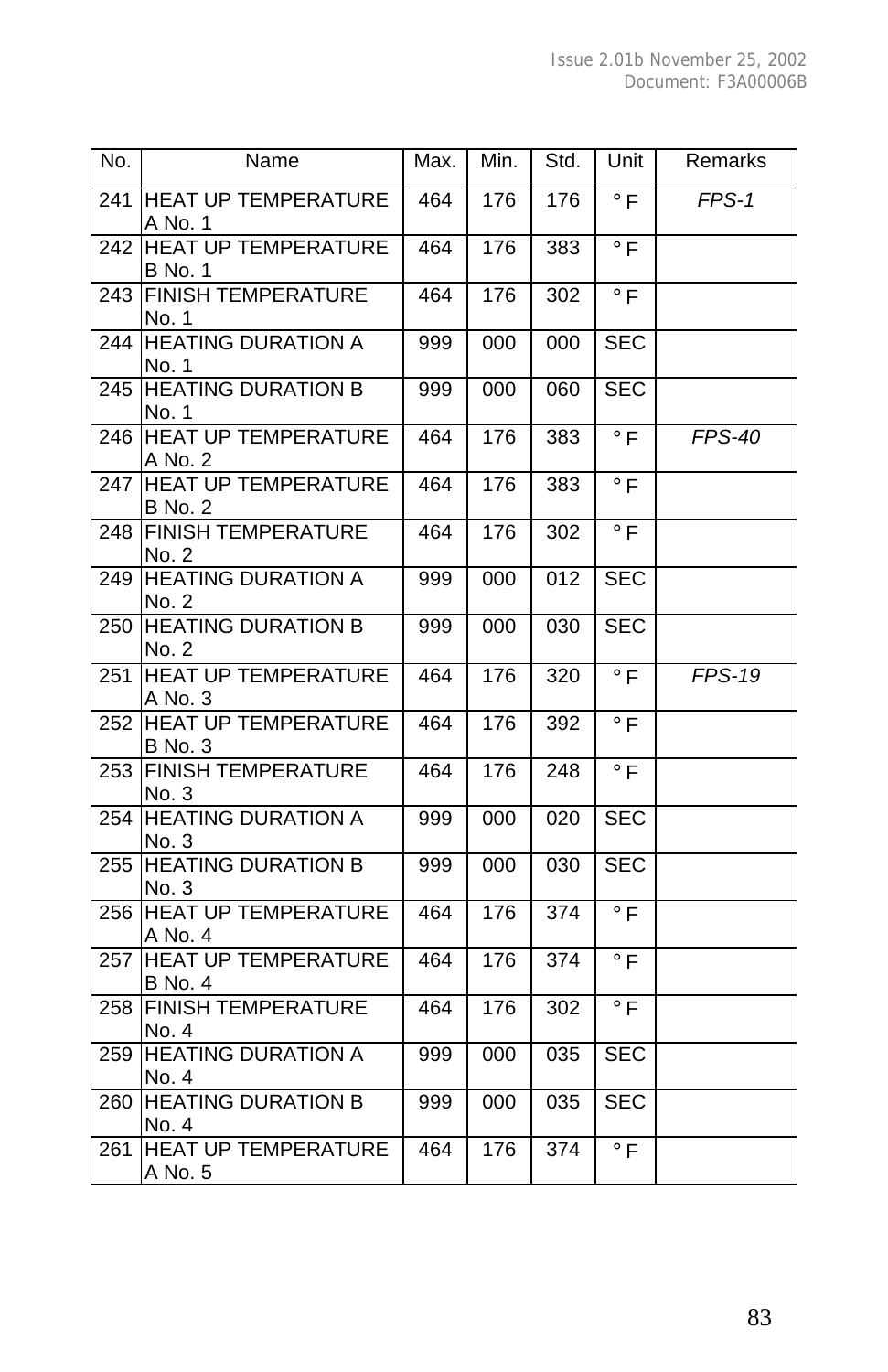| No.          | Name                                         | Max. | Min.             | Std. | Unit                 | Remarks  |
|--------------|----------------------------------------------|------|------------------|------|----------------------|----------|
| 241          | <b>HEAT UP TEMPERATURE</b><br>A No. 1        | 464  | 176              | 176  | $\circ$ F            | $FFS-1$  |
| 242          | <b>HEAT UP TEMPERATURE</b><br><b>B</b> No. 1 | 464  | 176              | 383  | $\circ$ F            |          |
| $\sqrt{243}$ | <b>FINISH TEMPERATURE</b><br>No. 1           | 464  | 176              | 302  | $\circ$ F            |          |
| 244          | <b>HEATING DURATION A</b><br>No. 1           | 999  | 000              | 000  | <b>SEC</b>           |          |
| 245          | <b>HEATING DURATION B</b><br>No. 1           | 999  | 000              | 060  | <b>SEC</b>           |          |
| 246          | <b>HEAT UP TEMPERATURE</b><br>A No. 2        | 464  | 176              | 383  | $\circ$ F            | $FFS-40$ |
| 247          | <b>HEAT UP TEMPERATURE</b><br><b>B</b> No. 2 | 464  | 176              | 383  | $\circ$ F            |          |
| 248          | <b>FINISH TEMPERATURE</b><br>No. 2           | 464  | 176              | 302  | $\circ$ F            |          |
| 249          | <b>HEATING DURATION A</b><br>No. 2           | 999  | 000              | 012  | <b>SEC</b>           |          |
| 250          | <b>HEATING DURATION B</b><br>No. 2           | 999  | 000              | 030  | <b>SEC</b>           |          |
| 251          | <b>HEAT UP TEMPERATURE</b><br>A No. 3        | 464  | 176              | 320  | $\overline{\circ}$ F | $FFS-19$ |
| 252          | <b>HEAT UP TEMPERATURE</b><br><b>B</b> No. 3 | 464  | 176              | 392  | $\circ$ F            |          |
| 253          | <b>FINISH TEMPERATURE</b><br>No. 3           | 464  | 176              | 248  | $\circ$ F            |          |
| 254          | <b>HEATING DURATION A</b><br>No. 3           | 999  | 000              | 020  | <b>SEC</b>           |          |
| 255          | <b>HEATING DURATION B</b><br>No. 3           | 999  | 000              | 030  | <b>SEC</b>           |          |
| 256          | <b>HEAT UP TEMPERATURE</b><br>A No. 4        | 464  | 176              | 374  | $\circ$ F            |          |
| 257          | <b>HEAT UP TEMPERATURE</b><br><b>B</b> No. 4 | 464  | 176              | 374  | $\circ$ F            |          |
| 258          | <b>FINISH TEMPERATURE</b><br>No. 4           | 464  | 176              | 302  | $\circ$ F            |          |
| 259          | <b>HEATING DURATION A</b><br>No. 4           | 999  | 000              | 035  | <b>SEC</b>           |          |
| 260          | <b>HEATING DURATION B</b><br>No. 4           | 999  | 000              | 035  | <b>SEC</b>           |          |
| 261          | <b>HEAT UP TEMPERATURE</b><br>A No. 5        | 464  | $\overline{176}$ | 374  | $\circ$ F            |          |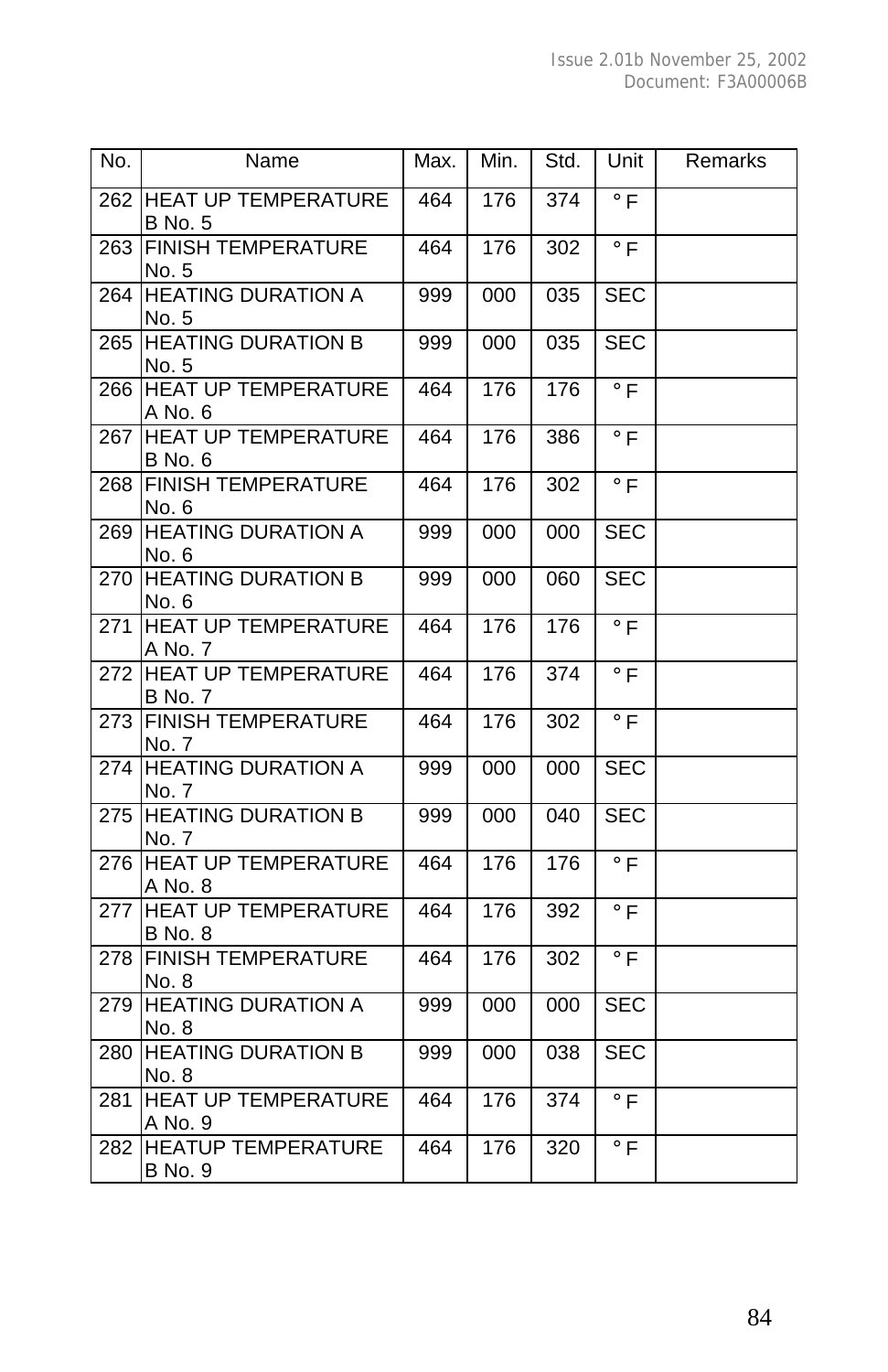| No. | Name                                         | Max. | Min.             | Std.             | Unit                 | Remarks |
|-----|----------------------------------------------|------|------------------|------------------|----------------------|---------|
|     | 262 HEAT UP TEMPERATURE<br><b>B</b> No. 5    | 464  | $\overline{176}$ | $\overline{374}$ | $\circ$ F            |         |
| 263 | <b>FINISH TEMPERATURE</b><br>No. 5           | 464  | 176              | 302              | $\circ$ F            |         |
| 264 | <b>HEATING DURATION A</b><br>No. 5           | 999  | 000              | 035              | <b>SEC</b>           |         |
| 265 | <b>HEATING DURATION B</b><br>No. 5           | 999  | 000              | 035              | <b>SEC</b>           |         |
| 266 | <b>HEAT UP TEMPERATURE</b><br>A No. 6        | 464  | 176              | 176              | $\circ$ F            |         |
| 267 | <b>HEAT UP TEMPERATURE</b><br>B No. 6        | 464  | 176              | 386              | $\circ$ F            |         |
| 268 | <b>FINISH TEMPERATURE</b><br>No. 6           | 464  | 176              | 302              | $\circ$ F            |         |
| 269 | <b>HEATING DURATION A</b><br>No. 6           | 999  | 000              | 000              | <b>SEC</b>           |         |
| 270 | <b>HEATING DURATION B</b><br>No. 6           | 999  | 000              | 060              | <b>SEC</b>           |         |
| 271 | <b>HEAT UP TEMPERATURE</b><br>A No. 7        | 464  | 176              | 176              | $\overline{\circ}$ F |         |
| 272 | <b>HEAT UP TEMPERATURE</b><br><b>B</b> No. 7 | 464  | 176              | 374              | $\circ$ F            |         |
| 273 | <b>FINISH TEMPERATURE</b><br>No. 7           | 464  | 176              | 302              | $\circ$ F            |         |
| 274 | <b>HEATING DURATION A</b><br>No. 7           | 999  | 000              | 000              | <b>SEC</b>           |         |
| 275 | <b>HEATING DURATION B</b><br>No. 7           | 999  | 000              | 040              | <b>SEC</b>           |         |
| 276 | <b>HEAT UP TEMPERATURE</b><br>A No. 8        | 464  | 176              | 176              | $\circ$ F            |         |
| 277 | <b>HEAT UP TEMPERATURE</b><br><b>B</b> No. 8 | 464  | 176              | 392              | $\circ$ F            |         |
| 278 | <b>FINISH TEMPERATURE</b><br>No. 8           | 464  | 176              | 302              | $\overline{\circ}$ F |         |
| 279 | <b>HEATING DURATION A</b><br>No. 8           | 999  | 000              | 000              | <b>SEC</b>           |         |
| 280 | <b>HEATING DURATION B</b><br>No. 8           | 999  | 000              | 038              | <b>SEC</b>           |         |
| 281 | <b>HEAT UP TEMPERATURE</b><br>A No. 9        | 464  | 176              | 374              | $\circ$ F            |         |
| 282 | <b>HEATUP TEMPERATURE</b><br><b>B</b> No. 9  | 464  | 176              | 320              | $\circ$ F            |         |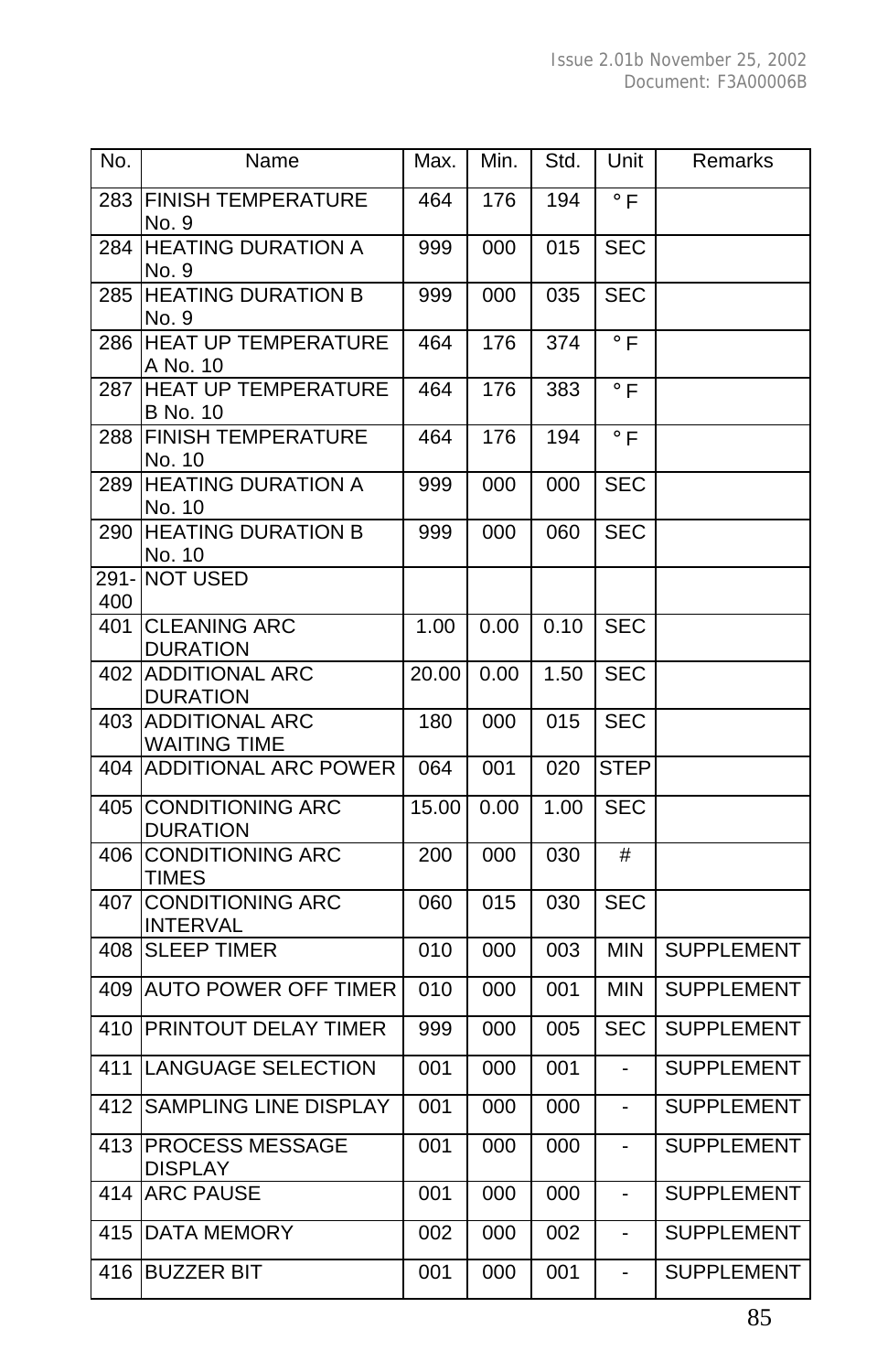| No.         | Name                                         | Max.  | Min.             | Std. | Unit                 | Remarks           |
|-------------|----------------------------------------------|-------|------------------|------|----------------------|-------------------|
| 283         | <b>FINISH TEMPERATURE</b><br>No. 9           | 464   | 176              | 194  | $\circ$ F            |                   |
| 284         | <b>HEATING DURATION A</b><br>No. 9           | 999   | 000              | 015  | <b>SEC</b>           |                   |
| 285         | <b>HEATING DURATION B</b><br>No. 9           | 999   | 000              | 035  | <b>SEC</b>           |                   |
| 286         | <b>HEAT UP TEMPERATURE</b><br>A No. 10       | 464   | 176              | 374  | $\circ$ F            |                   |
| 287         | <b>HEAT UP TEMPERATURE</b><br>B No. 10       | 464   | 176              | 383  | $\overline{\circ}$ F |                   |
| 288         | <b>FINISH TEMPERATURE</b><br>No. 10          | 464   | 176              | 194  | $\circ$ F            |                   |
| 289         | <b>HEATING DURATION A</b><br>No. 10          | 999   | 000              | 000  | SEC                  |                   |
| 290         | <b>HEATING DURATION B</b><br>No. 10          | 999   | 000              | 060  | <b>SEC</b>           |                   |
| 291-<br>400 | <b>NOT USED</b>                              |       |                  |      |                      |                   |
| 401         | <b>CLEANING ARC</b><br><b>DURATION</b>       | 1.00  | 0.00             | 0.10 | <b>SEC</b>           |                   |
| 402         | <b>ADDITIONAL ARC</b><br><b>DURATION</b>     | 20.00 | 0.00             | 1.50 | <b>SEC</b>           |                   |
| 403         | <b>ADDITIONAL ARC</b><br><b>WAITING TIME</b> | 180   | 000              | 015  | <b>SEC</b>           |                   |
| 404         | <b>ADDITIONAL ARC POWER</b>                  | 064   | 001              | 020  | <b>STEP</b>          |                   |
| 405         | <b>CONDITIONING ARC</b><br><b>DURATION</b>   | 15.00 | 0.00             | 1.00 | <b>SEC</b>           |                   |
| 406         | <b>CONDITIONING ARC</b><br><b>TIMES</b>      | 200   | 000              | 030  | #                    |                   |
| 407         | <b>CONDITIONING ARC</b><br><b>INTERVAL</b>   | 060   | 015              | 030  | <b>SEC</b>           |                   |
| 408         | <b>SLEEP TIMER</b>                           | 010   | 000              | 003  | <b>MIN</b>           | <b>SUPPLEMENT</b> |
| 409         | <b>AUTO POWER OFF TIMER</b>                  | 010   | 000              | 001  | <b>MIN</b>           | <b>SUPPLEMENT</b> |
| 410         | <b>PRINTOUT DELAY TIMER</b>                  | 999   | 000              | 005  | <b>SEC</b>           | <b>SUPPLEMENT</b> |
| 411         | <b>LANGUAGE SELECTION</b>                    | 001   | $\overline{000}$ | 001  | L,                   | <b>SUPPLEMENT</b> |
| 412         | SAMPLING LINE DISPLAY                        | 001   | 000              | 000  | $\overline{a}$       | <b>SUPPLEMENT</b> |
| 413         | <b>PROCESS MESSAGE</b><br><b>DISPLAY</b>     | 001   | 000              | 000  | $\overline{a}$       | <b>SUPPLEMENT</b> |
| 414         | <b>ARC PAUSE</b>                             | 001   | 000              | 000  | ÷,                   | <b>SUPPLEMENT</b> |
| 415         | <b>DATA MEMORY</b>                           | 002   | 000              | 002  | ÷,                   | <b>SUPPLEMENT</b> |
| 416         | <b>BUZZER BIT</b>                            | 001   | 000              | 001  | ÷,                   | <b>SUPPLEMENT</b> |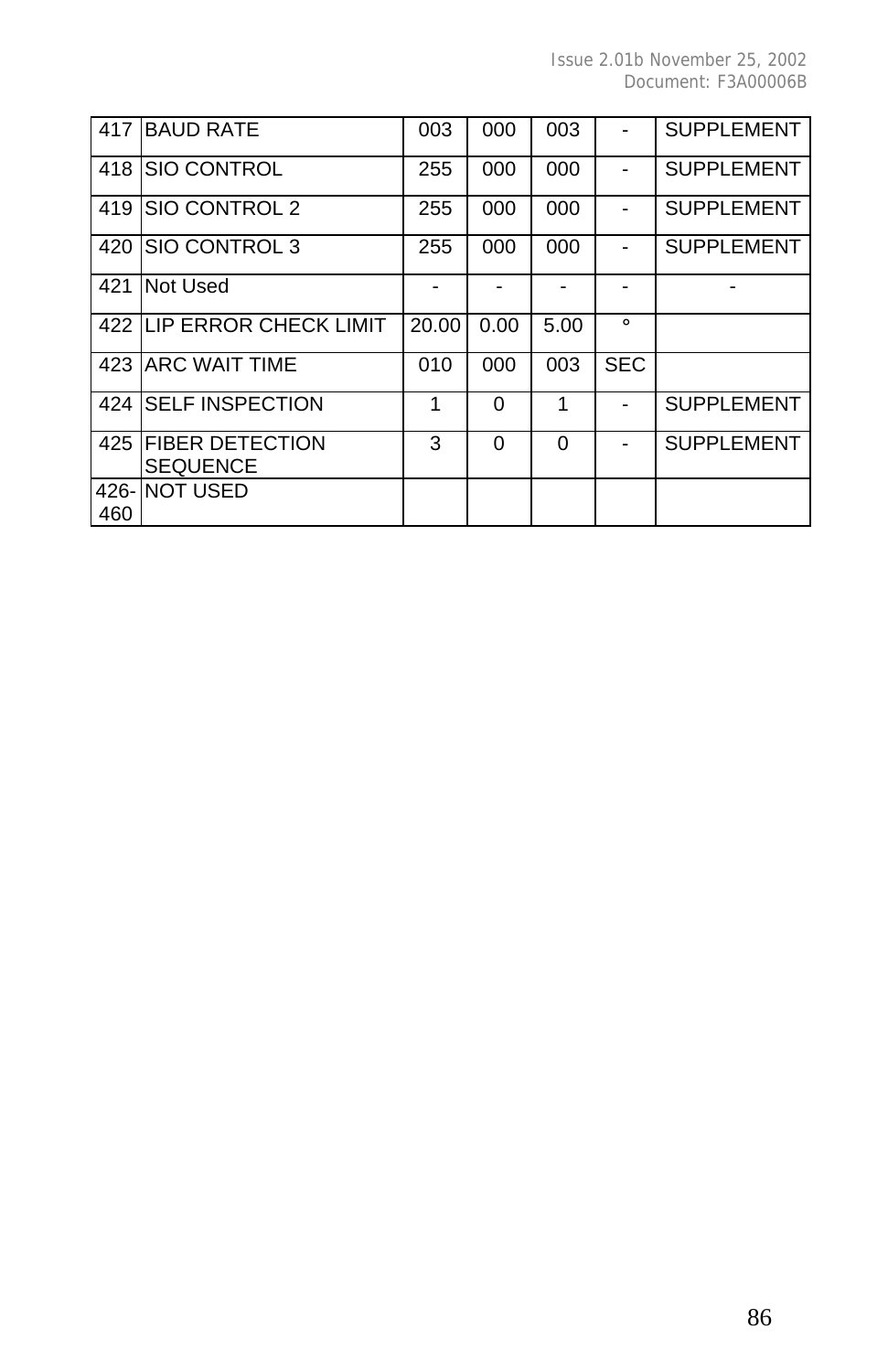| 417 | <b>BAUD RATE</b>                          | 003   | 000      | 003  |            | <b>SUPPLEMENT</b> |
|-----|-------------------------------------------|-------|----------|------|------------|-------------------|
| 418 | SIO CONTROL                               | 255   | 000      | 000  |            | <b>SUPPLEMENT</b> |
| 419 | SIO CONTROL 2                             | 255   | 000      | 000  |            | <b>SUPPLEMENT</b> |
| 420 | SIO CONTROL 3                             | 255   | 000      | 000  |            | <b>SUPPLEMENT</b> |
| 421 | Not Used                                  |       |          |      |            |                   |
|     | 422 LIP ERROR CHECK LIMIT                 | 20.00 | 0.00     | 5.00 | $\circ$    |                   |
|     | 423 ARC WAIT TIME                         | 010   | 000      | 003  | <b>SEC</b> |                   |
|     | 424 ISELF INSPECTION                      | 1     | $\Omega$ | 1    |            | <b>SUPPLEMENT</b> |
| 425 | <b>FIBER DETECTION</b><br><b>SEQUENCE</b> | 3     | $\Omega$ | 0    |            | <b>SUPPLEMENT</b> |
|     | 426-INOT USED                             |       |          |      |            |                   |
| 460 |                                           |       |          |      |            |                   |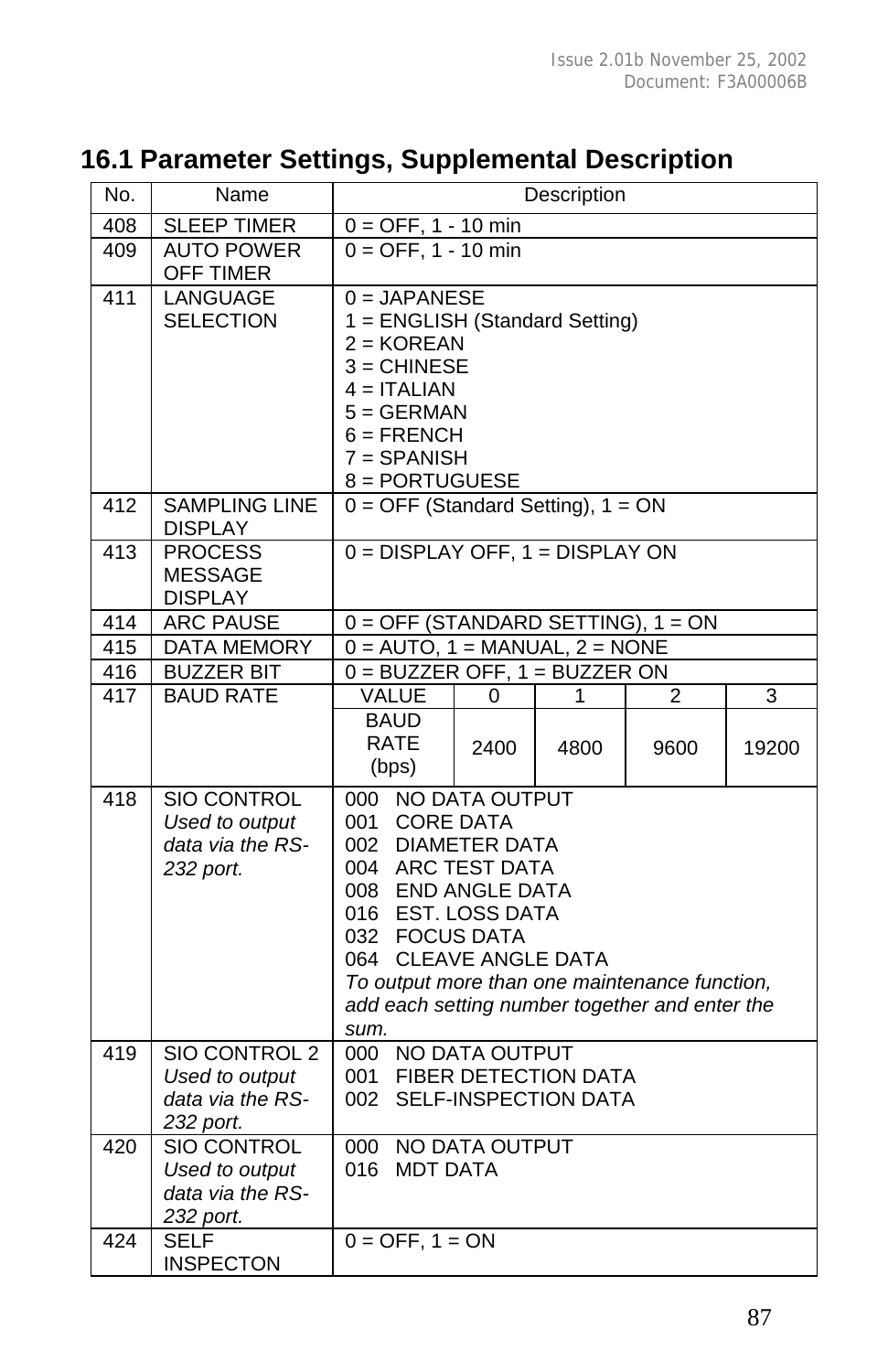## **16.1 Parameter Settings, Supplemental Description**

| No.              | Name                                                                  |                                                                                                                                                                                                                                                        | Description                        |           |                        |            |  |  |
|------------------|-----------------------------------------------------------------------|--------------------------------------------------------------------------------------------------------------------------------------------------------------------------------------------------------------------------------------------------------|------------------------------------|-----------|------------------------|------------|--|--|
| 408              | <b>SLEEP TIMER</b>                                                    | $0 = OFF, 1 - 10$ min                                                                                                                                                                                                                                  |                                    |           |                        |            |  |  |
| 409              | <b>AUTO POWER</b><br>OFF TIMER                                        |                                                                                                                                                                                                                                                        | $0 = OFF, 1 - 10 min$              |           |                        |            |  |  |
| $\overline{411}$ | <b>LANGUAGE</b><br><b>SELECTION</b>                                   | $0 = JAPANESE$<br>1 = ENGLISH (Standard Setting)<br>$2 = KOREAN$<br>$3 =$ CHINESE<br>$4 = ITALIAN$<br>$5 = GERMAN$<br>$6 = FRENCH$<br>$7 = SPANISH$<br>8 = PORTUGUESE                                                                                  |                                    |           |                        |            |  |  |
| 412              | <b>SAMPLING LINE</b><br><b>DISPLAY</b>                                | $0 = OFF$ (Standard Setting), $1 = ON$                                                                                                                                                                                                                 |                                    |           |                        |            |  |  |
| 413              | <b>PROCESS</b><br><b>MESSAGE</b><br><b>DISPLAY</b>                    |                                                                                                                                                                                                                                                        | $0 = DISPLAN OFF, 1 = DISPLAN ON$  |           |                        |            |  |  |
| 414              | <b>ARC PAUSE</b>                                                      | $0 =$ OFF (STANDARD SETTING), 1 = ON                                                                                                                                                                                                                   |                                    |           |                        |            |  |  |
| 415              | <b>DATA MEMORY</b>                                                    | $0 =$ AUTO, 1 = MANUAL, 2 = NONE                                                                                                                                                                                                                       |                                    |           |                        |            |  |  |
| 416              | <b>BUZZER BIT</b>                                                     | $0 = BUZZER$ OFF, $1 = BUZZER$ ON                                                                                                                                                                                                                      |                                    |           |                        |            |  |  |
| 417              | <b>BAUD RATE</b>                                                      | VALUE<br><b>BAUD</b><br>RATE<br>(bps)                                                                                                                                                                                                                  | 0<br>2400                          | 1<br>4800 | $\overline{2}$<br>9600 | 3<br>19200 |  |  |
| 418              | <b>SIO CONTROL</b><br>Used to output<br>data via the RS-<br>232 port. | 000<br>001<br>002 DIAMETER DATA<br>004 ARC TEST DATA<br>008 END ANGLE DATA<br>016 EST. LOSS DATA<br>032 FOCUS DATA<br>064 CLEAVE ANGLE DATA<br>To output more than one maintenance function,<br>add each setting number together and enter the<br>sum. | NO DATA OUTPUT<br><b>CORE DATA</b> |           |                        |            |  |  |
| 419              | SIO CONTROL 2<br>Used to output<br>data via the RS-<br>232 port.      | 000 NO DATA OUTPUT<br><b>FIBER DETECTION DATA</b><br>001<br>SELF-INSPECTION DATA<br>002                                                                                                                                                                |                                    |           |                        |            |  |  |
| 420              | SIO CONTROL<br>Used to output<br>data via the RS-<br>232 port.        | 000 NO DATA OUTPUT<br>016 MDT DATA                                                                                                                                                                                                                     |                                    |           |                        |            |  |  |
| 424              | <b>SELF</b><br><b>INSPECTON</b>                                       | $0 = OFF, 1 = ON$                                                                                                                                                                                                                                      |                                    |           |                        |            |  |  |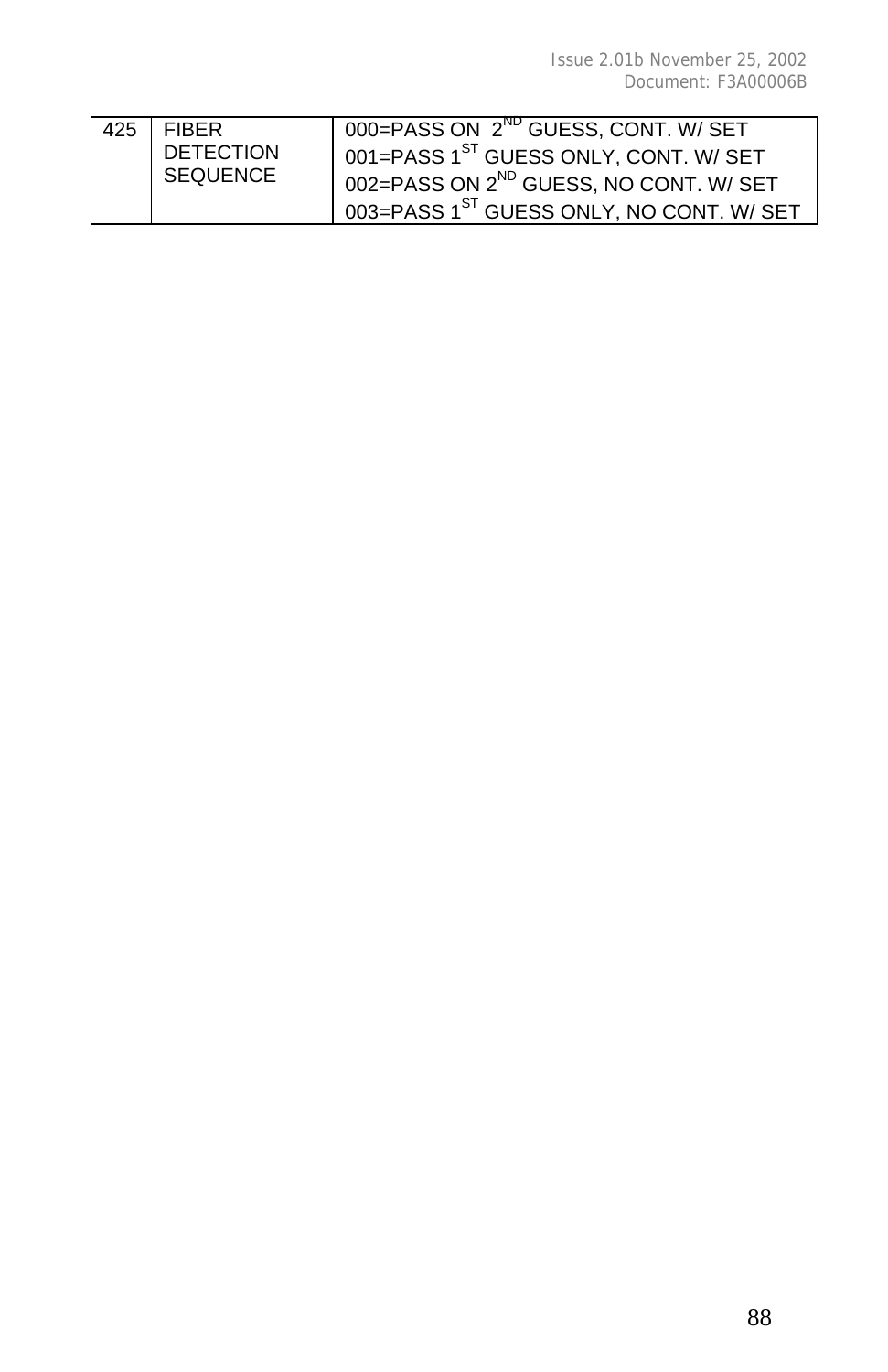| 425 | I FIBER          | 000=PASS ON 2 <sup>ND</sup> GUESS, CONT. W/ SET         |
|-----|------------------|---------------------------------------------------------|
|     | <b>DETECTION</b> | 001=PASS 1 <sup>ST</sup> GUESS ONLY, CONT. W/ SET       |
|     | SEQUENCE         | 002=PASS ON 2 <sup>ND</sup> GUESS, NO CONT. W/ SET      |
|     |                  | $1003$ = PASS $1^\text{ST}$ GUESS ONLY, NO CONT. W/ SET |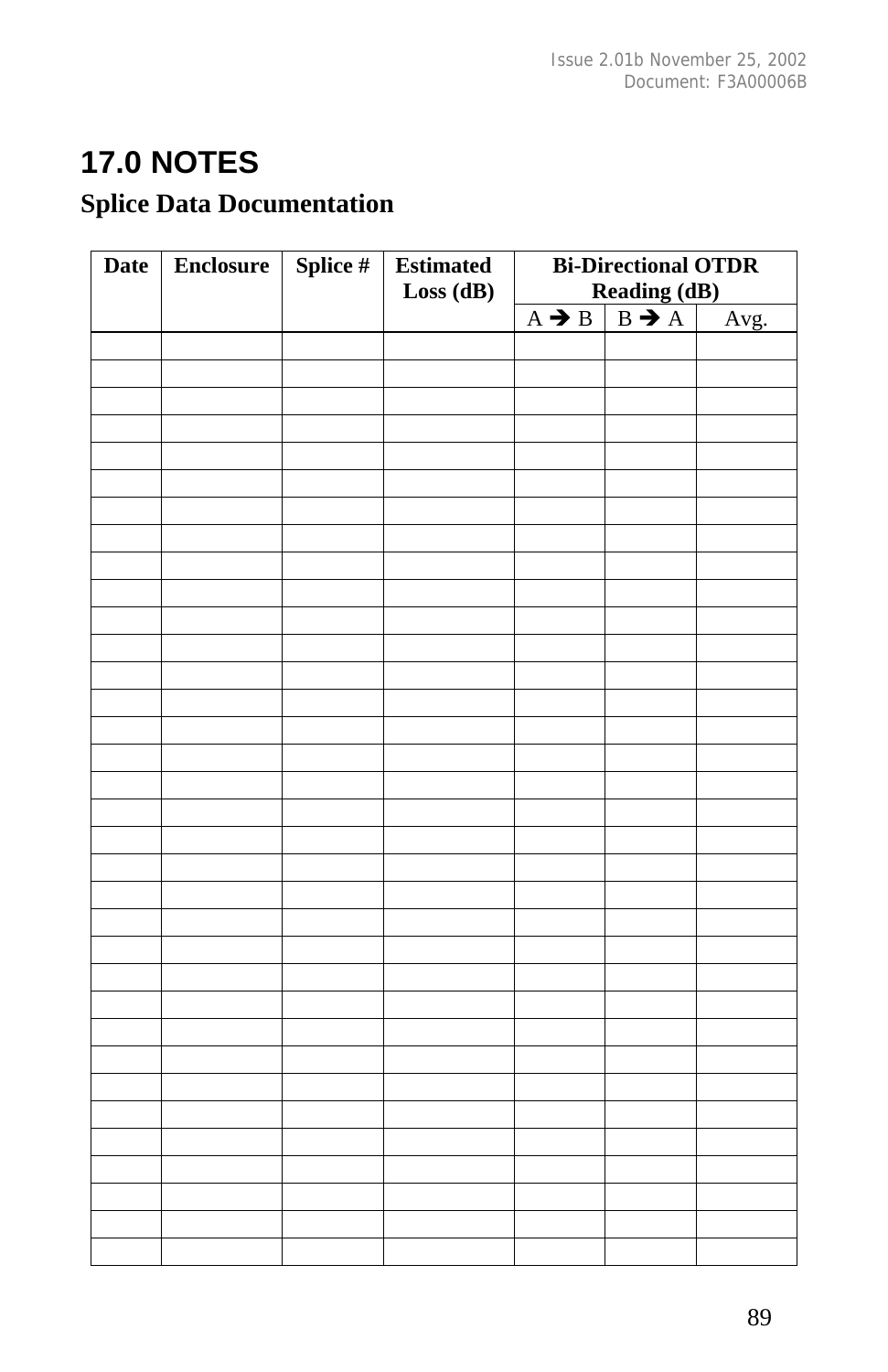# **17.0 NOTES**

## **Splice Data Documentation**

| <b>Date</b> | <b>Enclosure</b> | Splice # | <b>Estimated</b> | <b>Bi-Directional OTDR</b>                                                                                         |  |      |
|-------------|------------------|----------|------------------|--------------------------------------------------------------------------------------------------------------------|--|------|
|             |                  |          | Loss(dB)         | Reading (dB)<br>$\left \begin{array}{c}\n\text{Reading (dB)} \\ \text{B} \rightarrow \text{A}\n\end{array}\right $ |  |      |
|             |                  |          |                  | $A \rightarrow B$                                                                                                  |  | Avg. |
|             |                  |          |                  |                                                                                                                    |  |      |
|             |                  |          |                  |                                                                                                                    |  |      |
|             |                  |          |                  |                                                                                                                    |  |      |
|             |                  |          |                  |                                                                                                                    |  |      |
|             |                  |          |                  |                                                                                                                    |  |      |
|             |                  |          |                  |                                                                                                                    |  |      |
|             |                  |          |                  |                                                                                                                    |  |      |
|             |                  |          |                  |                                                                                                                    |  |      |
|             |                  |          |                  |                                                                                                                    |  |      |
|             |                  |          |                  |                                                                                                                    |  |      |
|             |                  |          |                  |                                                                                                                    |  |      |
|             |                  |          |                  |                                                                                                                    |  |      |
|             |                  |          |                  |                                                                                                                    |  |      |
|             |                  |          |                  |                                                                                                                    |  |      |
|             |                  |          |                  |                                                                                                                    |  |      |
|             |                  |          |                  |                                                                                                                    |  |      |
|             |                  |          |                  |                                                                                                                    |  |      |
|             |                  |          |                  |                                                                                                                    |  |      |
|             |                  |          |                  |                                                                                                                    |  |      |
|             |                  |          |                  |                                                                                                                    |  |      |
|             |                  |          |                  |                                                                                                                    |  |      |
|             |                  |          |                  |                                                                                                                    |  |      |
|             |                  |          |                  |                                                                                                                    |  |      |
|             |                  |          |                  |                                                                                                                    |  |      |
|             |                  |          |                  |                                                                                                                    |  |      |
|             |                  |          |                  |                                                                                                                    |  |      |
|             |                  |          |                  |                                                                                                                    |  |      |
|             |                  |          |                  |                                                                                                                    |  |      |
|             |                  |          |                  |                                                                                                                    |  |      |
|             |                  |          |                  |                                                                                                                    |  |      |
|             |                  |          |                  |                                                                                                                    |  |      |
|             |                  |          |                  |                                                                                                                    |  |      |
|             |                  |          |                  |                                                                                                                    |  |      |
|             |                  |          |                  |                                                                                                                    |  |      |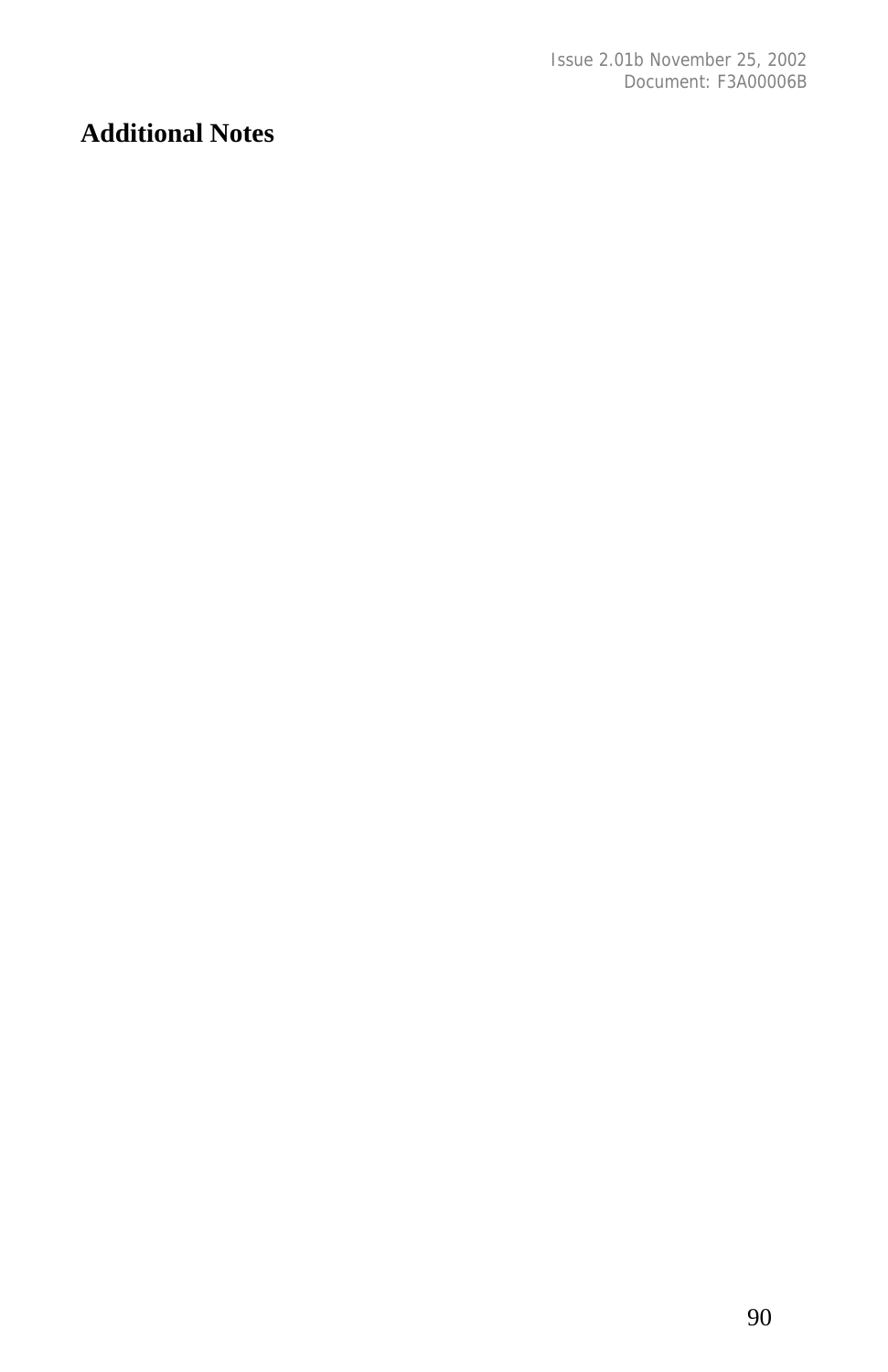#### **Additional Notes**